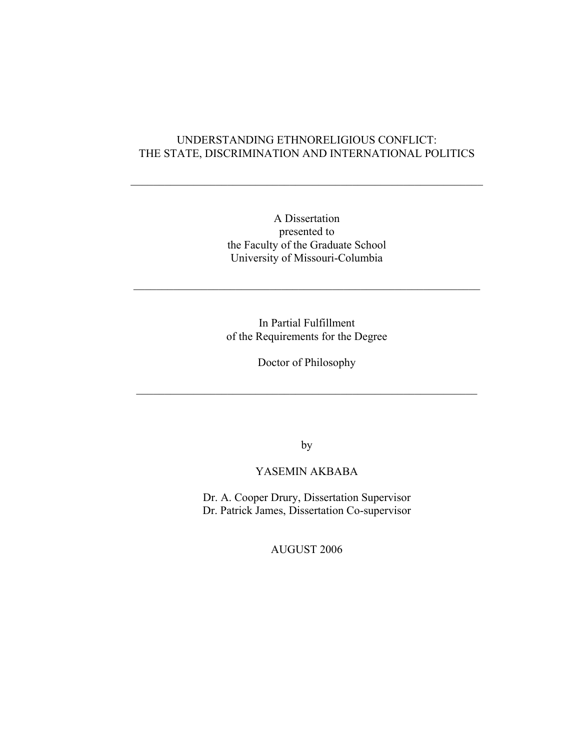# UNDERSTANDING ETHNORELIGIOUS CONFLICT: THE STATE, DISCRIMINATION AND INTERNATIONAL POLITICS

 $\mathcal{L}_\text{max}$  , and the contribution of the contribution of the contribution of the contribution of the contribution of the contribution of the contribution of the contribution of the contribution of the contribution of t

A Dissertation presented to the Faculty of the Graduate School University of Missouri-Columbia

In Partial Fulfillment of the Requirements for the Degree

 $\mathcal{L}_\text{max}$  , and the contract of the contract of the contract of the contract of the contract of the contract of

Doctor of Philosophy

 $\mathcal{L}_\text{max}$  and the contract of the contract of the contract of the contract of the contract of the contract of

by

# YASEMIN AKBABA

Dr. A. Cooper Drury, Dissertation Supervisor Dr. Patrick James, Dissertation Co-supervisor

AUGUST 2006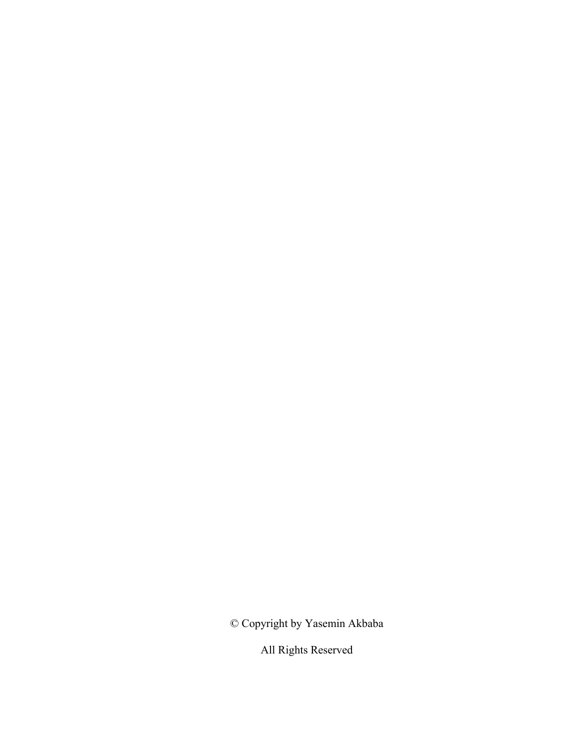© Copyright by Yasemin Akbaba

All Rights Reserved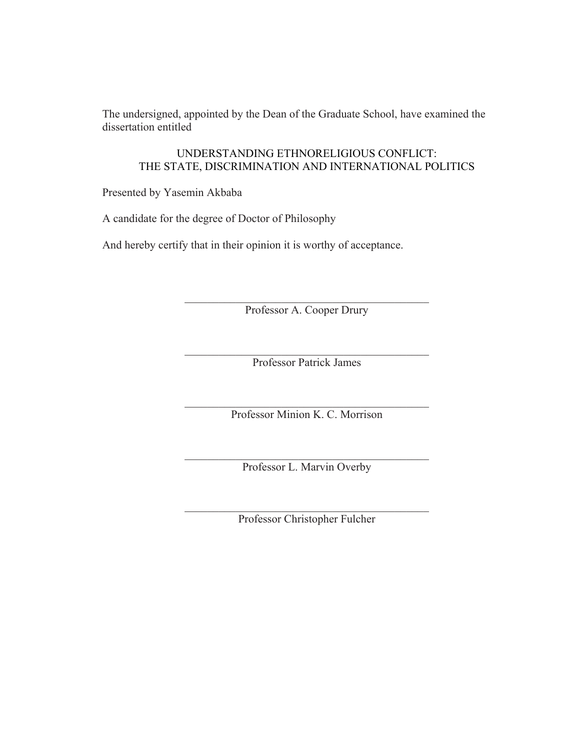The undersigned, appointed by the Dean of the Graduate School, have examined the dissertation entitled

# UNDERSTANDING ETHNORELIGIOUS CONFLICT: THE STATE, DISCRIMINATION AND INTERNATIONAL POLITICS

Presented by Yasemin Akbaba

A candidate for the degree of Doctor of Philosophy

And hereby certify that in their opinion it is worthy of acceptance.

 $\mathcal{L}_\text{max}$  and  $\mathcal{L}_\text{max}$  and  $\mathcal{L}_\text{max}$  and  $\mathcal{L}_\text{max}$ Professor A. Cooper Drury

 $\mathcal{L}_\text{max}$  and  $\mathcal{L}_\text{max}$  and  $\mathcal{L}_\text{max}$  and  $\mathcal{L}_\text{max}$ Professor Patrick James

 $\mathcal{L}_\text{max}$  and  $\mathcal{L}_\text{max}$  and  $\mathcal{L}_\text{max}$  and  $\mathcal{L}_\text{max}$ Professor Minion K. C. Morrison

 $\mathcal{L}_\text{max}$  and  $\mathcal{L}_\text{max}$  and  $\mathcal{L}_\text{max}$  and  $\mathcal{L}_\text{max}$ Professor L. Marvin Overby

 $\mathcal{L}_\text{max}$  and the contract of the contract of the contract of the contract of the contract of the contract of the contract of the contract of the contract of the contract of the contract of the contract of the contrac Professor Christopher Fulcher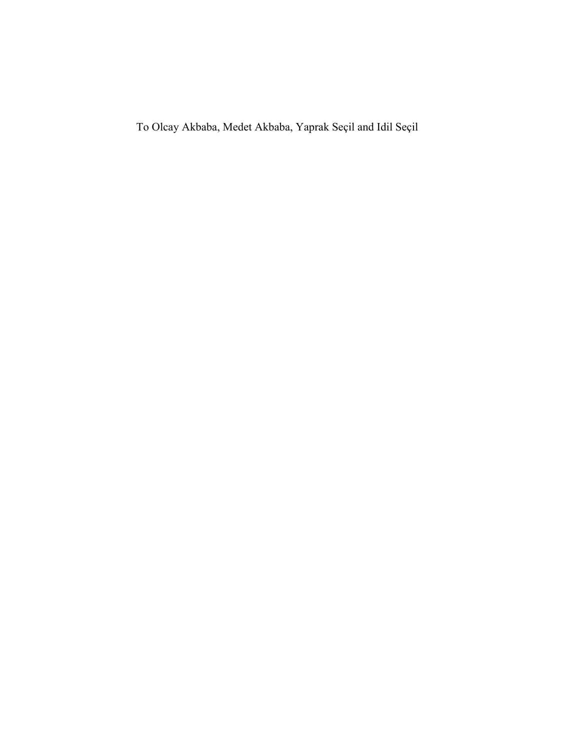To Olcay Akbaba, Medet Akbaba, Yaprak Seçil and Idil Seçil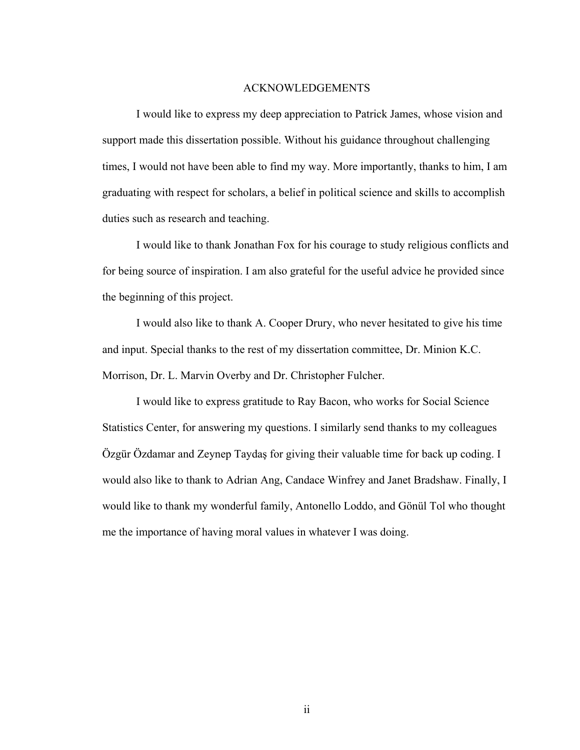#### ACKNOWLEDGEMENTS

 I would like to express my deep appreciation to Patrick James, whose vision and support made this dissertation possible. Without his guidance throughout challenging times, I would not have been able to find my way. More importantly, thanks to him, I am graduating with respect for scholars, a belief in political science and skills to accomplish duties such as research and teaching.

 I would like to thank Jonathan Fox for his courage to study religious conflicts and for being source of inspiration. I am also grateful for the useful advice he provided since the beginning of this project.

 I would also like to thank A. Cooper Drury, who never hesitated to give his time and input. Special thanks to the rest of my dissertation committee, Dr. Minion K.C. Morrison, Dr. L. Marvin Overby and Dr. Christopher Fulcher.

 I would like to express gratitude to Ray Bacon, who works for Social Science Statistics Center, for answering my questions. I similarly send thanks to my colleagues Özgür Özdamar and Zeynep Taydaş for giving their valuable time for back up coding. I would also like to thank to Adrian Ang, Candace Winfrey and Janet Bradshaw. Finally, I would like to thank my wonderful family, Antonello Loddo, and Gönül Tol who thought me the importance of having moral values in whatever I was doing.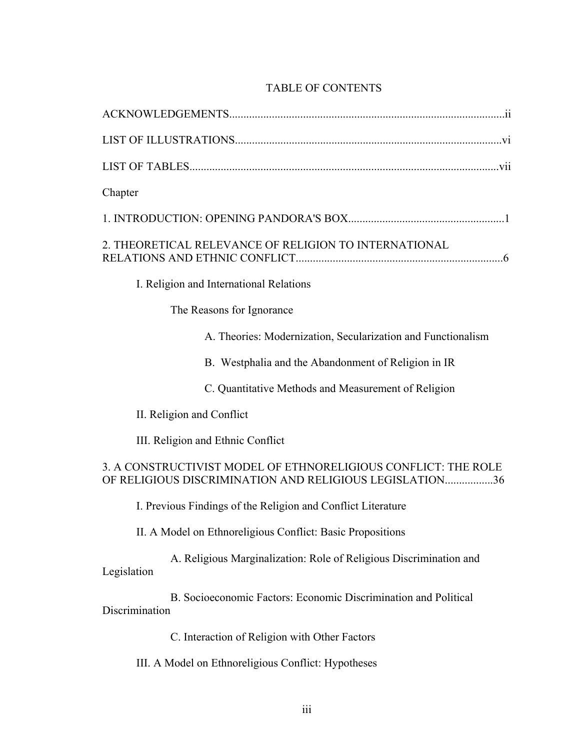| Chapter                                                                                                                   |
|---------------------------------------------------------------------------------------------------------------------------|
|                                                                                                                           |
| 2. THEORETICAL RELEVANCE OF RELIGION TO INTERNATIONAL                                                                     |
| I. Religion and International Relations                                                                                   |
| The Reasons for Ignorance                                                                                                 |
| A. Theories: Modernization, Secularization and Functionalism                                                              |
| B. Westphalia and the Abandonment of Religion in IR                                                                       |
| C. Quantitative Methods and Measurement of Religion                                                                       |
| II. Religion and Conflict                                                                                                 |
| III. Religion and Ethnic Conflict                                                                                         |
| 3. A CONSTRUCTIVIST MODEL OF ETHNORELIGIOUS CONFLICT: THE ROLE<br>OF RELIGIOUS DISCRIMINATION AND RELIGIOUS LEGISLATION36 |
| I. Previous Findings of the Religion and Conflict Literature                                                              |
| II. A Model on Ethnoreligious Conflict: Basic Propositions                                                                |
| A. Religious Marginalization: Role of Religious Discrimination and<br>Legislation                                         |
| B. Socioeconomic Factors: Economic Discrimination and Political<br>Discrimination                                         |
| C. Interaction of Religion with Other Factors                                                                             |
| III. A Model on Ethnoreligious Conflict: Hypotheses                                                                       |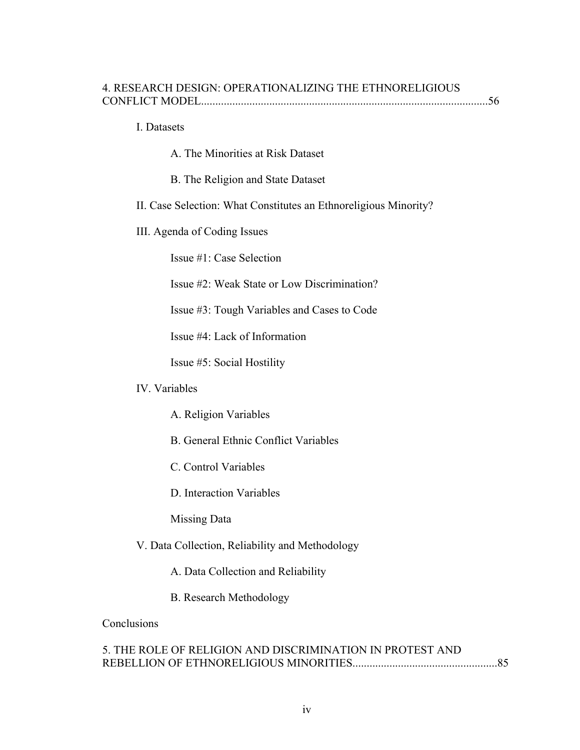| 4. RESEARCH DESIGN: OPERATIONALIZING THE ETHNORELIGIOUS |  |
|---------------------------------------------------------|--|
|                                                         |  |

- A. The Minorities at Risk Dataset
- B. The Religion and State Dataset

## II. Case Selection: What Constitutes an Ethnoreligious Minority?

III. Agenda of Coding Issues

Issue #1: Case Selection

Issue #2: Weak State or Low Discrimination?

Issue #3: Tough Variables and Cases to Code

Issue #4: Lack of Information

Issue #5: Social Hostility

### IV. Variables

- A. Religion Variables
- B. General Ethnic Conflict Variables
- C. Control Variables
- D. Interaction Variables

Missing Data

V. Data Collection, Reliability and Methodology

A. Data Collection and Reliability

B. Research Methodology

Conclusions

# 5. THE ROLE OF RELIGION AND DISCRIMINATION IN PROTEST AND REBELLION OF ETHNORELIGIOUS MINORITIES...................................................85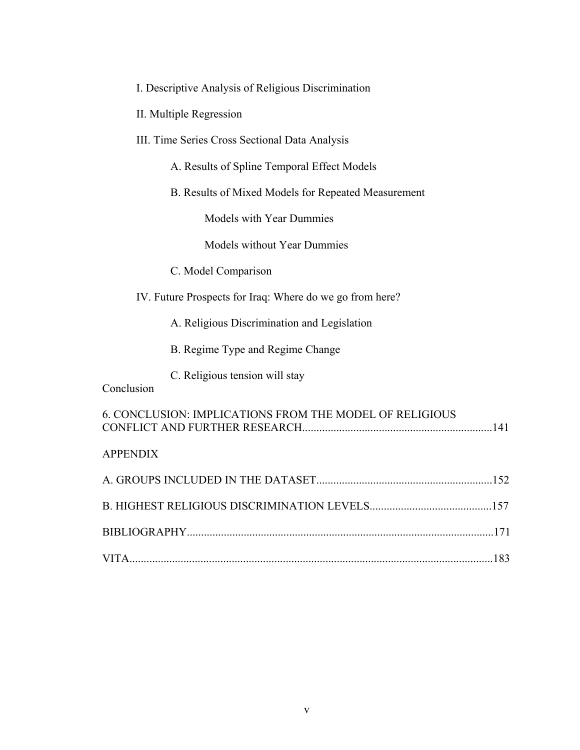|  |  | I. Descriptive Analysis of Religious Discrimination |
|--|--|-----------------------------------------------------|
|  |  |                                                     |

- II. Multiple Regression
- III. Time Series Cross Sectional Data Analysis
	- A. Results of Spline Temporal Effect Models
	- B. Results of Mixed Models for Repeated Measurement

Models with Year Dummies

Models without Year Dummies

C. Model Comparison

IV. Future Prospects for Iraq: Where do we go from here?

A. Religious Discrimination and Legislation

B. Regime Type and Regime Change

C. Religious tension will stay

# Conclusion

| <b>6. CONCLUSION: IMPLICATIONS FROM THE MODEL OF RELIGIOUS</b> |  |
|----------------------------------------------------------------|--|
| <b>APPENDIX</b>                                                |  |
|                                                                |  |
|                                                                |  |
|                                                                |  |

VITA................................................................................................................................183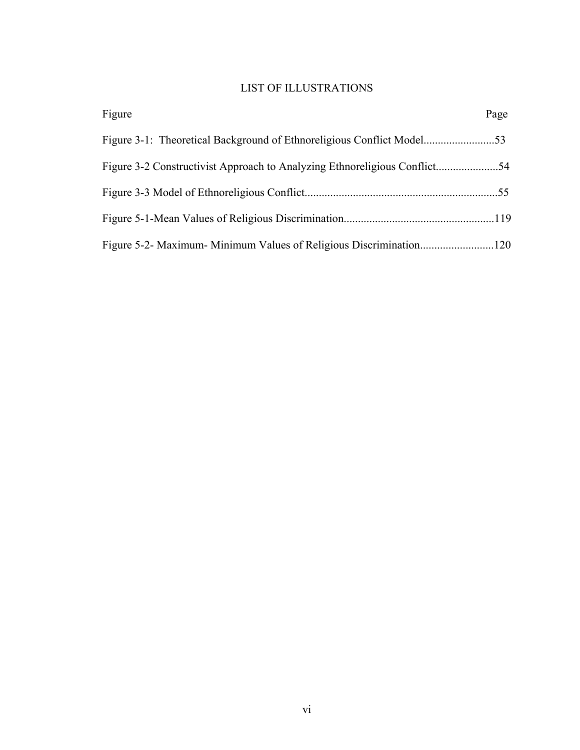# LIST OF ILLUSTRATIONS

| Figure | Page |
|--------|------|
|        |      |
|        |      |
|        |      |
|        |      |
|        |      |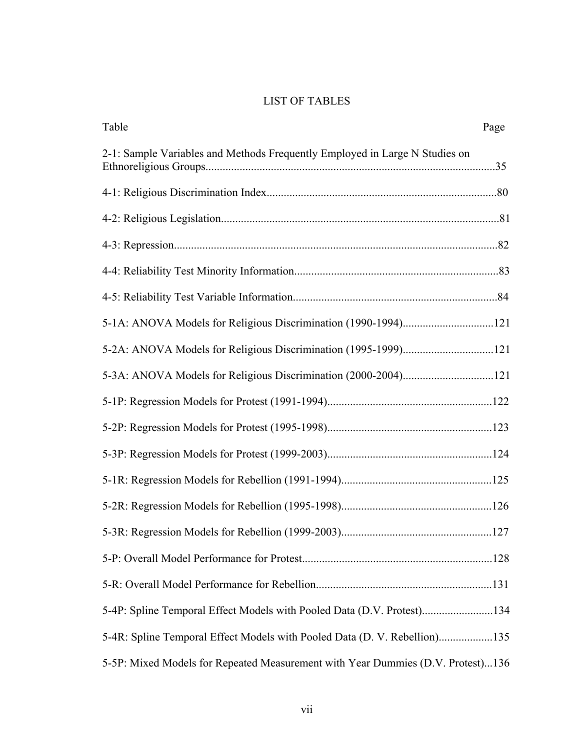# LIST OF TABLES

| Table                                                                           | Page |
|---------------------------------------------------------------------------------|------|
| 2-1: Sample Variables and Methods Frequently Employed in Large N Studies on     |      |
|                                                                                 |      |
|                                                                                 |      |
|                                                                                 |      |
|                                                                                 |      |
|                                                                                 |      |
| 5-1A: ANOVA Models for Religious Discrimination (1990-1994)121                  |      |
| 5-2A: ANOVA Models for Religious Discrimination (1995-1999)121                  |      |
|                                                                                 |      |
|                                                                                 |      |
|                                                                                 |      |
|                                                                                 |      |
|                                                                                 |      |
|                                                                                 |      |
|                                                                                 |      |
|                                                                                 |      |
|                                                                                 |      |
| 5-4P: Spline Temporal Effect Models with Pooled Data (D.V. Protest)134          |      |
| 5-4R: Spline Temporal Effect Models with Pooled Data (D. V. Rebellion)135       |      |
| 5-5P: Mixed Models for Repeated Measurement with Year Dummies (D.V. Protest)136 |      |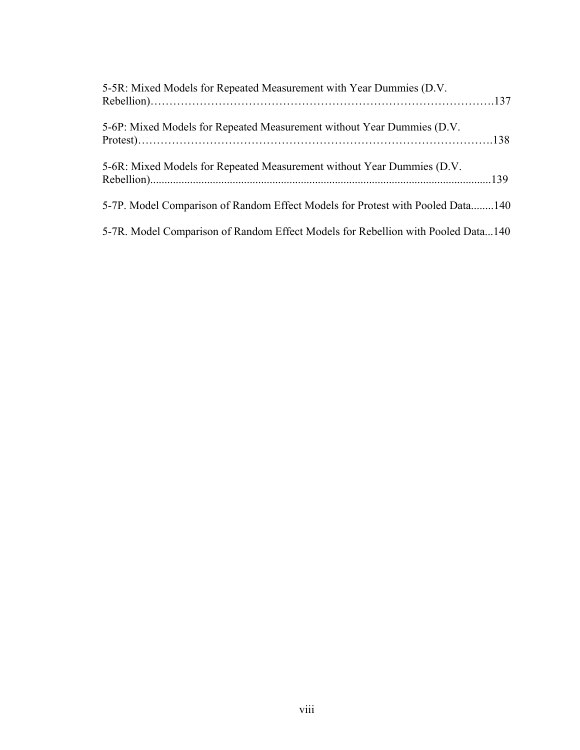| 5-5R: Mixed Models for Repeated Measurement with Year Dummies (D.V.              |  |
|----------------------------------------------------------------------------------|--|
| 5-6P: Mixed Models for Repeated Measurement without Year Dummies (D.V.           |  |
| 5-6R: Mixed Models for Repeated Measurement without Year Dummies (D.V.           |  |
| 5-7P. Model Comparison of Random Effect Models for Protest with Pooled Data140   |  |
| 5-7R. Model Comparison of Random Effect Models for Rebellion with Pooled Data140 |  |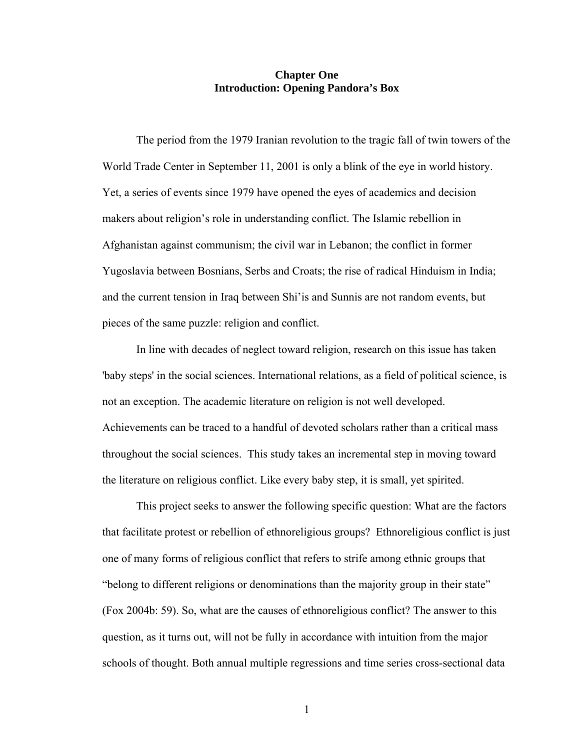## **Chapter One Introduction: Opening Pandora's Box**

The period from the 1979 Iranian revolution to the tragic fall of twin towers of the World Trade Center in September 11, 2001 is only a blink of the eye in world history. Yet, a series of events since 1979 have opened the eyes of academics and decision makers about religion's role in understanding conflict. The Islamic rebellion in Afghanistan against communism; the civil war in Lebanon; the conflict in former Yugoslavia between Bosnians, Serbs and Croats; the rise of radical Hinduism in India; and the current tension in Iraq between Shi'is and Sunnis are not random events, but pieces of the same puzzle: religion and conflict.

In line with decades of neglect toward religion, research on this issue has taken 'baby steps' in the social sciences. International relations, as a field of political science, is not an exception. The academic literature on religion is not well developed. Achievements can be traced to a handful of devoted scholars rather than a critical mass throughout the social sciences. This study takes an incremental step in moving toward the literature on religious conflict. Like every baby step, it is small, yet spirited.

This project seeks to answer the following specific question: What are the factors that facilitate protest or rebellion of ethnoreligious groups? Ethnoreligious conflict is just one of many forms of religious conflict that refers to strife among ethnic groups that "belong to different religions or denominations than the majority group in their state" (Fox 2004b: 59). So, what are the causes of ethnoreligious conflict? The answer to this question, as it turns out, will not be fully in accordance with intuition from the major schools of thought. Both annual multiple regressions and time series cross-sectional data

1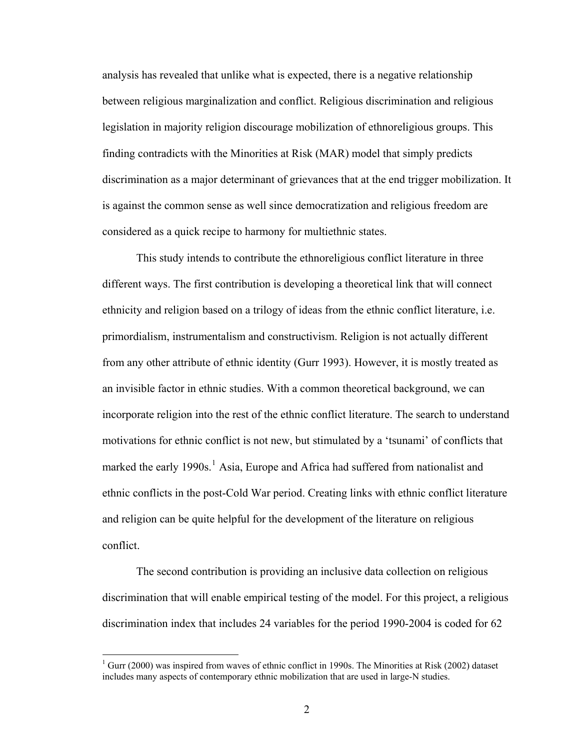analysis has revealed that unlike what is expected, there is a negative relationship between religious marginalization and conflict. Religious discrimination and religious legislation in majority religion discourage mobilization of ethnoreligious groups. This finding contradicts with the Minorities at Risk (MAR) model that simply predicts discrimination as a major determinant of grievances that at the end trigger mobilization. It is against the common sense as well since democratization and religious freedom are considered as a quick recipe to harmony for multiethnic states.

This study intends to contribute the ethnoreligious conflict literature in three different ways. The first contribution is developing a theoretical link that will connect ethnicity and religion based on a trilogy of ideas from the ethnic conflict literature, i.e. primordialism, instrumentalism and constructivism. Religion is not actually different from any other attribute of ethnic identity (Gurr 1993). However, it is mostly treated as an invisible factor in ethnic studies. With a common theoretical background, we can incorporate religion into the rest of the ethnic conflict literature. The search to understand motivations for ethnic conflict is not new, but stimulated by a 'tsunami' of conflicts that marked the early [1](#page-12-0)990s.<sup>1</sup> Asia, Europe and Africa had suffered from nationalist and ethnic conflicts in the post-Cold War period. Creating links with ethnic conflict literature and religion can be quite helpful for the development of the literature on religious conflict.

The second contribution is providing an inclusive data collection on religious discrimination that will enable empirical testing of the model. For this project, a religious discrimination index that includes 24 variables for the period 1990-2004 is coded for 62

 $\overline{a}$ 

<span id="page-12-0"></span> $1$  Gurr (2000) was inspired from waves of ethnic conflict in 1990s. The Minorities at Risk (2002) dataset includes many aspects of contemporary ethnic mobilization that are used in large-N studies.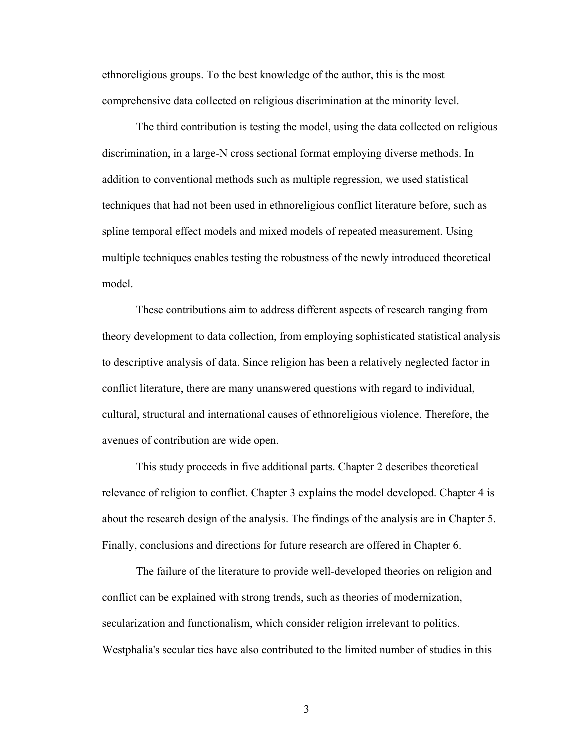ethnoreligious groups. To the best knowledge of the author, this is the most comprehensive data collected on religious discrimination at the minority level.

The third contribution is testing the model, using the data collected on religious discrimination, in a large-N cross sectional format employing diverse methods. In addition to conventional methods such as multiple regression, we used statistical techniques that had not been used in ethnoreligious conflict literature before, such as spline temporal effect models and mixed models of repeated measurement. Using multiple techniques enables testing the robustness of the newly introduced theoretical model.

These contributions aim to address different aspects of research ranging from theory development to data collection, from employing sophisticated statistical analysis to descriptive analysis of data. Since religion has been a relatively neglected factor in conflict literature, there are many unanswered questions with regard to individual, cultural, structural and international causes of ethnoreligious violence. Therefore, the avenues of contribution are wide open.

This study proceeds in five additional parts. Chapter 2 describes theoretical relevance of religion to conflict. Chapter 3 explains the model developed. Chapter 4 is about the research design of the analysis. The findings of the analysis are in Chapter 5. Finally, conclusions and directions for future research are offered in Chapter 6.

The failure of the literature to provide well-developed theories on religion and conflict can be explained with strong trends, such as theories of modernization, secularization and functionalism, which consider religion irrelevant to politics. Westphalia's secular ties have also contributed to the limited number of studies in this

3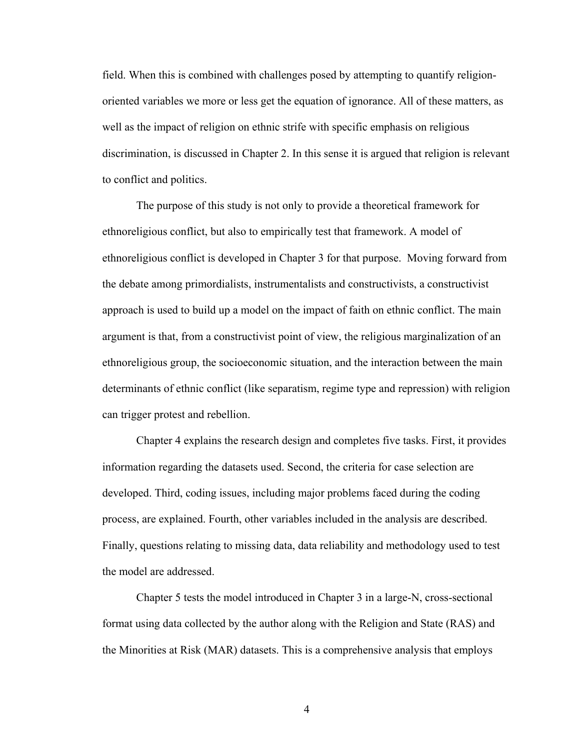field. When this is combined with challenges posed by attempting to quantify religionoriented variables we more or less get the equation of ignorance. All of these matters, as well as the impact of religion on ethnic strife with specific emphasis on religious discrimination, is discussed in Chapter 2. In this sense it is argued that religion is relevant to conflict and politics.

The purpose of this study is not only to provide a theoretical framework for ethnoreligious conflict, but also to empirically test that framework. A model of ethnoreligious conflict is developed in Chapter 3 for that purpose. Moving forward from the debate among primordialists, instrumentalists and constructivists, a constructivist approach is used to build up a model on the impact of faith on ethnic conflict. The main argument is that, from a constructivist point of view, the religious marginalization of an ethnoreligious group, the socioeconomic situation, and the interaction between the main determinants of ethnic conflict (like separatism, regime type and repression) with religion can trigger protest and rebellion.

 Chapter 4 explains the research design and completes five tasks. First, it provides information regarding the datasets used. Second, the criteria for case selection are developed. Third, coding issues, including major problems faced during the coding process, are explained. Fourth, other variables included in the analysis are described. Finally, questions relating to missing data, data reliability and methodology used to test the model are addressed.

 Chapter 5 tests the model introduced in Chapter 3 in a large-N, cross-sectional format using data collected by the author along with the Religion and State (RAS) and the Minorities at Risk (MAR) datasets. This is a comprehensive analysis that employs

4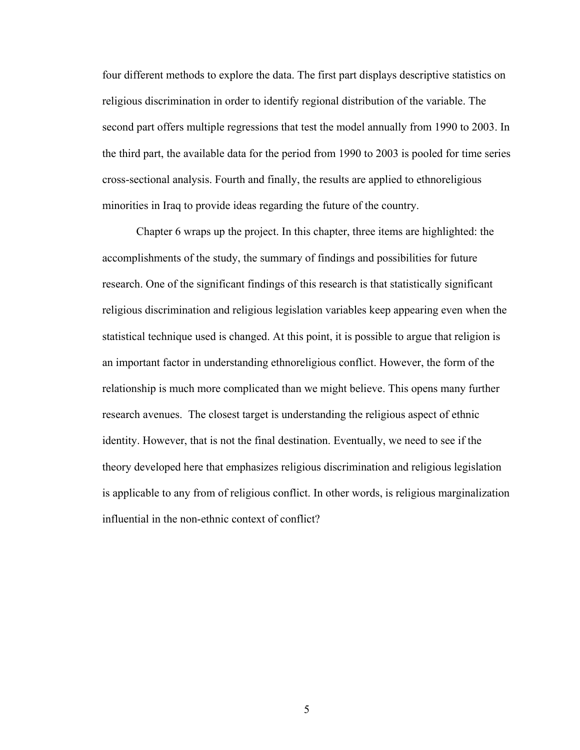four different methods to explore the data. The first part displays descriptive statistics on religious discrimination in order to identify regional distribution of the variable. The second part offers multiple regressions that test the model annually from 1990 to 2003. In the third part, the available data for the period from 1990 to 2003 is pooled for time series cross-sectional analysis. Fourth and finally, the results are applied to ethnoreligious minorities in Iraq to provide ideas regarding the future of the country.

 Chapter 6 wraps up the project. In this chapter, three items are highlighted: the accomplishments of the study, the summary of findings and possibilities for future research. One of the significant findings of this research is that statistically significant religious discrimination and religious legislation variables keep appearing even when the statistical technique used is changed. At this point, it is possible to argue that religion is an important factor in understanding ethnoreligious conflict. However, the form of the relationship is much more complicated than we might believe. This opens many further research avenues. The closest target is understanding the religious aspect of ethnic identity. However, that is not the final destination. Eventually, we need to see if the theory developed here that emphasizes religious discrimination and religious legislation is applicable to any from of religious conflict. In other words, is religious marginalization influential in the non-ethnic context of conflict?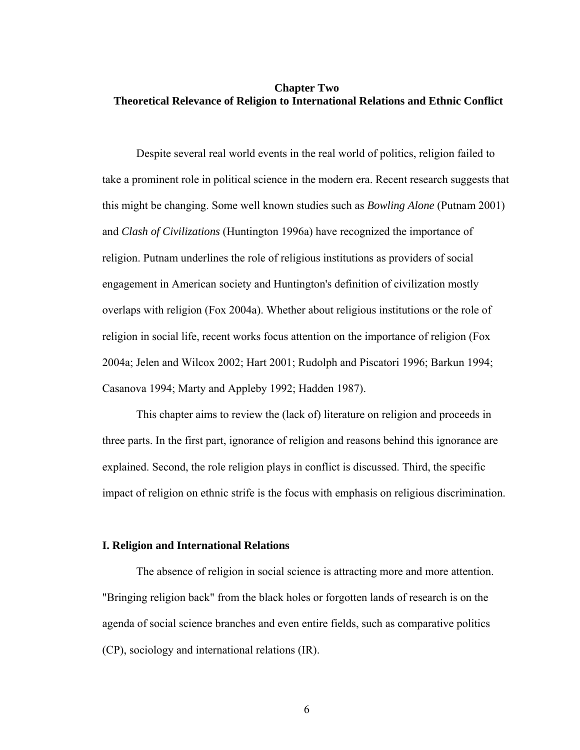# **Chapter Two Theoretical Relevance of Religion to International Relations and Ethnic Conflict**

 Despite several real world events in the real world of politics, religion failed to take a prominent role in political science in the modern era. Recent research suggests that this might be changing. Some well known studies such as *Bowling Alone* (Putnam 2001) and *Clash of Civilizations* (Huntington 1996a) have recognized the importance of religion. Putnam underlines the role of religious institutions as providers of social engagement in American society and Huntington's definition of civilization mostly overlaps with religion (Fox 2004a). Whether about religious institutions or the role of religion in social life, recent works focus attention on the importance of religion (Fox 2004a; Jelen and Wilcox 2002; Hart 2001; Rudolph and Piscatori 1996; Barkun 1994; Casanova 1994; Marty and Appleby 1992; Hadden 1987).

 This chapter aims to review the (lack of) literature on religion and proceeds in three parts. In the first part, ignorance of religion and reasons behind this ignorance are explained. Second, the role religion plays in conflict is discussed. Third, the specific impact of religion on ethnic strife is the focus with emphasis on religious discrimination.

#### **I. Religion and International Relations**

 The absence of religion in social science is attracting more and more attention. "Bringing religion back" from the black holes or forgotten lands of research is on the agenda of social science branches and even entire fields, such as comparative politics (CP), sociology and international relations (IR).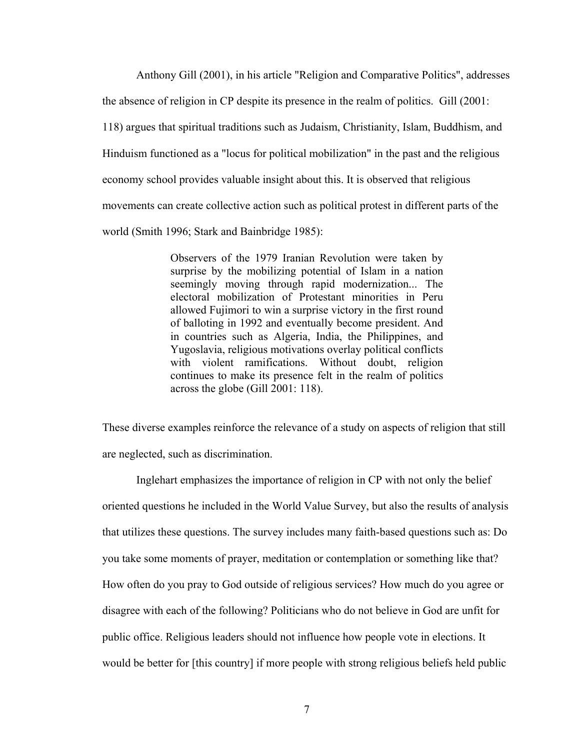Anthony Gill (2001), in his article "Religion and Comparative Politics", addresses

the absence of religion in CP despite its presence in the realm of politics. Gill (2001:

118) argues that spiritual traditions such as Judaism, Christianity, Islam, Buddhism, and

Hinduism functioned as a "locus for political mobilization" in the past and the religious

economy school provides valuable insight about this. It is observed that religious

movements can create collective action such as political protest in different parts of the

world (Smith 1996; Stark and Bainbridge 1985):

Observers of the 1979 Iranian Revolution were taken by surprise by the mobilizing potential of Islam in a nation seemingly moving through rapid modernization... The electoral mobilization of Protestant minorities in Peru allowed Fujimori to win a surprise victory in the first round of balloting in 1992 and eventually become president. And in countries such as Algeria, India, the Philippines, and Yugoslavia, religious motivations overlay political conflicts with violent ramifications. Without doubt, religion continues to make its presence felt in the realm of politics across the globe (Gill 2001: 118).

These diverse examples reinforce the relevance of a study on aspects of religion that still are neglected, such as discrimination.

 Inglehart emphasizes the importance of religion in CP with not only the belief oriented questions he included in the World Value Survey, but also the results of analysis that utilizes these questions. The survey includes many faith-based questions such as: Do you take some moments of prayer, meditation or contemplation or something like that? How often do you pray to God outside of religious services? How much do you agree or disagree with each of the following? Politicians who do not believe in God are unfit for public office. Religious leaders should not influence how people vote in elections. It would be better for [this country] if more people with strong religious beliefs held public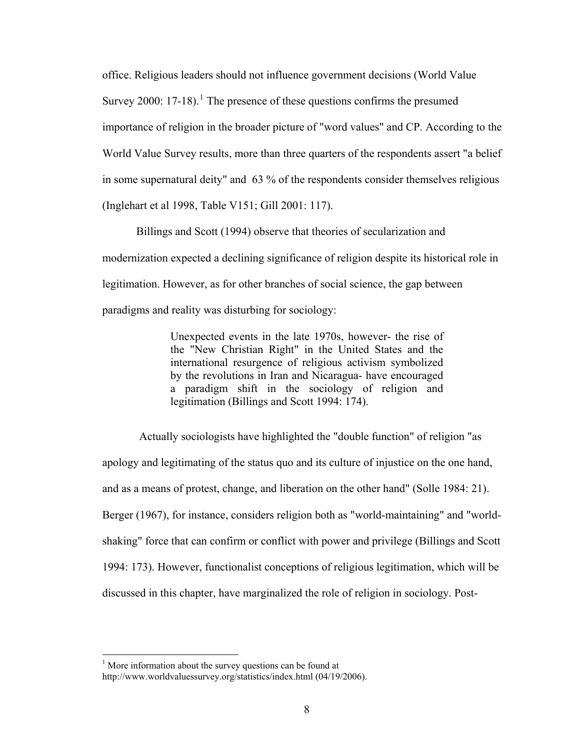office. Religious leaders should not influence government decisions (World Value Survey 2000:  $17-18$  $17-18$ ).<sup>1</sup> The presence of these questions confirms the presumed importance of religion in the broader picture of "word values" and CP. According to the World Value Survey results, more than three quarters of the respondents assert "a belief in some supernatural deity" and 63 % of the respondents consider themselves religious (Inglehart et al 1998, Table V151; Gill 2001: 117).

 Billings and Scott (1994) observe that theories of secularization and modernization expected a declining significance of religion despite its historical role in legitimation. However, as for other branches of social science, the gap between paradigms and reality was disturbing for sociology:

> Unexpected events in the late 1970s, however- the rise of the "New Christian Right" in the United States and the international resurgence of religious activism symbolized by the revolutions in Iran and Nicaragua- have encouraged a paradigm shift in the sociology of religion and legitimation (Billings and Scott 1994: 174).

 Actually sociologists have highlighted the "double function" of religion "as apology and legitimating of the status quo and its culture of injustice on the one hand, and as a means of protest, change, and liberation on the other hand" (Solle 1984: 21). Berger (1967), for instance, considers religion both as "world-maintaining" and "worldshaking" force that can confirm or conflict with power and privilege (Billings and Scott 1994: 173). However, functionalist conceptions of religious legitimation, which will be discussed in this chapter, have marginalized the role of religion in sociology. Post-

<sup>&</sup>lt;sup>1</sup> More information about the survey questions can be found at

<span id="page-18-0"></span>http://www.worldvaluessurvey.org/statistics/index.html (04/19/2006).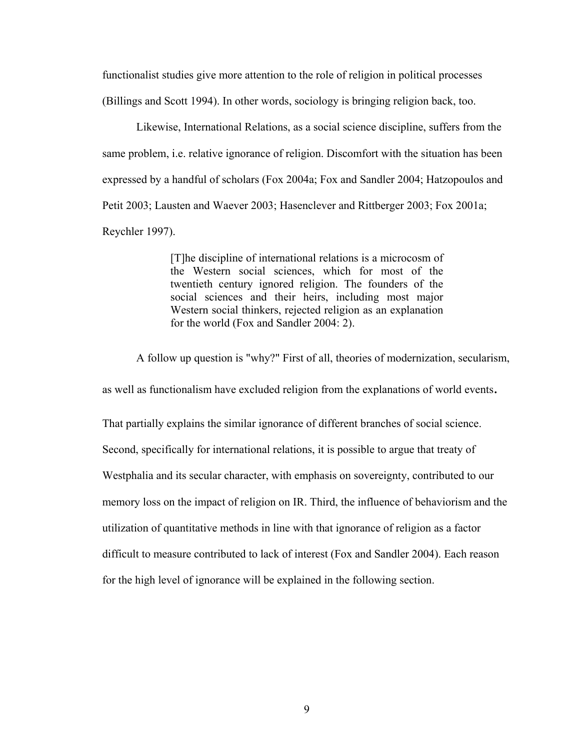functionalist studies give more attention to the role of religion in political processes (Billings and Scott 1994). In other words, sociology is bringing religion back, too.

 Likewise, International Relations, as a social science discipline, suffers from the same problem, i.e. relative ignorance of religion. Discomfort with the situation has been expressed by a handful of scholars (Fox 2004a; Fox and Sandler 2004; Hatzopoulos and Petit 2003; Lausten and Waever 2003; Hasenclever and Rittberger 2003; Fox 2001a; Reychler 1997).

> [T]he discipline of international relations is a microcosm of the Western social sciences, which for most of the twentieth century ignored religion. The founders of the social sciences and their heirs, including most major Western social thinkers, rejected religion as an explanation for the world (Fox and Sandler 2004: 2).

A follow up question is "why?" First of all, theories of modernization, secularism,

as well as functionalism have excluded religion from the explanations of world events.

That partially explains the similar ignorance of different branches of social science. Second, specifically for international relations, it is possible to argue that treaty of Westphalia and its secular character, with emphasis on sovereignty, contributed to our memory loss on the impact of religion on IR. Third, the influence of behaviorism and the utilization of quantitative methods in line with that ignorance of religion as a factor difficult to measure contributed to lack of interest (Fox and Sandler 2004). Each reason for the high level of ignorance will be explained in the following section.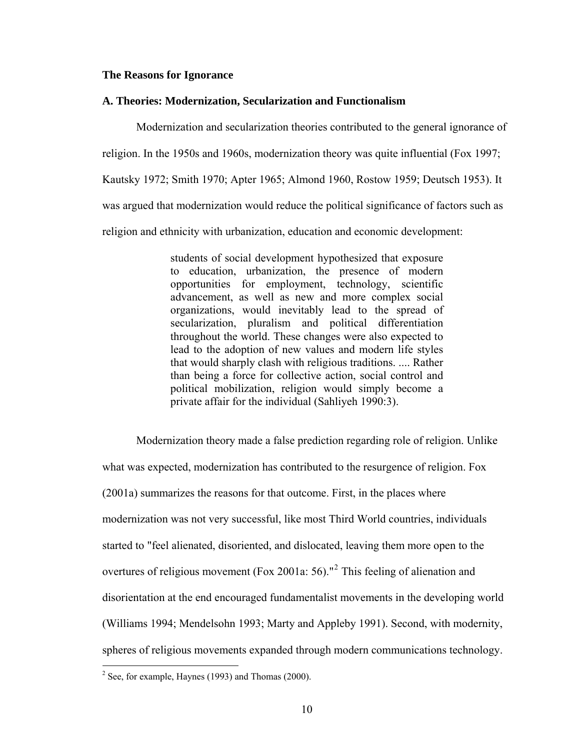#### **The Reasons for Ignorance**

#### **A. Theories: Modernization, Secularization and Functionalism**

 Modernization and secularization theories contributed to the general ignorance of religion. In the 1950s and 1960s, modernization theory was quite influential (Fox 1997; Kautsky 1972; Smith 1970; Apter 1965; Almond 1960, Rostow 1959; Deutsch 1953). It was argued that modernization would reduce the political significance of factors such as religion and ethnicity with urbanization, education and economic development:

> students of social development hypothesized that exposure to education, urbanization, the presence of modern opportunities for employment, technology, scientific advancement, as well as new and more complex social organizations, would inevitably lead to the spread of secularization, pluralism and political differentiation throughout the world. These changes were also expected to lead to the adoption of new values and modern life styles that would sharply clash with religious traditions. .... Rather than being a force for collective action, social control and political mobilization, religion would simply become a private affair for the individual (Sahliyeh 1990:3).

 Modernization theory made a false prediction regarding role of religion. Unlike what was expected, modernization has contributed to the resurgence of religion. Fox (2001a) summarizes the reasons for that outcome. First, in the places where modernization was not very successful, like most Third World countries, individuals started to "feel alienated, disoriented, and dislocated, leaving them more open to the overtures of religious movement (Fox [2](#page-20-0)001a: 56). $1^2$  This feeling of alienation and disorientation at the end encouraged fundamentalist movements in the developing world (Williams 1994; Mendelsohn 1993; Marty and Appleby 1991). Second, with modernity, spheres of religious movements expanded through modern communications technology.

<span id="page-20-0"></span><sup>&</sup>lt;sup>2</sup> See, for example, Haynes (1993) and Thomas (2000).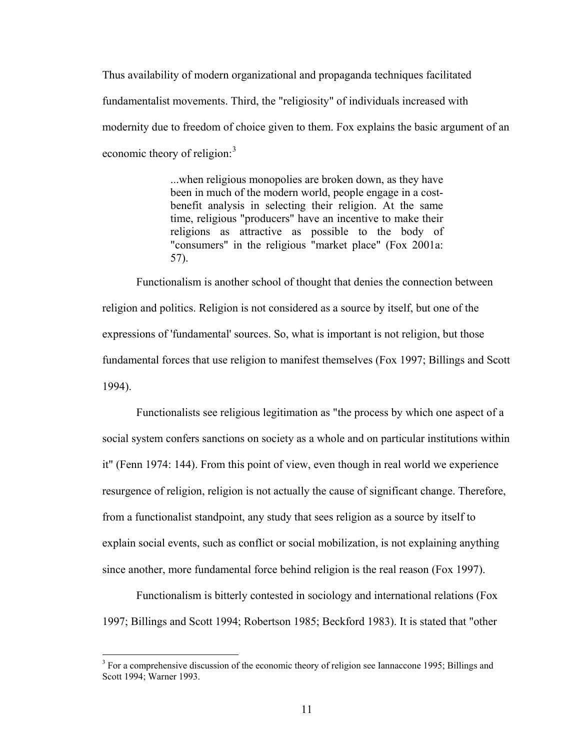Thus availability of modern organizational and propaganda techniques facilitated fundamentalist movements. Third, the "religiosity" of individuals increased with modernity due to freedom of choice given to them. Fox explains the basic argument of an economic theory of religion: $3$ 

> ...when religious monopolies are broken down, as they have been in much of the modern world, people engage in a costbenefit analysis in selecting their religion. At the same time, religious "producers" have an incentive to make their religions as attractive as possible to the body of "consumers" in the religious "market place" (Fox 2001a: 57).

Functionalism is another school of thought that denies the connection between religion and politics. Religion is not considered as a source by itself, but one of the expressions of 'fundamental' sources. So, what is important is not religion, but those fundamental forces that use religion to manifest themselves (Fox 1997; Billings and Scott 1994).

 Functionalists see religious legitimation as "the process by which one aspect of a social system confers sanctions on society as a whole and on particular institutions within it" (Fenn 1974: 144). From this point of view, even though in real world we experience resurgence of religion, religion is not actually the cause of significant change. Therefore, from a functionalist standpoint, any study that sees religion as a source by itself to explain social events, such as conflict or social mobilization, is not explaining anything since another, more fundamental force behind religion is the real reason (Fox 1997).

 Functionalism is bitterly contested in sociology and international relations (Fox 1997; Billings and Scott 1994; Robertson 1985; Beckford 1983). It is stated that "other

 $\overline{a}$ 

<span id="page-21-0"></span><sup>&</sup>lt;sup>3</sup> For a comprehensive discussion of the economic theory of religion see Iannaccone 1995; Billings and Scott 1994; Warner 1993.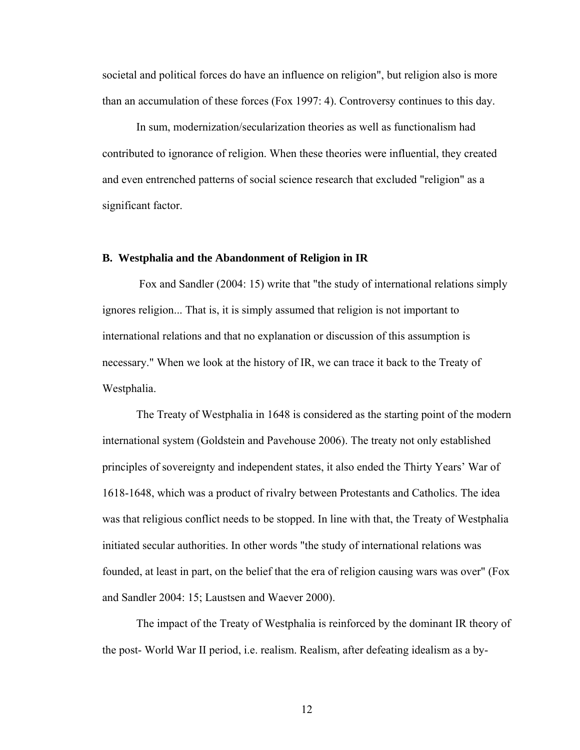societal and political forces do have an influence on religion", but religion also is more than an accumulation of these forces (Fox 1997: 4). Controversy continues to this day.

 In sum, modernization/secularization theories as well as functionalism had contributed to ignorance of religion. When these theories were influential, they created and even entrenched patterns of social science research that excluded "religion" as a significant factor.

#### **B. Westphalia and the Abandonment of Religion in IR**

 Fox and Sandler (2004: 15) write that "the study of international relations simply ignores religion... That is, it is simply assumed that religion is not important to international relations and that no explanation or discussion of this assumption is necessary." When we look at the history of IR, we can trace it back to the Treaty of Westphalia.

 The Treaty of Westphalia in 1648 is considered as the starting point of the modern international system (Goldstein and Pavehouse 2006). The treaty not only established principles of sovereignty and independent states, it also ended the Thirty Years' War of 1618-1648, which was a product of rivalry between Protestants and Catholics. The idea was that religious conflict needs to be stopped. In line with that, the Treaty of Westphalia initiated secular authorities. In other words "the study of international relations was founded, at least in part, on the belief that the era of religion causing wars was over" (Fox and Sandler 2004: 15; Laustsen and Waever 2000).

 The impact of the Treaty of Westphalia is reinforced by the dominant IR theory of the post- World War II period, i.e. realism. Realism, after defeating idealism as a by-

12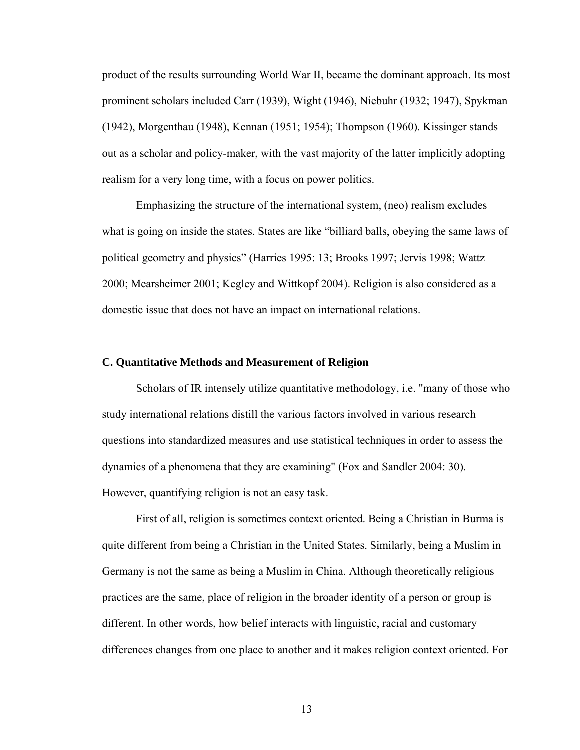product of the results surrounding World War II, became the dominant approach. Its most prominent scholars included Carr (1939), Wight (1946), Niebuhr (1932; 1947), Spykman (1942), Morgenthau (1948), Kennan (1951; 1954); Thompson (1960). Kissinger stands out as a scholar and policy-maker, with the vast majority of the latter implicitly adopting realism for a very long time, with a focus on power politics.

Emphasizing the structure of the international system, (neo) realism excludes what is going on inside the states. States are like "billiard balls, obeying the same laws of political geometry and physics" (Harries 1995: 13; Brooks 1997; Jervis 1998; Wattz 2000; Mearsheimer 2001; Kegley and Wittkopf 2004). Religion is also considered as a domestic issue that does not have an impact on international relations.

#### **C. Quantitative Methods and Measurement of Religion**

Scholars of IR intensely utilize quantitative methodology, i.e. "many of those who study international relations distill the various factors involved in various research questions into standardized measures and use statistical techniques in order to assess the dynamics of a phenomena that they are examining" (Fox and Sandler 2004: 30). However, quantifying religion is not an easy task.

 First of all, religion is sometimes context oriented. Being a Christian in Burma is quite different from being a Christian in the United States. Similarly, being a Muslim in Germany is not the same as being a Muslim in China. Although theoretically religious practices are the same, place of religion in the broader identity of a person or group is different. In other words, how belief interacts with linguistic, racial and customary differences changes from one place to another and it makes religion context oriented. For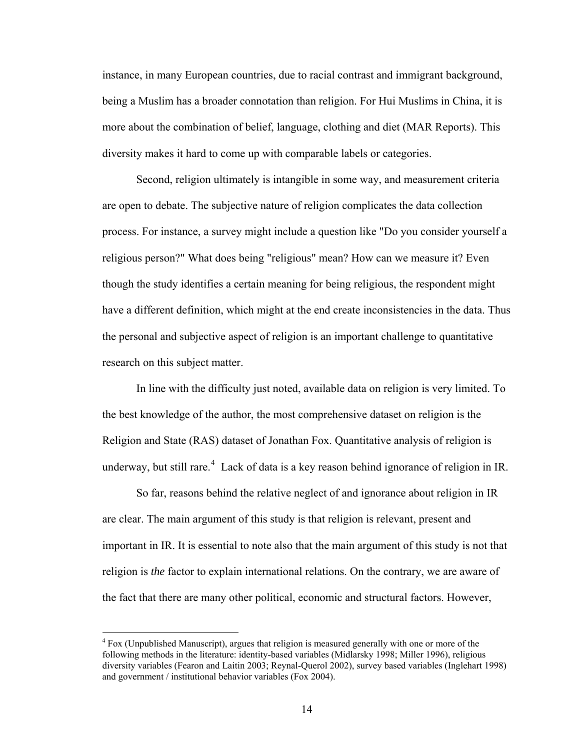instance, in many European countries, due to racial contrast and immigrant background, being a Muslim has a broader connotation than religion. For Hui Muslims in China, it is more about the combination of belief, language, clothing and diet (MAR Reports). This diversity makes it hard to come up with comparable labels or categories.

 Second, religion ultimately is intangible in some way, and measurement criteria are open to debate. The subjective nature of religion complicates the data collection process. For instance, a survey might include a question like "Do you consider yourself a religious person?" What does being "religious" mean? How can we measure it? Even though the study identifies a certain meaning for being religious, the respondent might have a different definition, which might at the end create inconsistencies in the data. Thus the personal and subjective aspect of religion is an important challenge to quantitative research on this subject matter.

 In line with the difficulty just noted, available data on religion is very limited. To the best knowledge of the author, the most comprehensive dataset on religion is the Religion and State (RAS) dataset of Jonathan Fox. Quantitative analysis of religion is underway, but still rare.<sup>[4](#page-24-0)</sup> Lack of data is a key reason behind ignorance of religion in IR.

So far, reasons behind the relative neglect of and ignorance about religion in IR are clear. The main argument of this study is that religion is relevant, present and important in IR. It is essential to note also that the main argument of this study is not that religion is *the* factor to explain international relations. On the contrary, we are aware of the fact that there are many other political, economic and structural factors. However,

<span id="page-24-0"></span><sup>&</sup>lt;sup>4</sup> Fox (Unpublished Manuscript), argues that religion is measured generally with one or more of the following methods in the literature: identity-based variables (Midlarsky 1998; Miller 1996), religious diversity variables (Fearon and Laitin 2003; Reynal-Querol 2002), survey based variables (Inglehart 1998) and government / institutional behavior variables (Fox 2004).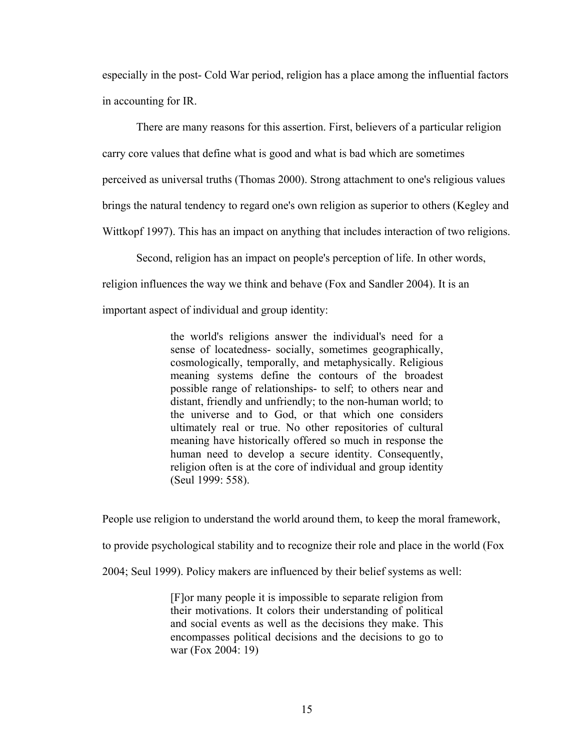especially in the post- Cold War period, religion has a place among the influential factors in accounting for IR.

 There are many reasons for this assertion. First, believers of a particular religion carry core values that define what is good and what is bad which are sometimes perceived as universal truths (Thomas 2000). Strong attachment to one's religious values brings the natural tendency to regard one's own religion as superior to others (Kegley and Wittkopf 1997). This has an impact on anything that includes interaction of two religions.

 Second, religion has an impact on people's perception of life. In other words, religion influences the way we think and behave (Fox and Sandler 2004). It is an important aspect of individual and group identity:

> the world's religions answer the individual's need for a sense of locatedness- socially, sometimes geographically, cosmologically, temporally, and metaphysically. Religious meaning systems define the contours of the broadest possible range of relationships- to self; to others near and distant, friendly and unfriendly; to the non-human world; to the universe and to God, or that which one considers ultimately real or true. No other repositories of cultural meaning have historically offered so much in response the human need to develop a secure identity. Consequently, religion often is at the core of individual and group identity (Seul 1999: 558).

People use religion to understand the world around them, to keep the moral framework,

to provide psychological stability and to recognize their role and place in the world (Fox

2004; Seul 1999). Policy makers are influenced by their belief systems as well:

[F]or many people it is impossible to separate religion from their motivations. It colors their understanding of political and social events as well as the decisions they make. This encompasses political decisions and the decisions to go to war (Fox 2004: 19)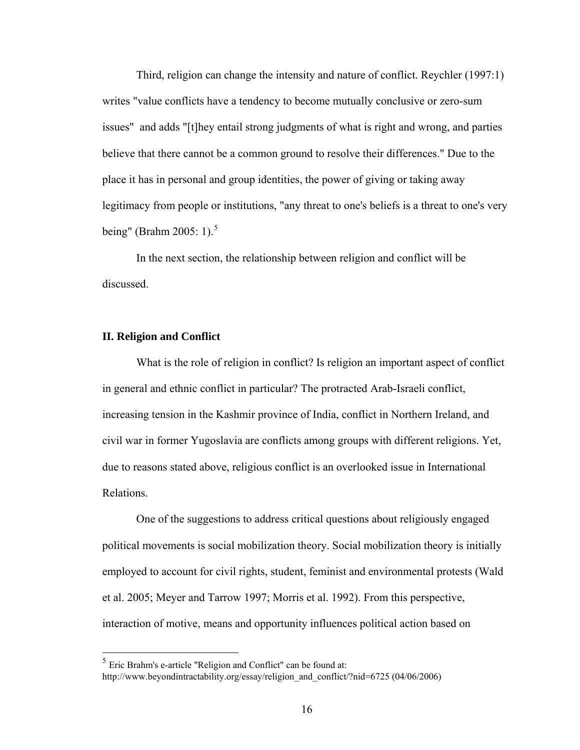Third, religion can change the intensity and nature of conflict. Reychler (1997:1) writes "value conflicts have a tendency to become mutually conclusive or zero-sum issues" and adds "[t]hey entail strong judgments of what is right and wrong, and parties believe that there cannot be a common ground to resolve their differences." Due to the place it has in personal and group identities, the power of giving or taking away legitimacy from people or institutions, "any threat to one's beliefs is a threat to one's very being" (Brahm 200[5](#page-26-0): 1).<sup>5</sup>

 In the next section, the relationship between religion and conflict will be discussed.

#### **II. Religion and Conflict**

 $\overline{a}$ 

 What is the role of religion in conflict? Is religion an important aspect of conflict in general and ethnic conflict in particular? The protracted Arab-Israeli conflict, increasing tension in the Kashmir province of India, conflict in Northern Ireland, and civil war in former Yugoslavia are conflicts among groups with different religions. Yet, due to reasons stated above, religious conflict is an overlooked issue in International Relations.

 One of the suggestions to address critical questions about religiously engaged political movements is social mobilization theory. Social mobilization theory is initially employed to account for civil rights, student, feminist and environmental protests (Wald et al. 2005; Meyer and Tarrow 1997; Morris et al. 1992). From this perspective, interaction of motive, means and opportunity influences political action based on

<span id="page-26-0"></span> $<sup>5</sup>$  Eric Brahm's e-article "Religion and Conflict" can be found at:</sup>

http://www.beyondintractability.org/essay/religion and conflict/?nid=6725 (04/06/2006)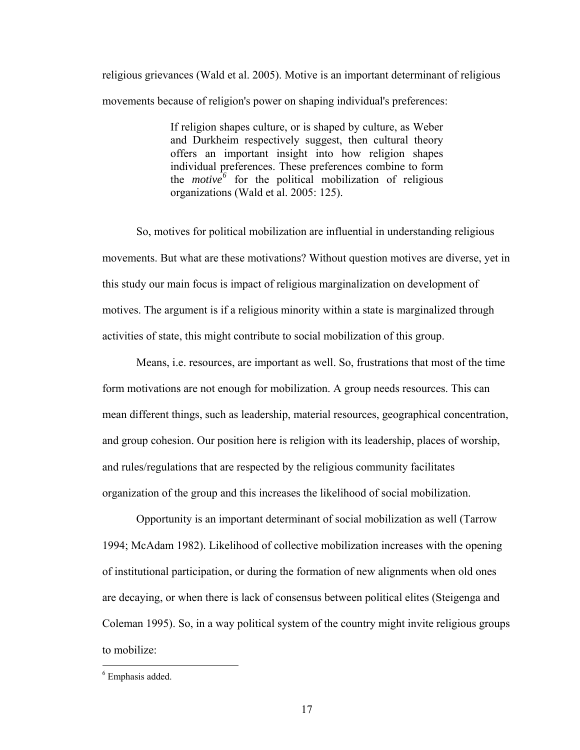religious grievances (Wald et al. 2005). Motive is an important determinant of religious movements because of religion's power on shaping individual's preferences:

> If religion shapes culture, or is shaped by culture, as Weber and Durkheim respectively suggest, then cultural theory offers an important insight into how religion shapes individual preferences. These preferences combine to form the *motive*<sup> $\delta$ </sup> for the political mobilization of religious organizations (Wald et al. 2005: 125).

 So, motives for political mobilization are influential in understanding religious movements. But what are these motivations? Without question motives are diverse, yet in this study our main focus is impact of religious marginalization on development of motives. The argument is if a religious minority within a state is marginalized through activities of state, this might contribute to social mobilization of this group.

 Means, i.e. resources, are important as well. So, frustrations that most of the time form motivations are not enough for mobilization. A group needs resources. This can mean different things, such as leadership, material resources, geographical concentration, and group cohesion. Our position here is religion with its leadership, places of worship, and rules/regulations that are respected by the religious community facilitates organization of the group and this increases the likelihood of social mobilization.

 Opportunity is an important determinant of social mobilization as well (Tarrow 1994; McAdam 1982). Likelihood of collective mobilization increases with the opening of institutional participation, or during the formation of new alignments when old ones are decaying, or when there is lack of consensus between political elites (Steigenga and Coleman 1995). So, in a way political system of the country might invite religious groups to mobilize:

<span id="page-27-0"></span> 6 Emphasis added.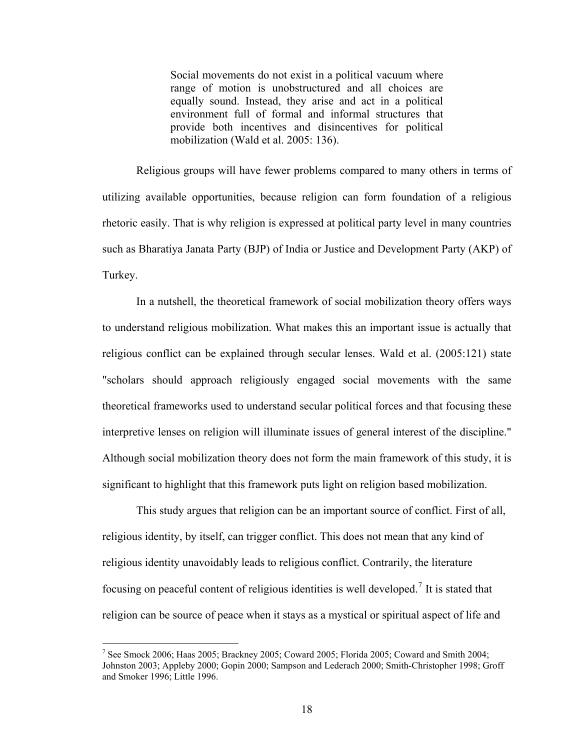<span id="page-28-0"></span>Social movements do not exist in a political vacuum where range of motion is unobstructured and all choices are equally sound. Instead, they arise and act in a political environment full of formal and informal structures that provide both incentives and disincentives for political mobilization (Wald et al. 2005: 136).

Religious groups will have fewer problems compared to many others in terms of utilizing available opportunities, because religion can form foundation of a religious rhetoric easily. That is why religion is expressed at political party level in many countries such as Bharatiya Janata Party (BJP) of India or Justice and Development Party (AKP) of Turkey.

 In a nutshell, the theoretical framework of social mobilization theory offers ways to understand religious mobilization. What makes this an important issue is actually that religious conflict can be explained through secular lenses. Wald et al. (2005:121) state "scholars should approach religiously engaged social movements with the same theoretical frameworks used to understand secular political forces and that focusing these interpretive lenses on religion will illuminate issues of general interest of the discipline." Although social mobilization theory does not form the main framework of this study, it is significant to highlight that this framework puts light on religion based mobilization.

 This study argues that religion can be an important source of conflict. First of all, religious identity, by itself, can trigger conflict. This does not mean that any kind of religious identity unavoidably leads to religious conflict. Contrarily, the literature focusing on peaceful content of religious identities is well developed.<sup>[7](#page-28-0)</sup> It is stated that religion can be source of peace when it stays as a mystical or spiritual aspect of life and

 $\overline{a}$ 

<sup>&</sup>lt;sup>7</sup> See Smock 2006; Haas 2005; Brackney 2005; Coward 2005; Florida 2005; Coward and Smith 2004; Johnston 2003; Appleby 2000; Gopin 2000; Sampson and Lederach 2000; Smith-Christopher 1998; Groff and Smoker 1996; Little 1996.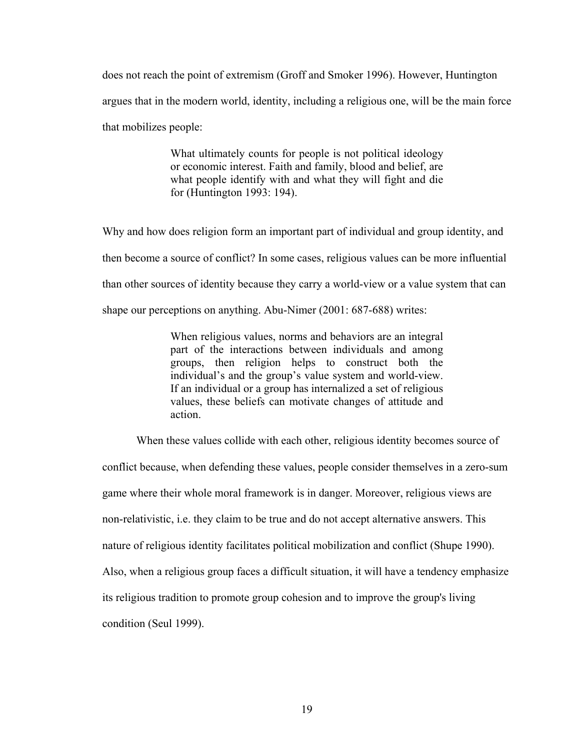does not reach the point of extremism (Groff and Smoker 1996). However, Huntington argues that in the modern world, identity, including a religious one, will be the main force that mobilizes people:

> What ultimately counts for people is not political ideology or economic interest. Faith and family, blood and belief, are what people identify with and what they will fight and die for (Huntington 1993: 194).

Why and how does religion form an important part of individual and group identity, and then become a source of conflict? In some cases, religious values can be more influential than other sources of identity because they carry a world-view or a value system that can shape our perceptions on anything. Abu-Nimer (2001: 687-688) writes:

> When religious values, norms and behaviors are an integral part of the interactions between individuals and among groups, then religion helps to construct both the individual's and the group's value system and world-view. If an individual or a group has internalized a set of religious values, these beliefs can motivate changes of attitude and action.

When these values collide with each other, religious identity becomes source of

conflict because, when defending these values, people consider themselves in a zero-sum game where their whole moral framework is in danger. Moreover, religious views are non-relativistic, i.e. they claim to be true and do not accept alternative answers. This nature of religious identity facilitates political mobilization and conflict (Shupe 1990). Also, when a religious group faces a difficult situation, it will have a tendency emphasize its religious tradition to promote group cohesion and to improve the group's living condition (Seul 1999).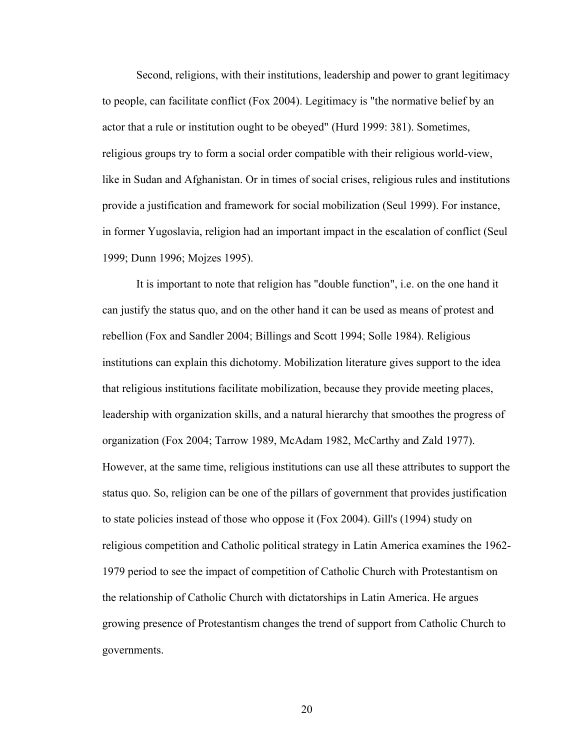Second, religions, with their institutions, leadership and power to grant legitimacy to people, can facilitate conflict (Fox 2004). Legitimacy is "the normative belief by an actor that a rule or institution ought to be obeyed" (Hurd 1999: 381). Sometimes, religious groups try to form a social order compatible with their religious world-view, like in Sudan and Afghanistan. Or in times of social crises, religious rules and institutions provide a justification and framework for social mobilization (Seul 1999). For instance, in former Yugoslavia, religion had an important impact in the escalation of conflict (Seul 1999; Dunn 1996; Mojzes 1995).

 It is important to note that religion has "double function", i.e. on the one hand it can justify the status quo, and on the other hand it can be used as means of protest and rebellion (Fox and Sandler 2004; Billings and Scott 1994; Solle 1984). Religious institutions can explain this dichotomy. Mobilization literature gives support to the idea that religious institutions facilitate mobilization, because they provide meeting places, leadership with organization skills, and a natural hierarchy that smoothes the progress of organization (Fox 2004; Tarrow 1989, McAdam 1982, McCarthy and Zald 1977). However, at the same time, religious institutions can use all these attributes to support the status quo. So, religion can be one of the pillars of government that provides justification to state policies instead of those who oppose it (Fox 2004). Gill's (1994) study on religious competition and Catholic political strategy in Latin America examines the 1962- 1979 period to see the impact of competition of Catholic Church with Protestantism on the relationship of Catholic Church with dictatorships in Latin America. He argues growing presence of Protestantism changes the trend of support from Catholic Church to governments.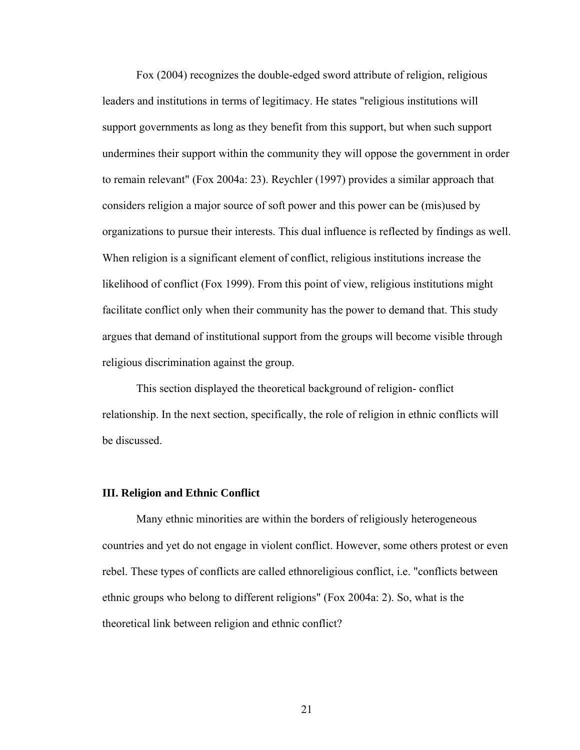Fox (2004) recognizes the double-edged sword attribute of religion, religious leaders and institutions in terms of legitimacy. He states "religious institutions will support governments as long as they benefit from this support, but when such support undermines their support within the community they will oppose the government in order to remain relevant" (Fox 2004a: 23). Reychler (1997) provides a similar approach that considers religion a major source of soft power and this power can be (mis)used by organizations to pursue their interests. This dual influence is reflected by findings as well. When religion is a significant element of conflict, religious institutions increase the likelihood of conflict (Fox 1999). From this point of view, religious institutions might facilitate conflict only when their community has the power to demand that. This study argues that demand of institutional support from the groups will become visible through religious discrimination against the group.

 This section displayed the theoretical background of religion- conflict relationship. In the next section, specifically, the role of religion in ethnic conflicts will be discussed.

#### **III. Religion and Ethnic Conflict**

 Many ethnic minorities are within the borders of religiously heterogeneous countries and yet do not engage in violent conflict. However, some others protest or even rebel. These types of conflicts are called ethnoreligious conflict, i.e. "conflicts between ethnic groups who belong to different religions" (Fox 2004a: 2). So, what is the theoretical link between religion and ethnic conflict?

21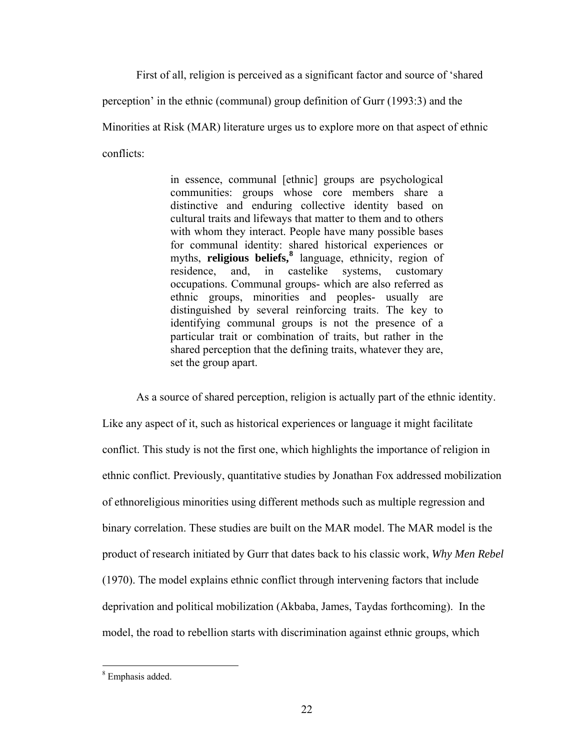First of all, religion is perceived as a significant factor and source of 'shared

<span id="page-32-0"></span>perception' in the ethnic (communal) group definition of Gurr (1993:3) and the

Minorities at Risk (MAR) literature urges us to explore more on that aspect of ethnic

conflicts:

in essence, communal [ethnic] groups are psychological communities: groups whose core members share a distinctive and enduring collective identity based on cultural traits and lifeways that matter to them and to others with whom they interact. People have many possible bases for communal identity: shared historical experiences or myths, **religious beliefs,[8](#page-32-0)** language, ethnicity, region of residence, and, in castelike systems, customary occupations. Communal groups- which are also referred as ethnic groups, minorities and peoples- usually are distinguished by several reinforcing traits. The key to identifying communal groups is not the presence of a particular trait or combination of traits, but rather in the shared perception that the defining traits, whatever they are, set the group apart.

As a source of shared perception, religion is actually part of the ethnic identity. Like any aspect of it, such as historical experiences or language it might facilitate conflict. This study is not the first one, which highlights the importance of religion in ethnic conflict. Previously, quantitative studies by Jonathan Fox addressed mobilization of ethnoreligious minorities using different methods such as multiple regression and binary correlation. These studies are built on the MAR model. The MAR model is the product of research initiated by Gurr that dates back to his classic work, *Why Men Rebel*  (1970). The model explains ethnic conflict through intervening factors that include deprivation and political mobilization (Akbaba, James, Taydas forthcoming). In the model, the road to rebellion starts with discrimination against ethnic groups, which

 $\overline{a}$ 

<sup>8</sup> Emphasis added.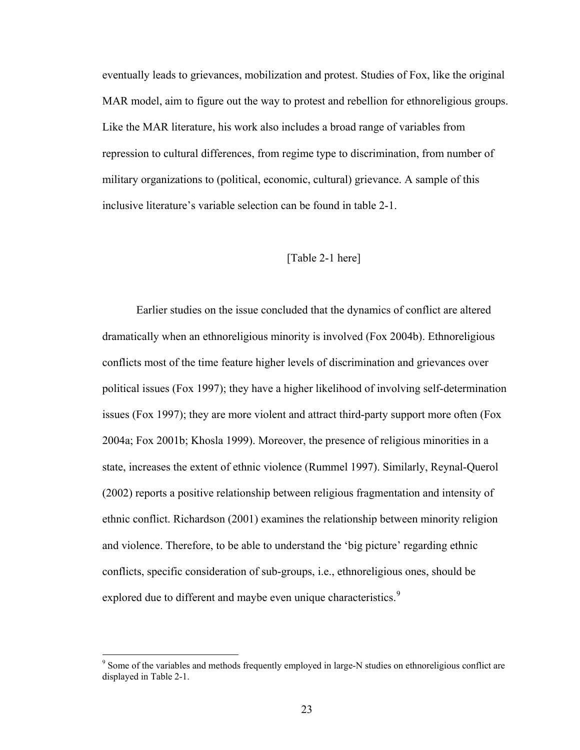<span id="page-33-0"></span>eventually leads to grievances, mobilization and protest. Studies of Fox, like the original MAR model, aim to figure out the way to protest and rebellion for ethnoreligious groups. Like the MAR literature, his work also includes a broad range of variables from repression to cultural differences, from regime type to discrimination, from number of military organizations to (political, economic, cultural) grievance. A sample of this inclusive literature's variable selection can be found in table 2-1.

## [Table 2-1 here]

Earlier studies on the issue concluded that the dynamics of conflict are altered dramatically when an ethnoreligious minority is involved (Fox 2004b). Ethnoreligious conflicts most of the time feature higher levels of discrimination and grievances over political issues (Fox 1997); they have a higher likelihood of involving self-determination issues (Fox 1997); they are more violent and attract third-party support more often (Fox 2004a; Fox 2001b; Khosla 1999). Moreover, the presence of religious minorities in a state, increases the extent of ethnic violence (Rummel 1997). Similarly, Reynal-Querol (2002) reports a positive relationship between religious fragmentation and intensity of ethnic conflict. Richardson (2001) examines the relationship between minority religion and violence. Therefore, to be able to understand the 'big picture' regarding ethnic conflicts, specific consideration of sub-groups, i.e., ethnoreligious ones, should be explored due to different and maybe even unique characteristics.<sup>[9](#page-33-0)</sup>

<sup>&</sup>lt;sup>9</sup> Some of the variables and methods frequently employed in large-N studies on ethnoreligious conflict are displayed in Table 2-1.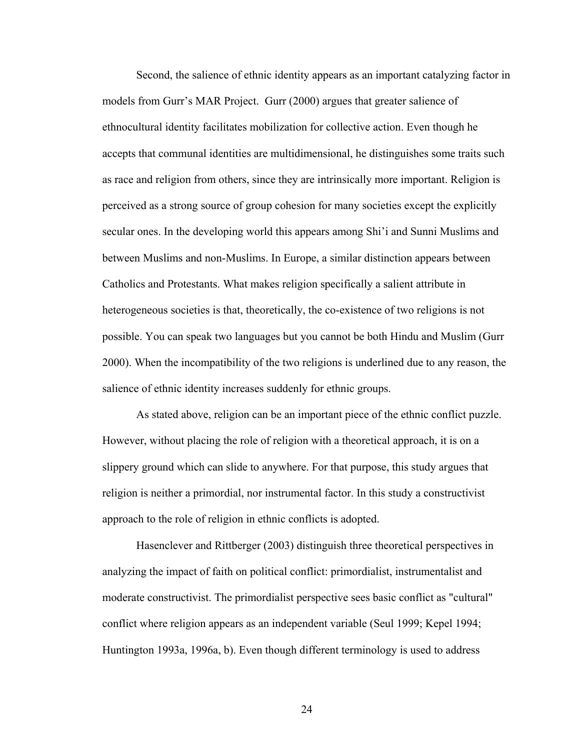Second, the salience of ethnic identity appears as an important catalyzing factor in models from Gurr's MAR Project. Gurr (2000) argues that greater salience of ethnocultural identity facilitates mobilization for collective action. Even though he accepts that communal identities are multidimensional, he distinguishes some traits such as race and religion from others, since they are intrinsically more important. Religion is perceived as a strong source of group cohesion for many societies except the explicitly secular ones. In the developing world this appears among Shi'i and Sunni Muslims and between Muslims and non-Muslims. In Europe, a similar distinction appears between Catholics and Protestants. What makes religion specifically a salient attribute in heterogeneous societies is that, theoretically, the co-existence of two religions is not possible. You can speak two languages but you cannot be both Hindu and Muslim (Gurr 2000). When the incompatibility of the two religions is underlined due to any reason, the salience of ethnic identity increases suddenly for ethnic groups.

 As stated above, religion can be an important piece of the ethnic conflict puzzle. However, without placing the role of religion with a theoretical approach, it is on a slippery ground which can slide to anywhere. For that purpose, this study argues that religion is neither a primordial, nor instrumental factor. In this study a constructivist approach to the role of religion in ethnic conflicts is adopted.

 Hasenclever and Rittberger (2003) distinguish three theoretical perspectives in analyzing the impact of faith on political conflict: primordialist, instrumentalist and moderate constructivist. The primordialist perspective sees basic conflict as "cultural" conflict where religion appears as an independent variable (Seul 1999; Kepel 1994; Huntington 1993a, 1996a, b). Even though different terminology is used to address

24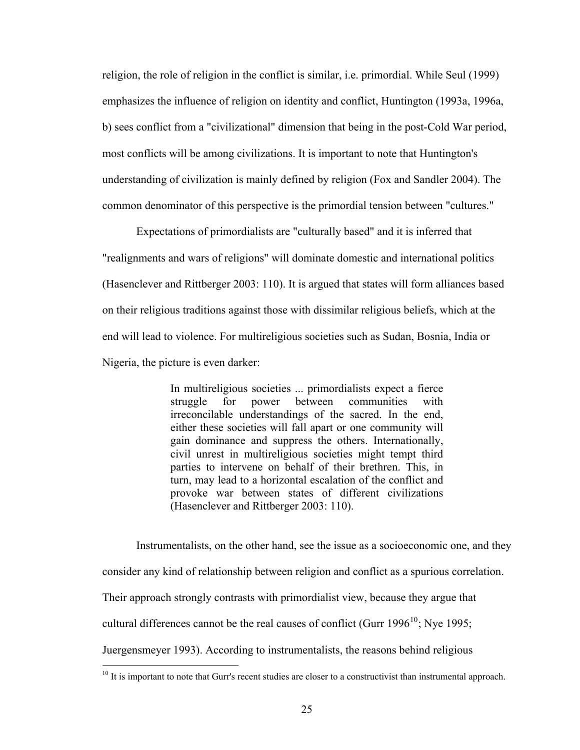<span id="page-35-0"></span>religion, the role of religion in the conflict is similar, i.e. primordial. While Seul (1999) emphasizes the influence of religion on identity and conflict, Huntington (1993a, 1996a, b) sees conflict from a "civilizational" dimension that being in the post-Cold War period, most conflicts will be among civilizations. It is important to note that Huntington's understanding of civilization is mainly defined by religion (Fox and Sandler 2004). The common denominator of this perspective is the primordial tension between "cultures."

 Expectations of primordialists are "culturally based" and it is inferred that "realignments and wars of religions" will dominate domestic and international politics (Hasenclever and Rittberger 2003: 110). It is argued that states will form alliances based on their religious traditions against those with dissimilar religious beliefs, which at the end will lead to violence. For multireligious societies such as Sudan, Bosnia, India or Nigeria, the picture is even darker:

> In multireligious societies ... primordialists expect a fierce struggle for power between communities with irreconcilable understandings of the sacred. In the end, either these societies will fall apart or one community will gain dominance and suppress the others. Internationally, civil unrest in multireligious societies might tempt third parties to intervene on behalf of their brethren. This, in turn, may lead to a horizontal escalation of the conflict and provoke war between states of different civilizations (Hasenclever and Rittberger 2003: 110).

Instrumentalists, on the other hand, see the issue as a socioeconomic one, and they consider any kind of relationship between religion and conflict as a spurious correlation. Their approach strongly contrasts with primordialist view, because they argue that cultural differences cannot be the real causes of conflict (Gurr  $1996^{10}$  $1996^{10}$  $1996^{10}$ ; Nye  $1995$ ; Juergensmeyer 1993). According to instrumentalists, the reasons behind religious

 $\overline{a}$ 

 $10$  It is important to note that Gurr's recent studies are closer to a constructivist than instrumental approach.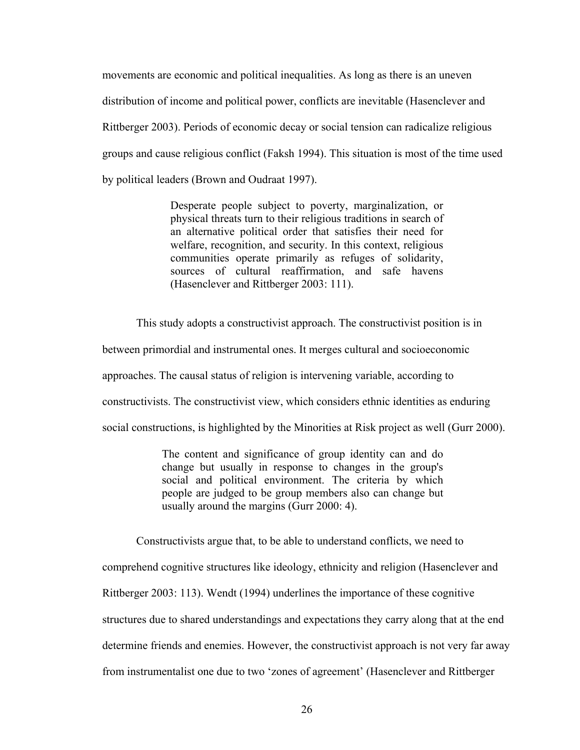movements are economic and political inequalities. As long as there is an uneven distribution of income and political power, conflicts are inevitable (Hasenclever and Rittberger 2003). Periods of economic decay or social tension can radicalize religious groups and cause religious conflict (Faksh 1994). This situation is most of the time used by political leaders (Brown and Oudraat 1997).

> Desperate people subject to poverty, marginalization, or physical threats turn to their religious traditions in search of an alternative political order that satisfies their need for welfare, recognition, and security. In this context, religious communities operate primarily as refuges of solidarity, sources of cultural reaffirmation, and safe havens (Hasenclever and Rittberger 2003: 111).

This study adopts a constructivist approach. The constructivist position is in

between primordial and instrumental ones. It merges cultural and socioeconomic

approaches. The causal status of religion is intervening variable, according to

constructivists. The constructivist view, which considers ethnic identities as enduring

social constructions, is highlighted by the Minorities at Risk project as well (Gurr 2000).

The content and significance of group identity can and do change but usually in response to changes in the group's social and political environment. The criteria by which people are judged to be group members also can change but usually around the margins (Gurr 2000: 4).

 Constructivists argue that, to be able to understand conflicts, we need to comprehend cognitive structures like ideology, ethnicity and religion (Hasenclever and Rittberger 2003: 113). Wendt (1994) underlines the importance of these cognitive structures due to shared understandings and expectations they carry along that at the end determine friends and enemies. However, the constructivist approach is not very far away from instrumentalist one due to two 'zones of agreement' (Hasenclever and Rittberger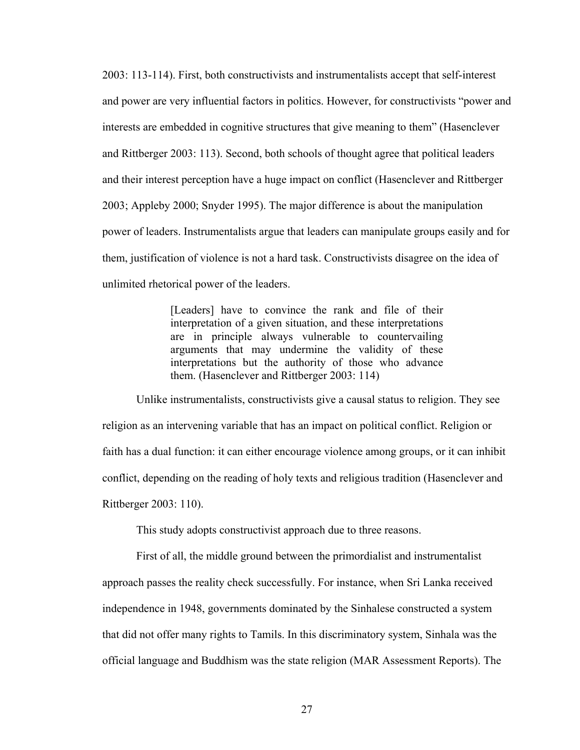2003: 113-114). First, both constructivists and instrumentalists accept that self-interest and power are very influential factors in politics. However, for constructivists "power and interests are embedded in cognitive structures that give meaning to them" (Hasenclever and Rittberger 2003: 113). Second, both schools of thought agree that political leaders and their interest perception have a huge impact on conflict (Hasenclever and Rittberger 2003; Appleby 2000; Snyder 1995). The major difference is about the manipulation power of leaders. Instrumentalists argue that leaders can manipulate groups easily and for them, justification of violence is not a hard task. Constructivists disagree on the idea of unlimited rhetorical power of the leaders.

> [Leaders] have to convince the rank and file of their interpretation of a given situation, and these interpretations are in principle always vulnerable to countervailing arguments that may undermine the validity of these interpretations but the authority of those who advance them. (Hasenclever and Rittberger 2003: 114)

Unlike instrumentalists, constructivists give a causal status to religion. They see religion as an intervening variable that has an impact on political conflict. Religion or faith has a dual function: it can either encourage violence among groups, or it can inhibit conflict, depending on the reading of holy texts and religious tradition (Hasenclever and Rittberger 2003: 110).

This study adopts constructivist approach due to three reasons.

 First of all, the middle ground between the primordialist and instrumentalist approach passes the reality check successfully. For instance, when Sri Lanka received independence in 1948, governments dominated by the Sinhalese constructed a system that did not offer many rights to Tamils. In this discriminatory system, Sinhala was the official language and Buddhism was the state religion (MAR Assessment Reports). The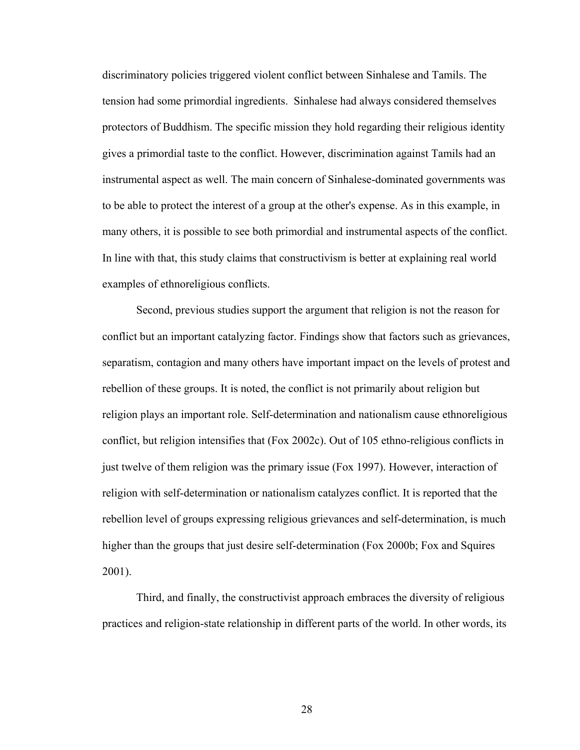discriminatory policies triggered violent conflict between Sinhalese and Tamils. The tension had some primordial ingredients. Sinhalese had always considered themselves protectors of Buddhism. The specific mission they hold regarding their religious identity gives a primordial taste to the conflict. However, discrimination against Tamils had an instrumental aspect as well. The main concern of Sinhalese-dominated governments was to be able to protect the interest of a group at the other's expense. As in this example, in many others, it is possible to see both primordial and instrumental aspects of the conflict. In line with that, this study claims that constructivism is better at explaining real world examples of ethnoreligious conflicts.

 Second, previous studies support the argument that religion is not the reason for conflict but an important catalyzing factor. Findings show that factors such as grievances, separatism, contagion and many others have important impact on the levels of protest and rebellion of these groups. It is noted, the conflict is not primarily about religion but religion plays an important role. Self-determination and nationalism cause ethnoreligious conflict, but religion intensifies that (Fox 2002c). Out of 105 ethno-religious conflicts in just twelve of them religion was the primary issue (Fox 1997). However, interaction of religion with self-determination or nationalism catalyzes conflict. It is reported that the rebellion level of groups expressing religious grievances and self-determination, is much higher than the groups that just desire self-determination (Fox 2000b; Fox and Squires 2001).

Third, and finally, the constructivist approach embraces the diversity of religious practices and religion-state relationship in different parts of the world. In other words, its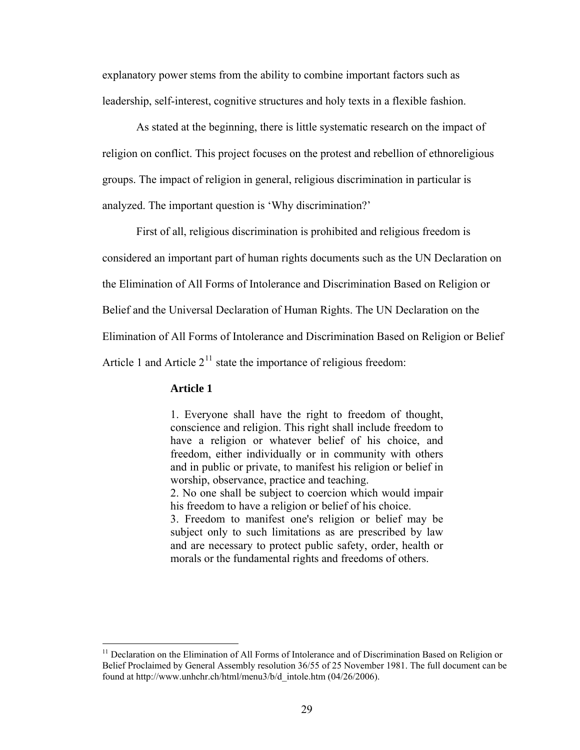<span id="page-39-0"></span>explanatory power stems from the ability to combine important factors such as leadership, self-interest, cognitive structures and holy texts in a flexible fashion.

 As stated at the beginning, there is little systematic research on the impact of religion on conflict. This project focuses on the protest and rebellion of ethnoreligious groups. The impact of religion in general, religious discrimination in particular is analyzed. The important question is 'Why discrimination?'

 First of all, religious discrimination is prohibited and religious freedom is considered an important part of human rights documents such as the UN Declaration on the Elimination of All Forms of Intolerance and Discrimination Based on Religion or Belief and the Universal Declaration of Human Rights. The UN Declaration on the Elimination of All Forms of Intolerance and Discrimination Based on Religion or Belief Article 1 and Article  $2<sup>11</sup>$  $2<sup>11</sup>$  $2<sup>11</sup>$  state the importance of religious freedom:

## **Article 1**

 $\overline{a}$ 

1. Everyone shall have the right to freedom of thought, conscience and religion. This right shall include freedom to have a religion or whatever belief of his choice, and freedom, either individually or in community with others and in public or private, to manifest his religion or belief in worship, observance, practice and teaching.

2. No one shall be subject to coercion which would impair his freedom to have a religion or belief of his choice.

3. Freedom to manifest one's religion or belief may be subject only to such limitations as are prescribed by law and are necessary to protect public safety, order, health or morals or the fundamental rights and freedoms of others.

<sup>&</sup>lt;sup>11</sup> Declaration on the Elimination of All Forms of Intolerance and of Discrimination Based on Religion or Belief Proclaimed by General Assembly resolution 36/55 of 25 November 1981. The full document can be found at http://www.unhchr.ch/html/menu3/b/d\_intole.htm (04/26/2006).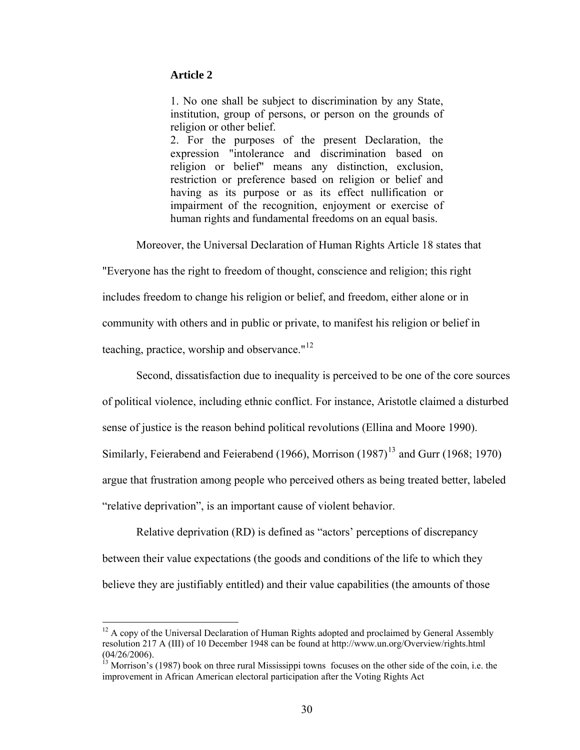## <span id="page-40-0"></span>**Article 2**

1. No one shall be subject to discrimination by any State, institution, group of persons, or person on the grounds of religion or other belief.

2. For the purposes of the present Declaration, the expression "intolerance and discrimination based on religion or belief" means any distinction, exclusion, restriction or preference based on religion or belief and having as its purpose or as its effect nullification or impairment of the recognition, enjoyment or exercise of human rights and fundamental freedoms on an equal basis.

Moreover, the Universal Declaration of Human Rights Article 18 states that

"Everyone has the right to freedom of thought, conscience and religion; this right

includes freedom to change his religion or belief, and freedom, either alone or in

community with others and in public or private, to manifest his religion or belief in

teaching, practice, worship and observance." $12$ 

 $\overline{a}$ 

Second, dissatisfaction due to inequality is perceived to be one of the core sources

of political violence, including ethnic conflict. For instance, Aristotle claimed a disturbed

sense of justice is the reason behind political revolutions (Ellina and Moore 1990).

Similarly, Feierabend and Feierabend (1966), Morrison  $(1987)^{13}$  $(1987)^{13}$  $(1987)^{13}$  and Gurr (1968; 1970)

argue that frustration among people who perceived others as being treated better, labeled

"relative deprivation", is an important cause of violent behavior.

Relative deprivation (RD) is defined as "actors' perceptions of discrepancy between their value expectations (the goods and conditions of the life to which they believe they are justifiably entitled) and their value capabilities (the amounts of those

 $12$  A copy of the Universal Declaration of Human Rights adopted and proclaimed by General Assembly resolution 217 A (III) of 10 December 1948 can be found at http://www.un.org/Overview/rights.html (04/26/2006).

 $13$  Morrison's (1987) book on three rural Mississippi towns focuses on the other side of the coin, i.e. the improvement in African American electoral participation after the Voting Rights Act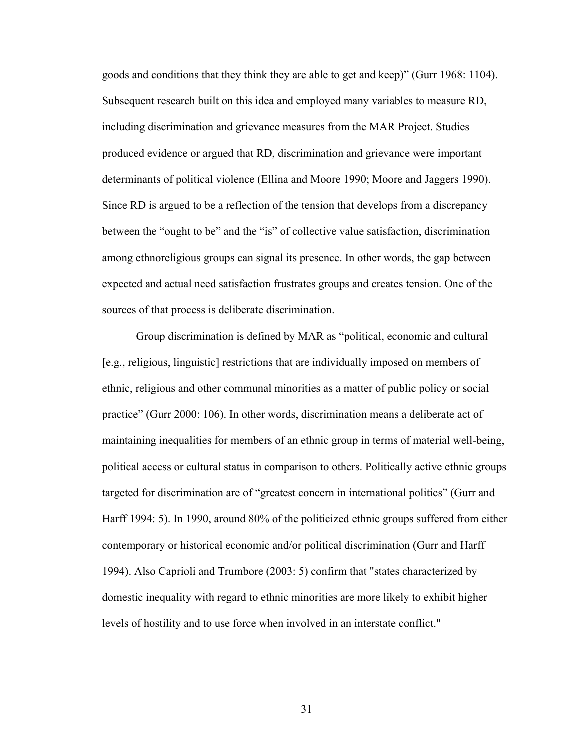goods and conditions that they think they are able to get and keep)" (Gurr 1968: 1104). Subsequent research built on this idea and employed many variables to measure RD, including discrimination and grievance measures from the MAR Project. Studies produced evidence or argued that RD, discrimination and grievance were important determinants of political violence (Ellina and Moore 1990; Moore and Jaggers 1990). Since RD is argued to be a reflection of the tension that develops from a discrepancy between the "ought to be" and the "is" of collective value satisfaction, discrimination among ethnoreligious groups can signal its presence. In other words, the gap between expected and actual need satisfaction frustrates groups and creates tension. One of the sources of that process is deliberate discrimination.

Group discrimination is defined by MAR as "political, economic and cultural [e.g., religious, linguistic] restrictions that are individually imposed on members of ethnic, religious and other communal minorities as a matter of public policy or social practice" (Gurr 2000: 106). In other words, discrimination means a deliberate act of maintaining inequalities for members of an ethnic group in terms of material well-being, political access or cultural status in comparison to others. Politically active ethnic groups targeted for discrimination are of "greatest concern in international politics" (Gurr and Harff 1994: 5). In 1990, around 80% of the politicized ethnic groups suffered from either contemporary or historical economic and/or political discrimination (Gurr and Harff 1994). Also Caprioli and Trumbore (2003: 5) confirm that "states characterized by domestic inequality with regard to ethnic minorities are more likely to exhibit higher levels of hostility and to use force when involved in an interstate conflict."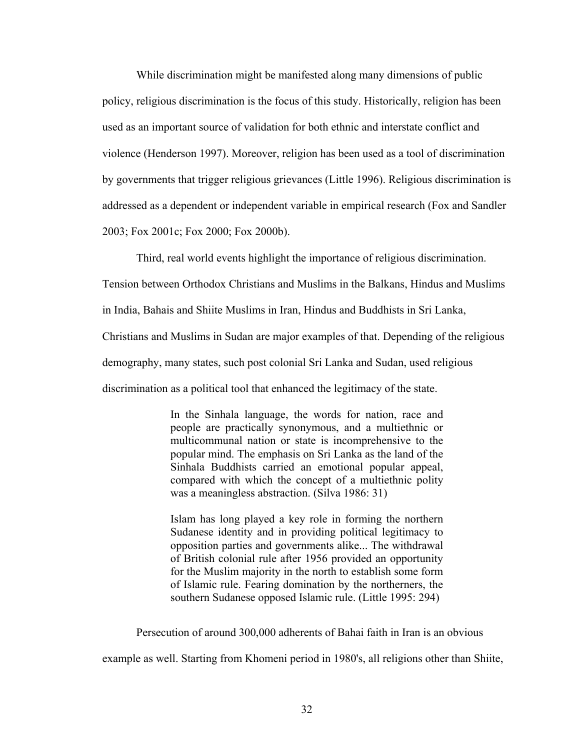While discrimination might be manifested along many dimensions of public policy, religious discrimination is the focus of this study. Historically, religion has been used as an important source of validation for both ethnic and interstate conflict and violence (Henderson 1997). Moreover, religion has been used as a tool of discrimination by governments that trigger religious grievances (Little 1996). Religious discrimination is addressed as a dependent or independent variable in empirical research (Fox and Sandler 2003; Fox 2001c; Fox 2000; Fox 2000b).

Third, real world events highlight the importance of religious discrimination.

Tension between Orthodox Christians and Muslims in the Balkans, Hindus and Muslims

in India, Bahais and Shiite Muslims in Iran, Hindus and Buddhists in Sri Lanka,

Christians and Muslims in Sudan are major examples of that. Depending of the religious

demography, many states, such post colonial Sri Lanka and Sudan, used religious

discrimination as a political tool that enhanced the legitimacy of the state.

In the Sinhala language, the words for nation, race and people are practically synonymous, and a multiethnic or multicommunal nation or state is incomprehensive to the popular mind. The emphasis on Sri Lanka as the land of the Sinhala Buddhists carried an emotional popular appeal, compared with which the concept of a multiethnic polity was a meaningless abstraction. (Silva 1986: 31)

Islam has long played a key role in forming the northern Sudanese identity and in providing political legitimacy to opposition parties and governments alike... The withdrawal of British colonial rule after 1956 provided an opportunity for the Muslim majority in the north to establish some form of Islamic rule. Fearing domination by the northerners, the southern Sudanese opposed Islamic rule. (Little 1995: 294)

Persecution of around 300,000 adherents of Bahai faith in Iran is an obvious

example as well. Starting from Khomeni period in 1980's, all religions other than Shiite,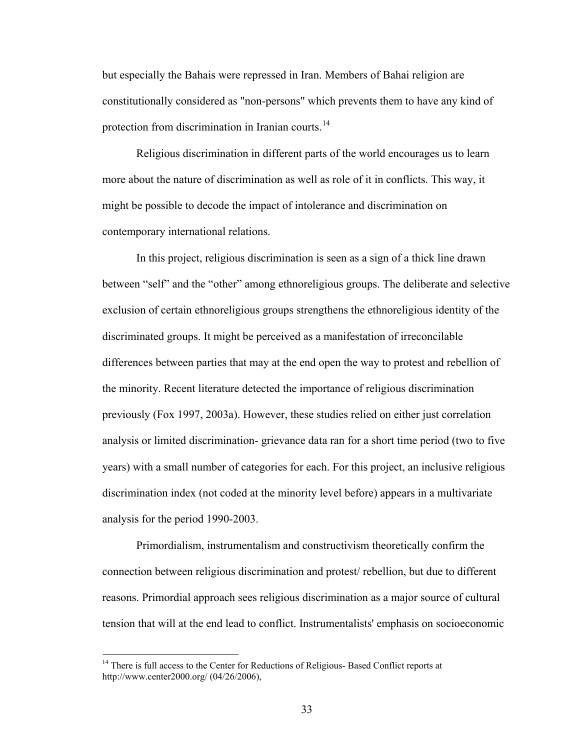<span id="page-43-0"></span>but especially the Bahais were repressed in Iran. Members of Bahai religion are constitutionally considered as "non-persons" which prevents them to have any kind of protection from discrimination in Iranian courts.<sup>[14](#page-43-0)</sup>

Religious discrimination in different parts of the world encourages us to learn more about the nature of discrimination as well as role of it in conflicts. This way, it might be possible to decode the impact of intolerance and discrimination on contemporary international relations.

In this project, religious discrimination is seen as a sign of a thick line drawn between "self" and the "other" among ethnoreligious groups. The deliberate and selective exclusion of certain ethnoreligious groups strengthens the ethnoreligious identity of the discriminated groups. It might be perceived as a manifestation of irreconcilable differences between parties that may at the end open the way to protest and rebellion of the minority. Recent literature detected the importance of religious discrimination previously (Fox 1997, 2003a). However, these studies relied on either just correlation analysis or limited discrimination- grievance data ran for a short time period (two to five years) with a small number of categories for each. For this project, an inclusive religious discrimination index (not coded at the minority level before) appears in a multivariate analysis for the period 1990-2003.

Primordialism, instrumentalism and constructivism theoretically confirm the connection between religious discrimination and protest/ rebellion, but due to different reasons. Primordial approach sees religious discrimination as a major source of cultural tension that will at the end lead to conflict. Instrumentalists' emphasis on socioeconomic

 $\overline{a}$ 

 $14$  There is full access to the Center for Reductions of Religious- Based Conflict reports at http://www.center2000.org/ (04/26/2006),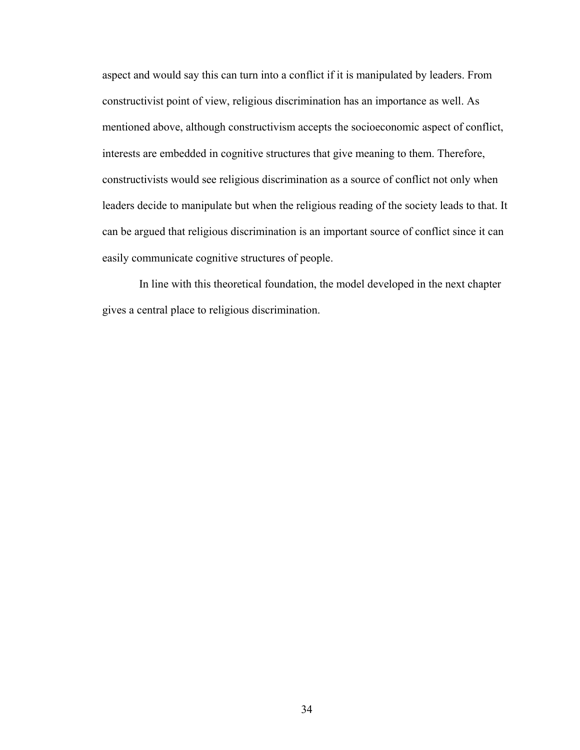aspect and would say this can turn into a conflict if it is manipulated by leaders. From constructivist point of view, religious discrimination has an importance as well. As mentioned above, although constructivism accepts the socioeconomic aspect of conflict, interests are embedded in cognitive structures that give meaning to them. Therefore, constructivists would see religious discrimination as a source of conflict not only when leaders decide to manipulate but when the religious reading of the society leads to that. It can be argued that religious discrimination is an important source of conflict since it can easily communicate cognitive structures of people.

 In line with this theoretical foundation, the model developed in the next chapter gives a central place to religious discrimination.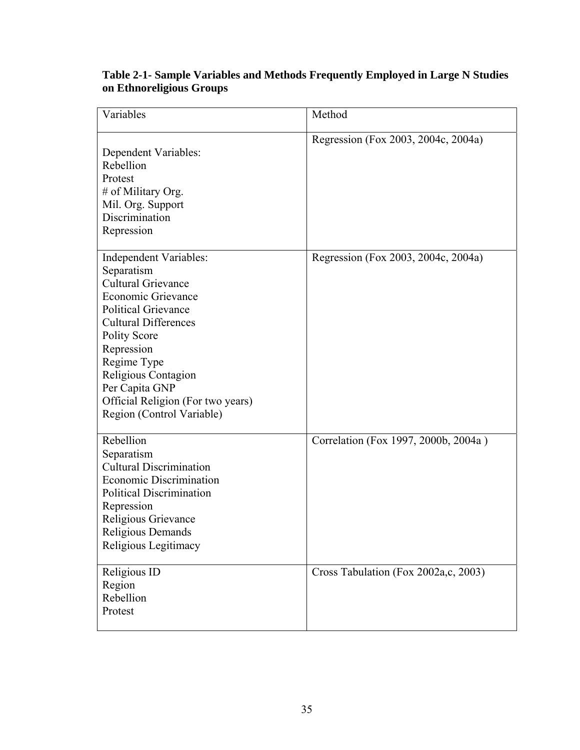| Variables                                                                                                                                                                                                                                                                                                           | Method                               |
|---------------------------------------------------------------------------------------------------------------------------------------------------------------------------------------------------------------------------------------------------------------------------------------------------------------------|--------------------------------------|
| Dependent Variables:<br>Rebellion<br>Protest<br># of Military Org.<br>Mil. Org. Support<br>Discrimination<br>Repression                                                                                                                                                                                             | Regression (Fox 2003, 2004c, 2004a)  |
| Independent Variables:<br>Separatism<br><b>Cultural Grievance</b><br>Economic Grievance<br><b>Political Grievance</b><br><b>Cultural Differences</b><br><b>Polity Score</b><br>Repression<br>Regime Type<br>Religious Contagion<br>Per Capita GNP<br>Official Religion (For two years)<br>Region (Control Variable) | Regression (Fox 2003, 2004c, 2004a)  |
| Rebellion<br>Separatism<br><b>Cultural Discrimination</b><br><b>Economic Discrimination</b><br><b>Political Discrimination</b><br>Repression<br>Religious Grievance<br>Religious Demands<br>Religious Legitimacy                                                                                                    | Correlation (Fox 1997, 2000b, 2004a) |
| Religious ID<br>Region<br>Rebellion<br>Protest                                                                                                                                                                                                                                                                      | Cross Tabulation (Fox 2002a,c, 2003) |

# **Table 2-1- Sample Variables and Methods Frequently Employed in Large N Studies on Ethnoreligious Groups**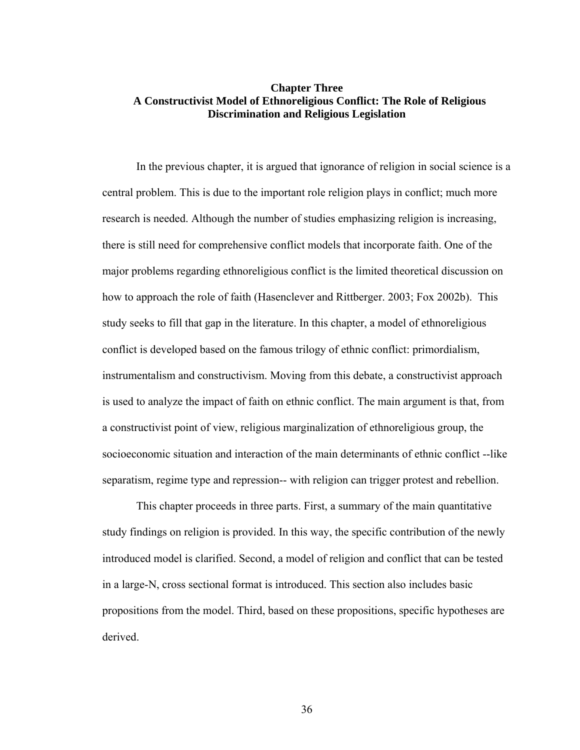## **Chapter Three A Constructivist Model of Ethnoreligious Conflict: The Role of Religious Discrimination and Religious Legislation**

In the previous chapter, it is argued that ignorance of religion in social science is a central problem. This is due to the important role religion plays in conflict; much more research is needed. Although the number of studies emphasizing religion is increasing, there is still need for comprehensive conflict models that incorporate faith. One of the major problems regarding ethnoreligious conflict is the limited theoretical discussion on how to approach the role of faith (Hasenclever and Rittberger. 2003; Fox 2002b). This study seeks to fill that gap in the literature. In this chapter, a model of ethnoreligious conflict is developed based on the famous trilogy of ethnic conflict: primordialism, instrumentalism and constructivism. Moving from this debate, a constructivist approach is used to analyze the impact of faith on ethnic conflict. The main argument is that, from a constructivist point of view, religious marginalization of ethnoreligious group, the socioeconomic situation and interaction of the main determinants of ethnic conflict --like separatism, regime type and repression-- with religion can trigger protest and rebellion.

This chapter proceeds in three parts. First, a summary of the main quantitative study findings on religion is provided. In this way, the specific contribution of the newly introduced model is clarified. Second, a model of religion and conflict that can be tested in a large-N, cross sectional format is introduced. This section also includes basic propositions from the model. Third, based on these propositions, specific hypotheses are derived.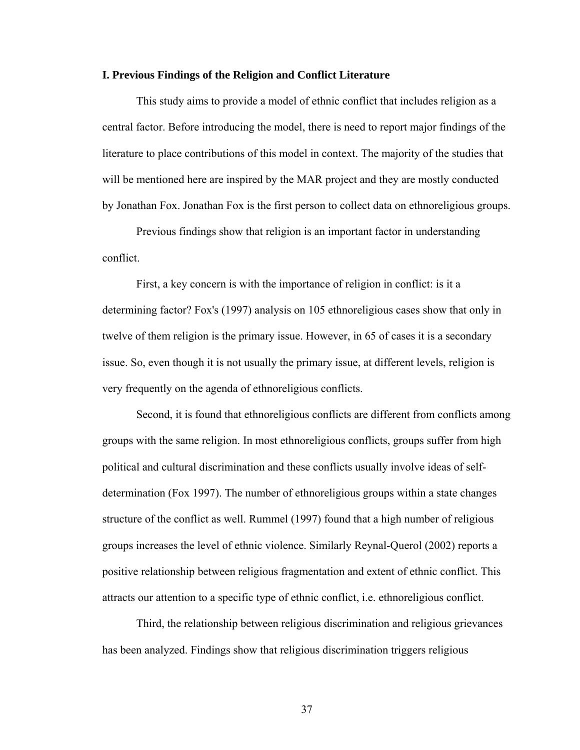#### **I. Previous Findings of the Religion and Conflict Literature**

This study aims to provide a model of ethnic conflict that includes religion as a central factor. Before introducing the model, there is need to report major findings of the literature to place contributions of this model in context. The majority of the studies that will be mentioned here are inspired by the MAR project and they are mostly conducted by Jonathan Fox. Jonathan Fox is the first person to collect data on ethnoreligious groups.

Previous findings show that religion is an important factor in understanding conflict.

First, a key concern is with the importance of religion in conflict: is it a determining factor? Fox's (1997) analysis on 105 ethnoreligious cases show that only in twelve of them religion is the primary issue. However, in 65 of cases it is a secondary issue. So, even though it is not usually the primary issue, at different levels, religion is very frequently on the agenda of ethnoreligious conflicts.

Second, it is found that ethnoreligious conflicts are different from conflicts among groups with the same religion. In most ethnoreligious conflicts, groups suffer from high political and cultural discrimination and these conflicts usually involve ideas of selfdetermination (Fox 1997). The number of ethnoreligious groups within a state changes structure of the conflict as well. Rummel (1997) found that a high number of religious groups increases the level of ethnic violence. Similarly Reynal-Querol (2002) reports a positive relationship between religious fragmentation and extent of ethnic conflict. This attracts our attention to a specific type of ethnic conflict, i.e. ethnoreligious conflict.

Third, the relationship between religious discrimination and religious grievances has been analyzed. Findings show that religious discrimination triggers religious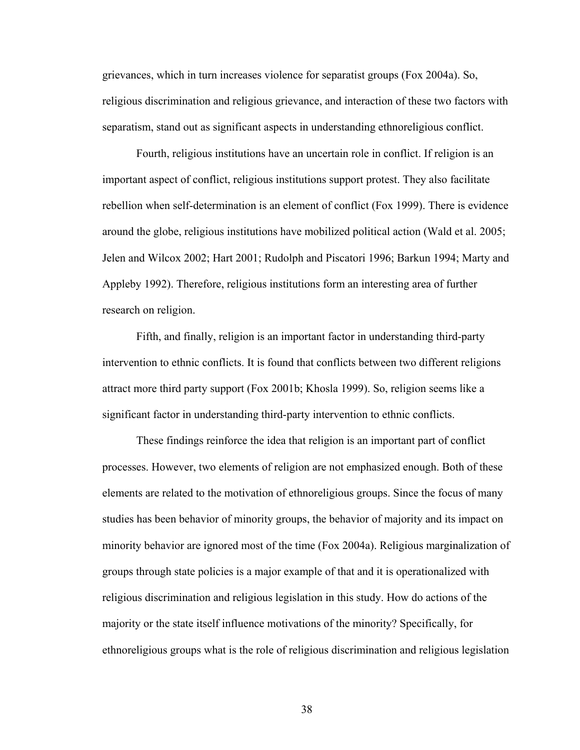grievances, which in turn increases violence for separatist groups (Fox 2004a). So, religious discrimination and religious grievance, and interaction of these two factors with separatism, stand out as significant aspects in understanding ethnoreligious conflict.

Fourth, religious institutions have an uncertain role in conflict. If religion is an important aspect of conflict, religious institutions support protest. They also facilitate rebellion when self-determination is an element of conflict (Fox 1999). There is evidence around the globe, religious institutions have mobilized political action (Wald et al. 2005; Jelen and Wilcox 2002; Hart 2001; Rudolph and Piscatori 1996; Barkun 1994; Marty and Appleby 1992). Therefore, religious institutions form an interesting area of further research on religion.

Fifth, and finally, religion is an important factor in understanding third-party intervention to ethnic conflicts. It is found that conflicts between two different religions attract more third party support (Fox 2001b; Khosla 1999). So, religion seems like a significant factor in understanding third-party intervention to ethnic conflicts.

These findings reinforce the idea that religion is an important part of conflict processes. However, two elements of religion are not emphasized enough. Both of these elements are related to the motivation of ethnoreligious groups. Since the focus of many studies has been behavior of minority groups, the behavior of majority and its impact on minority behavior are ignored most of the time (Fox 2004a). Religious marginalization of groups through state policies is a major example of that and it is operationalized with religious discrimination and religious legislation in this study. How do actions of the majority or the state itself influence motivations of the minority? Specifically, for ethnoreligious groups what is the role of religious discrimination and religious legislation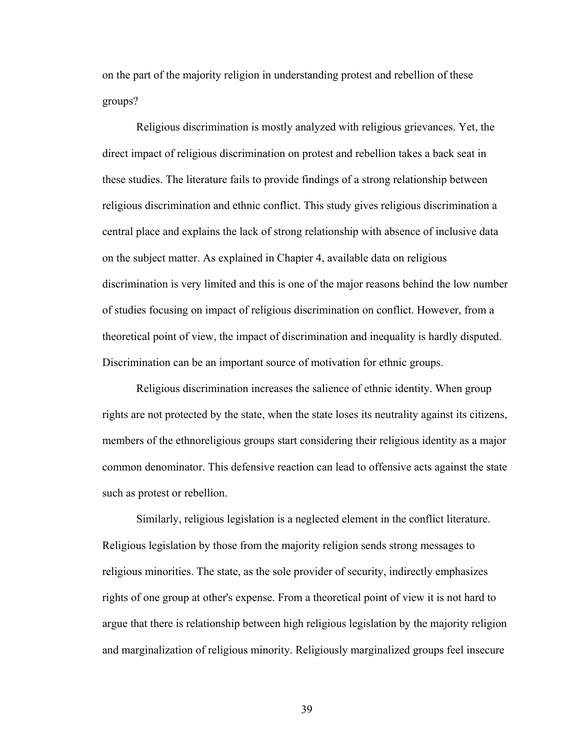on the part of the majority religion in understanding protest and rebellion of these groups?

Religious discrimination is mostly analyzed with religious grievances. Yet, the direct impact of religious discrimination on protest and rebellion takes a back seat in these studies. The literature fails to provide findings of a strong relationship between religious discrimination and ethnic conflict. This study gives religious discrimination a central place and explains the lack of strong relationship with absence of inclusive data on the subject matter. As explained in Chapter 4, available data on religious discrimination is very limited and this is one of the major reasons behind the low number of studies focusing on impact of religious discrimination on conflict. However, from a theoretical point of view, the impact of discrimination and inequality is hardly disputed. Discrimination can be an important source of motivation for ethnic groups.

Religious discrimination increases the salience of ethnic identity. When group rights are not protected by the state, when the state loses its neutrality against its citizens, members of the ethnoreligious groups start considering their religious identity as a major common denominator. This defensive reaction can lead to offensive acts against the state such as protest or rebellion.

Similarly, religious legislation is a neglected element in the conflict literature. Religious legislation by those from the majority religion sends strong messages to religious minorities. The state, as the sole provider of security, indirectly emphasizes rights of one group at other's expense. From a theoretical point of view it is not hard to argue that there is relationship between high religious legislation by the majority religion and marginalization of religious minority. Religiously marginalized groups feel insecure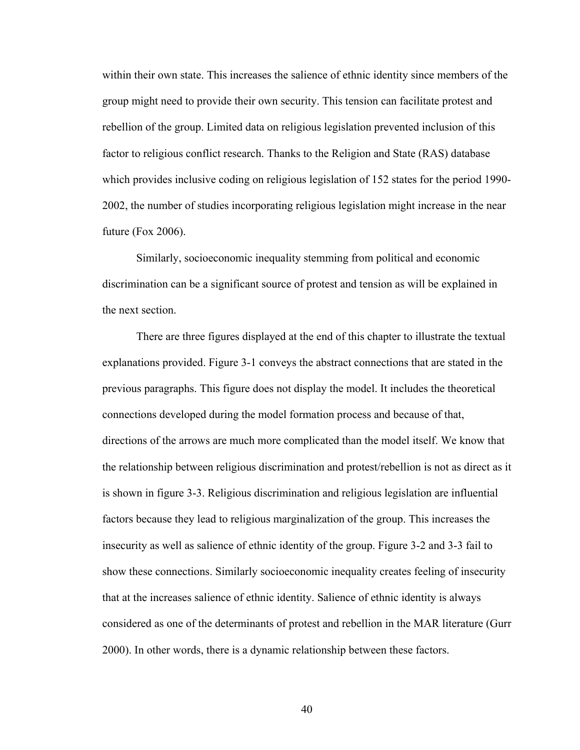within their own state. This increases the salience of ethnic identity since members of the group might need to provide their own security. This tension can facilitate protest and rebellion of the group. Limited data on religious legislation prevented inclusion of this factor to religious conflict research. Thanks to the Religion and State (RAS) database which provides inclusive coding on religious legislation of 152 states for the period 1990- 2002, the number of studies incorporating religious legislation might increase in the near future (Fox 2006).

Similarly, socioeconomic inequality stemming from political and economic discrimination can be a significant source of protest and tension as will be explained in the next section.

There are three figures displayed at the end of this chapter to illustrate the textual explanations provided. Figure 3-1 conveys the abstract connections that are stated in the previous paragraphs. This figure does not display the model. It includes the theoretical connections developed during the model formation process and because of that, directions of the arrows are much more complicated than the model itself. We know that the relationship between religious discrimination and protest/rebellion is not as direct as it is shown in figure 3-3. Religious discrimination and religious legislation are influential factors because they lead to religious marginalization of the group. This increases the insecurity as well as salience of ethnic identity of the group. Figure 3-2 and 3-3 fail to show these connections. Similarly socioeconomic inequality creates feeling of insecurity that at the increases salience of ethnic identity. Salience of ethnic identity is always considered as one of the determinants of protest and rebellion in the MAR literature (Gurr 2000). In other words, there is a dynamic relationship between these factors.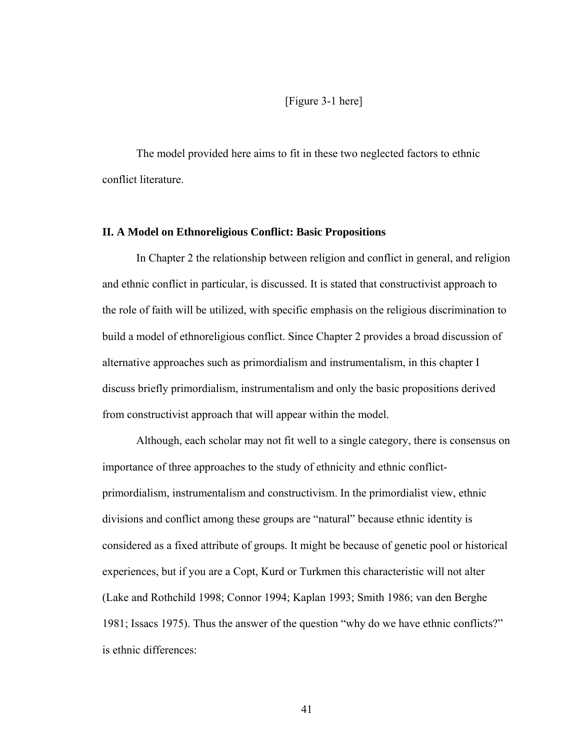# [Figure 3-1 here]

The model provided here aims to fit in these two neglected factors to ethnic conflict literature.

#### **II. A Model on Ethnoreligious Conflict: Basic Propositions**

In Chapter 2 the relationship between religion and conflict in general, and religion and ethnic conflict in particular, is discussed. It is stated that constructivist approach to the role of faith will be utilized, with specific emphasis on the religious discrimination to build a model of ethnoreligious conflict. Since Chapter 2 provides a broad discussion of alternative approaches such as primordialism and instrumentalism, in this chapter I discuss briefly primordialism, instrumentalism and only the basic propositions derived from constructivist approach that will appear within the model.

Although, each scholar may not fit well to a single category, there is consensus on importance of three approaches to the study of ethnicity and ethnic conflictprimordialism, instrumentalism and constructivism. In the primordialist view, ethnic divisions and conflict among these groups are "natural" because ethnic identity is considered as a fixed attribute of groups. It might be because of genetic pool or historical experiences, but if you are a Copt, Kurd or Turkmen this characteristic will not alter (Lake and Rothchild 1998; Connor 1994; Kaplan 1993; Smith 1986; van den Berghe 1981; Issacs 1975). Thus the answer of the question "why do we have ethnic conflicts?" is ethnic differences: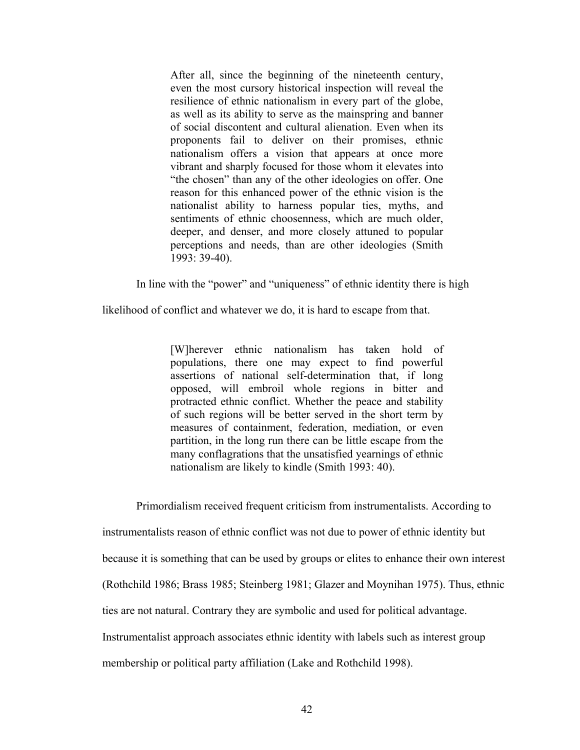After all, since the beginning of the nineteenth century, even the most cursory historical inspection will reveal the resilience of ethnic nationalism in every part of the globe, as well as its ability to serve as the mainspring and banner of social discontent and cultural alienation. Even when its proponents fail to deliver on their promises, ethnic nationalism offers a vision that appears at once more vibrant and sharply focused for those whom it elevates into "the chosen" than any of the other ideologies on offer. One reason for this enhanced power of the ethnic vision is the nationalist ability to harness popular ties, myths, and sentiments of ethnic choosenness, which are much older, deeper, and denser, and more closely attuned to popular perceptions and needs, than are other ideologies (Smith 1993: 39-40).

In line with the "power" and "uniqueness" of ethnic identity there is high

likelihood of conflict and whatever we do, it is hard to escape from that.

[W]herever ethnic nationalism has taken hold of populations, there one may expect to find powerful assertions of national self-determination that, if long opposed, will embroil whole regions in bitter and protracted ethnic conflict. Whether the peace and stability of such regions will be better served in the short term by measures of containment, federation, mediation, or even partition, in the long run there can be little escape from the many conflagrations that the unsatisfied yearnings of ethnic nationalism are likely to kindle (Smith 1993: 40).

Primordialism received frequent criticism from instrumentalists. According to instrumentalists reason of ethnic conflict was not due to power of ethnic identity but because it is something that can be used by groups or elites to enhance their own interest (Rothchild 1986; Brass 1985; Steinberg 1981; Glazer and Moynihan 1975). Thus, ethnic ties are not natural. Contrary they are symbolic and used for political advantage. Instrumentalist approach associates ethnic identity with labels such as interest group membership or political party affiliation (Lake and Rothchild 1998).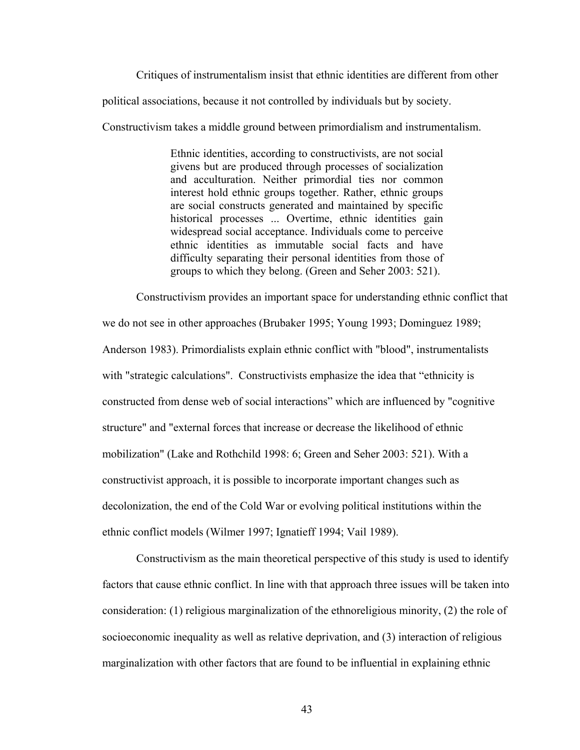Critiques of instrumentalism insist that ethnic identities are different from other political associations, because it not controlled by individuals but by society.

Constructivism takes a middle ground between primordialism and instrumentalism.

Ethnic identities, according to constructivists, are not social givens but are produced through processes of socialization and acculturation. Neither primordial ties nor common interest hold ethnic groups together. Rather, ethnic groups are social constructs generated and maintained by specific historical processes ... Overtime, ethnic identities gain widespread social acceptance. Individuals come to perceive ethnic identities as immutable social facts and have difficulty separating their personal identities from those of groups to which they belong. (Green and Seher 2003: 521).

Constructivism provides an important space for understanding ethnic conflict that we do not see in other approaches (Brubaker 1995; Young 1993; Dominguez 1989; Anderson 1983). Primordialists explain ethnic conflict with "blood", instrumentalists with "strategic calculations". Constructivists emphasize the idea that "ethnicity is constructed from dense web of social interactions" which are influenced by "cognitive structure" and "external forces that increase or decrease the likelihood of ethnic mobilization" (Lake and Rothchild 1998: 6; Green and Seher 2003: 521). With a constructivist approach, it is possible to incorporate important changes such as decolonization, the end of the Cold War or evolving political institutions within the ethnic conflict models (Wilmer 1997; Ignatieff 1994; Vail 1989).

Constructivism as the main theoretical perspective of this study is used to identify factors that cause ethnic conflict. In line with that approach three issues will be taken into consideration: (1) religious marginalization of the ethnoreligious minority, (2) the role of socioeconomic inequality as well as relative deprivation, and (3) interaction of religious marginalization with other factors that are found to be influential in explaining ethnic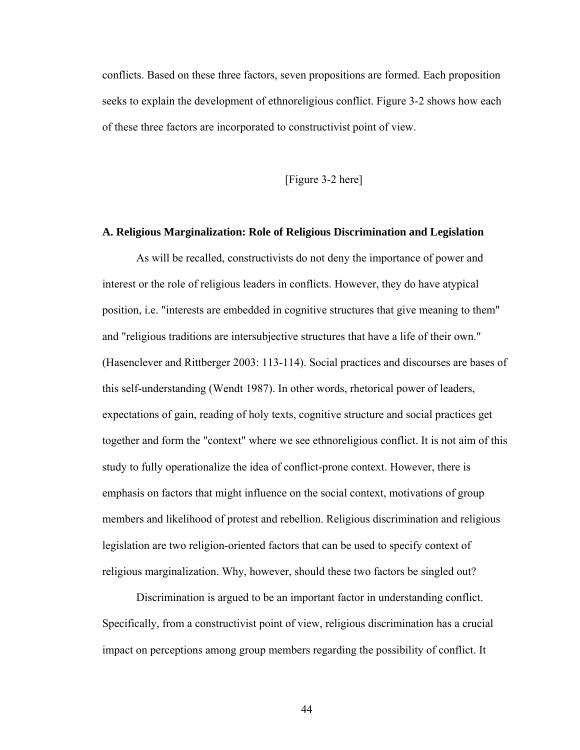conflicts. Based on these three factors, seven propositions are formed. Each proposition seeks to explain the development of ethnoreligious conflict. Figure 3-2 shows how each of these three factors are incorporated to constructivist point of view.

## [Figure 3-2 here]

#### **A. Religious Marginalization: Role of Religious Discrimination and Legislation**

As will be recalled, constructivists do not deny the importance of power and interest or the role of religious leaders in conflicts. However, they do have atypical position, i.e. "interests are embedded in cognitive structures that give meaning to them" and "religious traditions are intersubjective structures that have a life of their own." (Hasenclever and Rittberger 2003: 113-114). Social practices and discourses are bases of this self-understanding (Wendt 1987). In other words, rhetorical power of leaders, expectations of gain, reading of holy texts, cognitive structure and social practices get together and form the "context" where we see ethnoreligious conflict. It is not aim of this study to fully operationalize the idea of conflict-prone context. However, there is emphasis on factors that might influence on the social context, motivations of group members and likelihood of protest and rebellion. Religious discrimination and religious legislation are two religion-oriented factors that can be used to specify context of religious marginalization. Why, however, should these two factors be singled out?

Discrimination is argued to be an important factor in understanding conflict. Specifically, from a constructivist point of view, religious discrimination has a crucial impact on perceptions among group members regarding the possibility of conflict. It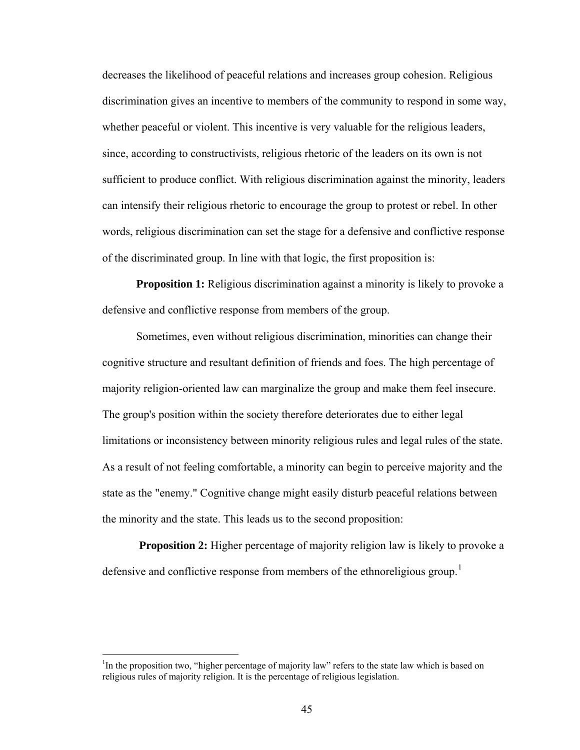<span id="page-55-0"></span>decreases the likelihood of peaceful relations and increases group cohesion. Religious discrimination gives an incentive to members of the community to respond in some way, whether peaceful or violent. This incentive is very valuable for the religious leaders, since, according to constructivists, religious rhetoric of the leaders on its own is not sufficient to produce conflict. With religious discrimination against the minority, leaders can intensify their religious rhetoric to encourage the group to protest or rebel. In other words, religious discrimination can set the stage for a defensive and conflictive response of the discriminated group. In line with that logic, the first proposition is:

**Proposition 1:** Religious discrimination against a minority is likely to provoke a defensive and conflictive response from members of the group.

Sometimes, even without religious discrimination, minorities can change their cognitive structure and resultant definition of friends and foes. The high percentage of majority religion-oriented law can marginalize the group and make them feel insecure. The group's position within the society therefore deteriorates due to either legal limitations or inconsistency between minority religious rules and legal rules of the state. As a result of not feeling comfortable, a minority can begin to perceive majority and the state as the "enemy." Cognitive change might easily disturb peaceful relations between the minority and the state. This leads us to the second proposition:

**Proposition 2:** Higher percentage of majority religion law is likely to provoke a defensive and conflictive response from members of the ethnoreligious group.<sup>[1](#page-55-0)</sup>

 $\overline{a}$ 

<sup>&</sup>lt;sup>1</sup>In the proposition two, "higher percentage of majority law" refers to the state law which is based on religious rules of majority religion. It is the percentage of religious legislation.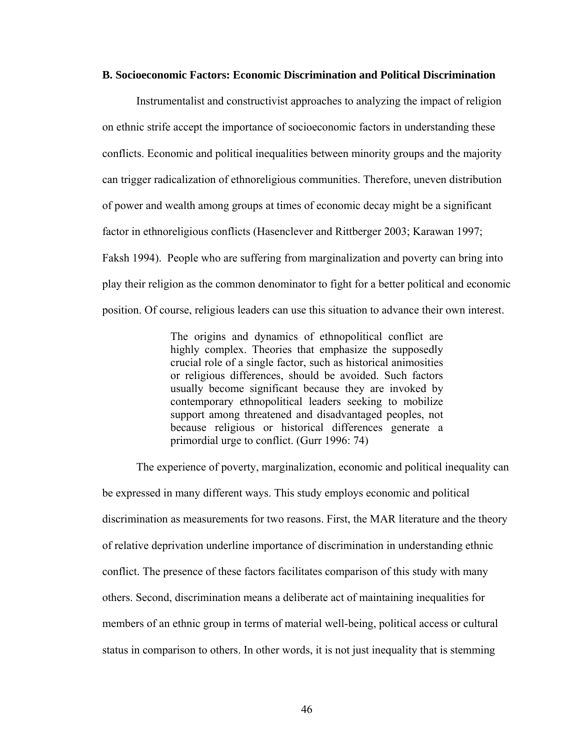#### **B. Socioeconomic Factors: Economic Discrimination and Political Discrimination**

Instrumentalist and constructivist approaches to analyzing the impact of religion on ethnic strife accept the importance of socioeconomic factors in understanding these conflicts. Economic and political inequalities between minority groups and the majority can trigger radicalization of ethnoreligious communities. Therefore, uneven distribution of power and wealth among groups at times of economic decay might be a significant factor in ethnoreligious conflicts (Hasenclever and Rittberger 2003; Karawan 1997; Faksh 1994). People who are suffering from marginalization and poverty can bring into play their religion as the common denominator to fight for a better political and economic position. Of course, religious leaders can use this situation to advance their own interest.

> The origins and dynamics of ethnopolitical conflict are highly complex. Theories that emphasize the supposedly crucial role of a single factor, such as historical animosities or religious differences, should be avoided. Such factors usually become significant because they are invoked by contemporary ethnopolitical leaders seeking to mobilize support among threatened and disadvantaged peoples, not because religious or historical differences generate a primordial urge to conflict. (Gurr 1996: 74)

The experience of poverty, marginalization, economic and political inequality can be expressed in many different ways. This study employs economic and political discrimination as measurements for two reasons. First, the MAR literature and the theory of relative deprivation underline importance of discrimination in understanding ethnic conflict. The presence of these factors facilitates comparison of this study with many others. Second, discrimination means a deliberate act of maintaining inequalities for members of an ethnic group in terms of material well-being, political access or cultural status in comparison to others. In other words, it is not just inequality that is stemming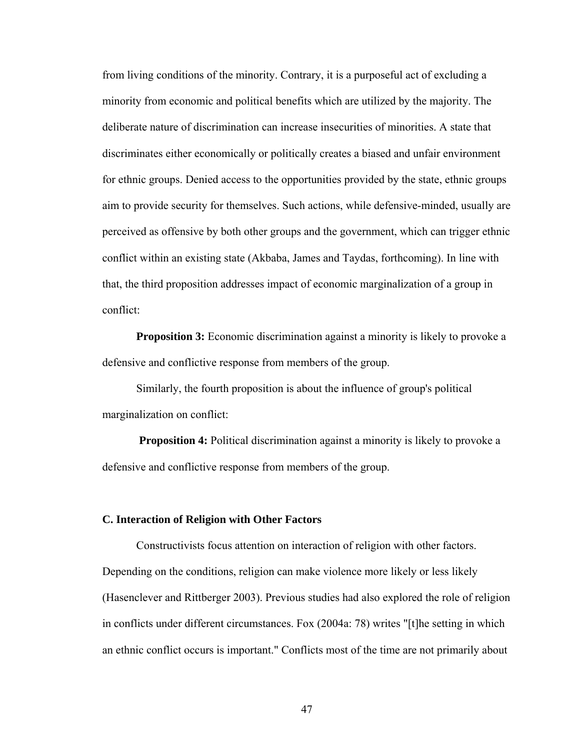from living conditions of the minority. Contrary, it is a purposeful act of excluding a minority from economic and political benefits which are utilized by the majority. The deliberate nature of discrimination can increase insecurities of minorities. A state that discriminates either economically or politically creates a biased and unfair environment for ethnic groups. Denied access to the opportunities provided by the state, ethnic groups aim to provide security for themselves. Such actions, while defensive-minded, usually are perceived as offensive by both other groups and the government, which can trigger ethnic conflict within an existing state (Akbaba, James and Taydas, forthcoming). In line with that, the third proposition addresses impact of economic marginalization of a group in conflict:

**Proposition 3:** Economic discrimination against a minority is likely to provoke a defensive and conflictive response from members of the group.

Similarly, the fourth proposition is about the influence of group's political marginalization on conflict:

**Proposition 4:** Political discrimination against a minority is likely to provoke a defensive and conflictive response from members of the group.

#### **C. Interaction of Religion with Other Factors**

Constructivists focus attention on interaction of religion with other factors. Depending on the conditions, religion can make violence more likely or less likely (Hasenclever and Rittberger 2003). Previous studies had also explored the role of religion in conflicts under different circumstances. Fox (2004a: 78) writes "[t]he setting in which an ethnic conflict occurs is important." Conflicts most of the time are not primarily about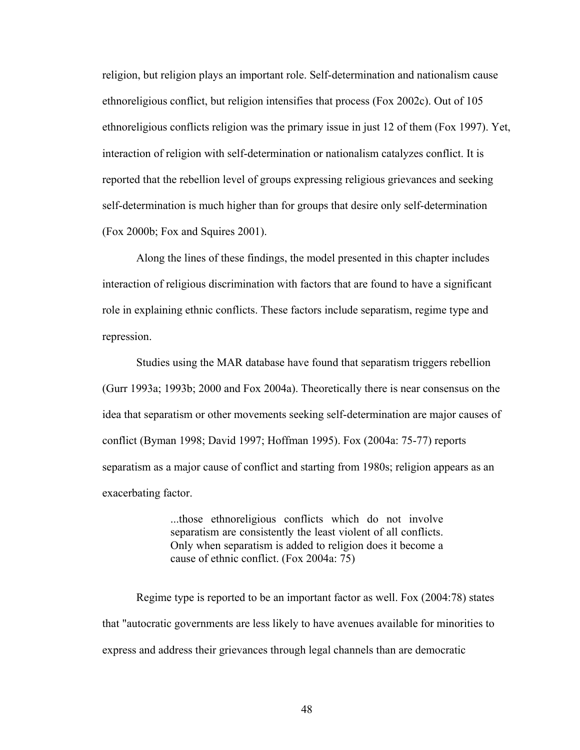religion, but religion plays an important role. Self-determination and nationalism cause ethnoreligious conflict, but religion intensifies that process (Fox 2002c). Out of 105 ethnoreligious conflicts religion was the primary issue in just 12 of them (Fox 1997). Yet, interaction of religion with self-determination or nationalism catalyzes conflict. It is reported that the rebellion level of groups expressing religious grievances and seeking self-determination is much higher than for groups that desire only self-determination (Fox 2000b; Fox and Squires 2001).

Along the lines of these findings, the model presented in this chapter includes interaction of religious discrimination with factors that are found to have a significant role in explaining ethnic conflicts. These factors include separatism, regime type and repression.

Studies using the MAR database have found that separatism triggers rebellion (Gurr 1993a; 1993b; 2000 and Fox 2004a). Theoretically there is near consensus on the idea that separatism or other movements seeking self-determination are major causes of conflict (Byman 1998; David 1997; Hoffman 1995). Fox (2004a: 75-77) reports separatism as a major cause of conflict and starting from 1980s; religion appears as an exacerbating factor.

> ...those ethnoreligious conflicts which do not involve separatism are consistently the least violent of all conflicts. Only when separatism is added to religion does it become a cause of ethnic conflict. (Fox 2004a: 75)

Regime type is reported to be an important factor as well. Fox (2004:78) states that "autocratic governments are less likely to have avenues available for minorities to express and address their grievances through legal channels than are democratic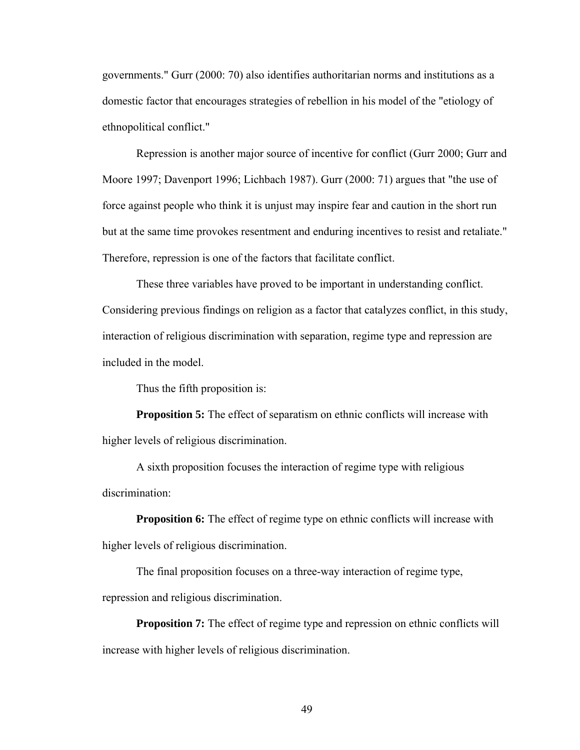governments." Gurr (2000: 70) also identifies authoritarian norms and institutions as a domestic factor that encourages strategies of rebellion in his model of the "etiology of ethnopolitical conflict."

Repression is another major source of incentive for conflict (Gurr 2000; Gurr and Moore 1997; Davenport 1996; Lichbach 1987). Gurr (2000: 71) argues that "the use of force against people who think it is unjust may inspire fear and caution in the short run but at the same time provokes resentment and enduring incentives to resist and retaliate." Therefore, repression is one of the factors that facilitate conflict.

These three variables have proved to be important in understanding conflict. Considering previous findings on religion as a factor that catalyzes conflict, in this study, interaction of religious discrimination with separation, regime type and repression are included in the model.

Thus the fifth proposition is:

**Proposition 5:** The effect of separatism on ethnic conflicts will increase with higher levels of religious discrimination.

A sixth proposition focuses the interaction of regime type with religious discrimination:

**Proposition 6:** The effect of regime type on ethnic conflicts will increase with higher levels of religious discrimination.

The final proposition focuses on a three-way interaction of regime type, repression and religious discrimination.

**Proposition 7:** The effect of regime type and repression on ethnic conflicts will increase with higher levels of religious discrimination.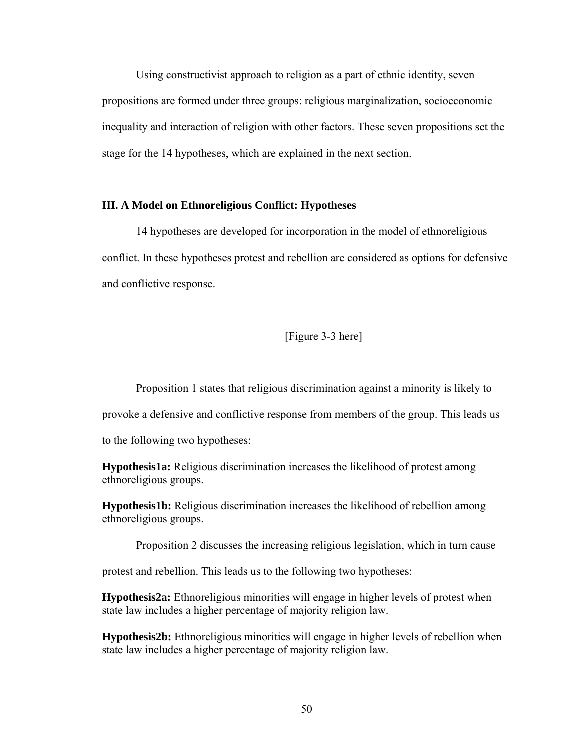Using constructivist approach to religion as a part of ethnic identity, seven propositions are formed under three groups: religious marginalization, socioeconomic inequality and interaction of religion with other factors. These seven propositions set the stage for the 14 hypotheses, which are explained in the next section.

## **III. A Model on Ethnoreligious Conflict: Hypotheses**

14 hypotheses are developed for incorporation in the model of ethnoreligious conflict. In these hypotheses protest and rebellion are considered as options for defensive and conflictive response.

## [Figure 3-3 here]

Proposition 1 states that religious discrimination against a minority is likely to provoke a defensive and conflictive response from members of the group. This leads us to the following two hypotheses:

**Hypothesis1a:** Religious discrimination increases the likelihood of protest among ethnoreligious groups.

**Hypothesis1b:** Religious discrimination increases the likelihood of rebellion among ethnoreligious groups.

Proposition 2 discusses the increasing religious legislation, which in turn cause

protest and rebellion. This leads us to the following two hypotheses:

**Hypothesis2a:** Ethnoreligious minorities will engage in higher levels of protest when state law includes a higher percentage of majority religion law.

**Hypothesis2b:** Ethnoreligious minorities will engage in higher levels of rebellion when state law includes a higher percentage of majority religion law.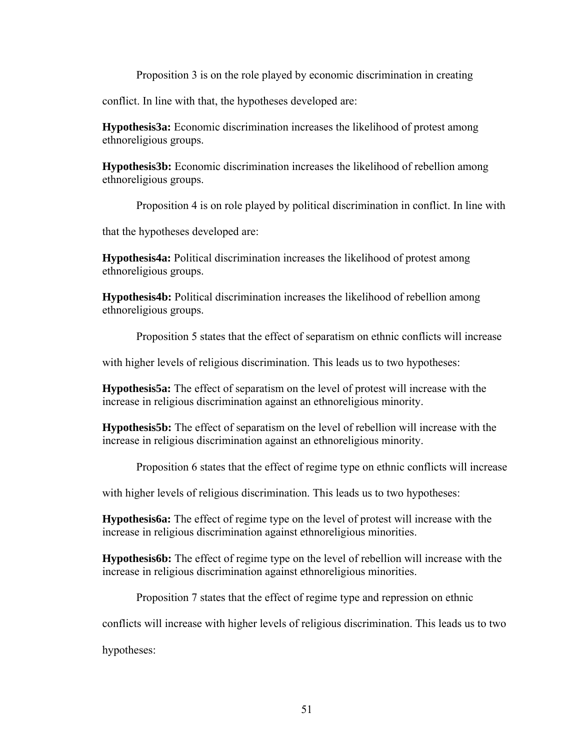Proposition 3 is on the role played by economic discrimination in creating

conflict. In line with that, the hypotheses developed are:

**Hypothesis3a:** Economic discrimination increases the likelihood of protest among ethnoreligious groups.

**Hypothesis3b:** Economic discrimination increases the likelihood of rebellion among ethnoreligious groups.

Proposition 4 is on role played by political discrimination in conflict. In line with

that the hypotheses developed are:

**Hypothesis4a:** Political discrimination increases the likelihood of protest among ethnoreligious groups.

**Hypothesis4b:** Political discrimination increases the likelihood of rebellion among ethnoreligious groups.

Proposition 5 states that the effect of separatism on ethnic conflicts will increase

with higher levels of religious discrimination. This leads us to two hypotheses:

**Hypothesis5a:** The effect of separatism on the level of protest will increase with the increase in religious discrimination against an ethnoreligious minority.

**Hypothesis5b:** The effect of separatism on the level of rebellion will increase with the increase in religious discrimination against an ethnoreligious minority.

Proposition 6 states that the effect of regime type on ethnic conflicts will increase

with higher levels of religious discrimination. This leads us to two hypotheses:

**Hypothesis6a:** The effect of regime type on the level of protest will increase with the increase in religious discrimination against ethnoreligious minorities.

**Hypothesis6b:** The effect of regime type on the level of rebellion will increase with the increase in religious discrimination against ethnoreligious minorities.

Proposition 7 states that the effect of regime type and repression on ethnic

conflicts will increase with higher levels of religious discrimination. This leads us to two

hypotheses: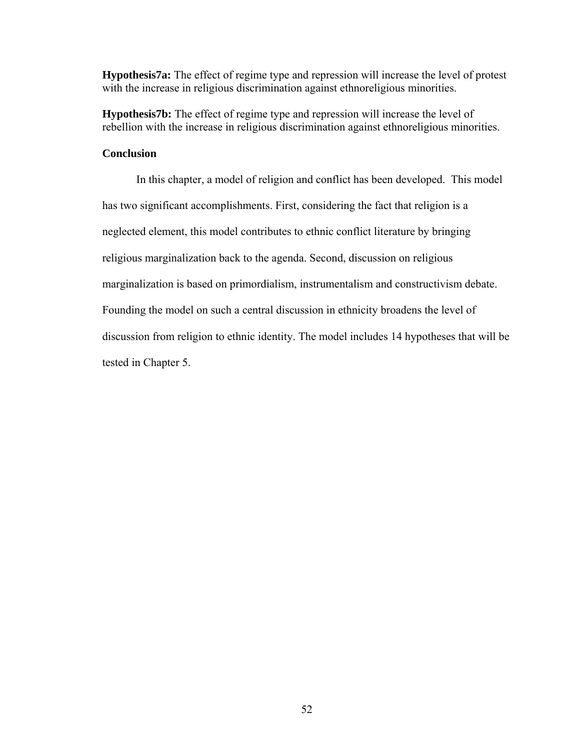**Hypothesis7a:** The effect of regime type and repression will increase the level of protest with the increase in religious discrimination against ethnoreligious minorities.

**Hypothesis7b:** The effect of regime type and repression will increase the level of rebellion with the increase in religious discrimination against ethnoreligious minorities.

## **Conclusion**

 In this chapter, a model of religion and conflict has been developed. This model has two significant accomplishments. First, considering the fact that religion is a neglected element, this model contributes to ethnic conflict literature by bringing religious marginalization back to the agenda. Second, discussion on religious marginalization is based on primordialism, instrumentalism and constructivism debate. Founding the model on such a central discussion in ethnicity broadens the level of discussion from religion to ethnic identity. The model includes 14 hypotheses that will be tested in Chapter 5.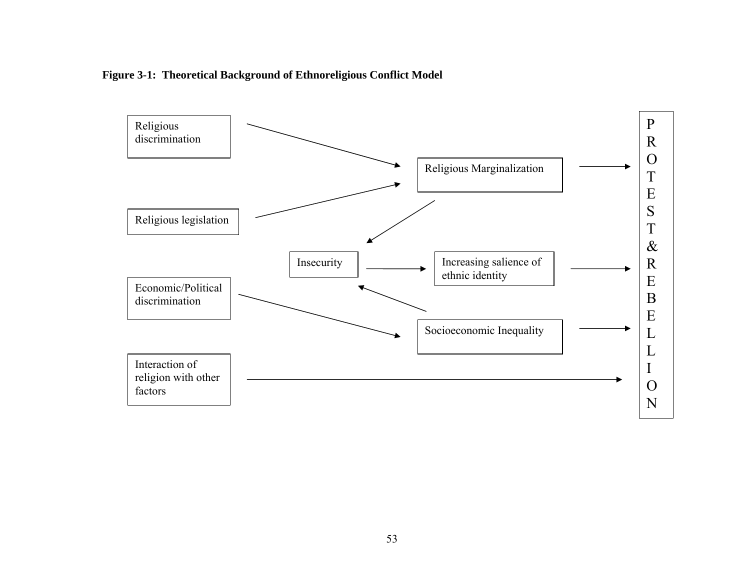# **Figure 3-1: Theoretical Background of Ethnoreligious Conflict Model**

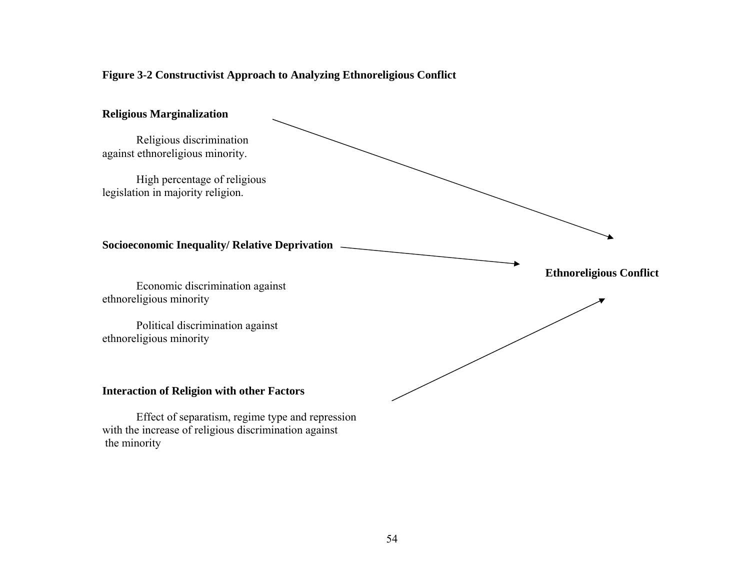# **Figure 3-2 Constructivist Approach to Analyzing Ethnoreligious Conflict**

| <b>Religious Marginalization</b>                             |                                |
|--------------------------------------------------------------|--------------------------------|
| Religious discrimination<br>against ethnoreligious minority. |                                |
| High percentage of religious                                 |                                |
| legislation in majority religion.                            |                                |
| <b>Socioeconomic Inequality/ Relative Deprivation</b>        |                                |
|                                                              | <b>Ethnoreligious Conflict</b> |
| Economic discrimination against<br>ethnoreligious minority   |                                |
| Political discrimination against                             |                                |
| ethnoreligious minority                                      |                                |
| <b>Interaction of Religion with other Factors</b>            |                                |
| Effect of separatism, regime type and repression             |                                |

with the increase of religious discrimination against the minority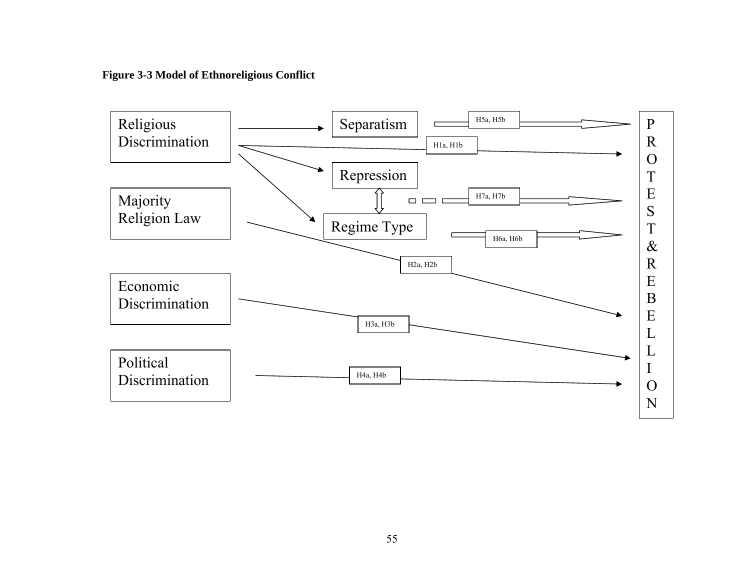**Figure 3-3 Model of Ethnoreligious Conflict** 

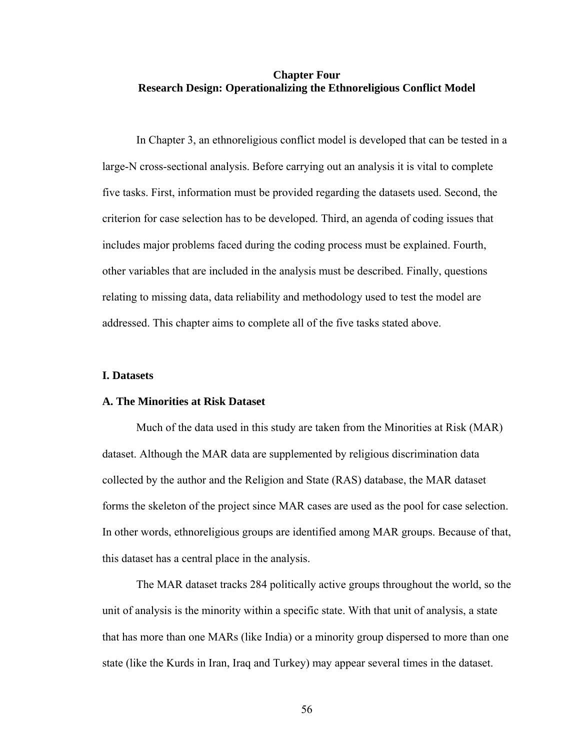## **Chapter Four Research Design: Operationalizing the Ethnoreligious Conflict Model**

 In Chapter 3, an ethnoreligious conflict model is developed that can be tested in a large-N cross-sectional analysis. Before carrying out an analysis it is vital to complete five tasks. First, information must be provided regarding the datasets used. Second, the criterion for case selection has to be developed. Third, an agenda of coding issues that includes major problems faced during the coding process must be explained. Fourth, other variables that are included in the analysis must be described. Finally, questions relating to missing data, data reliability and methodology used to test the model are addressed. This chapter aims to complete all of the five tasks stated above.

## **I. Datasets**

## **A. The Minorities at Risk Dataset**

 Much of the data used in this study are taken from the Minorities at Risk (MAR) dataset. Although the MAR data are supplemented by religious discrimination data collected by the author and the Religion and State (RAS) database, the MAR dataset forms the skeleton of the project since MAR cases are used as the pool for case selection. In other words, ethnoreligious groups are identified among MAR groups. Because of that, this dataset has a central place in the analysis.

The MAR dataset tracks 284 politically active groups throughout the world, so the unit of analysis is the minority within a specific state. With that unit of analysis, a state that has more than one MARs (like India) or a minority group dispersed to more than one state (like the Kurds in Iran, Iraq and Turkey) may appear several times in the dataset.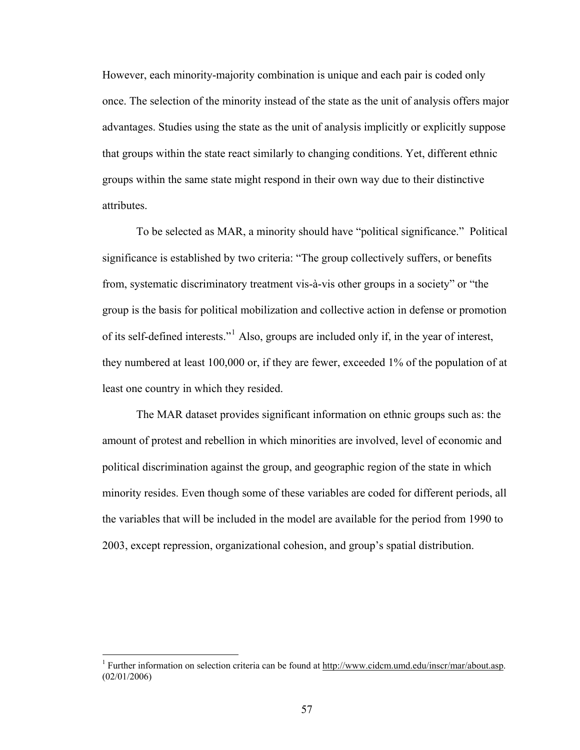<span id="page-67-0"></span>However, each minority-majority combination is unique and each pair is coded only once. The selection of the minority instead of the state as the unit of analysis offers major advantages. Studies using the state as the unit of analysis implicitly or explicitly suppose that groups within the state react similarly to changing conditions. Yet, different ethnic groups within the same state might respond in their own way due to their distinctive attributes.

To be selected as MAR, a minority should have "political significance." Political significance is established by two criteria: "The group collectively suffers, or benefits from, systematic discriminatory treatment vis-à-vis other groups in a society" or "the group is the basis for political mobilization and collective action in defense or promotion of its self-defined interests."<sup>[1](#page-67-0)</sup> Also, groups are included only if, in the year of interest, they numbered at least 100,000 or, if they are fewer, exceeded 1% of the population of at least one country in which they resided.

The MAR dataset provides significant information on ethnic groups such as: the amount of protest and rebellion in which minorities are involved, level of economic and political discrimination against the group, and geographic region of the state in which minority resides. Even though some of these variables are coded for different periods, all the variables that will be included in the model are available for the period from 1990 to 2003, except repression, organizational cohesion, and group's spatial distribution.

 $\overline{a}$ 

<sup>&</sup>lt;sup>1</sup> Further information on selection criteria can be found at [http://www.cidcm.umd.edu/inscr/mar/about.asp.](http://www.cidcm.umd.edu/inscr/mar/about.asp) (02/01/2006)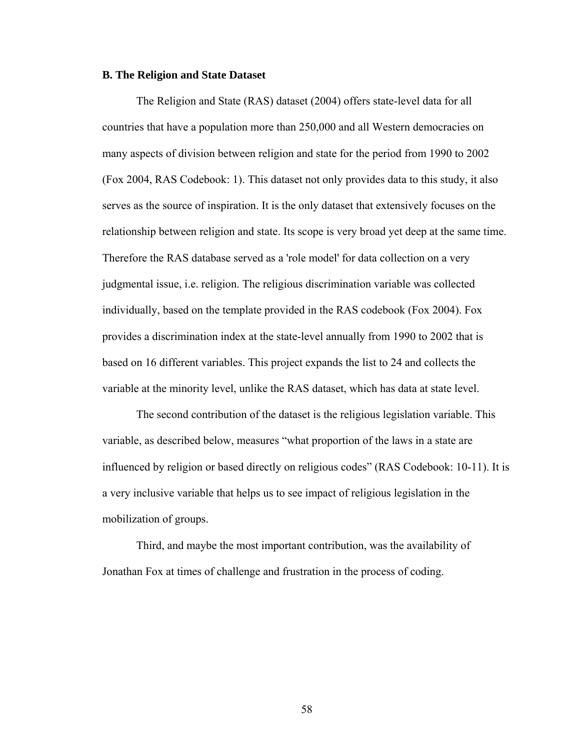#### **B. The Religion and State Dataset**

The Religion and State (RAS) dataset (2004) offers state-level data for all countries that have a population more than 250,000 and all Western democracies on many aspects of division between religion and state for the period from 1990 to 2002 (Fox 2004, RAS Codebook: 1). This dataset not only provides data to this study, it also serves as the source of inspiration. It is the only dataset that extensively focuses on the relationship between religion and state. Its scope is very broad yet deep at the same time. Therefore the RAS database served as a 'role model' for data collection on a very judgmental issue, i.e. religion. The religious discrimination variable was collected individually, based on the template provided in the RAS codebook (Fox 2004). Fox provides a discrimination index at the state-level annually from 1990 to 2002 that is based on 16 different variables. This project expands the list to 24 and collects the variable at the minority level, unlike the RAS dataset, which has data at state level.

The second contribution of the dataset is the religious legislation variable. This variable, as described below, measures "what proportion of the laws in a state are influenced by religion or based directly on religious codes" (RAS Codebook: 10-11). It is a very inclusive variable that helps us to see impact of religious legislation in the mobilization of groups.

Third, and maybe the most important contribution, was the availability of Jonathan Fox at times of challenge and frustration in the process of coding.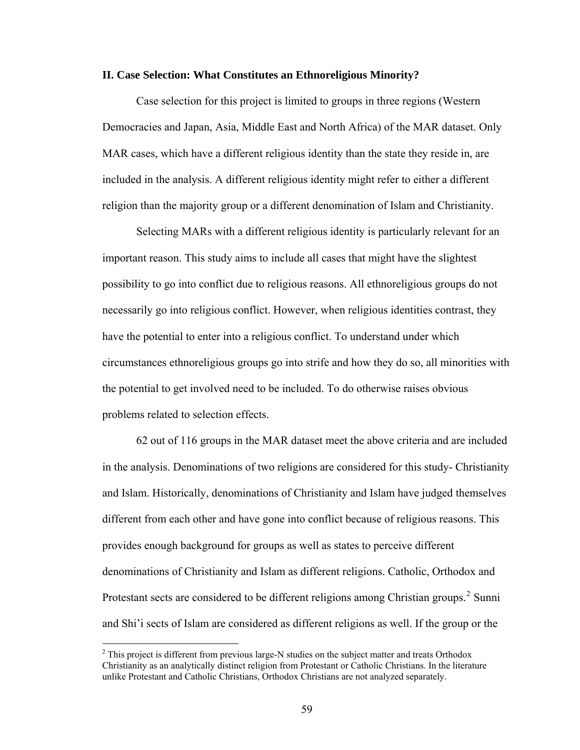#### <span id="page-69-0"></span>**II. Case Selection: What Constitutes an Ethnoreligious Minority?**

 Case selection for this project is limited to groups in three regions (Western Democracies and Japan, Asia, Middle East and North Africa) of the MAR dataset. Only MAR cases, which have a different religious identity than the state they reside in, are included in the analysis. A different religious identity might refer to either a different religion than the majority group or a different denomination of Islam and Christianity.

 Selecting MARs with a different religious identity is particularly relevant for an important reason. This study aims to include all cases that might have the slightest possibility to go into conflict due to religious reasons. All ethnoreligious groups do not necessarily go into religious conflict. However, when religious identities contrast, they have the potential to enter into a religious conflict. To understand under which circumstances ethnoreligious groups go into strife and how they do so, all minorities with the potential to get involved need to be included. To do otherwise raises obvious problems related to selection effects.

62 out of 116 groups in the MAR dataset meet the above criteria and are included in the analysis. Denominations of two religions are considered for this study- Christianity and Islam. Historically, denominations of Christianity and Islam have judged themselves different from each other and have gone into conflict because of religious reasons. This provides enough background for groups as well as states to perceive different denominations of Christianity and Islam as different religions. Catholic, Orthodox and Protestant sects are considered to be different religions among Christian groups.<sup>[2](#page-69-0)</sup> Sunni and Shi'i sects of Islam are considered as different religions as well. If the group or the

 $2^2$  This project is different from previous large-N studies on the subject matter and treats Orthodox Christianity as an analytically distinct religion from Protestant or Catholic Christians. In the literature unlike Protestant and Catholic Christians, Orthodox Christians are not analyzed separately.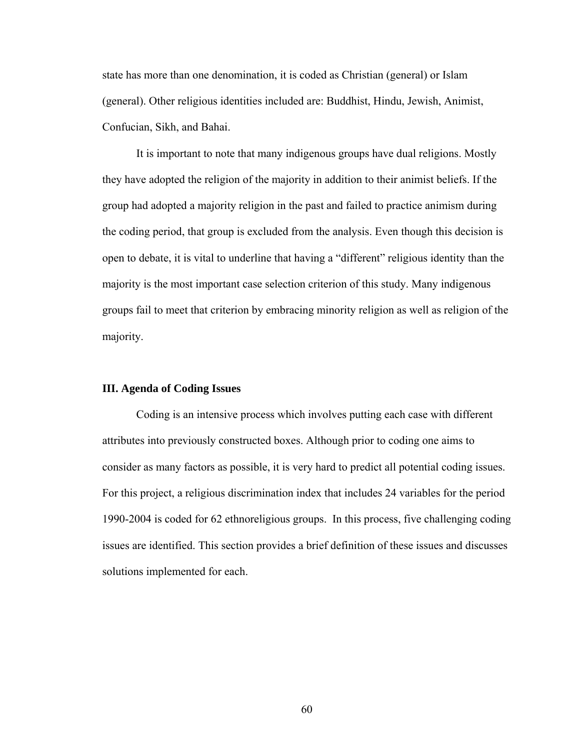state has more than one denomination, it is coded as Christian (general) or Islam (general). Other religious identities included are: Buddhist, Hindu, Jewish, Animist, Confucian, Sikh, and Bahai.

It is important to note that many indigenous groups have dual religions. Mostly they have adopted the religion of the majority in addition to their animist beliefs. If the group had adopted a majority religion in the past and failed to practice animism during the coding period, that group is excluded from the analysis. Even though this decision is open to debate, it is vital to underline that having a "different" religious identity than the majority is the most important case selection criterion of this study. Many indigenous groups fail to meet that criterion by embracing minority religion as well as religion of the majority.

## **III. Agenda of Coding Issues**

 Coding is an intensive process which involves putting each case with different attributes into previously constructed boxes. Although prior to coding one aims to consider as many factors as possible, it is very hard to predict all potential coding issues. For this project, a religious discrimination index that includes 24 variables for the period 1990-2004 is coded for 62 ethnoreligious groups. In this process, five challenging coding issues are identified. This section provides a brief definition of these issues and discusses solutions implemented for each.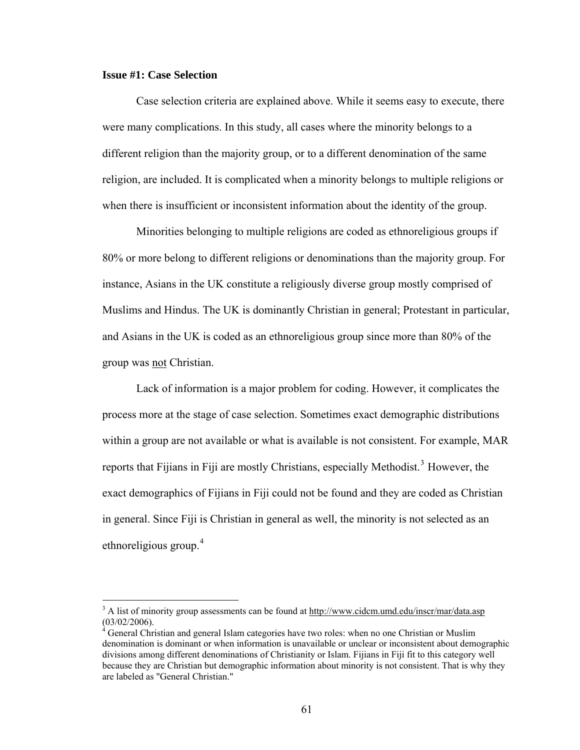## <span id="page-71-0"></span>**Issue #1: Case Selection**

 $\overline{a}$ 

 Case selection criteria are explained above. While it seems easy to execute, there were many complications. In this study, all cases where the minority belongs to a different religion than the majority group, or to a different denomination of the same religion, are included. It is complicated when a minority belongs to multiple religions or when there is insufficient or inconsistent information about the identity of the group.

 Minorities belonging to multiple religions are coded as ethnoreligious groups if 80% or more belong to different religions or denominations than the majority group. For instance, Asians in the UK constitute a religiously diverse group mostly comprised of Muslims and Hindus. The UK is dominantly Christian in general; Protestant in particular, and Asians in the UK is coded as an ethnoreligious group since more than 80% of the group was not Christian.

 Lack of information is a major problem for coding. However, it complicates the process more at the stage of case selection. Sometimes exact demographic distributions within a group are not available or what is available is not consistent. For example, MAR reports that Fijians in Fiji are mostly Christians, especially Methodist.<sup>[3](#page-71-0)</sup> However, the exact demographics of Fijians in Fiji could not be found and they are coded as Christian in general. Since Fiji is Christian in general as well, the minority is not selected as an ethnoreligious group.<sup>[4](#page-71-0)</sup>

 $3 \text{ A}$  list of minority group assessments can be found at  $\frac{http://www.cidcm.umd.edu/inscr/mar/data.asp)}{$ (03/02/2006).

<sup>&</sup>lt;sup>4</sup> General Christian and general Islam categories have two roles: when no one Christian or Muslim denomination is dominant or when information is unavailable or unclear or inconsistent about demographic divisions among different denominations of Christianity or Islam. Fijians in Fiji fit to this category well because they are Christian but demographic information about minority is not consistent. That is why they are labeled as "General Christian."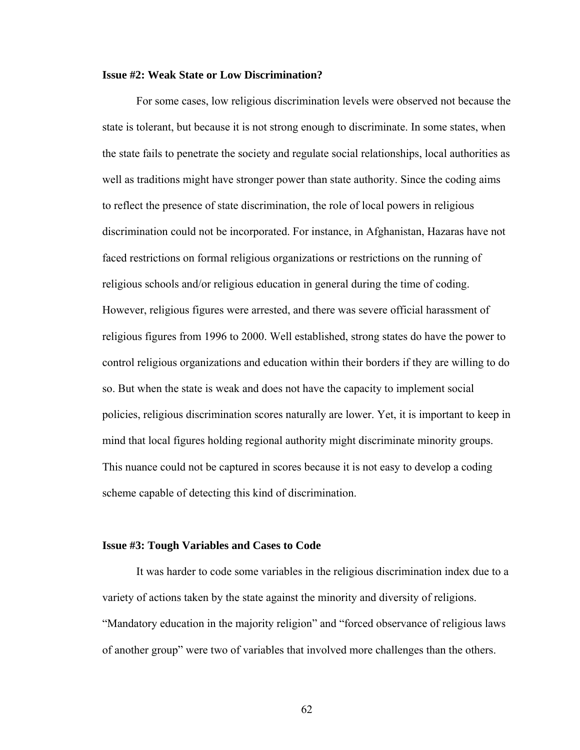#### **Issue #2: Weak State or Low Discrimination?**

 For some cases, low religious discrimination levels were observed not because the state is tolerant, but because it is not strong enough to discriminate. In some states, when the state fails to penetrate the society and regulate social relationships, local authorities as well as traditions might have stronger power than state authority. Since the coding aims to reflect the presence of state discrimination, the role of local powers in religious discrimination could not be incorporated. For instance, in Afghanistan, Hazaras have not faced restrictions on formal religious organizations or restrictions on the running of religious schools and/or religious education in general during the time of coding. However, religious figures were arrested, and there was severe official harassment of religious figures from 1996 to 2000. Well established, strong states do have the power to control religious organizations and education within their borders if they are willing to do so. But when the state is weak and does not have the capacity to implement social policies, religious discrimination scores naturally are lower. Yet, it is important to keep in mind that local figures holding regional authority might discriminate minority groups. This nuance could not be captured in scores because it is not easy to develop a coding scheme capable of detecting this kind of discrimination.

#### **Issue #3: Tough Variables and Cases to Code**

It was harder to code some variables in the religious discrimination index due to a variety of actions taken by the state against the minority and diversity of religions. "Mandatory education in the majority religion" and "forced observance of religious laws of another group" were two of variables that involved more challenges than the others.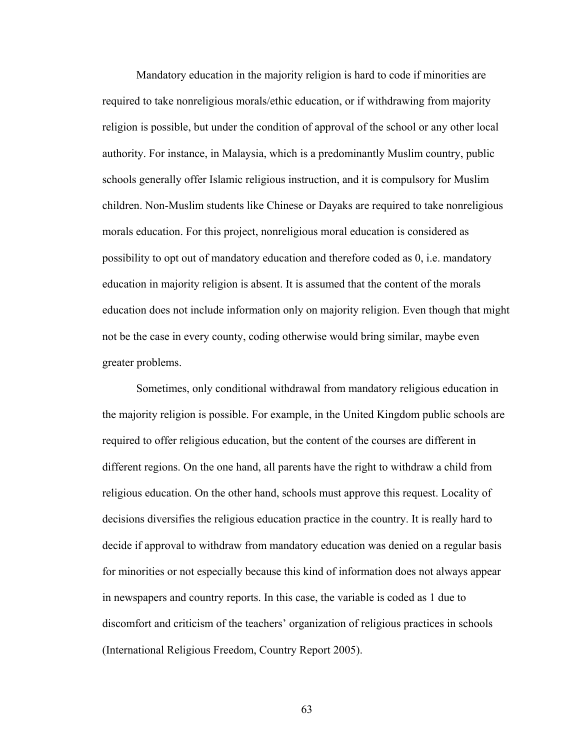Mandatory education in the majority religion is hard to code if minorities are required to take nonreligious morals/ethic education, or if withdrawing from majority religion is possible, but under the condition of approval of the school or any other local authority. For instance, in Malaysia, which is a predominantly Muslim country, public schools generally offer Islamic religious instruction, and it is compulsory for Muslim children. Non-Muslim students like Chinese or Dayaks are required to take nonreligious morals education. For this project, nonreligious moral education is considered as possibility to opt out of mandatory education and therefore coded as 0, i.e. mandatory education in majority religion is absent. It is assumed that the content of the morals education does not include information only on majority religion. Even though that might not be the case in every county, coding otherwise would bring similar, maybe even greater problems.

Sometimes, only conditional withdrawal from mandatory religious education in the majority religion is possible. For example, in the United Kingdom public schools are required to offer religious education, but the content of the courses are different in different regions. On the one hand, all parents have the right to withdraw a child from religious education. On the other hand, schools must approve this request. Locality of decisions diversifies the religious education practice in the country. It is really hard to decide if approval to withdraw from mandatory education was denied on a regular basis for minorities or not especially because this kind of information does not always appear in newspapers and country reports. In this case, the variable is coded as 1 due to discomfort and criticism of the teachers' organization of religious practices in schools (International Religious Freedom, Country Report 2005).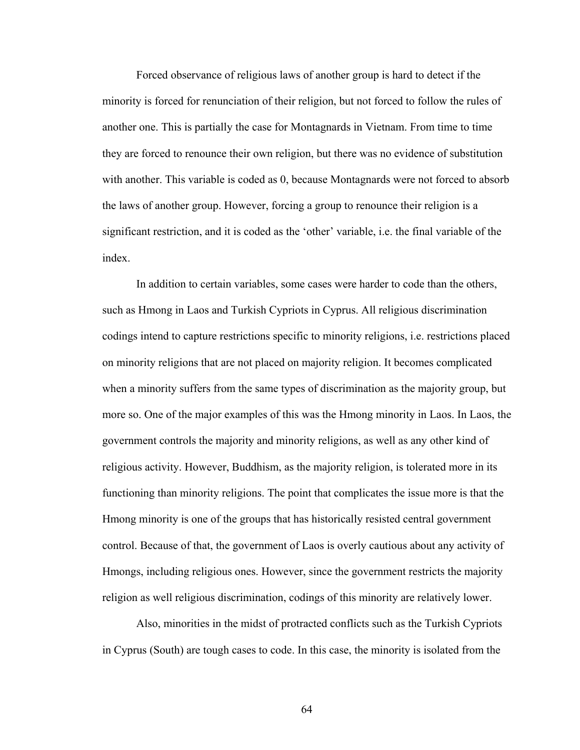Forced observance of religious laws of another group is hard to detect if the minority is forced for renunciation of their religion, but not forced to follow the rules of another one. This is partially the case for Montagnards in Vietnam. From time to time they are forced to renounce their own religion, but there was no evidence of substitution with another. This variable is coded as 0, because Montagnards were not forced to absorb the laws of another group. However, forcing a group to renounce their religion is a significant restriction, and it is coded as the 'other' variable, i.e. the final variable of the index.

In addition to certain variables, some cases were harder to code than the others, such as Hmong in Laos and Turkish Cypriots in Cyprus. All religious discrimination codings intend to capture restrictions specific to minority religions, i.e. restrictions placed on minority religions that are not placed on majority religion. It becomes complicated when a minority suffers from the same types of discrimination as the majority group, but more so. One of the major examples of this was the Hmong minority in Laos. In Laos, the government controls the majority and minority religions, as well as any other kind of religious activity. However, Buddhism, as the majority religion, is tolerated more in its functioning than minority religions. The point that complicates the issue more is that the Hmong minority is one of the groups that has historically resisted central government control. Because of that, the government of Laos is overly cautious about any activity of Hmongs, including religious ones. However, since the government restricts the majority religion as well religious discrimination, codings of this minority are relatively lower.

Also, minorities in the midst of protracted conflicts such as the Turkish Cypriots in Cyprus (South) are tough cases to code. In this case, the minority is isolated from the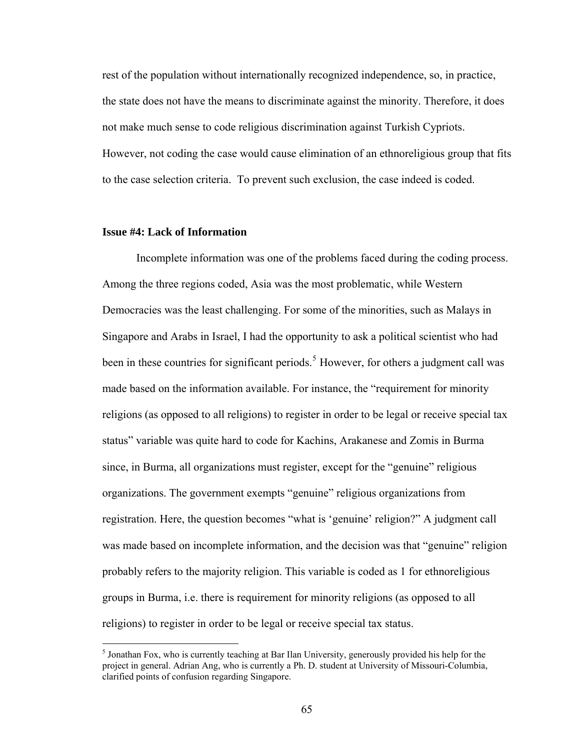<span id="page-75-0"></span>rest of the population without internationally recognized independence, so, in practice, the state does not have the means to discriminate against the minority. Therefore, it does not make much sense to code religious discrimination against Turkish Cypriots. However, not coding the case would cause elimination of an ethnoreligious group that fits to the case selection criteria. To prevent such exclusion, the case indeed is coded.

## **Issue #4: Lack of Information**

 $\overline{a}$ 

Incomplete information was one of the problems faced during the coding process. Among the three regions coded, Asia was the most problematic, while Western Democracies was the least challenging. For some of the minorities, such as Malays in Singapore and Arabs in Israel, I had the opportunity to ask a political scientist who had been in these countries for significant periods.<sup>[5](#page-75-0)</sup> However, for others a judgment call was made based on the information available. For instance, the "requirement for minority religions (as opposed to all religions) to register in order to be legal or receive special tax status" variable was quite hard to code for Kachins, Arakanese and Zomis in Burma since, in Burma, all organizations must register, except for the "genuine" religious organizations. The government exempts "genuine" religious organizations from registration. Here, the question becomes "what is 'genuine' religion?" A judgment call was made based on incomplete information, and the decision was that "genuine" religion probably refers to the majority religion. This variable is coded as 1 for ethnoreligious groups in Burma, i.e. there is requirement for minority religions (as opposed to all religions) to register in order to be legal or receive special tax status.

<sup>&</sup>lt;sup>5</sup> Jonathan Fox, who is currently teaching at Bar Ilan University, generously provided his help for the project in general. Adrian Ang, who is currently a Ph. D. student at University of Missouri-Columbia, clarified points of confusion regarding Singapore.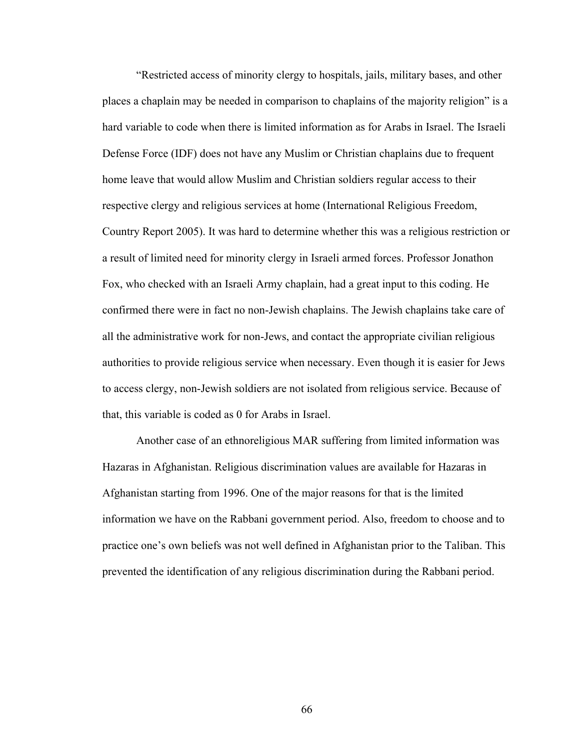"Restricted access of minority clergy to hospitals, jails, military bases, and other places a chaplain may be needed in comparison to chaplains of the majority religion" is a hard variable to code when there is limited information as for Arabs in Israel. The Israeli Defense Force (IDF) does not have any Muslim or Christian chaplains due to frequent home leave that would allow Muslim and Christian soldiers regular access to their respective clergy and religious services at home (International Religious Freedom, Country Report 2005). It was hard to determine whether this was a religious restriction or a result of limited need for minority clergy in Israeli armed forces. Professor Jonathon Fox, who checked with an Israeli Army chaplain, had a great input to this coding. He confirmed there were in fact no non-Jewish chaplains. The Jewish chaplains take care of all the administrative work for non-Jews, and contact the appropriate civilian religious authorities to provide religious service when necessary. Even though it is easier for Jews to access clergy, non-Jewish soldiers are not isolated from religious service. Because of that, this variable is coded as 0 for Arabs in Israel.

Another case of an ethnoreligious MAR suffering from limited information was Hazaras in Afghanistan. Religious discrimination values are available for Hazaras in Afghanistan starting from 1996. One of the major reasons for that is the limited information we have on the Rabbani government period. Also, freedom to choose and to practice one's own beliefs was not well defined in Afghanistan prior to the Taliban. This prevented the identification of any religious discrimination during the Rabbani period.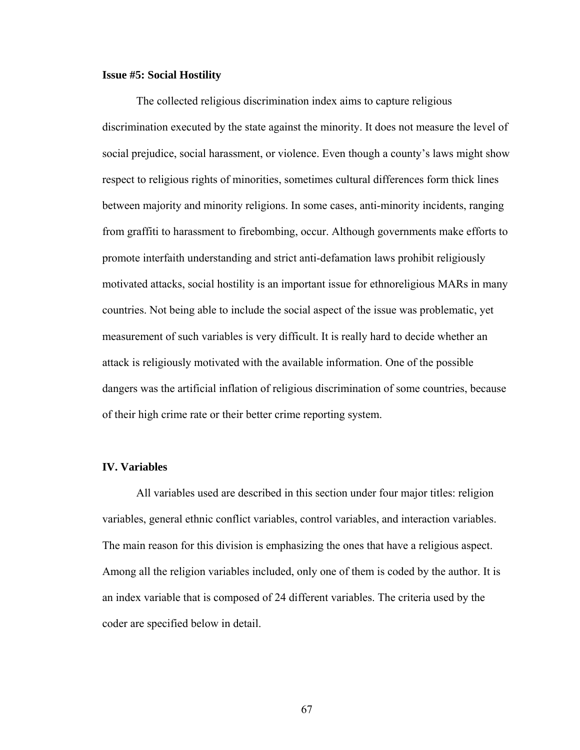#### **Issue #5: Social Hostility**

The collected religious discrimination index aims to capture religious discrimination executed by the state against the minority. It does not measure the level of social prejudice, social harassment, or violence. Even though a county's laws might show respect to religious rights of minorities, sometimes cultural differences form thick lines between majority and minority religions. In some cases, anti-minority incidents, ranging from graffiti to harassment to firebombing, occur. Although governments make efforts to promote interfaith understanding and strict anti-defamation laws prohibit religiously motivated attacks, social hostility is an important issue for ethnoreligious MARs in many countries. Not being able to include the social aspect of the issue was problematic, yet measurement of such variables is very difficult. It is really hard to decide whether an attack is religiously motivated with the available information. One of the possible dangers was the artificial inflation of religious discrimination of some countries, because of their high crime rate or their better crime reporting system.

#### **IV. Variables**

All variables used are described in this section under four major titles: religion variables, general ethnic conflict variables, control variables, and interaction variables. The main reason for this division is emphasizing the ones that have a religious aspect. Among all the religion variables included, only one of them is coded by the author. It is an index variable that is composed of 24 different variables. The criteria used by the coder are specified below in detail.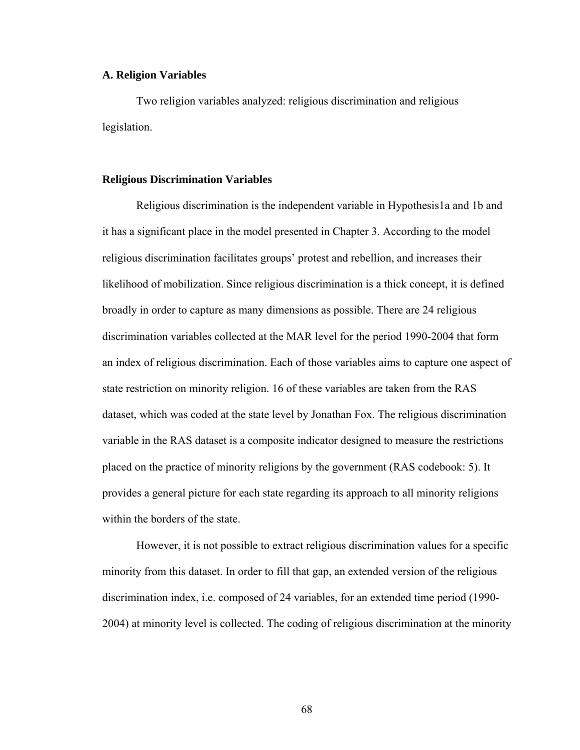#### **A. Religion Variables**

Two religion variables analyzed: religious discrimination and religious legislation.

#### **Religious Discrimination Variables**

Religious discrimination is the independent variable in Hypothesis1a and 1b and it has a significant place in the model presented in Chapter 3. According to the model religious discrimination facilitates groups' protest and rebellion, and increases their likelihood of mobilization. Since religious discrimination is a thick concept, it is defined broadly in order to capture as many dimensions as possible. There are 24 religious discrimination variables collected at the MAR level for the period 1990-2004 that form an index of religious discrimination. Each of those variables aims to capture one aspect of state restriction on minority religion. 16 of these variables are taken from the RAS dataset, which was coded at the state level by Jonathan Fox. The religious discrimination variable in the RAS dataset is a composite indicator designed to measure the restrictions placed on the practice of minority religions by the government (RAS codebook: 5). It provides a general picture for each state regarding its approach to all minority religions within the borders of the state.

However, it is not possible to extract religious discrimination values for a specific minority from this dataset. In order to fill that gap, an extended version of the religious discrimination index, i.e. composed of 24 variables, for an extended time period (1990- 2004) at minority level is collected. The coding of religious discrimination at the minority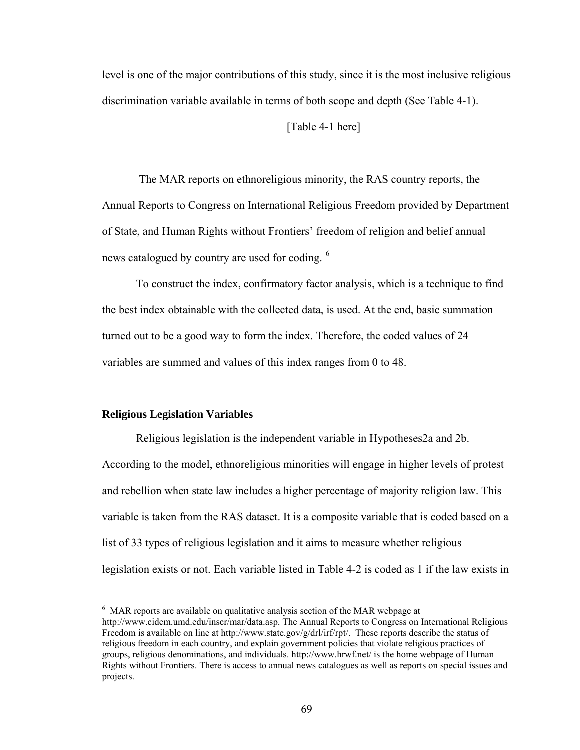<span id="page-79-0"></span>level is one of the major contributions of this study, since it is the most inclusive religious discrimination variable available in terms of both scope and depth (See Table 4-1).

[Table 4-1 here]

 The MAR reports on ethnoreligious minority, the RAS country reports, the Annual Reports to Congress on International Religious Freedom provided by Department of State, and Human Rights without Frontiers' freedom of religion and belief annual news catalogued by country are used for coding. <sup>[6](#page-79-0)</sup>

 To construct the index, confirmatory factor analysis, which is a technique to find the best index obtainable with the collected data, is used. At the end, basic summation turned out to be a good way to form the index. Therefore, the coded values of 24 variables are summed and values of this index ranges from 0 to 48.

#### **Religious Legislation Variables**

 $\overline{a}$ 

Religious legislation is the independent variable in Hypotheses2a and 2b. According to the model, ethnoreligious minorities will engage in higher levels of protest and rebellion when state law includes a higher percentage of majority religion law. This variable is taken from the RAS dataset. It is a composite variable that is coded based on a list of 33 types of religious legislation and it aims to measure whether religious legislation exists or not. Each variable listed in Table 4-2 is coded as 1 if the law exists in

 $6$  MAR reports are available on qualitative analysis section of the MAR webpage at [http://www.cidcm.umd.edu/inscr/mar/data.asp.](http://www.cidcm.umd.edu/inscr/mar/data.asp) The Annual Reports to Congress on International Religious Freedom is available on line at [http://www.state.gov/g/drl/irf/rpt/.](http://www.state.gov/g/drl/irf/rpt/) These reports describe the status of religious freedom in each country, and explain government policies that violate religious practices of groups, religious denominations, and individuals. http://www.hrwf.net/ is the home webpage of Human Rights without Frontiers. There is access to annual news catalogues as well as reports on special issues and projects.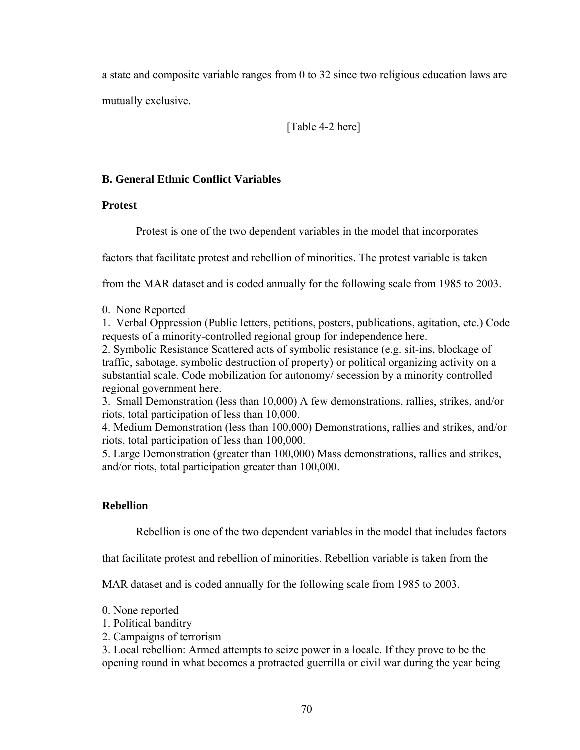a state and composite variable ranges from 0 to 32 since two religious education laws are mutually exclusive.

[Table 4-2 here]

# **B. General Ethnic Conflict Variables**

# **Protest**

Protest is one of the two dependent variables in the model that incorporates

factors that facilitate protest and rebellion of minorities. The protest variable is taken

from the MAR dataset and is coded annually for the following scale from 1985 to 2003.

# 0. None Reported

1. Verbal Oppression (Public letters, petitions, posters, publications, agitation, etc.) Code requests of a minority-controlled regional group for independence here.

2. Symbolic Resistance Scattered acts of symbolic resistance (e.g. sit-ins, blockage of traffic, sabotage, symbolic destruction of property) or political organizing activity on a substantial scale. Code mobilization for autonomy/ secession by a minority controlled regional government here.

3. Small Demonstration (less than 10,000) A few demonstrations, rallies, strikes, and/or riots, total participation of less than 10,000.

4. Medium Demonstration (less than 100,000) Demonstrations, rallies and strikes, and/or riots, total participation of less than 100,000.

5. Large Demonstration (greater than 100,000) Mass demonstrations, rallies and strikes, and/or riots, total participation greater than 100,000.

# **Rebellion**

Rebellion is one of the two dependent variables in the model that includes factors

that facilitate protest and rebellion of minorities. Rebellion variable is taken from the

MAR dataset and is coded annually for the following scale from 1985 to 2003.

- 0. None reported
- 1. Political banditry
- 2. Campaigns of terrorism

3. Local rebellion: Armed attempts to seize power in a locale. If they prove to be the opening round in what becomes a protracted guerrilla or civil war during the year being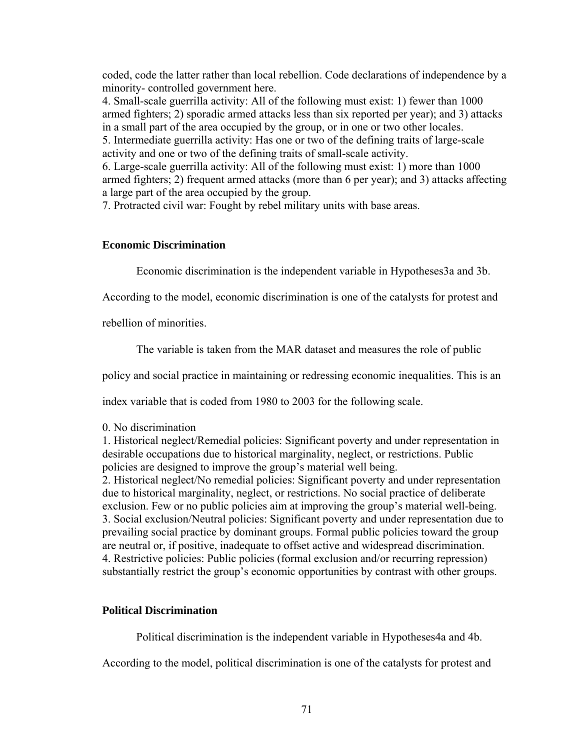coded, code the latter rather than local rebellion. Code declarations of independence by a minority- controlled government here.

4. Small-scale guerrilla activity: All of the following must exist: 1) fewer than 1000 armed fighters; 2) sporadic armed attacks less than six reported per year); and 3) attacks in a small part of the area occupied by the group, or in one or two other locales. 5. Intermediate guerrilla activity: Has one or two of the defining traits of large-scale activity and one or two of the defining traits of small-scale activity.

6. Large-scale guerrilla activity: All of the following must exist: 1) more than 1000 armed fighters; 2) frequent armed attacks (more than 6 per year); and 3) attacks affecting a large part of the area occupied by the group.

7. Protracted civil war: Fought by rebel military units with base areas.

## **Economic Discrimination**

Economic discrimination is the independent variable in Hypotheses3a and 3b.

According to the model, economic discrimination is one of the catalysts for protest and

rebellion of minorities.

The variable is taken from the MAR dataset and measures the role of public

policy and social practice in maintaining or redressing economic inequalities. This is an

index variable that is coded from 1980 to 2003 for the following scale.

0. No discrimination

1. Historical neglect/Remedial policies: Significant poverty and under representation in desirable occupations due to historical marginality, neglect, or restrictions. Public policies are designed to improve the group's material well being.

2. Historical neglect/No remedial policies: Significant poverty and under representation due to historical marginality, neglect, or restrictions. No social practice of deliberate exclusion. Few or no public policies aim at improving the group's material well-being. 3. Social exclusion/Neutral policies: Significant poverty and under representation due to prevailing social practice by dominant groups. Formal public policies toward the group are neutral or, if positive, inadequate to offset active and widespread discrimination. 4. Restrictive policies: Public policies (formal exclusion and/or recurring repression) substantially restrict the group's economic opportunities by contrast with other groups.

#### **Political Discrimination**

Political discrimination is the independent variable in Hypotheses4a and 4b.

According to the model, political discrimination is one of the catalysts for protest and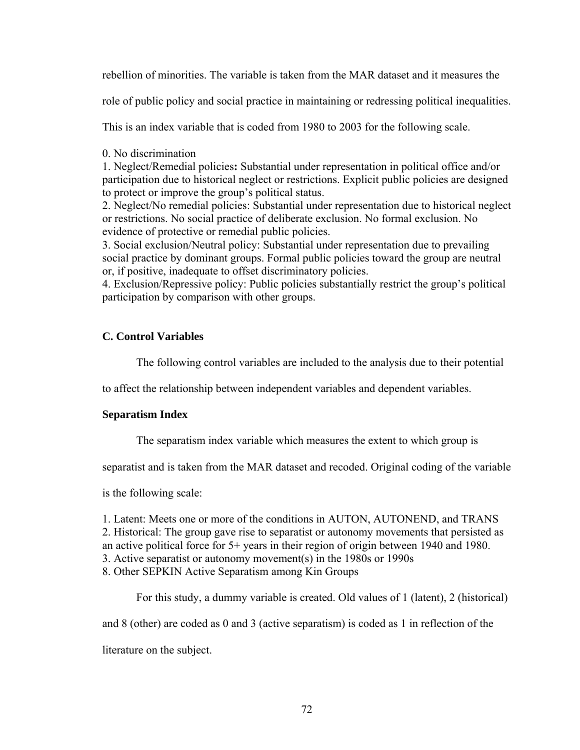rebellion of minorities. The variable is taken from the MAR dataset and it measures the

role of public policy and social practice in maintaining or redressing political inequalities.

This is an index variable that is coded from 1980 to 2003 for the following scale.

## 0. No discrimination

1. Neglect/Remedial policies**:** Substantial under representation in political office and/or participation due to historical neglect or restrictions. Explicit public policies are designed to protect or improve the group's political status.

2. Neglect/No remedial policies: Substantial under representation due to historical neglect or restrictions. No social practice of deliberate exclusion. No formal exclusion. No evidence of protective or remedial public policies.

3. Social exclusion/Neutral policy: Substantial under representation due to prevailing social practice by dominant groups. Formal public policies toward the group are neutral or, if positive, inadequate to offset discriminatory policies.

4. Exclusion/Repressive policy: Public policies substantially restrict the group's political participation by comparison with other groups.

# **C. Control Variables**

The following control variables are included to the analysis due to their potential

to affect the relationship between independent variables and dependent variables.

## **Separatism Index**

The separatism index variable which measures the extent to which group is

separatist and is taken from the MAR dataset and recoded. Original coding of the variable

is the following scale:

1. Latent: Meets one or more of the conditions in AUTON, AUTONEND, and TRANS 2. Historical: The group gave rise to separatist or autonomy movements that persisted as

an active political force for 5+ years in their region of origin between 1940 and 1980.

3. Active separatist or autonomy movement(s) in the 1980s or 1990s

8. Other SEPKIN Active Separatism among Kin Groups

For this study, a dummy variable is created. Old values of 1 (latent), 2 (historical)

and 8 (other) are coded as 0 and 3 (active separatism) is coded as 1 in reflection of the

literature on the subject.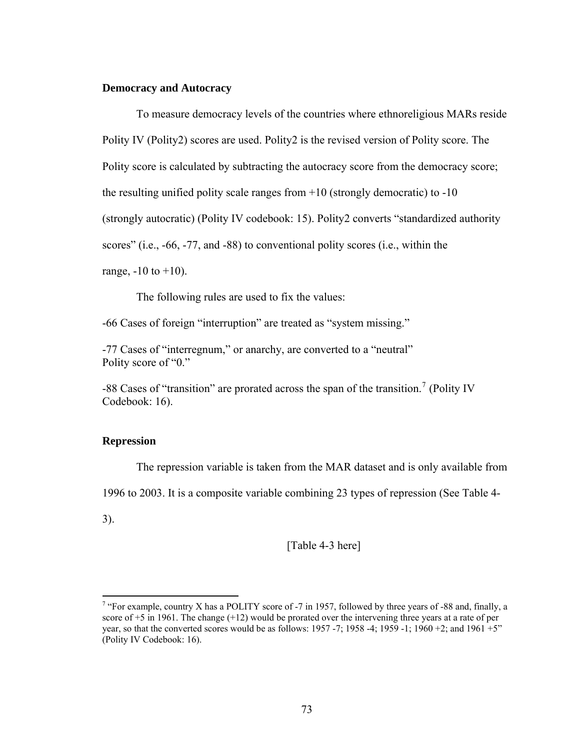## <span id="page-83-0"></span>**Democracy and Autocracy**

To measure democracy levels of the countries where ethnoreligious MARs reside Polity IV (Polity2) scores are used. Polity2 is the revised version of Polity score. The Polity score is calculated by subtracting the autocracy score from the democracy score; the resulting unified polity scale ranges from  $+10$  (strongly democratic) to  $-10$ (strongly autocratic) (Polity IV codebook: 15). Polity2 converts "standardized authority scores" (i.e., -66, -77, and -88) to conventional polity scores (i.e., within the range,  $-10$  to  $+10$ ).

The following rules are used to fix the values:

-66 Cases of foreign "interruption" are treated as "system missing."

-77 Cases of "interregnum," or anarchy, are converted to a "neutral" Polity score of "0."

 $-88$  Cases of "transition" are prorated across the span of the transition.<sup>[7](#page-83-0)</sup> (Polity IV) Codebook: 16).

#### **Repression**

The repression variable is taken from the MAR dataset and is only available from

1996 to 2003. It is a composite variable combining 23 types of repression (See Table 4-

3).

 $\overline{a}$ 

[Table 4-3 here]

<sup>&</sup>lt;sup>7</sup> "For example, country X has a POLITY score of -7 in 1957, followed by three years of -88 and, finally, a score of  $+5$  in 1961. The change  $(+12)$  would be prorated over the intervening three years at a rate of per year, so that the converted scores would be as follows: 1957 -7; 1958 -4; 1959 -1; 1960 +2; and 1961 +5" (Polity IV Codebook: 16).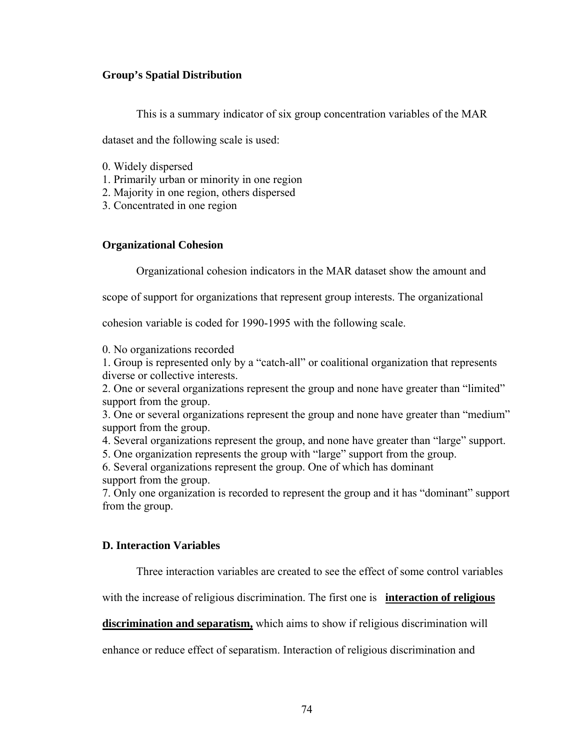## **Group's Spatial Distribution**

This is a summary indicator of six group concentration variables of the MAR

dataset and the following scale is used:

- 0. Widely dispersed
- 1. Primarily urban or minority in one region
- 2. Majority in one region, others dispersed
- 3. Concentrated in one region

## **Organizational Cohesion**

Organizational cohesion indicators in the MAR dataset show the amount and

scope of support for organizations that represent group interests. The organizational

cohesion variable is coded for 1990-1995 with the following scale.

0. No organizations recorded

1. Group is represented only by a "catch-all" or coalitional organization that represents diverse or collective interests.

2. One or several organizations represent the group and none have greater than "limited" support from the group.

3. One or several organizations represent the group and none have greater than "medium" support from the group.

4. Several organizations represent the group, and none have greater than "large" support.

5. One organization represents the group with "large" support from the group.

6. Several organizations represent the group. One of which has dominant support from the group.

7. Only one organization is recorded to represent the group and it has "dominant" support from the group.

## **D. Interaction Variables**

Three interaction variables are created to see the effect of some control variables

with the increase of religious discrimination. The first one is **interaction of religious** 

**discrimination and separatism,** which aims to show if religious discrimination will

enhance or reduce effect of separatism. Interaction of religious discrimination and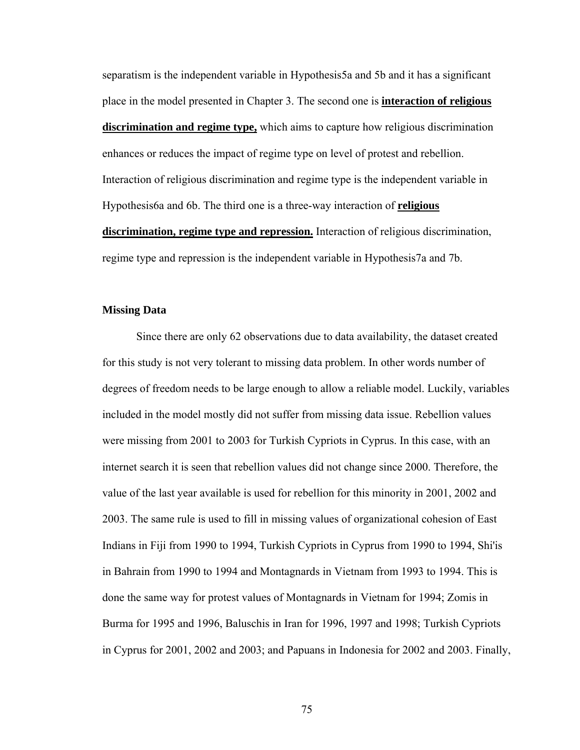separatism is the independent variable in Hypothesis5a and 5b and it has a significant place in the model presented in Chapter 3. The second one is **interaction of religious discrimination and regime type,** which aims to capture how religious discrimination enhances or reduces the impact of regime type on level of protest and rebellion. Interaction of religious discrimination and regime type is the independent variable in Hypothesis6a and 6b. The third one is a three-way interaction of **religious discrimination, regime type and repression.** Interaction of religious discrimination, regime type and repression is the independent variable in Hypothesis7a and 7b.

#### **Missing Data**

 Since there are only 62 observations due to data availability, the dataset created for this study is not very tolerant to missing data problem. In other words number of degrees of freedom needs to be large enough to allow a reliable model. Luckily, variables included in the model mostly did not suffer from missing data issue. Rebellion values were missing from 2001 to 2003 for Turkish Cypriots in Cyprus. In this case, with an internet search it is seen that rebellion values did not change since 2000. Therefore, the value of the last year available is used for rebellion for this minority in 2001, 2002 and 2003. The same rule is used to fill in missing values of organizational cohesion of East Indians in Fiji from 1990 to 1994, Turkish Cypriots in Cyprus from 1990 to 1994, Shi'is in Bahrain from 1990 to 1994 and Montagnards in Vietnam from 1993 to 1994. This is done the same way for protest values of Montagnards in Vietnam for 1994; Zomis in Burma for 1995 and 1996, Baluschis in Iran for 1996, 1997 and 1998; Turkish Cypriots in Cyprus for 2001, 2002 and 2003; and Papuans in Indonesia for 2002 and 2003. Finally,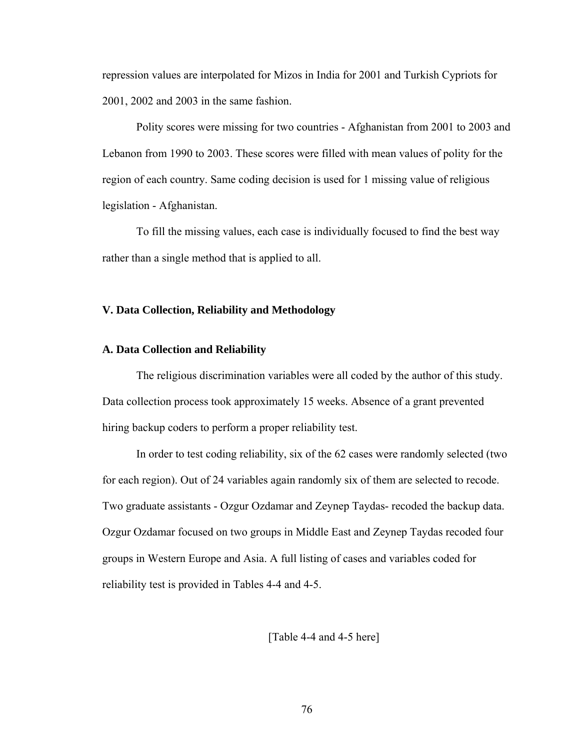repression values are interpolated for Mizos in India for 2001 and Turkish Cypriots for 2001, 2002 and 2003 in the same fashion.

 Polity scores were missing for two countries - Afghanistan from 2001 to 2003 and Lebanon from 1990 to 2003. These scores were filled with mean values of polity for the region of each country. Same coding decision is used for 1 missing value of religious legislation - Afghanistan.

 To fill the missing values, each case is individually focused to find the best way rather than a single method that is applied to all.

#### **V. Data Collection, Reliability and Methodology**

#### **A. Data Collection and Reliability**

The religious discrimination variables were all coded by the author of this study. Data collection process took approximately 15 weeks. Absence of a grant prevented hiring backup coders to perform a proper reliability test.

In order to test coding reliability, six of the 62 cases were randomly selected (two for each region). Out of 24 variables again randomly six of them are selected to recode. Two graduate assistants - Ozgur Ozdamar and Zeynep Taydas- recoded the backup data. Ozgur Ozdamar focused on two groups in Middle East and Zeynep Taydas recoded four groups in Western Europe and Asia. A full listing of cases and variables coded for reliability test is provided in Tables 4-4 and 4-5.

[Table 4-4 and 4-5 here]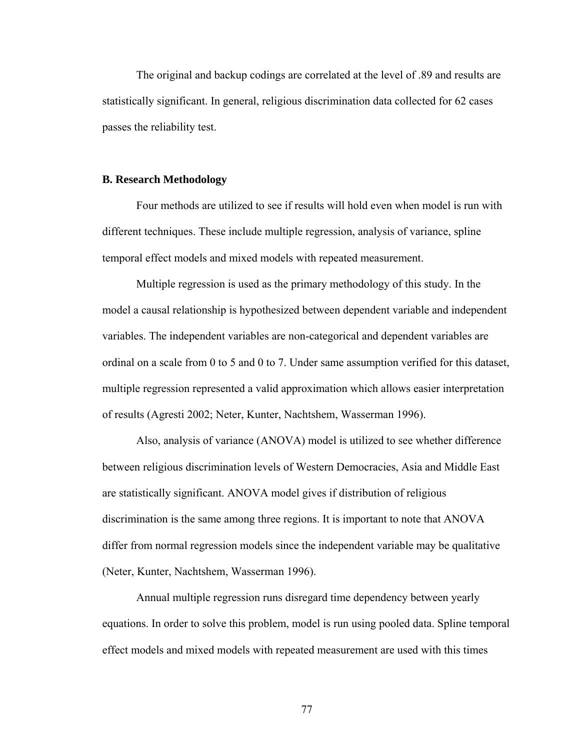The original and backup codings are correlated at the level of .89 and results are statistically significant. In general, religious discrimination data collected for 62 cases passes the reliability test.

#### **B. Research Methodology**

 Four methods are utilized to see if results will hold even when model is run with different techniques. These include multiple regression, analysis of variance, spline temporal effect models and mixed models with repeated measurement.

 Multiple regression is used as the primary methodology of this study. In the model a causal relationship is hypothesized between dependent variable and independent variables. The independent variables are non-categorical and dependent variables are ordinal on a scale from 0 to 5 and 0 to 7. Under same assumption verified for this dataset, multiple regression represented a valid approximation which allows easier interpretation of results (Agresti 2002; Neter, Kunter, Nachtshem, Wasserman 1996).

 Also, analysis of variance (ANOVA) model is utilized to see whether difference between religious discrimination levels of Western Democracies, Asia and Middle East are statistically significant. ANOVA model gives if distribution of religious discrimination is the same among three regions. It is important to note that ANOVA differ from normal regression models since the independent variable may be qualitative (Neter, Kunter, Nachtshem, Wasserman 1996).

 Annual multiple regression runs disregard time dependency between yearly equations. In order to solve this problem, model is run using pooled data. Spline temporal effect models and mixed models with repeated measurement are used with this times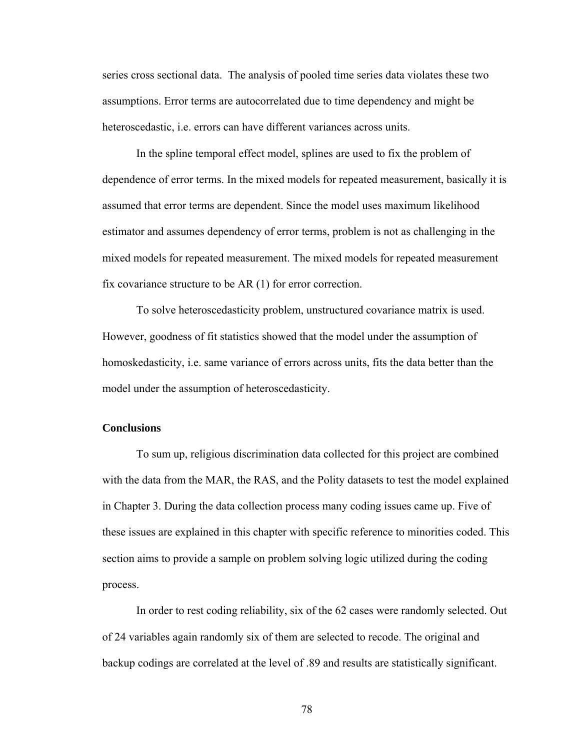series cross sectional data. The analysis of pooled time series data violates these two assumptions. Error terms are autocorrelated due to time dependency and might be heteroscedastic, i.e. errors can have different variances across units.

 In the spline temporal effect model, splines are used to fix the problem of dependence of error terms. In the mixed models for repeated measurement, basically it is assumed that error terms are dependent. Since the model uses maximum likelihood estimator and assumes dependency of error terms, problem is not as challenging in the mixed models for repeated measurement. The mixed models for repeated measurement fix covariance structure to be AR (1) for error correction.

 To solve heteroscedasticity problem, unstructured covariance matrix is used. However, goodness of fit statistics showed that the model under the assumption of [homoskedasticity](http://en.wikipedia.org/wiki/Homoskedasticity), i.e. same variance of errors across units, fits the data better than the model under the assumption of heteroscedasticity.

#### **Conclusions**

 To sum up, religious discrimination data collected for this project are combined with the data from the MAR, the RAS, and the Polity datasets to test the model explained in Chapter 3. During the data collection process many coding issues came up. Five of these issues are explained in this chapter with specific reference to minorities coded. This section aims to provide a sample on problem solving logic utilized during the coding process.

 In order to rest coding reliability, six of the 62 cases were randomly selected. Out of 24 variables again randomly six of them are selected to recode. The original and backup codings are correlated at the level of .89 and results are statistically significant.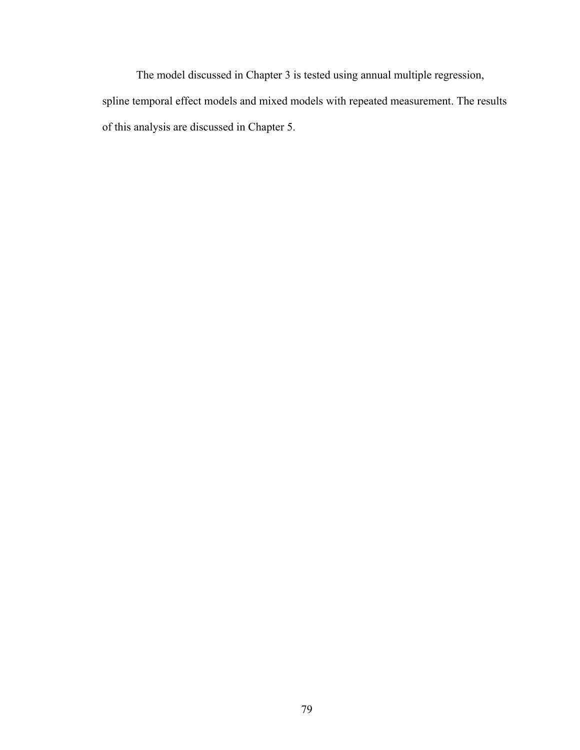The model discussed in Chapter 3 is tested using annual multiple regression, spline temporal effect models and mixed models with repeated measurement. The results of this analysis are discussed in Chapter 5.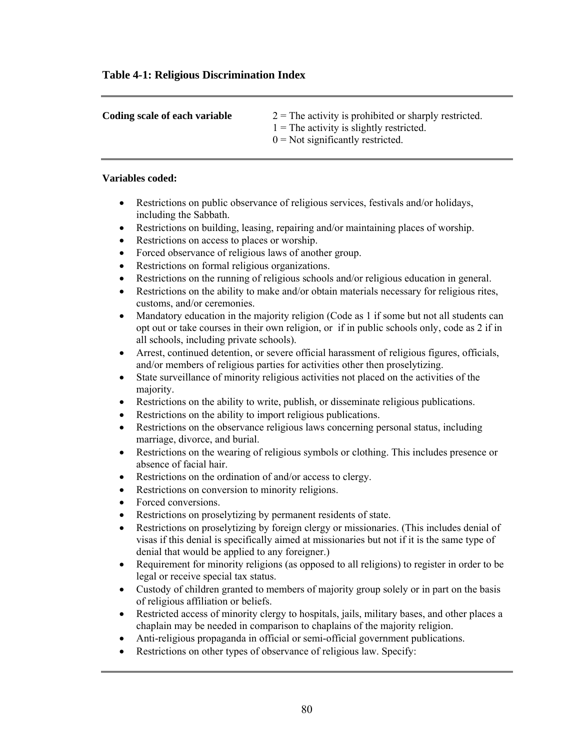## **Table 4-1: Religious Discrimination Index**

| Coding scale of each variable | $2 =$ The activity is prohibited or sharply restricted.<br>$1 =$ The activity is slightly restricted. |
|-------------------------------|-------------------------------------------------------------------------------------------------------|
|                               | $0 =$ Not significantly restricted.                                                                   |

#### **Variables coded:**

- Restrictions on public observance of religious services, festivals and/or holidays, including the Sabbath.
- Restrictions on building, leasing, repairing and/or maintaining places of worship.
- Restrictions on access to places or worship.
- Forced observance of religious laws of another group.
- Restrictions on formal religious organizations.
- Restrictions on the running of religious schools and/or religious education in general.
- Restrictions on the ability to make and/or obtain materials necessary for religious rites, customs, and/or ceremonies.
- Mandatory education in the majority religion (Code as 1 if some but not all students can opt out or take courses in their own religion, or if in public schools only, code as 2 if in all schools, including private schools).
- Arrest, continued detention, or severe official harassment of religious figures, officials, and/or members of religious parties for activities other then proselytizing.
- State surveillance of minority religious activities not placed on the activities of the majority.
- Restrictions on the ability to write, publish, or disseminate religious publications.
- Restrictions on the ability to import religious publications.
- Restrictions on the observance religious laws concerning personal status, including marriage, divorce, and burial.
- Restrictions on the wearing of religious symbols or clothing. This includes presence or absence of facial hair.
- Restrictions on the ordination of and/or access to clergy.
- Restrictions on conversion to minority religions.
- Forced conversions.
- Restrictions on proselytizing by permanent residents of state.
- Restrictions on proselytizing by foreign clergy or missionaries. (This includes denial of visas if this denial is specifically aimed at missionaries but not if it is the same type of denial that would be applied to any foreigner.)
- Requirement for minority religions (as opposed to all religions) to register in order to be legal or receive special tax status.
- Custody of children granted to members of majority group solely or in part on the basis of religious affiliation or beliefs.
- Restricted access of minority clergy to hospitals, jails, military bases, and other places a chaplain may be needed in comparison to chaplains of the majority religion.
- Anti-religious propaganda in official or semi-official government publications.
- Restrictions on other types of observance of religious law. Specify: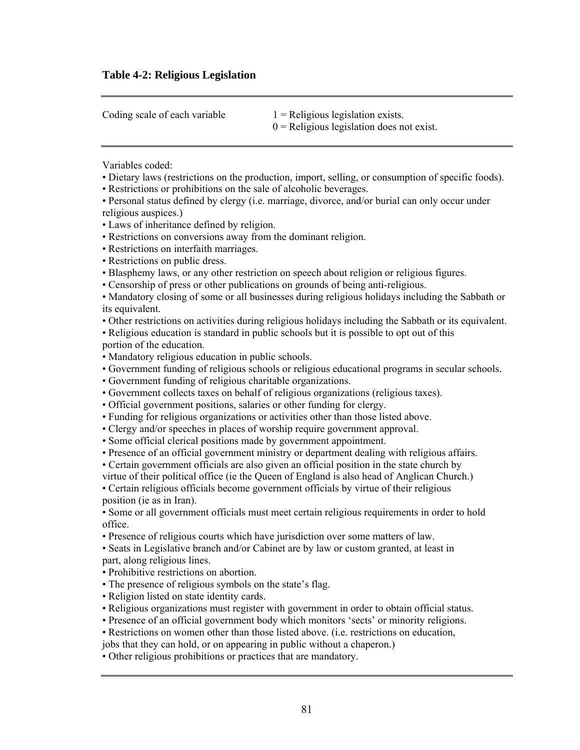| Coding scale of each variable | $1$ = Religious legislation exists.         |
|-------------------------------|---------------------------------------------|
|                               | $0$ = Religious legislation does not exist. |

Variables coded:

• Dietary laws (restrictions on the production, import, selling, or consumption of specific foods).

• Restrictions or prohibitions on the sale of alcoholic beverages.

• Personal status defined by clergy (i.e. marriage, divorce, and/or burial can only occur under religious auspices.)

- Laws of inheritance defined by religion.
- Restrictions on conversions away from the dominant religion.
- Restrictions on interfaith marriages.
- Restrictions on public dress.
- Blasphemy laws, or any other restriction on speech about religion or religious figures.
- Censorship of press or other publications on grounds of being anti-religious.

• Mandatory closing of some or all businesses during religious holidays including the Sabbath or its equivalent.

• Other restrictions on activities during religious holidays including the Sabbath or its equivalent.

• Religious education is standard in public schools but it is possible to opt out of this portion of the education.

- Mandatory religious education in public schools.
- Government funding of religious schools or religious educational programs in secular schools.
- Government funding of religious charitable organizations.
- Government collects taxes on behalf of religious organizations (religious taxes).
- Official government positions, salaries or other funding for clergy.
- Funding for religious organizations or activities other than those listed above.
- Clergy and/or speeches in places of worship require government approval.
- Some official clerical positions made by government appointment.
- Presence of an official government ministry or department dealing with religious affairs.
- Certain government officials are also given an official position in the state church by virtue of their political office (ie the Queen of England is also head of Anglican Church.)

• Certain religious officials become government officials by virtue of their religious position (ie as in Iran).

• Some or all government officials must meet certain religious requirements in order to hold office.

• Presence of religious courts which have jurisdiction over some matters of law.

• Seats in Legislative branch and/or Cabinet are by law or custom granted, at least in part, along religious lines.

- Prohibitive restrictions on abortion.
- The presence of religious symbols on the state's flag.
- Religion listed on state identity cards.
- Religious organizations must register with government in order to obtain official status.
- Presence of an official government body which monitors 'sects' or minority religions.
- Restrictions on women other than those listed above. (i.e. restrictions on education,

jobs that they can hold, or on appearing in public without a chaperon.)

• Other religious prohibitions or practices that are mandatory.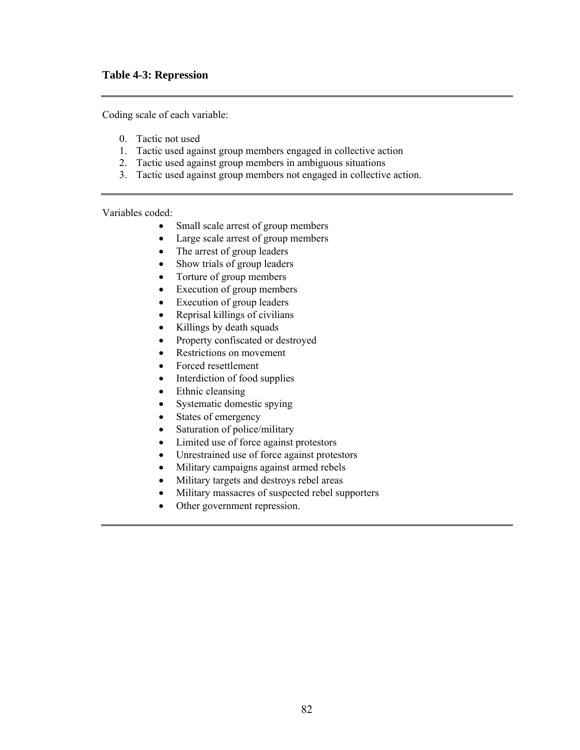#### **Table 4-3: Repression**

Coding scale of each variable:

- 0. Tactic not used
- 1. Tactic used against group members engaged in collective action
- 2. Tactic used against group members in ambiguous situations
- 3. Tactic used against group members not engaged in collective action.

Variables coded:

- Small scale arrest of group members
- Large scale arrest of group members
- The arrest of group leaders
- Show trials of group leaders
- Torture of group members
- Execution of group members
- Execution of group leaders
- Reprisal killings of civilians
- Killings by death squads
- Property confiscated or destroyed
- Restrictions on movement
- Forced resettlement
- Interdiction of food supplies
- Ethnic cleansing
- Systematic domestic spying
- States of emergency
- Saturation of police/military
- Limited use of force against protestors
- Unrestrained use of force against protestors
- Military campaigns against armed rebels
- Military targets and destroys rebel areas
- Military massacres of suspected rebel supporters
- Other government repression.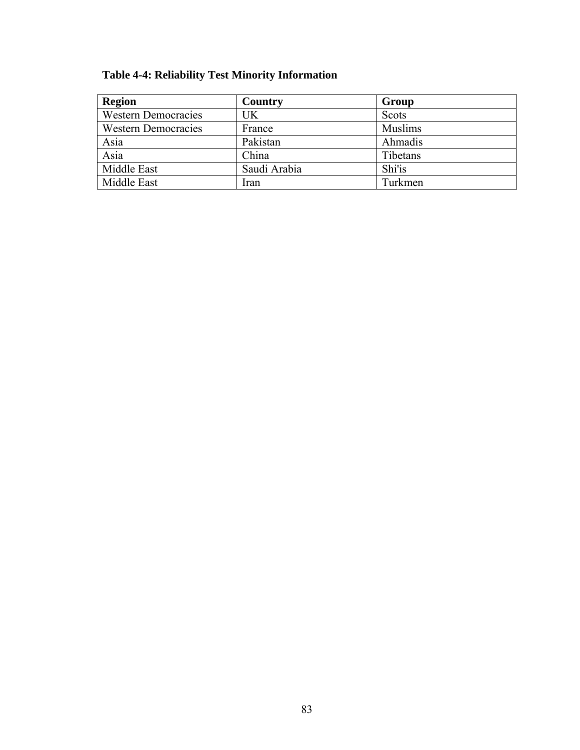| <b>Region</b>              | Country      | Group          |
|----------------------------|--------------|----------------|
| <b>Western Democracies</b> | UK           | Scots          |
| <b>Western Democracies</b> | France       | <b>Muslims</b> |
| Asia                       | Pakistan     | Ahmadis        |
| Asia                       | China        | Tibetans       |
| Middle East                | Saudi Arabia | Shi'is         |
| Middle East                | Iran         | Turkmen        |

# **Table 4-4: Reliability Test Minority Information**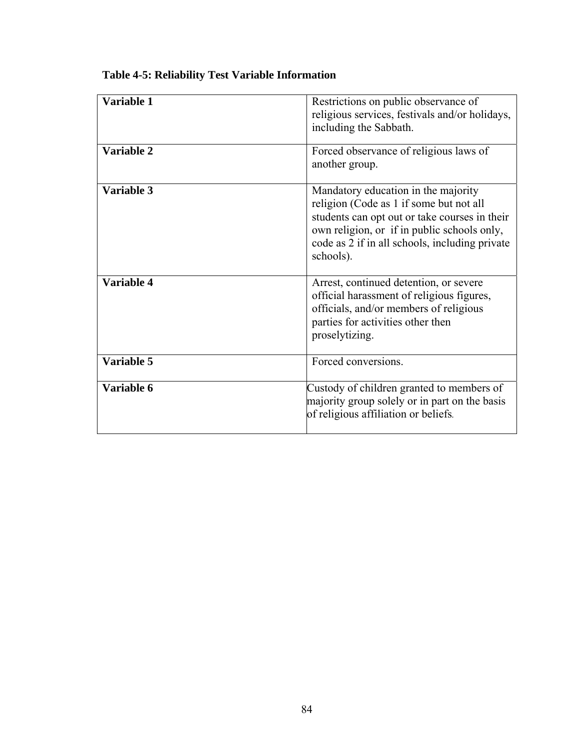| Variable 1 | Restrictions on public observance of<br>religious services, festivals and/or holidays,<br>including the Sabbath.                                                                                                                              |
|------------|-----------------------------------------------------------------------------------------------------------------------------------------------------------------------------------------------------------------------------------------------|
| Variable 2 | Forced observance of religious laws of<br>another group.                                                                                                                                                                                      |
| Variable 3 | Mandatory education in the majority<br>religion (Code as 1 if some but not all<br>students can opt out or take courses in their<br>own religion, or if in public schools only,<br>code as 2 if in all schools, including private<br>schools). |
| Variable 4 | Arrest, continued detention, or severe<br>official harassment of religious figures,<br>officials, and/or members of religious<br>parties for activities other then<br>proselytizing.                                                          |
| Variable 5 | Forced conversions.                                                                                                                                                                                                                           |
| Variable 6 | Custody of children granted to members of<br>majority group solely or in part on the basis<br>of religious affiliation or beliefs.                                                                                                            |

# **Table 4-5: Reliability Test Variable Information**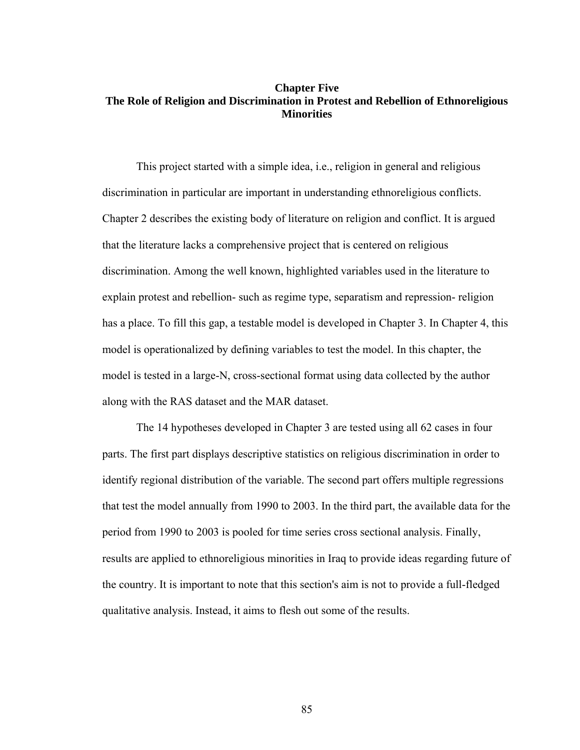## **Chapter Five The Role of Religion and Discrimination in Protest and Rebellion of Ethnoreligious Minorities**

This project started with a simple idea, i.e., religion in general and religious discrimination in particular are important in understanding ethnoreligious conflicts. Chapter 2 describes the existing body of literature on religion and conflict. It is argued that the literature lacks a comprehensive project that is centered on religious discrimination. Among the well known, highlighted variables used in the literature to explain protest and rebellion- such as regime type, separatism and repression- religion has a place. To fill this gap, a testable model is developed in Chapter 3. In Chapter 4, this model is operationalized by defining variables to test the model. In this chapter, the model is tested in a large-N, cross-sectional format using data collected by the author along with the RAS dataset and the MAR dataset.

The 14 hypotheses developed in Chapter 3 are tested using all 62 cases in four parts. The first part displays descriptive statistics on religious discrimination in order to identify regional distribution of the variable. The second part offers multiple regressions that test the model annually from 1990 to 2003. In the third part, the available data for the period from 1990 to 2003 is pooled for time series cross sectional analysis. Finally, results are applied to ethnoreligious minorities in Iraq to provide ideas regarding future of the country. It is important to note that this section's aim is not to provide a full-fledged qualitative analysis. Instead, it aims to flesh out some of the results.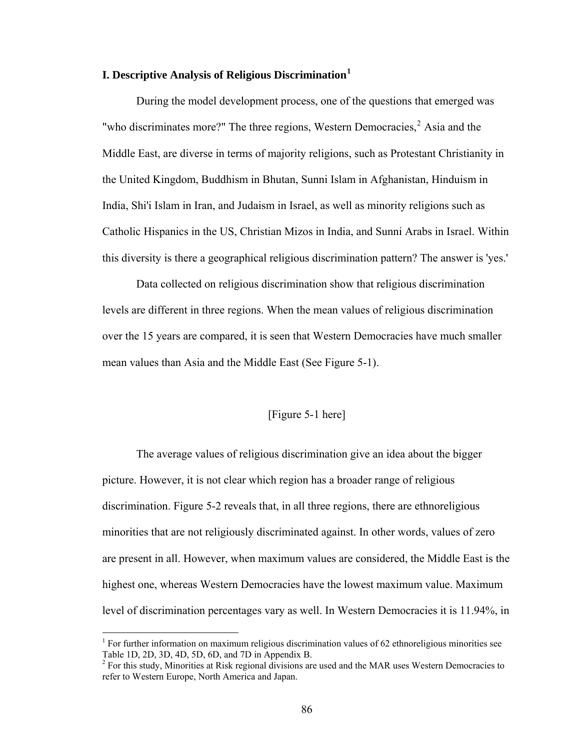## <span id="page-96-0"></span>**[1](#page-96-0) I. Descriptive Analysis of Religious Discrimination**

 During the model development process, one of the questions that emerged was "who discriminates more?" The three regions, Western Democracies, $<sup>2</sup>$  $<sup>2</sup>$  $<sup>2</sup>$  Asia and the</sup> Middle East, are diverse in terms of majority religions, such as Protestant Christianity in the United Kingdom, Buddhism in Bhutan, Sunni Islam in Afghanistan, Hinduism in India, Shi'i Islam in Iran, and Judaism in Israel, as well as minority religions such as Catholic Hispanics in the US, Christian Mizos in India, and Sunni Arabs in Israel. Within this diversity is there a geographical religious discrimination pattern? The answer is 'yes.'

 Data collected on religious discrimination show that religious discrimination levels are different in three regions. When the mean values of religious discrimination over the 15 years are compared, it is seen that Western Democracies have much smaller mean values than Asia and the Middle East (See Figure 5-1).

## [Figure 5-1 here]

 The average values of religious discrimination give an idea about the bigger picture. However, it is not clear which region has a broader range of religious discrimination. Figure 5-2 reveals that, in all three regions, there are ethnoreligious minorities that are not religiously discriminated against. In other words, values of zero are present in all. However, when maximum values are considered, the Middle East is the highest one, whereas Western Democracies have the lowest maximum value. Maximum level of discrimination percentages vary as well. In Western Democracies it is 11.94%, in

 $\overline{a}$ 

<sup>&</sup>lt;sup>1</sup> For further information on maximum religious discrimination values of 62 ethnoreligious minorities see Table 1D, 2D, 3D, 4D, 5D, 6D, and 7D in Appendix B.

 $2^{2}$  For this study, Minorities at Risk regional divisions are used and the MAR uses Western Democracies to refer to Western Europe, North America and Japan.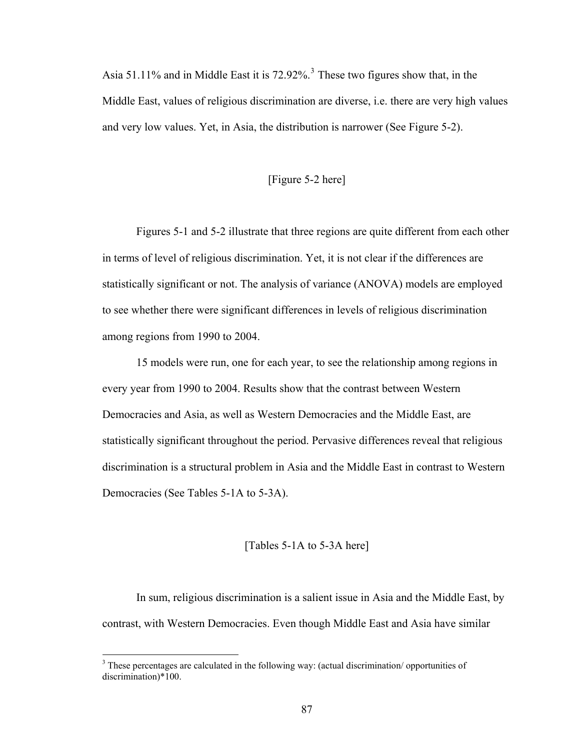<span id="page-97-0"></span>Asia 51.11% and in Middle East it is 72.92%.<sup>[3](#page-97-0)</sup> These two figures show that, in the Middle East, values of religious discrimination are diverse, i.e. there are very high values and very low values. Yet, in Asia, the distribution is narrower (See Figure 5-2).

#### [Figure 5-2 here]

Figures 5-1 and 5-2 illustrate that three regions are quite different from each other in terms of level of religious discrimination. Yet, it is not clear if the differences are statistically significant or not. The analysis of variance (ANOVA) models are employed to see whether there were significant differences in levels of religious discrimination among regions from 1990 to 2004.

 15 models were run, one for each year, to see the relationship among regions in every year from 1990 to 2004. Results show that the contrast between Western Democracies and Asia, as well as Western Democracies and the Middle East, are statistically significant throughout the period. Pervasive differences reveal that religious discrimination is a structural problem in Asia and the Middle East in contrast to Western Democracies (See Tables 5-1A to 5-3A).

#### [Tables 5-1A to 5-3A here]

 In sum, religious discrimination is a salient issue in Asia and the Middle East, by contrast, with Western Democracies. Even though Middle East and Asia have similar

 $\overline{a}$ 

<sup>&</sup>lt;sup>3</sup> These percentages are calculated in the following way: (actual discrimination/opportunities of discrimination)\*100.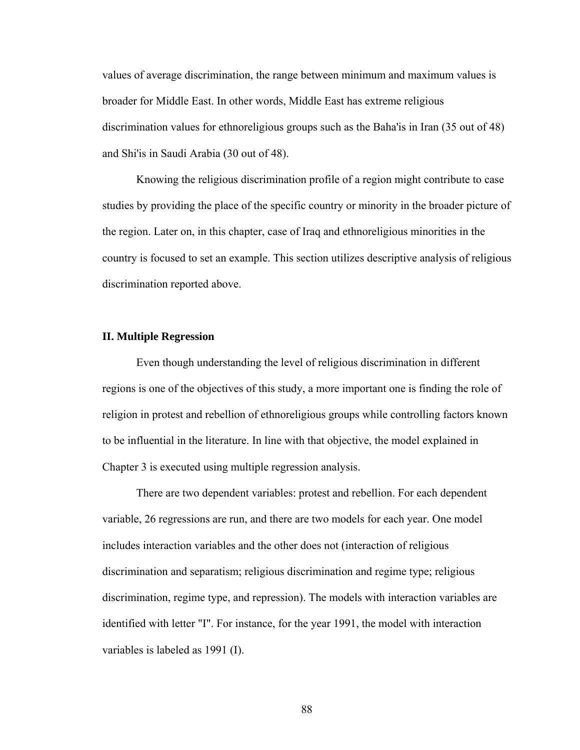values of average discrimination, the range between minimum and maximum values is broader for Middle East. In other words, Middle East has extreme religious discrimination values for ethnoreligious groups such as the Baha'is in Iran (35 out of 48) and Shi'is in Saudi Arabia (30 out of 48).

 Knowing the religious discrimination profile of a region might contribute to case studies by providing the place of the specific country or minority in the broader picture of the region. Later on, in this chapter, case of Iraq and ethnoreligious minorities in the country is focused to set an example. This section utilizes descriptive analysis of religious discrimination reported above.

#### **II. Multiple Regression**

Even though understanding the level of religious discrimination in different regions is one of the objectives of this study, a more important one is finding the role of religion in protest and rebellion of ethnoreligious groups while controlling factors known to be influential in the literature. In line with that objective, the model explained in Chapter 3 is executed using multiple regression analysis.

 There are two dependent variables: protest and rebellion. For each dependent variable, 26 regressions are run, and there are two models for each year. One model includes interaction variables and the other does not (interaction of religious discrimination and separatism; religious discrimination and regime type; religious discrimination, regime type, and repression). The models with interaction variables are identified with letter "I". For instance, for the year 1991, the model with interaction variables is labeled as 1991 (I).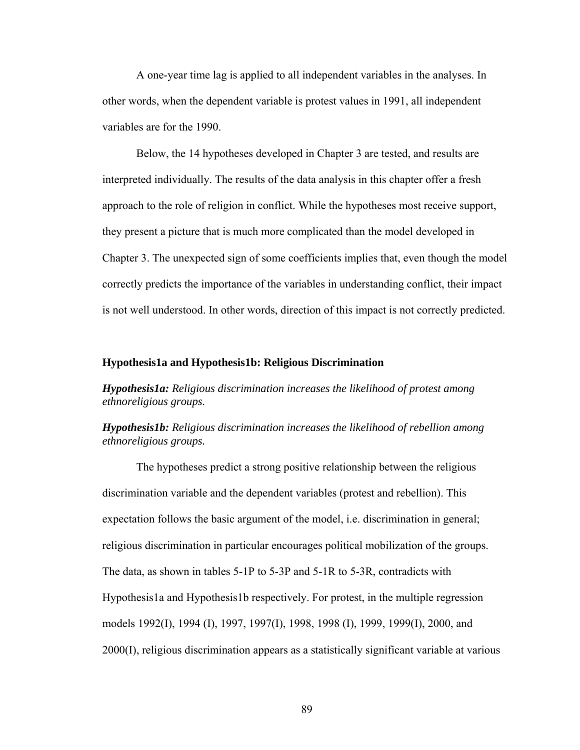A one-year time lag is applied to all independent variables in the analyses. In other words, when the dependent variable is protest values in 1991, all independent variables are for the 1990.

 Below, the 14 hypotheses developed in Chapter 3 are tested, and results are interpreted individually. The results of the data analysis in this chapter offer a fresh approach to the role of religion in conflict. While the hypotheses most receive support, they present a picture that is much more complicated than the model developed in Chapter 3. The unexpected sign of some coefficients implies that, even though the model correctly predicts the importance of the variables in understanding conflict, their impact is not well understood. In other words, direction of this impact is not correctly predicted.

#### **Hypothesis1a and Hypothesis1b: Religious Discrimination**

*Hypothesis1a: Religious discrimination increases the likelihood of protest among ethnoreligious groups.* 

## *Hypothesis1b: Religious discrimination increases the likelihood of rebellion among ethnoreligious groups.*

 The hypotheses predict a strong positive relationship between the religious discrimination variable and the dependent variables (protest and rebellion). This expectation follows the basic argument of the model, i.e. discrimination in general; religious discrimination in particular encourages political mobilization of the groups. The data, as shown in tables 5-1P to 5-3P and 5-1R to 5-3R, contradicts with Hypothesis1a and Hypothesis1b respectively. For protest, in the multiple regression models 1992(I), 1994 (I), 1997, 1997(I), 1998, 1998 (I), 1999, 1999(I), 2000, and 2000(I), religious discrimination appears as a statistically significant variable at various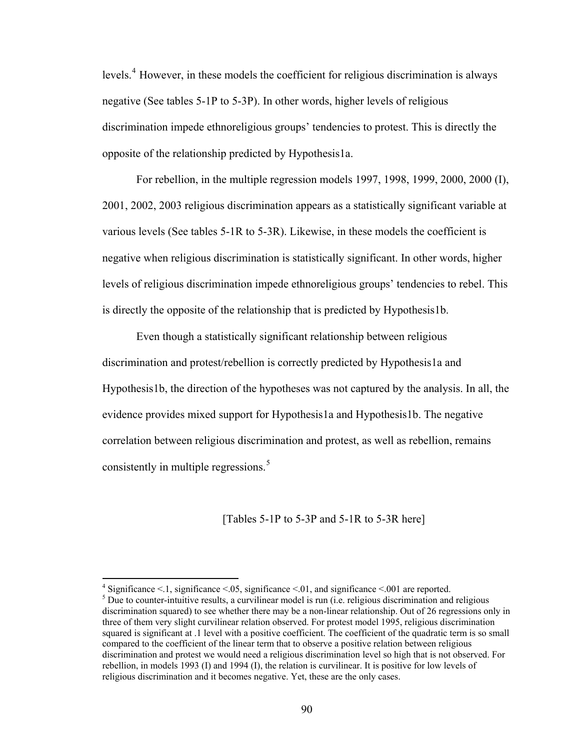<span id="page-100-0"></span>levels.<sup>[4](#page-100-0)</sup> However, in these models the coefficient for religious discrimination is always negative (See tables 5-1P to 5-3P). In other words, higher levels of religious discrimination impede ethnoreligious groups' tendencies to protest. This is directly the opposite of the relationship predicted by Hypothesis1a.

 For rebellion, in the multiple regression models 1997, 1998, 1999, 2000, 2000 (I), 2001, 2002, 2003 religious discrimination appears as a statistically significant variable at various levels (See tables 5-1R to 5-3R). Likewise, in these models the coefficient is negative when religious discrimination is statistically significant. In other words, higher levels of religious discrimination impede ethnoreligious groups' tendencies to rebel. This is directly the opposite of the relationship that is predicted by Hypothesis1b.

Even though a statistically significant relationship between religious discrimination and protest/rebellion is correctly predicted by Hypothesis1a and Hypothesis1b, the direction of the hypotheses was not captured by the analysis. In all, the evidence provides mixed support for Hypothesis1a and Hypothesis1b. The negative correlation between religious discrimination and protest, as well as rebellion, remains consistently in multiple regressions.<sup>[5](#page-100-0)</sup>

[Tables 5-1P to 5-3P and 5-1R to 5-3R here]

 $\overline{a}$ 

<sup>&</sup>lt;sup>4</sup> Significance <.1, significance <.05, significance <.01, and significance <.001 are reported.  $\frac{5}{5}$  Due to counter intuitive results, a curvilinear model is run (i.e. religious discrimination and  $<sup>5</sup>$  Due to counter-intuitive results, a curvilinear model is run (i.e. religious discrimination and religious</sup> discrimination squared) to see whether there may be a non-linear relationship. Out of 26 regressions only in three of them very slight curvilinear relation observed. For protest model 1995, religious discrimination squared is significant at .1 level with a positive coefficient. The coefficient of the quadratic term is so small compared to the coefficient of the linear term that to observe a positive relation between religious discrimination and protest we would need a religious discrimination level so high that is not observed. For rebellion, in models 1993 (I) and 1994 (I), the relation is curvilinear. It is positive for low levels of religious discrimination and it becomes negative. Yet, these are the only cases.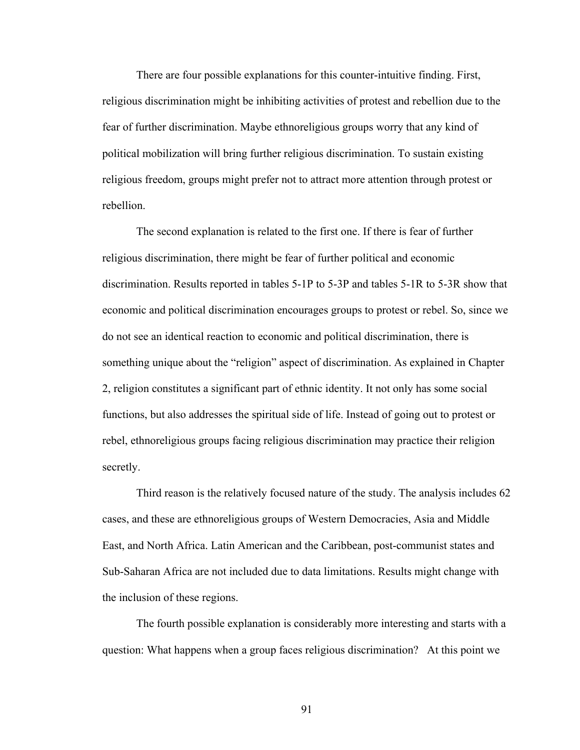There are four possible explanations for this counter-intuitive finding. First, religious discrimination might be inhibiting activities of protest and rebellion due to the fear of further discrimination. Maybe ethnoreligious groups worry that any kind of political mobilization will bring further religious discrimination. To sustain existing religious freedom, groups might prefer not to attract more attention through protest or rebellion.

The second explanation is related to the first one. If there is fear of further religious discrimination, there might be fear of further political and economic discrimination. Results reported in tables 5-1P to 5-3P and tables 5-1R to 5-3R show that economic and political discrimination encourages groups to protest or rebel. So, since we do not see an identical reaction to economic and political discrimination, there is something unique about the "religion" aspect of discrimination. As explained in Chapter 2, religion constitutes a significant part of ethnic identity. It not only has some social functions, but also addresses the spiritual side of life. Instead of going out to protest or rebel, ethnoreligious groups facing religious discrimination may practice their religion secretly.

 Third reason is the relatively focused nature of the study. The analysis includes 62 cases, and these are ethnoreligious groups of Western Democracies, Asia and Middle East, and North Africa. Latin American and the Caribbean, post-communist states and Sub-Saharan Africa are not included due to data limitations. Results might change with the inclusion of these regions.

 The fourth possible explanation is considerably more interesting and starts with a question: What happens when a group faces religious discrimination? At this point we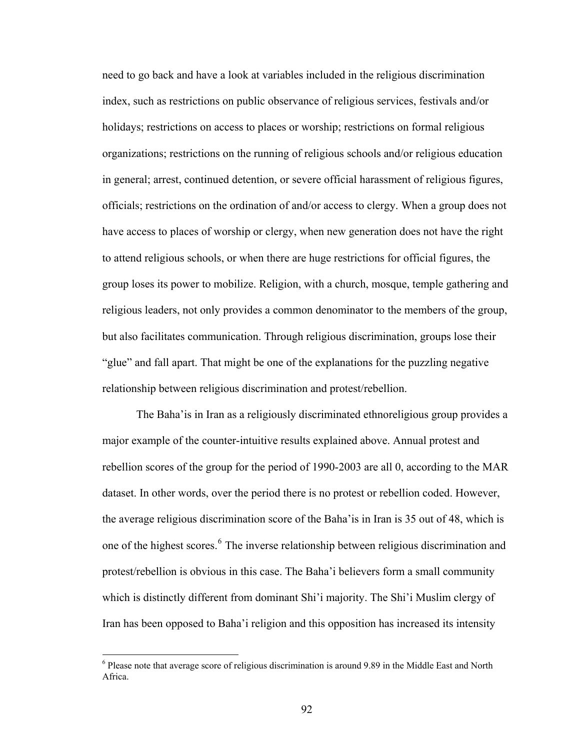<span id="page-102-0"></span>need to go back and have a look at variables included in the religious discrimination index, such as restrictions on public observance of religious services, festivals and/or holidays; restrictions on access to places or worship; restrictions on formal religious organizations; restrictions on the running of religious schools and/or religious education in general; arrest, continued detention, or severe official harassment of religious figures, officials; restrictions on the ordination of and/or access to clergy. When a group does not have access to places of worship or clergy, when new generation does not have the right to attend religious schools, or when there are huge restrictions for official figures, the group loses its power to mobilize. Religion, with a church, mosque, temple gathering and religious leaders, not only provides a common denominator to the members of the group, but also facilitates communication. Through religious discrimination, groups lose their "glue" and fall apart. That might be one of the explanations for the puzzling negative relationship between religious discrimination and protest/rebellion.

 The Baha'is in Iran as a religiously discriminated ethnoreligious group provides a major example of the counter-intuitive results explained above. Annual protest and rebellion scores of the group for the period of 1990-2003 are all 0, according to the MAR dataset. In other words, over the period there is no protest or rebellion coded. However, the average religious discrimination score of the Baha'is in Iran is 35 out of 48, which is one of the highest scores. <sup>[6](#page-102-0)</sup> The inverse relationship between religious discrimination and protest/rebellion is obvious in this case. The Baha'i believers form a small community which is distinctly different from dominant Shi'i majority. The Shi'i Muslim clergy of Iran has been opposed to Baha'i religion and this opposition has increased its intensity

 $\overline{a}$ 

<sup>&</sup>lt;sup>6</sup> Please note that average score of religious discrimination is around 9.89 in the Middle East and North Africa.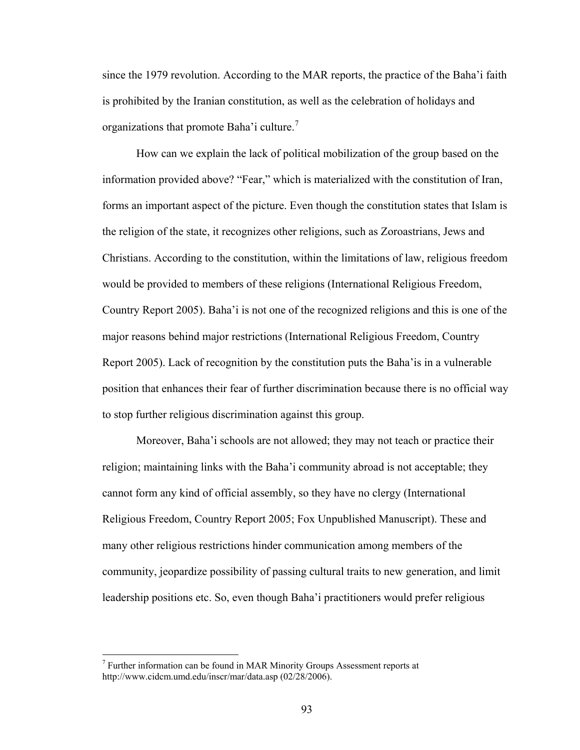<span id="page-103-0"></span>since the 1979 revolution. According to the MAR reports, the practice of the Baha'i faith is prohibited by the Iranian constitution, as well as the celebration of holidays and organizations that promote Baha'i culture.<sup>[7](#page-103-0)</sup>

 How can we explain the lack of political mobilization of the group based on the information provided above? "Fear," which is materialized with the constitution of Iran, forms an important aspect of the picture. Even though the constitution states that Islam is the religion of the state, it recognizes other religions, such as Zoroastrians, Jews and Christians. According to the constitution, within the limitations of law, religious freedom would be provided to members of these religions (International Religious Freedom, Country Report 2005). Baha'i is not one of the recognized religions and this is one of the major reasons behind major restrictions (International Religious Freedom, Country Report 2005). Lack of recognition by the constitution puts the Baha'is in a vulnerable position that enhances their fear of further discrimination because there is no official way to stop further religious discrimination against this group.

 Moreover, Baha'i schools are not allowed; they may not teach or practice their religion; maintaining links with the Baha'i community abroad is not acceptable; they cannot form any kind of official assembly, so they have no clergy (International Religious Freedom, Country Report 2005; Fox Unpublished Manuscript). These and many other religious restrictions hinder communication among members of the community, jeopardize possibility of passing cultural traits to new generation, and limit leadership positions etc. So, even though Baha'i practitioners would prefer religious

 $\overline{a}$ 

 $7$  Further information can be found in MAR Minority Groups Assessment reports at http://www.cidcm.umd.edu/inscr/mar/data.asp (02/28/2006).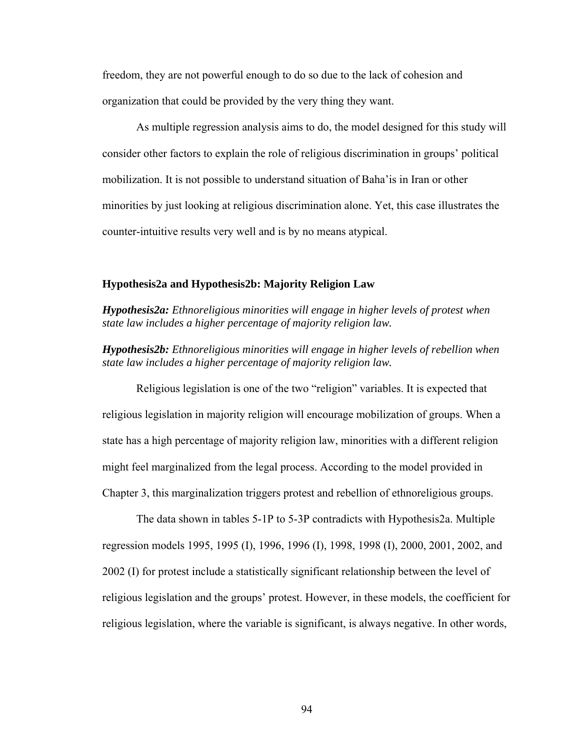freedom, they are not powerful enough to do so due to the lack of cohesion and organization that could be provided by the very thing they want.

 As multiple regression analysis aims to do, the model designed for this study will consider other factors to explain the role of religious discrimination in groups' political mobilization. It is not possible to understand situation of Baha'is in Iran or other minorities by just looking at religious discrimination alone. Yet, this case illustrates the counter-intuitive results very well and is by no means atypical.

#### **Hypothesis2a and Hypothesis2b: Majority Religion Law**

*Hypothesis2a: Ethnoreligious minorities will engage in higher levels of protest when state law includes a higher percentage of majority religion law.* 

*Hypothesis2b: Ethnoreligious minorities will engage in higher levels of rebellion when state law includes a higher percentage of majority religion law.* 

 Religious legislation is one of the two "religion" variables. It is expected that religious legislation in majority religion will encourage mobilization of groups. When a state has a high percentage of majority religion law, minorities with a different religion might feel marginalized from the legal process. According to the model provided in Chapter 3, this marginalization triggers protest and rebellion of ethnoreligious groups.

 The data shown in tables 5-1P to 5-3P contradicts with Hypothesis2a. Multiple regression models 1995, 1995 (I), 1996, 1996 (I), 1998, 1998 (I), 2000, 2001, 2002, and 2002 (I) for protest include a statistically significant relationship between the level of religious legislation and the groups' protest. However, in these models, the coefficient for religious legislation, where the variable is significant, is always negative. In other words,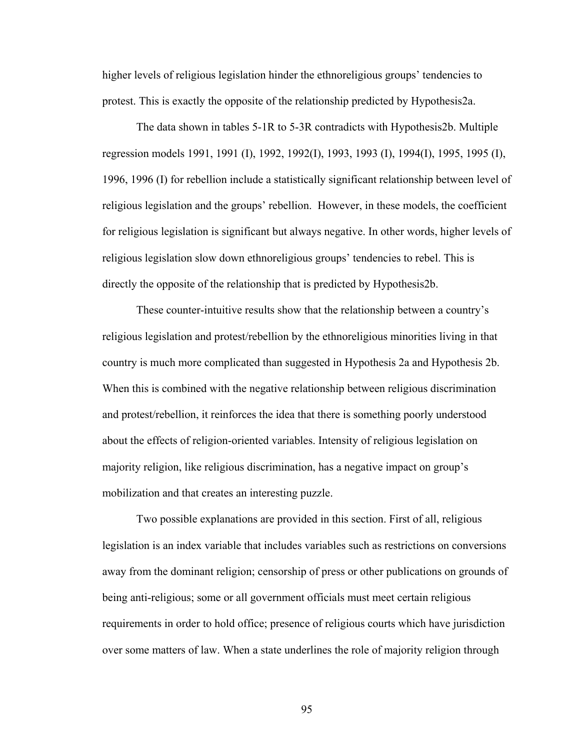higher levels of religious legislation hinder the ethnoreligious groups' tendencies to protest. This is exactly the opposite of the relationship predicted by Hypothesis2a.

 The data shown in tables 5-1R to 5-3R contradicts with Hypothesis2b. Multiple regression models 1991, 1991 (I), 1992, 1992(I), 1993, 1993 (I), 1994(I), 1995, 1995 (I), 1996, 1996 (I) for rebellion include a statistically significant relationship between level of religious legislation and the groups' rebellion. However, in these models, the coefficient for religious legislation is significant but always negative. In other words, higher levels of religious legislation slow down ethnoreligious groups' tendencies to rebel. This is directly the opposite of the relationship that is predicted by Hypothesis2b.

 These counter-intuitive results show that the relationship between a country's religious legislation and protest/rebellion by the ethnoreligious minorities living in that country is much more complicated than suggested in Hypothesis 2a and Hypothesis 2b. When this is combined with the negative relationship between religious discrimination and protest/rebellion, it reinforces the idea that there is something poorly understood about the effects of religion-oriented variables. Intensity of religious legislation on majority religion, like religious discrimination, has a negative impact on group's mobilization and that creates an interesting puzzle.

 Two possible explanations are provided in this section. First of all, religious legislation is an index variable that includes variables such as restrictions on conversions away from the dominant religion; censorship of press or other publications on grounds of being anti-religious; some or all government officials must meet certain religious requirements in order to hold office; presence of religious courts which have jurisdiction over some matters of law. When a state underlines the role of majority religion through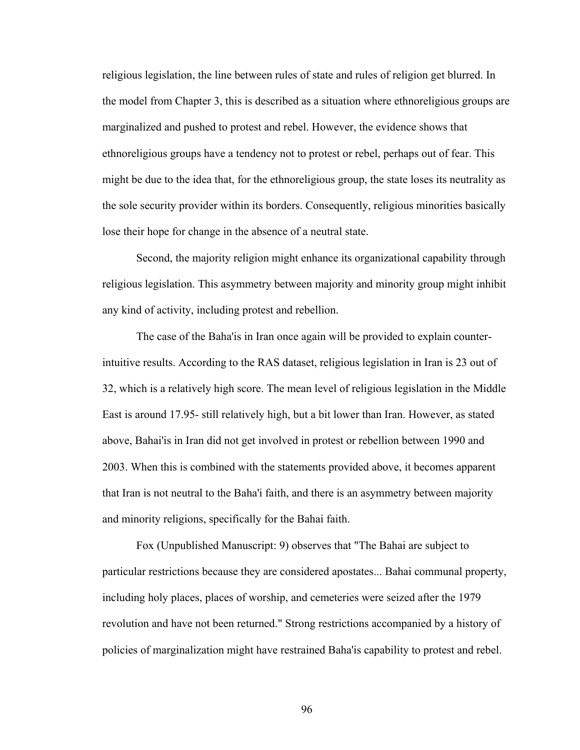religious legislation, the line between rules of state and rules of religion get blurred. In the model from Chapter 3, this is described as a situation where ethnoreligious groups are marginalized and pushed to protest and rebel. However, the evidence shows that ethnoreligious groups have a tendency not to protest or rebel, perhaps out of fear. This might be due to the idea that, for the ethnoreligious group, the state loses its neutrality as the sole security provider within its borders. Consequently, religious minorities basically lose their hope for change in the absence of a neutral state.

 Second, the majority religion might enhance its organizational capability through religious legislation. This asymmetry between majority and minority group might inhibit any kind of activity, including protest and rebellion.

 The case of the Baha'is in Iran once again will be provided to explain counterintuitive results. According to the RAS dataset, religious legislation in Iran is 23 out of 32, which is a relatively high score. The mean level of religious legislation in the Middle East is around 17.95- still relatively high, but a bit lower than Iran. However, as stated above, Bahai'is in Iran did not get involved in protest or rebellion between 1990 and 2003. When this is combined with the statements provided above, it becomes apparent that Iran is not neutral to the Baha'i faith, and there is an asymmetry between majority and minority religions, specifically for the Bahai faith.

 Fox (Unpublished Manuscript: 9) observes that "The Bahai are subject to particular restrictions because they are considered apostates... Bahai communal property, including holy places, places of worship, and cemeteries were seized after the 1979 revolution and have not been returned." Strong restrictions accompanied by a history of policies of marginalization might have restrained Baha'is capability to protest and rebel.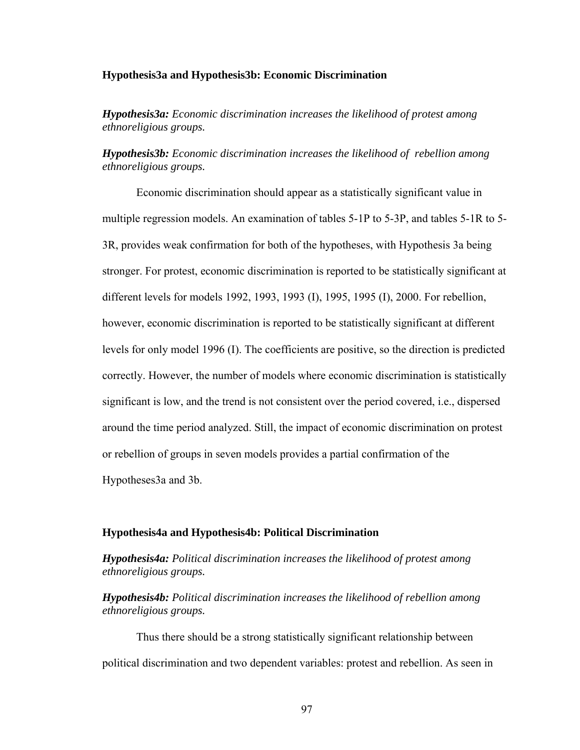#### **Hypothesis3a and Hypothesis3b: Economic Discrimination**

*Hypothesis3a: Economic discrimination increases the likelihood of protest among ethnoreligious groups.* 

*Hypothesis3b: Economic discrimination increases the likelihood of rebellion among ethnoreligious groups.* 

 Economic discrimination should appear as a statistically significant value in multiple regression models. An examination of tables 5-1P to 5-3P, and tables 5-1R to 5- 3R, provides weak confirmation for both of the hypotheses, with Hypothesis 3a being stronger. For protest, economic discrimination is reported to be statistically significant at different levels for models 1992, 1993, 1993 (I), 1995, 1995 (I), 2000. For rebellion, however, economic discrimination is reported to be statistically significant at different levels for only model 1996 (I). The coefficients are positive, so the direction is predicted correctly. However, the number of models where economic discrimination is statistically significant is low, and the trend is not consistent over the period covered, i.e., dispersed around the time period analyzed. Still, the impact of economic discrimination on protest or rebellion of groups in seven models provides a partial confirmation of the Hypotheses3a and 3b.

#### **Hypothesis4a and Hypothesis4b: Political Discrimination**

*Hypothesis4a: Political discrimination increases the likelihood of protest among ethnoreligious groups.* 

*Hypothesis4b: Political discrimination increases the likelihood of rebellion among ethnoreligious groups.* 

 Thus there should be a strong statistically significant relationship between political discrimination and two dependent variables: protest and rebellion. As seen in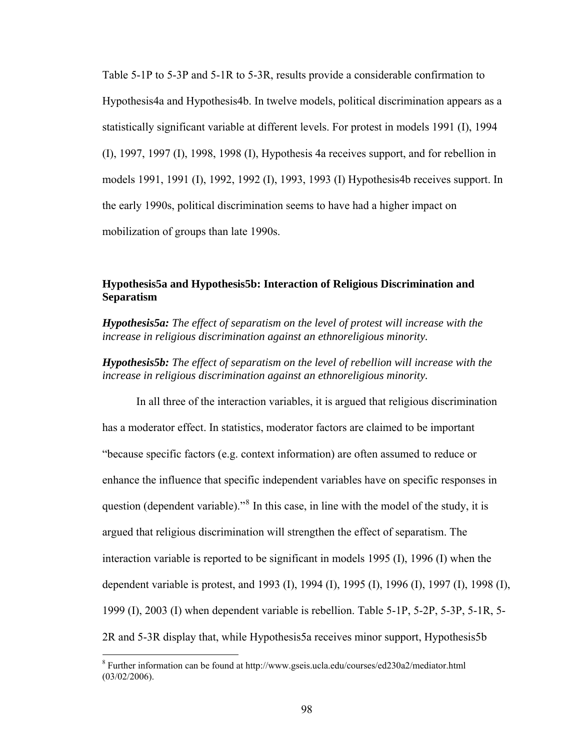<span id="page-108-0"></span>Table 5-1P to 5-3P and 5-1R to 5-3R, results provide a considerable confirmation to Hypothesis4a and Hypothesis4b. In twelve models, political discrimination appears as a statistically significant variable at different levels. For protest in models 1991 (I), 1994 (I), 1997, 1997 (I), 1998, 1998 (I), Hypothesis 4a receives support, and for rebellion in models 1991, 1991 (I), 1992, 1992 (I), 1993, 1993 (I) Hypothesis4b receives support. In the early 1990s, political discrimination seems to have had a higher impact on mobilization of groups than late 1990s.

## **Hypothesis5a and Hypothesis5b: Interaction of Religious Discrimination and Separatism**

*Hypothesis5a: The effect of separatism on the level of protest will increase with the increase in religious discrimination against an ethnoreligious minority.* 

*Hypothesis5b: The effect of separatism on the level of rebellion will increase with the increase in religious discrimination against an ethnoreligious minority.* 

 In all three of the interaction variables, it is argued that religious discrimination has a moderator effect. In statistics, moderator factors are claimed to be important "because specific factors (e.g. context information) are often assumed to reduce or enhance the influence that specific independent variables have on specific responses in question (dependent variable).<sup>3[8](#page-108-0)</sup> In this case, in line with the model of the study, it is argued that religious discrimination will strengthen the effect of separatism. The interaction variable is reported to be significant in models 1995 (I), 1996 (I) when the dependent variable is protest, and 1993 (I), 1994 (I), 1995 (I), 1996 (I), 1997 (I), 1998 (I), 1999 (I), 2003 (I) when dependent variable is rebellion. Table 5-1P, 5-2P, 5-3P, 5-1R, 5- 2R and 5-3R display that, while Hypothesis5a receives minor support, Hypothesis5b

 $\overline{a}$ 

<sup>&</sup>lt;sup>8</sup> Further information can be found at http://www.gseis.ucla.edu/courses/ed230a2/mediator.html (03/02/2006).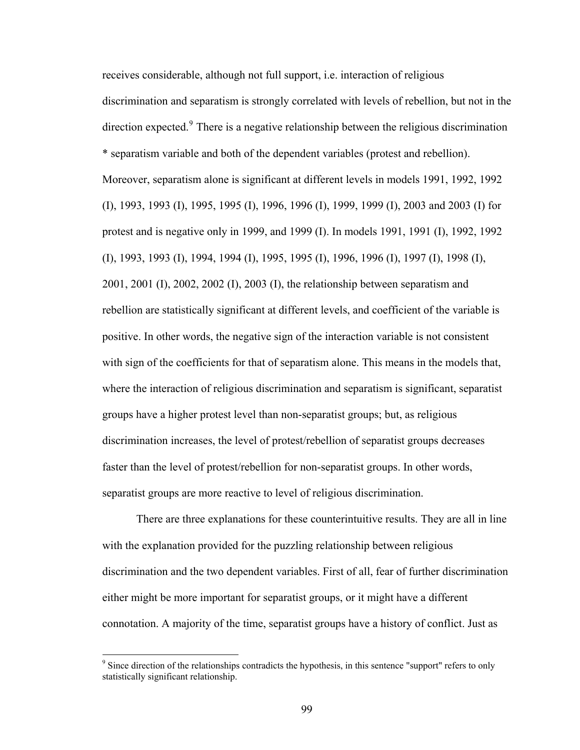<span id="page-109-0"></span>receives considerable, although not full support, i.e. interaction of religious discrimination and separatism is strongly correlated with levels of rebellion, but not in the direction expected. $\degree$  There is a negative relationship between the religious discrimination \* separatism variable and both of the dependent variables (protest and rebellion). Moreover, separatism alone is significant at different levels in models 1991, 1992, 1992 (I), 1993, 1993 (I), 1995, 1995 (I), 1996, 1996 (I), 1999, 1999 (I), 2003 and 2003 (I) for protest and is negative only in 1999, and 1999 (I). In models 1991, 1991 (I), 1992, 1992 (I), 1993, 1993 (I), 1994, 1994 (I), 1995, 1995 (I), 1996, 1996 (I), 1997 (I), 1998 (I), 2001, 2001 (I), 2002, 2002 (I), 2003 (I), the relationship between separatism and rebellion are statistically significant at different levels, and coefficient of the variable is positive. In other words, the negative sign of the interaction variable is not consistent with sign of the coefficients for that of separatism alone. This means in the models that, where the interaction of religious discrimination and separatism is significant, separatist groups have a higher protest level than non-separatist groups; but, as religious discrimination increases, the level of protest/rebellion of separatist groups decreases faster than the level of protest/rebellion for non-separatist groups. In other words, separatist groups are more reactive to level of religious discrimination.

 There are three explanations for these counterintuitive results. They are all in line with the explanation provided for the puzzling relationship between religious discrimination and the two dependent variables. First of all, fear of further discrimination either might be more important for separatist groups, or it might have a different connotation. A majority of the time, separatist groups have a history of conflict. Just as

 $\overline{a}$ 

<sup>&</sup>lt;sup>9</sup> Since direction of the relationships contradicts the hypothesis, in this sentence "support" refers to only statistically significant relationship.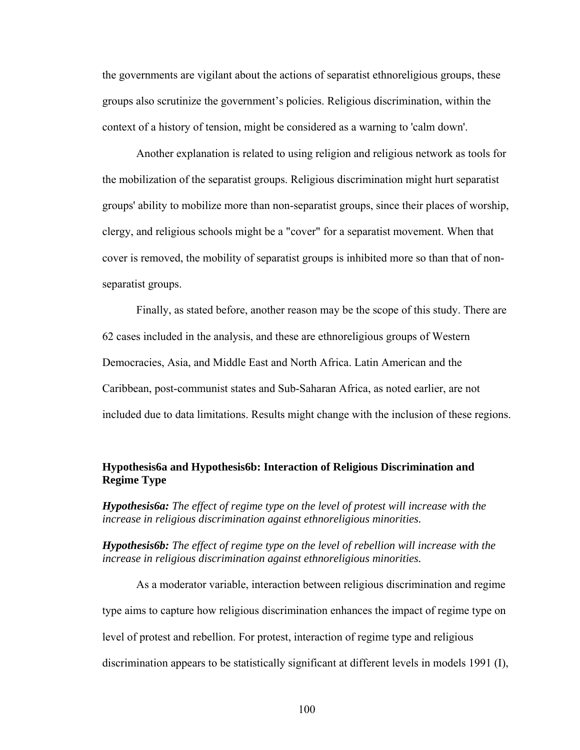the governments are vigilant about the actions of separatist ethnoreligious groups, these groups also scrutinize the government's policies. Religious discrimination, within the context of a history of tension, might be considered as a warning to 'calm down'.

 Another explanation is related to using religion and religious network as tools for the mobilization of the separatist groups. Religious discrimination might hurt separatist groups' ability to mobilize more than non-separatist groups, since their places of worship, clergy, and religious schools might be a "cover" for a separatist movement. When that cover is removed, the mobility of separatist groups is inhibited more so than that of nonseparatist groups.

 Finally, as stated before, another reason may be the scope of this study. There are 62 cases included in the analysis, and these are ethnoreligious groups of Western Democracies, Asia, and Middle East and North Africa. Latin American and the Caribbean, post-communist states and Sub-Saharan Africa, as noted earlier, are not included due to data limitations. Results might change with the inclusion of these regions.

### **Hypothesis6a and Hypothesis6b: Interaction of Religious Discrimination and Regime Type**

*Hypothesis6a: The effect of regime type on the level of protest will increase with the increase in religious discrimination against ethnoreligious minorities.* 

*Hypothesis6b: The effect of regime type on the level of rebellion will increase with the increase in religious discrimination against ethnoreligious minorities.* 

 As a moderator variable, interaction between religious discrimination and regime type aims to capture how religious discrimination enhances the impact of regime type on level of protest and rebellion. For protest, interaction of regime type and religious discrimination appears to be statistically significant at different levels in models 1991 (I),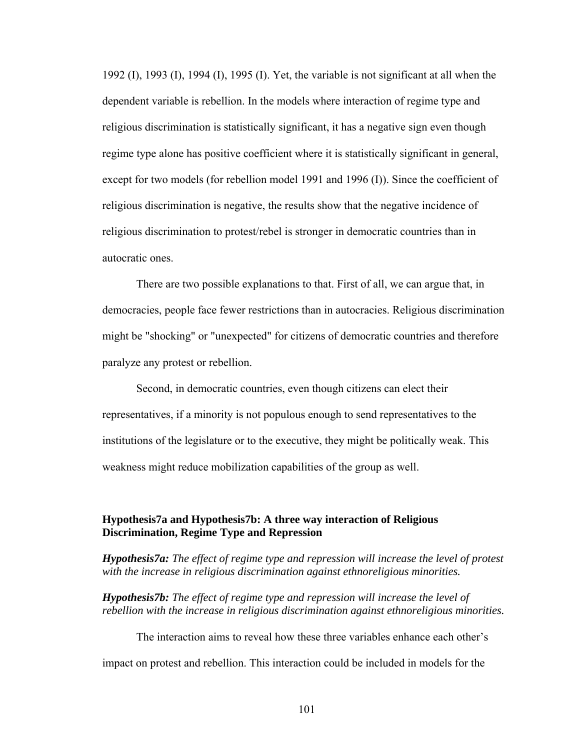1992 (I), 1993 (I), 1994 (I), 1995 (I). Yet, the variable is not significant at all when the dependent variable is rebellion. In the models where interaction of regime type and religious discrimination is statistically significant, it has a negative sign even though regime type alone has positive coefficient where it is statistically significant in general, except for two models (for rebellion model 1991 and 1996 (I)). Since the coefficient of religious discrimination is negative, the results show that the negative incidence of religious discrimination to protest/rebel is stronger in democratic countries than in autocratic ones.

There are two possible explanations to that. First of all, we can argue that, in democracies, people face fewer restrictions than in autocracies. Religious discrimination might be "shocking" or "unexpected" for citizens of democratic countries and therefore paralyze any protest or rebellion.

Second, in democratic countries, even though citizens can elect their representatives, if a minority is not populous enough to send representatives to the institutions of the legislature or to the executive, they might be politically weak. This weakness might reduce mobilization capabilities of the group as well.

## **Hypothesis7a and Hypothesis7b: A three way interaction of Religious Discrimination, Regime Type and Repression**

*Hypothesis7a: The effect of regime type and repression will increase the level of protest with the increase in religious discrimination against ethnoreligious minorities.* 

*Hypothesis7b: The effect of regime type and repression will increase the level of rebellion with the increase in religious discrimination against ethnoreligious minorities.* 

 The interaction aims to reveal how these three variables enhance each other's impact on protest and rebellion. This interaction could be included in models for the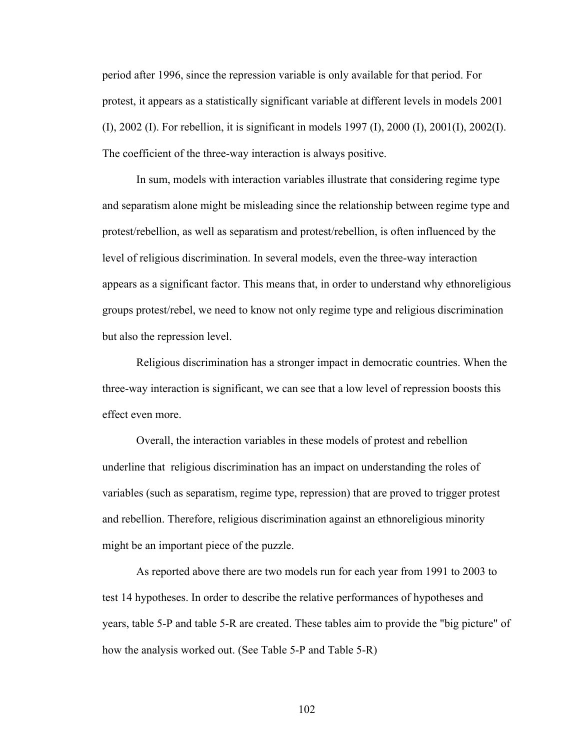period after 1996, since the repression variable is only available for that period. For protest, it appears as a statistically significant variable at different levels in models 2001 (I), 2002 (I). For rebellion, it is significant in models 1997 (I), 2000 (I), 2001(I), 2002(I). The coefficient of the three-way interaction is always positive.

In sum, models with interaction variables illustrate that considering regime type and separatism alone might be misleading since the relationship between regime type and protest/rebellion, as well as separatism and protest/rebellion, is often influenced by the level of religious discrimination. In several models, even the three-way interaction appears as a significant factor. This means that, in order to understand why ethnoreligious groups protest/rebel, we need to know not only regime type and religious discrimination but also the repression level.

 Religious discrimination has a stronger impact in democratic countries. When the three-way interaction is significant, we can see that a low level of repression boosts this effect even more.

 Overall, the interaction variables in these models of protest and rebellion underline that religious discrimination has an impact on understanding the roles of variables (such as separatism, regime type, repression) that are proved to trigger protest and rebellion. Therefore, religious discrimination against an ethnoreligious minority might be an important piece of the puzzle.

 As reported above there are two models run for each year from 1991 to 2003 to test 14 hypotheses. In order to describe the relative performances of hypotheses and years, table 5-P and table 5-R are created. These tables aim to provide the "big picture" of how the analysis worked out. (See Table 5-P and Table 5-R)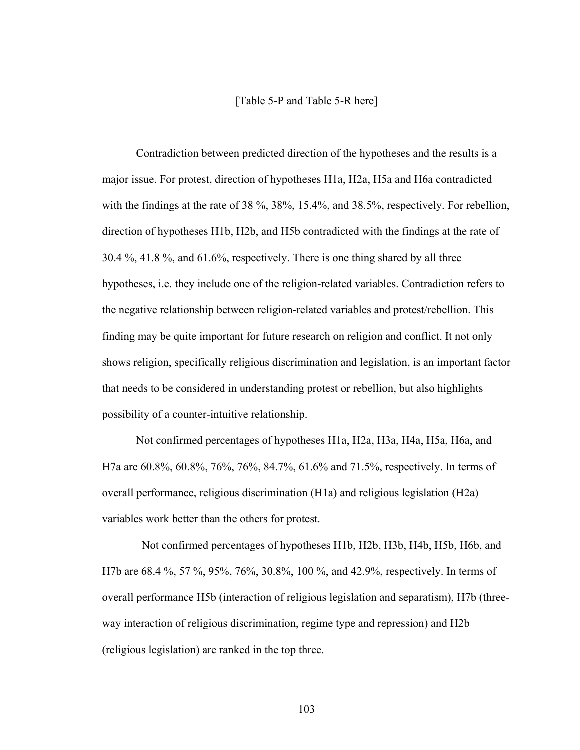[Table 5-P and Table 5-R here]

 Contradiction between predicted direction of the hypotheses and the results is a major issue. For protest, direction of hypotheses H1a, H2a, H5a and H6a contradicted with the findings at the rate of 38 %, 38%, 15.4%, and 38.5%, respectively. For rebellion, direction of hypotheses H1b, H2b, and H5b contradicted with the findings at the rate of 30.4 %, 41.8 %, and 61.6%, respectively. There is one thing shared by all three hypotheses, i.e. they include one of the religion-related variables. Contradiction refers to the negative relationship between religion-related variables and protest/rebellion. This finding may be quite important for future research on religion and conflict. It not only shows religion, specifically religious discrimination and legislation, is an important factor that needs to be considered in understanding protest or rebellion, but also highlights possibility of a counter-intuitive relationship.

 Not confirmed percentages of hypotheses H1a, H2a, H3a, H4a, H5a, H6a, and H7a are 60.8%, 60.8%, 76%, 76%, 84.7%, 61.6% and 71.5%, respectively. In terms of overall performance, religious discrimination (H1a) and religious legislation (H2a) variables work better than the others for protest.

 Not confirmed percentages of hypotheses H1b, H2b, H3b, H4b, H5b, H6b, and H7b are 68.4 %, 57 %, 95%, 76%, 30.8%, 100 %, and 42.9%, respectively. In terms of overall performance H5b (interaction of religious legislation and separatism), H7b (threeway interaction of religious discrimination, regime type and repression) and H2b (religious legislation) are ranked in the top three.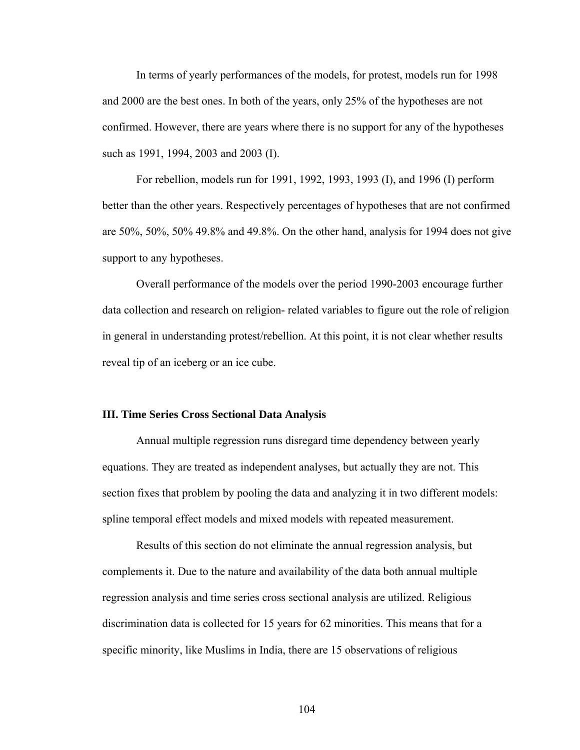In terms of yearly performances of the models, for protest, models run for 1998 and 2000 are the best ones. In both of the years, only 25% of the hypotheses are not confirmed. However, there are years where there is no support for any of the hypotheses such as 1991, 1994, 2003 and 2003 (I).

 For rebellion, models run for 1991, 1992, 1993, 1993 (I), and 1996 (I) perform better than the other years. Respectively percentages of hypotheses that are not confirmed are 50%, 50%, 50% 49.8% and 49.8%. On the other hand, analysis for 1994 does not give support to any hypotheses.

 Overall performance of the models over the period 1990-2003 encourage further data collection and research on religion- related variables to figure out the role of religion in general in understanding protest/rebellion. At this point, it is not clear whether results reveal tip of an iceberg or an ice cube.

#### **III. Time Series Cross Sectional Data Analysis**

Annual multiple regression runs disregard time dependency between yearly equations. They are treated as independent analyses, but actually they are not. This section fixes that problem by pooling the data and analyzing it in two different models: spline temporal effect models and mixed models with repeated measurement.

 Results of this section do not eliminate the annual regression analysis, but complements it. Due to the nature and availability of the data both annual multiple regression analysis and time series cross sectional analysis are utilized. Religious discrimination data is collected for 15 years for 62 minorities. This means that for a specific minority, like Muslims in India, there are 15 observations of religious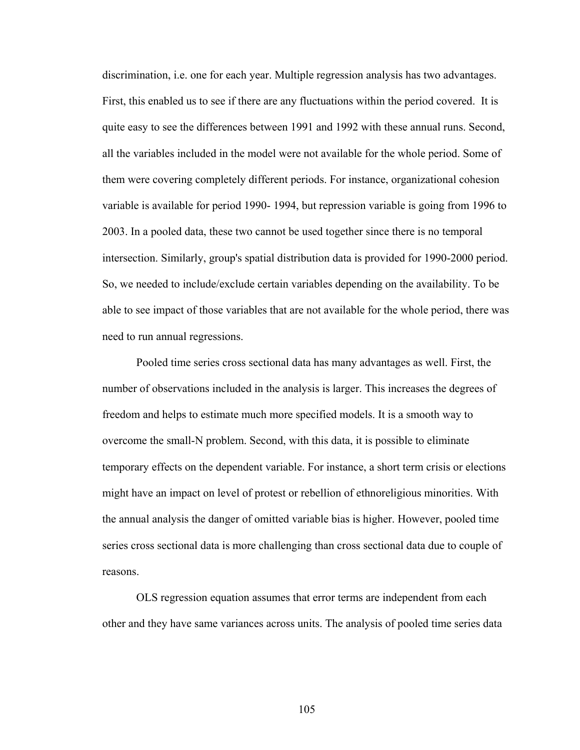discrimination, i.e. one for each year. Multiple regression analysis has two advantages. First, this enabled us to see if there are any fluctuations within the period covered. It is quite easy to see the differences between 1991 and 1992 with these annual runs. Second, all the variables included in the model were not available for the whole period. Some of them were covering completely different periods. For instance, organizational cohesion variable is available for period 1990- 1994, but repression variable is going from 1996 to 2003. In a pooled data, these two cannot be used together since there is no temporal intersection. Similarly, group's spatial distribution data is provided for 1990-2000 period. So, we needed to include/exclude certain variables depending on the availability. To be able to see impact of those variables that are not available for the whole period, there was need to run annual regressions.

 Pooled time series cross sectional data has many advantages as well. First, the number of observations included in the analysis is larger. This increases the degrees of freedom and helps to estimate much more specified models. It is a smooth way to overcome the small-N problem. Second, with this data, it is possible to eliminate temporary effects on the dependent variable. For instance, a short term crisis or elections might have an impact on level of protest or rebellion of ethnoreligious minorities. With the annual analysis the danger of omitted variable bias is higher. However, pooled time series cross sectional data is more challenging than cross sectional data due to couple of reasons.

 OLS regression equation assumes that error terms are independent from each other and they have same variances across units. The analysis of pooled time series data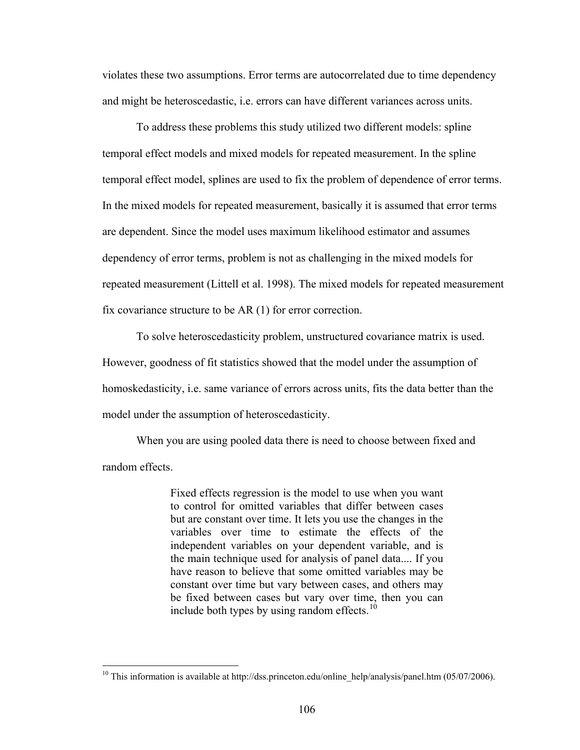<span id="page-116-0"></span>violates these two assumptions. Error terms are autocorrelated due to time dependency and might be heteroscedastic, i.e. errors can have different variances across units.

 To address these problems this study utilized two different models: spline temporal effect models and mixed models for repeated measurement. In the spline temporal effect model, splines are used to fix the problem of dependence of error terms. In the mixed models for repeated measurement, basically it is assumed that error terms are dependent. Since the model uses maximum likelihood estimator and assumes dependency of error terms, problem is not as challenging in the mixed models for repeated measurement (Littell et al. 1998). The mixed models for repeated measurement fix covariance structure to be AR (1) for error correction.

 To solve heteroscedasticity problem, unstructured covariance matrix is used. However, goodness of fit statistics showed that the model under the assumption of homoskedasticity, i.e. same variance of errors across units, fits the data better than the model under the assumption of heteroscedasticity.

 When you are using pooled data there is need to choose between fixed and random effects.

> Fixed effects regression is the model to use when you want to control for omitted variables that differ between cases but are constant over time. It lets you use the changes in the variables over time to estimate the effects of the independent variables on your dependent variable, and is the main technique used for analysis of panel data.... If you have reason to believe that some omitted variables may be constant over time but vary between cases, and others may be fixed between cases but vary over time, then you can include both types by using random effects. $10$

 $\overline{a}$ 

<sup>&</sup>lt;sup>10</sup> This information is available at http://dss.princeton.edu/online\_help/analysis/panel.htm (05/07/2006).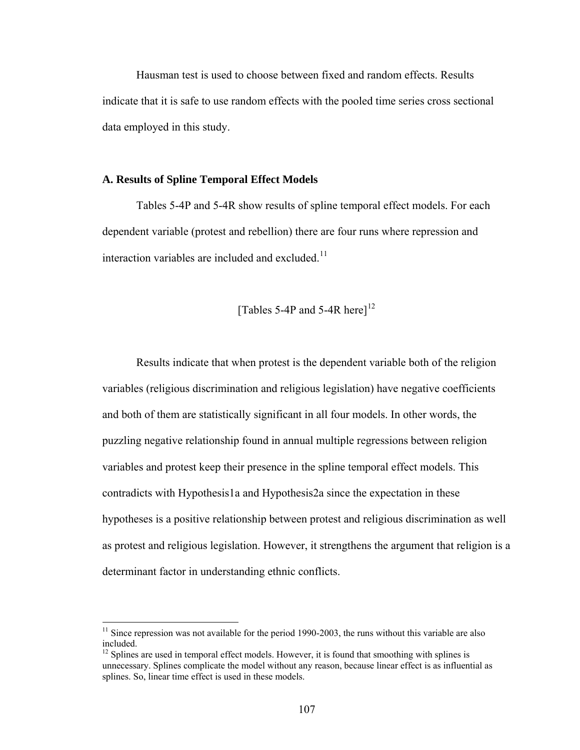<span id="page-117-0"></span> Hausman test is used to choose between fixed and random effects. Results indicate that it is safe to use random effects with the pooled time series cross sectional data employed in this study.

#### **A. Results of Spline Temporal Effect Models**

 Tables 5-4P and 5-4R show results of spline temporal effect models. For each dependent variable (protest and rebellion) there are four runs where repression and interaction variables are included and excluded. $11$ 

[Tables 5-4P and 5-4R here] $^{12}$  $^{12}$  $^{12}$ 

 Results indicate that when protest is the dependent variable both of the religion variables (religious discrimination and religious legislation) have negative coefficients and both of them are statistically significant in all four models. In other words, the puzzling negative relationship found in annual multiple regressions between religion variables and protest keep their presence in the spline temporal effect models. This contradicts with Hypothesis1a and Hypothesis2a since the expectation in these hypotheses is a positive relationship between protest and religious discrimination as well as protest and religious legislation. However, it strengthens the argument that religion is a determinant factor in understanding ethnic conflicts.

 $\overline{a}$ 

 $11$  Since repression was not available for the period 1990-2003, the runs without this variable are also included.

 $12$  Splines are used in temporal effect models. However, it is found that smoothing with splines is unnecessary. Splines complicate the model without any reason, because linear effect is as influential as splines. So, linear time effect is used in these models.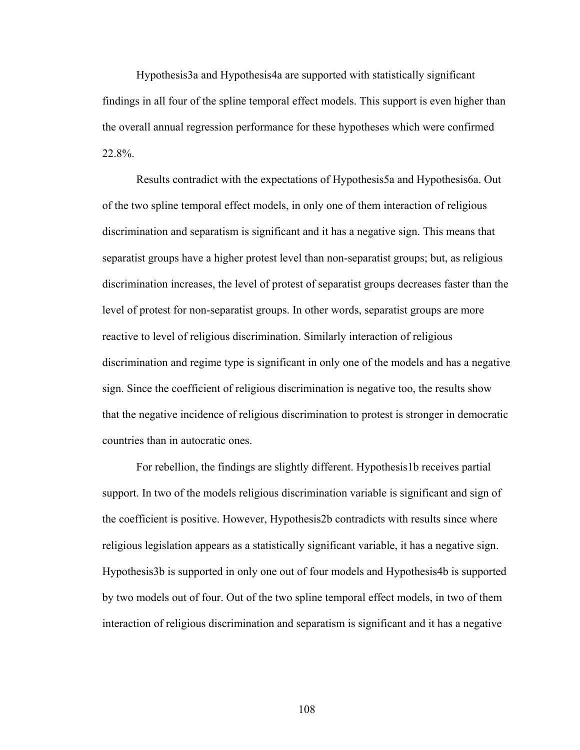Hypothesis3a and Hypothesis4a are supported with statistically significant findings in all four of the spline temporal effect models. This support is even higher than the overall annual regression performance for these hypotheses which were confirmed 22.8%.

 Results contradict with the expectations of Hypothesis5a and Hypothesis6a. Out of the two spline temporal effect models, in only one of them interaction of religious discrimination and separatism is significant and it has a negative sign. This means that separatist groups have a higher protest level than non-separatist groups; but, as religious discrimination increases, the level of protest of separatist groups decreases faster than the level of protest for non-separatist groups. In other words, separatist groups are more reactive to level of religious discrimination. Similarly interaction of religious discrimination and regime type is significant in only one of the models and has a negative sign. Since the coefficient of religious discrimination is negative too, the results show that the negative incidence of religious discrimination to protest is stronger in democratic countries than in autocratic ones.

 For rebellion, the findings are slightly different. Hypothesis1b receives partial support. In two of the models religious discrimination variable is significant and sign of the coefficient is positive. However, Hypothesis2b contradicts with results since where religious legislation appears as a statistically significant variable, it has a negative sign. Hypothesis3b is supported in only one out of four models and Hypothesis4b is supported by two models out of four. Out of the two spline temporal effect models, in two of them interaction of religious discrimination and separatism is significant and it has a negative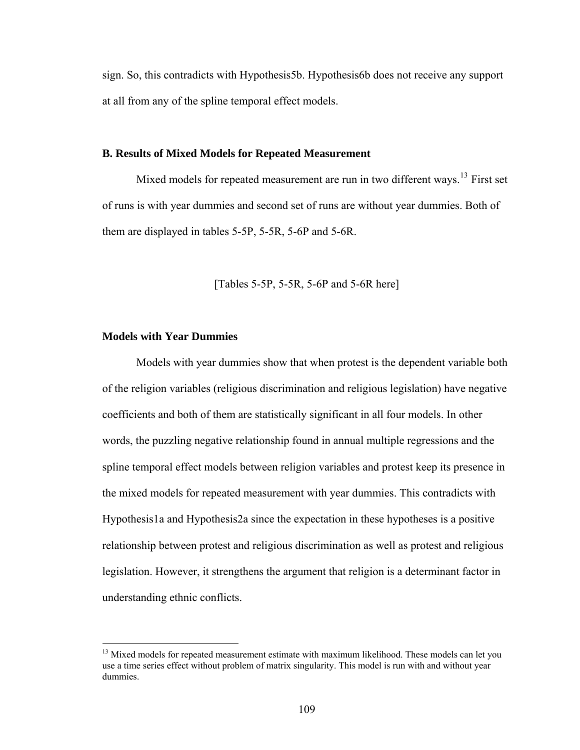<span id="page-119-0"></span>sign. So, this contradicts with Hypothesis5b. Hypothesis6b does not receive any support at all from any of the spline temporal effect models.

#### **B. Results of Mixed Models for Repeated Measurement**

Mixed models for repeated measurement are run in two different ways.<sup>[13](#page-119-0)</sup> First set of runs is with year dummies and second set of runs are without year dummies. Both of them are displayed in tables 5-5P, 5-5R, 5-6P and 5-6R.

```
[Tables 5-5P, 5-5R, 5-6P and 5-6R here]
```
#### **Models with Year Dummies**

 $\overline{a}$ 

 Models with year dummies show that when protest is the dependent variable both of the religion variables (religious discrimination and religious legislation) have negative coefficients and both of them are statistically significant in all four models. In other words, the puzzling negative relationship found in annual multiple regressions and the spline temporal effect models between religion variables and protest keep its presence in the mixed models for repeated measurement with year dummies. This contradicts with Hypothesis1a and Hypothesis2a since the expectation in these hypotheses is a positive relationship between protest and religious discrimination as well as protest and religious legislation. However, it strengthens the argument that religion is a determinant factor in understanding ethnic conflicts.

<sup>&</sup>lt;sup>13</sup> Mixed models for repeated measurement estimate with maximum likelihood. These models can let you use a time series effect without problem of matrix singularity. This model is run with and without year dummies.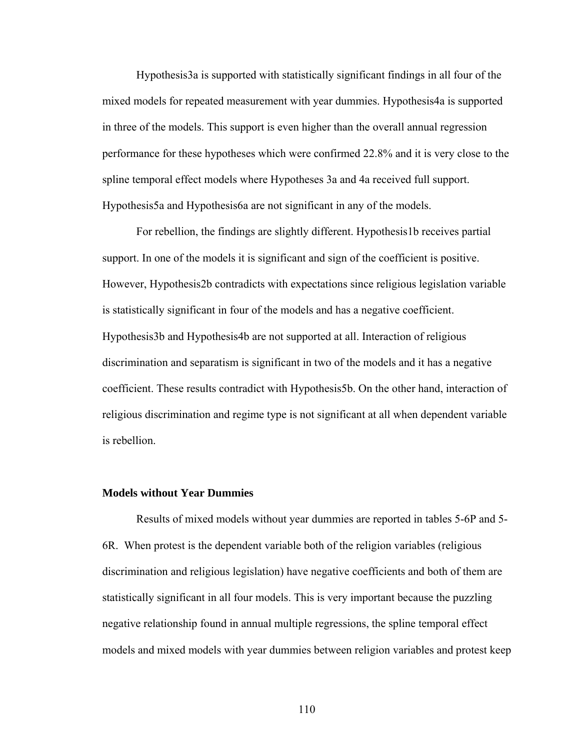Hypothesis3a is supported with statistically significant findings in all four of the mixed models for repeated measurement with year dummies. Hypothesis4a is supported in three of the models. This support is even higher than the overall annual regression performance for these hypotheses which were confirmed 22.8% and it is very close to the spline temporal effect models where Hypotheses 3a and 4a received full support. Hypothesis5a and Hypothesis6a are not significant in any of the models.

For rebellion, the findings are slightly different. Hypothesis1b receives partial support. In one of the models it is significant and sign of the coefficient is positive. However, Hypothesis2b contradicts with expectations since religious legislation variable is statistically significant in four of the models and has a negative coefficient. Hypothesis3b and Hypothesis4b are not supported at all. Interaction of religious discrimination and separatism is significant in two of the models and it has a negative coefficient. These results contradict with Hypothesis5b. On the other hand, interaction of religious discrimination and regime type is not significant at all when dependent variable is rebellion.

#### **Models without Year Dummies**

 Results of mixed models without year dummies are reported in tables 5-6P and 5- 6R. When protest is the dependent variable both of the religion variables (religious discrimination and religious legislation) have negative coefficients and both of them are statistically significant in all four models. This is very important because the puzzling negative relationship found in annual multiple regressions, the spline temporal effect models and mixed models with year dummies between religion variables and protest keep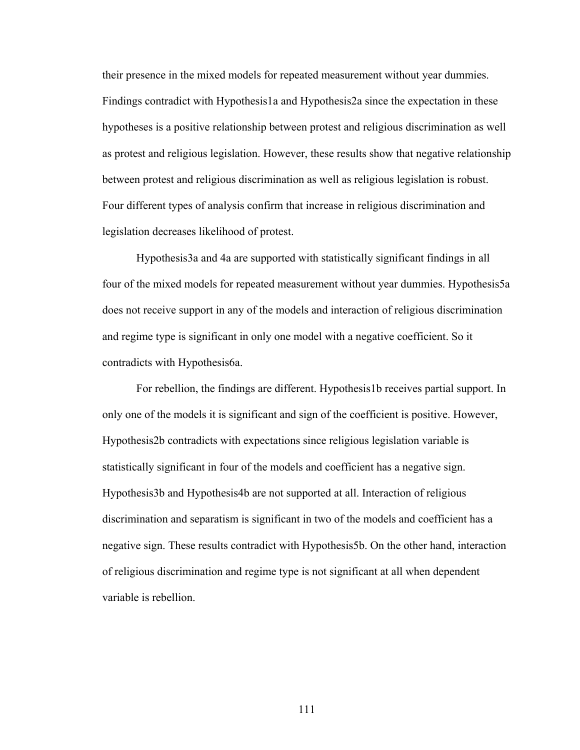their presence in the mixed models for repeated measurement without year dummies. Findings contradict with Hypothesis1a and Hypothesis2a since the expectation in these hypotheses is a positive relationship between protest and religious discrimination as well as protest and religious legislation. However, these results show that negative relationship between protest and religious discrimination as well as religious legislation is robust. Four different types of analysis confirm that increase in religious discrimination and legislation decreases likelihood of protest.

Hypothesis3a and 4a are supported with statistically significant findings in all four of the mixed models for repeated measurement without year dummies. Hypothesis5a does not receive support in any of the models and interaction of religious discrimination and regime type is significant in only one model with a negative coefficient. So it contradicts with Hypothesis6a.

 For rebellion, the findings are different. Hypothesis1b receives partial support. In only one of the models it is significant and sign of the coefficient is positive. However, Hypothesis2b contradicts with expectations since religious legislation variable is statistically significant in four of the models and coefficient has a negative sign. Hypothesis3b and Hypothesis4b are not supported at all. Interaction of religious discrimination and separatism is significant in two of the models and coefficient has a negative sign. These results contradict with Hypothesis5b. On the other hand, interaction of religious discrimination and regime type is not significant at all when dependent variable is rebellion.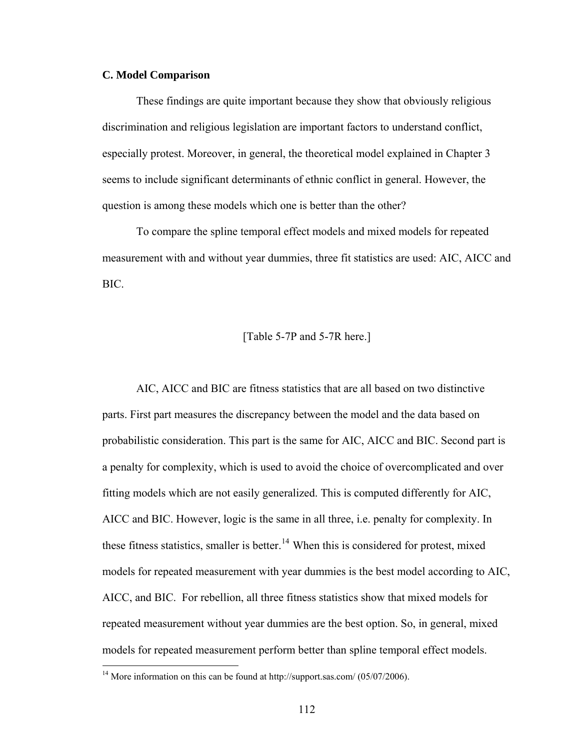#### <span id="page-122-0"></span>**C. Model Comparison**

These findings are quite important because they show that obviously religious discrimination and religious legislation are important factors to understand conflict, especially protest. Moreover, in general, the theoretical model explained in Chapter 3 seems to include significant determinants of ethnic conflict in general. However, the question is among these models which one is better than the other?

 To compare the spline temporal effect models and mixed models for repeated measurement with and without year dummies, three fit statistics are used: AIC, AICC and BIC.

#### [Table 5-7P and 5-7R here.]

AIC, AICC and BIC are fitness statistics that are all based on two distinctive parts. First part measures the discrepancy between the model and the data based on probabilistic consideration. This part is the same for AIC, AICC and BIC. Second part is a penalty for complexity, which is used to avoid the choice of overcomplicated and over fitting models which are not easily generalized. This is computed differently for AIC, AICC and BIC. However, logic is the same in all three, i.e. penalty for complexity. In these fitness statistics, smaller is better.<sup>[14](#page-122-0)</sup> When this is considered for protest, mixed models for repeated measurement with year dummies is the best model according to AIC, AICC, and BIC. For rebellion, all three fitness statistics show that mixed models for repeated measurement without year dummies are the best option. So, in general, mixed models for repeated measurement perform better than spline temporal effect models.

 $\overline{a}$ 

<sup>&</sup>lt;sup>14</sup> More information on this can be found at http://support.sas.com/  $(05/07/2006)$ .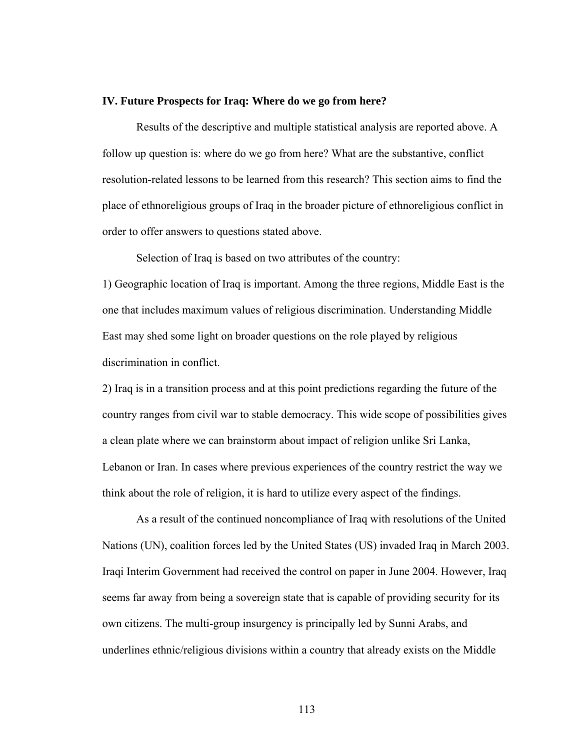#### **IV. Future Prospects for Iraq: Where do we go from here?**

 Results of the descriptive and multiple statistical analysis are reported above. A follow up question is: where do we go from here? What are the substantive, conflict resolution-related lessons to be learned from this research? This section aims to find the place of ethnoreligious groups of Iraq in the broader picture of ethnoreligious conflict in order to offer answers to questions stated above.

Selection of Iraq is based on two attributes of the country:

1) Geographic location of Iraq is important. Among the three regions, Middle East is the one that includes maximum values of religious discrimination. Understanding Middle East may shed some light on broader questions on the role played by religious discrimination in conflict.

2) Iraq is in a transition process and at this point predictions regarding the future of the country ranges from civil war to stable democracy. This wide scope of possibilities gives a clean plate where we can brainstorm about impact of religion unlike Sri Lanka, Lebanon or Iran. In cases where previous experiences of the country restrict the way we think about the role of religion, it is hard to utilize every aspect of the findings.

 As a result of the continued noncompliance of Iraq with resolutions of the United Nations (UN), coalition forces led by the United States (US) invaded Iraq in March 2003. Iraqi Interim Government had received the control on paper in June 2004. However, Iraq seems far away from being a sovereign state that is capable of providing security for its own citizens. The multi-group insurgency is principally led by Sunni Arabs, and underlines ethnic/religious divisions within a country that already exists on the Middle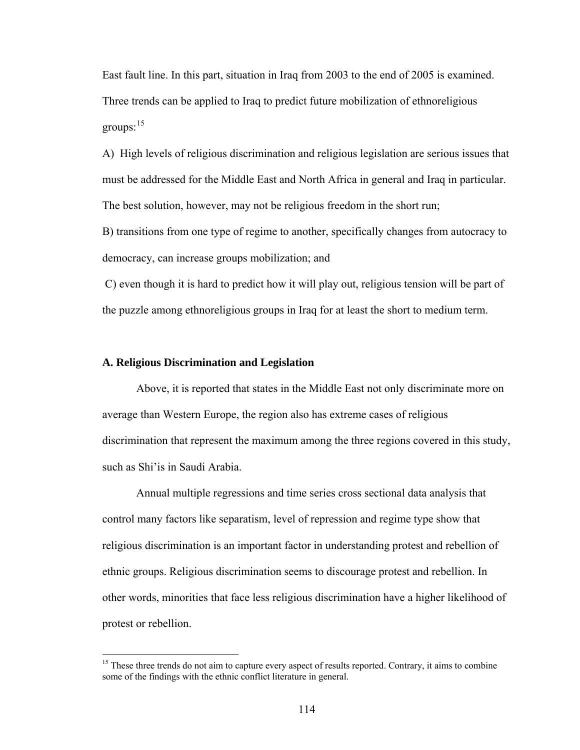<span id="page-124-0"></span>East fault line. In this part, situation in Iraq from 2003 to the end of 2005 is examined. Three trends can be applied to Iraq to predict future mobilization of ethnoreligious groups: $15$ 

A) High levels of religious discrimination and religious legislation are serious issues that must be addressed for the Middle East and North Africa in general and Iraq in particular. The best solution, however, may not be religious freedom in the short run;

B) transitions from one type of regime to another, specifically changes from autocracy to democracy, can increase groups mobilization; and

 C) even though it is hard to predict how it will play out, religious tension will be part of the puzzle among ethnoreligious groups in Iraq for at least the short to medium term.

#### **A. Religious Discrimination and Legislation**

 $\overline{a}$ 

 Above, it is reported that states in the Middle East not only discriminate more on average than Western Europe, the region also has extreme cases of religious discrimination that represent the maximum among the three regions covered in this study, such as Shi'is in Saudi Arabia.

 Annual multiple regressions and time series cross sectional data analysis that control many factors like separatism, level of repression and regime type show that religious discrimination is an important factor in understanding protest and rebellion of ethnic groups. Religious discrimination seems to discourage protest and rebellion. In other words, minorities that face less religious discrimination have a higher likelihood of protest or rebellion.

<sup>&</sup>lt;sup>15</sup> These three trends do not aim to capture every aspect of results reported. Contrary, it aims to combine some of the findings with the ethnic conflict literature in general.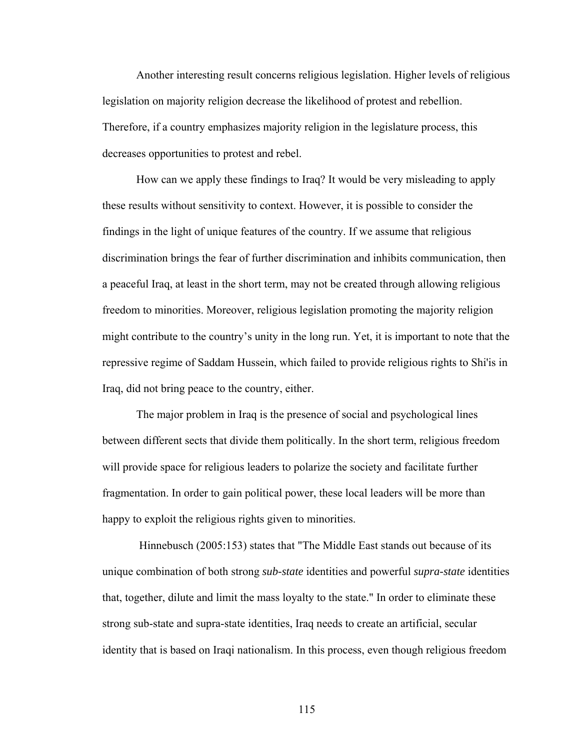Another interesting result concerns religious legislation. Higher levels of religious legislation on majority religion decrease the likelihood of protest and rebellion. Therefore, if a country emphasizes majority religion in the legislature process, this decreases opportunities to protest and rebel.

 How can we apply these findings to Iraq? It would be very misleading to apply these results without sensitivity to context. However, it is possible to consider the findings in the light of unique features of the country. If we assume that religious discrimination brings the fear of further discrimination and inhibits communication, then a peaceful Iraq, at least in the short term, may not be created through allowing religious freedom to minorities. Moreover, religious legislation promoting the majority religion might contribute to the country's unity in the long run. Yet, it is important to note that the repressive regime of Saddam Hussein, which failed to provide religious rights to Shi'is in Iraq, did not bring peace to the country, either.

 The major problem in Iraq is the presence of social and psychological lines between different sects that divide them politically. In the short term, religious freedom will provide space for religious leaders to polarize the society and facilitate further fragmentation. In order to gain political power, these local leaders will be more than happy to exploit the religious rights given to minorities.

 Hinnebusch (2005:153) states that "The Middle East stands out because of its unique combination of both strong *sub-state* identities and powerful *supra-state* identities that, together, dilute and limit the mass loyalty to the state." In order to eliminate these strong sub-state and supra-state identities, Iraq needs to create an artificial, secular identity that is based on Iraqi nationalism. In this process, even though religious freedom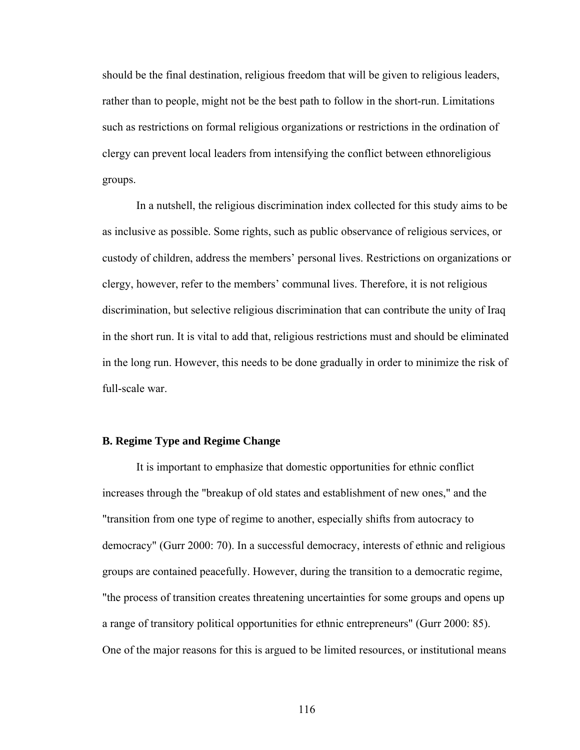should be the final destination, religious freedom that will be given to religious leaders, rather than to people, might not be the best path to follow in the short-run. Limitations such as restrictions on formal religious organizations or restrictions in the ordination of clergy can prevent local leaders from intensifying the conflict between ethnoreligious groups.

 In a nutshell, the religious discrimination index collected for this study aims to be as inclusive as possible. Some rights, such as public observance of religious services, or custody of children, address the members' personal lives. Restrictions on organizations or clergy, however, refer to the members' communal lives. Therefore, it is not religious discrimination, but selective religious discrimination that can contribute the unity of Iraq in the short run. It is vital to add that, religious restrictions must and should be eliminated in the long run. However, this needs to be done gradually in order to minimize the risk of full-scale war.

#### **B. Regime Type and Regime Change**

 It is important to emphasize that domestic opportunities for ethnic conflict increases through the "breakup of old states and establishment of new ones," and the "transition from one type of regime to another, especially shifts from autocracy to democracy" (Gurr 2000: 70). In a successful democracy, interests of ethnic and religious groups are contained peacefully. However, during the transition to a democratic regime, "the process of transition creates threatening uncertainties for some groups and opens up a range of transitory political opportunities for ethnic entrepreneurs" (Gurr 2000: 85). One of the major reasons for this is argued to be limited resources, or institutional means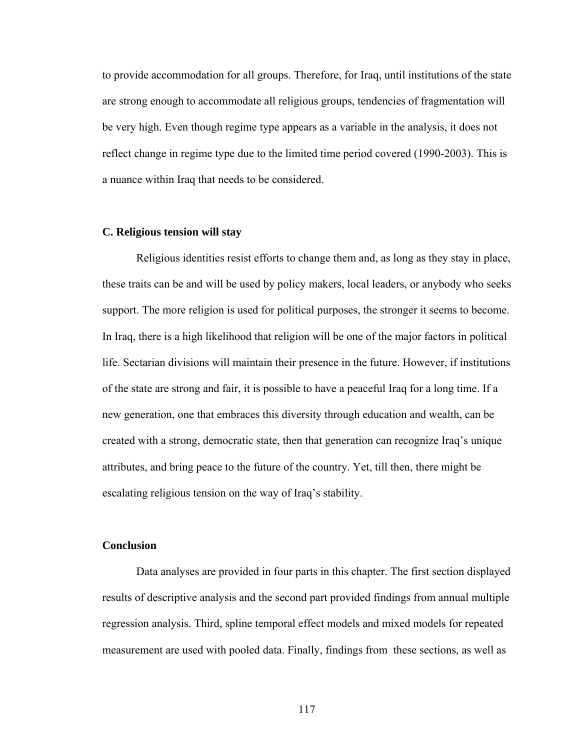to provide accommodation for all groups. Therefore, for Iraq, until institutions of the state are strong enough to accommodate all religious groups, tendencies of fragmentation will be very high. Even though regime type appears as a variable in the analysis, it does not reflect change in regime type due to the limited time period covered (1990-2003). This is a nuance within Iraq that needs to be considered.

#### **C. Religious tension will stay**

 Religious identities resist efforts to change them and, as long as they stay in place, these traits can be and will be used by policy makers, local leaders, or anybody who seeks support. The more religion is used for political purposes, the stronger it seems to become. In Iraq, there is a high likelihood that religion will be one of the major factors in political life. Sectarian divisions will maintain their presence in the future. However, if institutions of the state are strong and fair, it is possible to have a peaceful Iraq for a long time. If a new generation, one that embraces this diversity through education and wealth, can be created with a strong, democratic state, then that generation can recognize Iraq's unique attributes, and bring peace to the future of the country. Yet, till then, there might be escalating religious tension on the way of Iraq's stability.

#### **Conclusion**

Data analyses are provided in four parts in this chapter. The first section displayed results of descriptive analysis and the second part provided findings from annual multiple regression analysis. Third, spline temporal effect models and mixed models for repeated measurement are used with pooled data. Finally, findings from these sections, as well as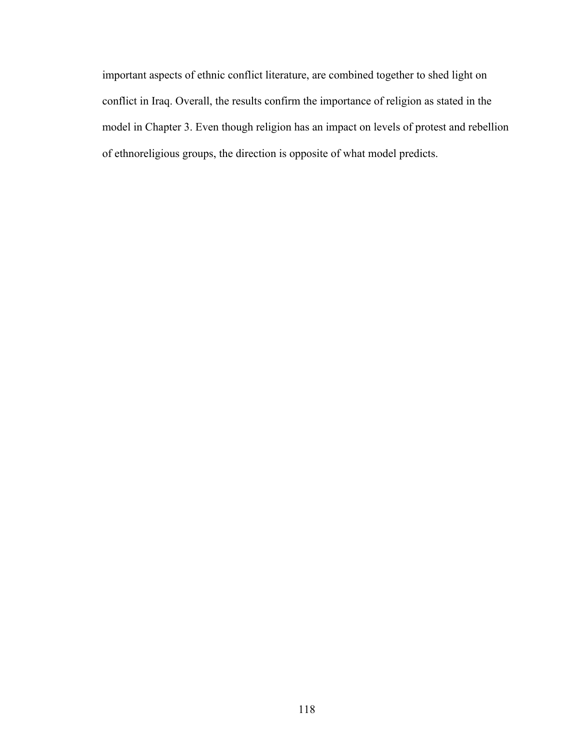important aspects of ethnic conflict literature, are combined together to shed light on conflict in Iraq. Overall, the results confirm the importance of religion as stated in the model in Chapter 3. Even though religion has an impact on levels of protest and rebellion of ethnoreligious groups, the direction is opposite of what model predicts.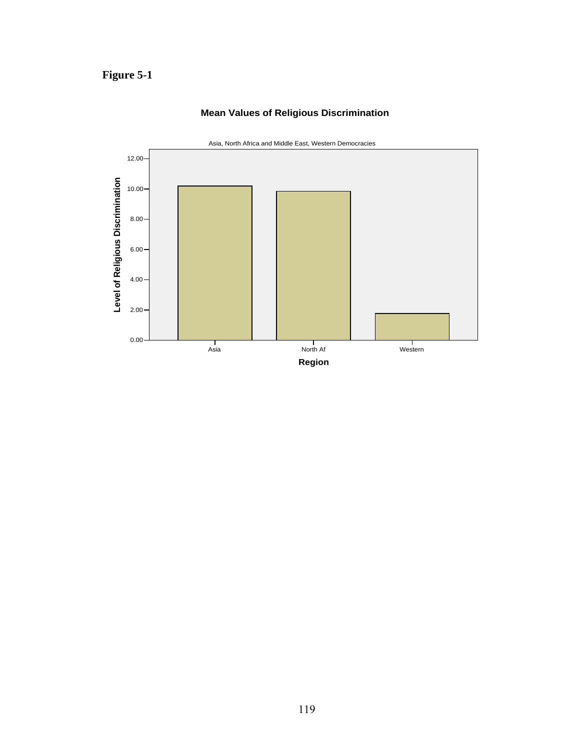# **Figure 5-1**



## **Mean Values of Religious Discrimination**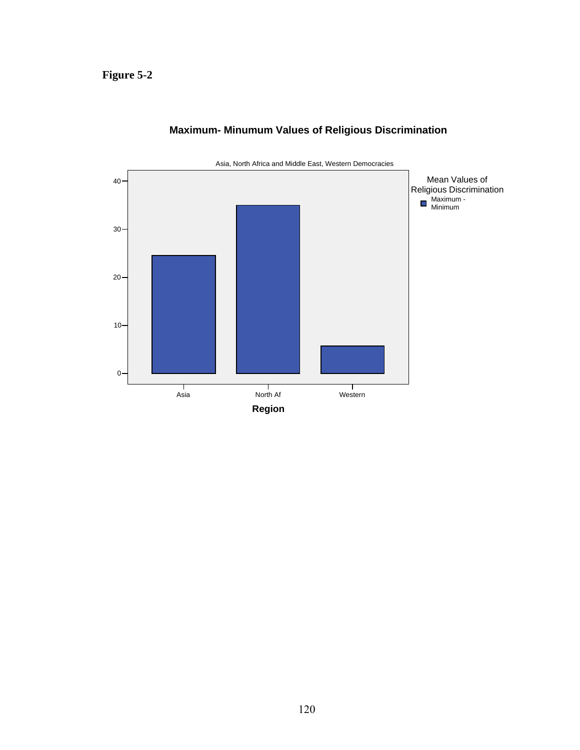

## **Maximum- Minumum Values of Religious Discrimination**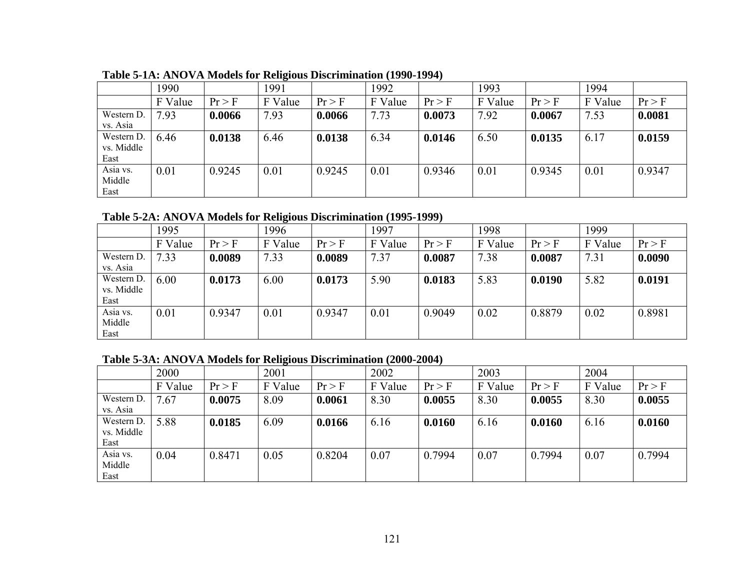|                                  | 1990    |        | 1991    |        | 1992    |        | 1993    |        | 1994    |        |
|----------------------------------|---------|--------|---------|--------|---------|--------|---------|--------|---------|--------|
|                                  | F Value | Pr > F | F Value | Pr > F | F Value | Pr > F | F Value | Pr > F | F Value | Pr > F |
| Western D.<br>vs. Asia           | 7.93    | 0.0066 | 7.93    | 0.0066 | 7.73    | 0.0073 | 7.92    | 0.0067 | 7.53    | 0.0081 |
| Western D.<br>vs. Middle<br>East | 6.46    | 0.0138 | 6.46    | 0.0138 | 6.34    | 0.0146 | 6.50    | 0.0135 | 6.17    | 0.0159 |
| Asia vs.<br>Middle<br>East       | 0.01    | 0.9245 | 0.01    | 0.9245 | 0.01    | 0.9346 | 0.01    | 0.9345 | 0.01    | 0.9347 |

**Table 5-1A: ANOVA Models for Religious Discrimination (1990-1994)** 

**Table 5-2A: ANOVA Models for Religious Discrimination (1995-1999)** 

|                                  | 1995    |        | ັ<br>1996 |        | 1997    |        | 1998    |        | 1999    |        |
|----------------------------------|---------|--------|-----------|--------|---------|--------|---------|--------|---------|--------|
|                                  | F Value | Pr > F | F Value   | Pr > F | F Value | Pr > F | F Value | Pr > F | F Value | Pr > F |
| Western D.<br>vs. Asia           | 7.33    | 0.0089 | 7.33      | 0.0089 | 7.37    | 0.0087 | 7.38    | 0.0087 | 7.31    | 0.0090 |
| Western D.<br>vs. Middle<br>East | 6.00    | 0.0173 | 6.00      | 0.0173 | 5.90    | 0.0183 | 5.83    | 0.0190 | 5.82    | 0.0191 |
| Asia vs.<br>Middle<br>East       | 0.01    | 0.9347 | 0.01      | 0.9347 | 0.01    | 0.9049 | 0.02    | 0.8879 | 0.02    | 0.8981 |

## **Table 5-3A: ANOVA Models for Religious Discrimination (2000-2004)**

|                                  | 2000    |        | 2001    |        | 2002    |        | 2003    |        | 2004    |        |
|----------------------------------|---------|--------|---------|--------|---------|--------|---------|--------|---------|--------|
|                                  | F Value | Pr > F | F Value | Pr > F | F Value | Pr > F | F Value | Pr > F | F Value | Pr > F |
| Western D.<br>vs. Asia           | 7.67    | 0.0075 | 8.09    | 0.0061 | 8.30    | 0.0055 | 8.30    | 0.0055 | 8.30    | 0.0055 |
| Western D.<br>vs. Middle<br>East | 5.88    | 0.0185 | 6.09    | 0.0166 | 6.16    | 0.0160 | 6.16    | 0.0160 | 6.16    | 0.0160 |
| Asia vs.<br>Middle<br>East       | 0.04    | 0.8471 | 0.05    | 0.8204 | 0.07    | 0.7994 | 0.07    | 0.7994 | 0.07    | 0.7994 |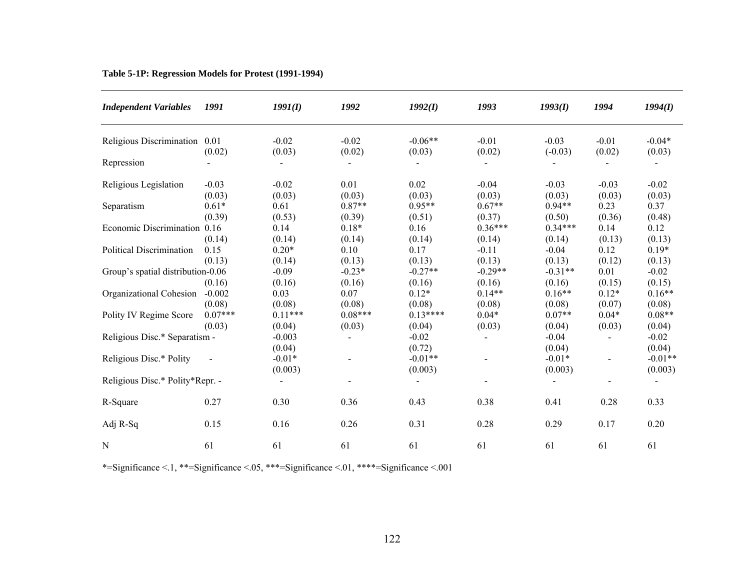|  |  | Table 5-1P: Regression Models for Protest (1991-1994) |
|--|--|-------------------------------------------------------|
|  |  |                                                       |

| <b>Independent Variables</b>      | 1991                | 1991(I)             | 1992                | 1992(I)              | 1993                | 1993(I)              | 1994              | 1994(I)              |
|-----------------------------------|---------------------|---------------------|---------------------|----------------------|---------------------|----------------------|-------------------|----------------------|
| Religious Discrimination 0.01     | (0.02)              | $-0.02$<br>(0.03)   | $-0.02$<br>(0.02)   | $-0.06**$<br>(0.03)  | $-0.01$<br>(0.02)   | $-0.03$<br>$(-0.03)$ | $-0.01$<br>(0.02) | $-0.04*$<br>(0.03)   |
| Repression                        |                     |                     | ۰                   |                      |                     |                      |                   |                      |
| Religious Legislation             | $-0.03$<br>(0.03)   | $-0.02$<br>(0.03)   | 0.01<br>(0.03)      | 0.02<br>(0.03)       | $-0.04$<br>(0.03)   | $-0.03$<br>(0.03)    | $-0.03$<br>(0.03) | $-0.02$<br>(0.03)    |
| Separatism                        | $0.61*$<br>(0.39)   | 0.61<br>(0.53)      | $0.87**$<br>(0.39)  | $0.95**$<br>(0.51)   | $0.67**$<br>(0.37)  | $0.94**$<br>(0.50)   | 0.23<br>(0.36)    | 0.37<br>(0.48)       |
| Economic Discrimination 0.16      | (0.14)              | 0.14<br>(0.14)      | $0.18*$<br>(0.14)   | 0.16<br>(0.14)       | $0.36***$<br>(0.14) | $0.34***$<br>(0.14)  | 0.14<br>(0.13)    | 0.12<br>(0.13)       |
| <b>Political Discrimination</b>   | 0.15<br>(0.13)      | $0.20*$<br>(0.14)   | 0.10<br>(0.13)      | 0.17<br>(0.13)       | $-0.11$<br>(0.13)   | $-0.04$<br>(0.13)    | 0.12<br>(0.12)    | $0.19*$<br>(0.13)    |
| Group's spatial distribution-0.06 | (0.16)              | $-0.09$<br>(0.16)   | $-0.23*$<br>(0.16)  | $-0.27**$<br>(0.16)  | $-0.29**$<br>(0.16) | $-0.31**$<br>(0.16)  | 0.01<br>(0.15)    | $-0.02$<br>(0.15)    |
| Organizational Cohesion           | $-0.002$<br>(0.08)  | 0.03<br>(0.08)      | 0.07<br>(0.08)      | $0.12*$<br>(0.08)    | $0.14**$<br>(0.08)  | $0.16**$<br>(0.08)   | $0.12*$<br>(0.07) | $0.16**$<br>(0.08)   |
| Polity IV Regime Score            | $0.07***$<br>(0.03) | $0.11***$<br>(0.04) | $0.08***$<br>(0.03) | $0.13***$<br>(0.04)  | $0.04*$<br>(0.03)   | $0.07**$<br>(0.04)   | $0.04*$<br>(0.03) | $0.08**$<br>(0.04)   |
| Religious Disc.* Separatism -     |                     | $-0.003$<br>(0.04)  |                     | $-0.02$<br>(0.72)    |                     | $-0.04$<br>(0.04)    |                   | $-0.02$<br>(0.04)    |
| Religious Disc.* Polity           | $\qquad \qquad$     | $-0.01*$<br>(0.003) |                     | $-0.01**$<br>(0.003) |                     | $-0.01*$<br>(0.003)  | $\blacksquare$    | $-0.01**$<br>(0.003) |
| Religious Disc.* Polity*Repr. -   |                     |                     |                     |                      |                     |                      |                   | $\blacksquare$       |
| R-Square                          | 0.27                | 0.30                | 0.36                | 0.43                 | 0.38                | 0.41                 | 0.28              | 0.33                 |
| Adj R-Sq                          | 0.15                | 0.16                | 0.26                | 0.31                 | 0.28                | 0.29                 | 0.17              | 0.20                 |
| $\mathbf N$                       | 61                  | 61                  | 61                  | 61                   | 61                  | 61                   | 61                | 61                   |

\*=Significance <.1, \*\*=Significance <.05, \*\*\*=Significance <.01, \*\*\*\*=Significance <.001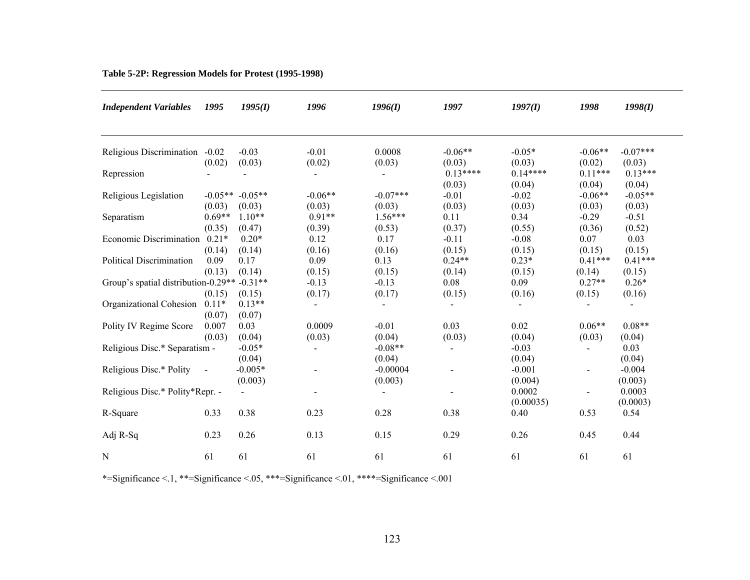|  |  | Table 5-2P: Regression Models for Protest (1995-1998) |
|--|--|-------------------------------------------------------|
|  |  |                                                       |

| <b>Independent Variables</b>        | 1995               | 1995(I)             | 1996             | 1996(I)              | 1997                | 1997(I)             | 1998                | 1998(I)             |
|-------------------------------------|--------------------|---------------------|------------------|----------------------|---------------------|---------------------|---------------------|---------------------|
| Religious Discrimination -0.02      |                    | $-0.03$             | $-0.01$          | 0.0008               | $-0.06**$           | $-0.05*$            | $-0.06**$           | $-0.07***$          |
|                                     | (0.02)             | (0.03)              | (0.02)           | (0.03)               | (0.03)              | (0.03)              | (0.02)              | (0.03)              |
| Repression                          |                    |                     |                  |                      | $0.13***$<br>(0.03) | $0.14***$<br>(0.04) | $0.11***$<br>(0.04) | $0.13***$<br>(0.04) |
| Religious Legislation               | $-0.05**$          | $-0.05**$           | $-0.06**$        | $-0.07***$           | $-0.01$             | $-0.02$             | $-0.06**$           | $-0.05**$           |
|                                     | (0.03)             | (0.03)              | (0.03)           | (0.03)               | (0.03)              | (0.03)              | (0.03)              | (0.03)              |
| Separatism                          | $0.69**$<br>(0.35) | $1.10**$<br>(0.47)  | $0.91**$         | $1.56***$            | 0.11                | 0.34                | $-0.29$             | $-0.51$             |
| Economic Discrimination 0.21*       |                    | $0.20*$             | (0.39)<br>0.12   | (0.53)<br>0.17       | (0.37)<br>$-0.11$   | (0.55)<br>$-0.08$   | (0.36)<br>0.07      | (0.52)<br>0.03      |
|                                     | (0.14)             | (0.14)              | (0.16)           | (0.16)               | (0.15)              | (0.15)              | (0.15)              | (0.15)              |
| Political Discrimination            | 0.09               | 0.17                | 0.09             | 0.13                 | $0.24**$            | $0.23*$             | $0.41***$           | $0.41***$           |
|                                     | (0.13)             | (0.14)              | (0.15)           | (0.15)               | (0.14)              | (0.15)              | (0.14)              | (0.15)              |
| Group's spatial distribution-0.29** |                    | $-0.31**$           | $-0.13$          | $-0.13$              | 0.08                | 0.09                | $0.27**$            | $0.26*$             |
|                                     | (0.15)             | (0.15)              | (0.17)           | (0.17)               | (0.15)              | (0.16)              | (0.15)              | (0.16)              |
| Organizational Cohesion 0.11*       | (0.07)             | $0.13**$<br>(0.07)  |                  | $\blacksquare$       |                     |                     |                     |                     |
| Polity IV Regime Score              | 0.007<br>(0.03)    | 0.03<br>(0.04)      | 0.0009<br>(0.03) | $-0.01$<br>(0.04)    | 0.03                | 0.02<br>(0.04)      | $0.06**$<br>(0.03)  | $0.08**$            |
| Religious Disc.* Separatism -       |                    | $-0.05*$            |                  | $-0.08**$            | (0.03)              | $-0.03$             |                     | (0.04)<br>0.03      |
| Religious Disc.* Polity             |                    | (0.04)<br>$-0.005*$ |                  | (0.04)<br>$-0.00004$ |                     | (0.04)<br>$-0.001$  |                     | (0.04)<br>$-0.004$  |
| Religious Disc.* Polity*Repr. -     |                    | (0.003)             |                  | (0.003)              |                     | (0.004)<br>0.0002   |                     | (0.003)<br>0.0003   |
| R-Square                            | 0.33               | 0.38                | 0.23             | 0.28                 | 0.38                | (0.00035)<br>0.40   | 0.53                | (0.0003)<br>0.54    |
| Adj R-Sq                            | 0.23               | 0.26                | 0.13             | 0.15                 | 0.29                | 0.26                | 0.45                | 0.44                |
| N                                   | 61                 | 61                  | 61               | 61                   | 61                  | 61                  | 61                  | 61                  |

\*=Significance <.1, \*\*=Significance <.05, \*\*\*=Significance <.01, \*\*\*\*=Significance <.001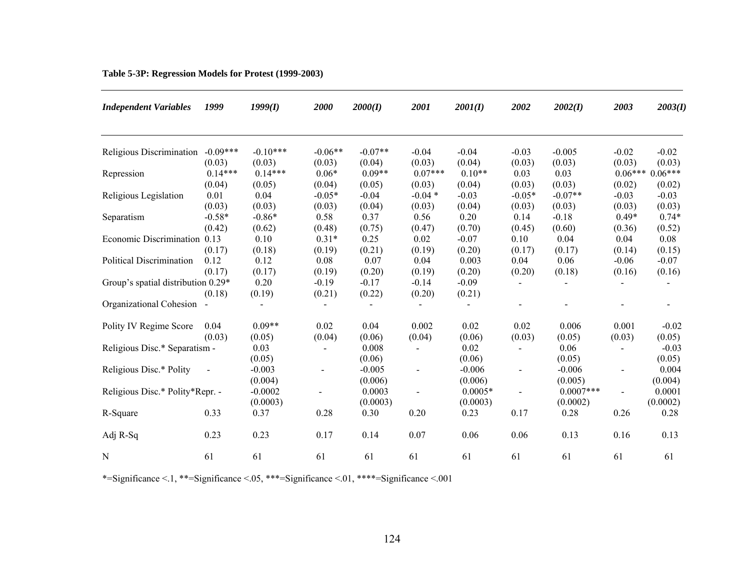| <b>Independent Variables</b>       | 1999       | 1999(I)    | 2000      | 2000(I)   | 2001           | 2001(I)   | 2002           | 2002(I)      | 2003      | 2003(I)   |
|------------------------------------|------------|------------|-----------|-----------|----------------|-----------|----------------|--------------|-----------|-----------|
| Religious Discrimination           | $-0.09***$ | $-0.10***$ | $-0.06**$ | $-0.07**$ | $-0.04$        | $-0.04$   | $-0.03$        | $-0.005$     | $-0.02$   | $-0.02$   |
|                                    | (0.03)     | (0.03)     | (0.03)    | (0.04)    | (0.03)         | (0.04)    | (0.03)         | (0.03)       | (0.03)    | (0.03)    |
| Repression                         | $0.14***$  | $0.14***$  | $0.06*$   | $0.09**$  | $0.07***$      | $0.10**$  | 0.03           | 0.03         | $0.06***$ | $0.06***$ |
|                                    | (0.04)     | (0.05)     | (0.04)    | (0.05)    | (0.03)         | (0.04)    | (0.03)         | (0.03)       | (0.02)    | (0.02)    |
| Religious Legislation              | 0.01       | 0.04       | $-0.05*$  | $-0.04$   | $-0.04*$       | $-0.03$   | $-0.05*$       | $-0.07**$    | $-0.03$   | $-0.03$   |
|                                    | (0.03)     | (0.03)     | (0.03)    | (0.04)    | (0.03)         | (0.04)    | (0.03)         | (0.03)       | (0.03)    | (0.03)    |
| Separatism                         | $-0.58*$   | $-0.86*$   | 0.58      | 0.37      | 0.56           | 0.20      | 0.14           | $-0.18$      | $0.49*$   | $0.74*$   |
|                                    | (0.42)     | (0.62)     | (0.48)    | (0.75)    | (0.47)         | (0.70)    | (0.45)         | (0.60)       | (0.36)    | (0.52)    |
| Economic Discrimination 0.13       |            | 0.10       | $0.31*$   | 0.25      | 0.02           | $-0.07$   | 0.10           | 0.04         | 0.04      | 0.08      |
|                                    | (0.17)     | (0.18)     | (0.19)    | (0.21)    | (0.19)         | (0.20)    | (0.17)         | (0.17)       | (0.14)    | (0.15)    |
| Political Discrimination           | 0.12       | 0.12       | 0.08      | 0.07      | 0.04           | 0.003     | 0.04           | 0.06         | $-0.06$   | $-0.07$   |
|                                    | (0.17)     | (0.17)     | (0.19)    | (0.20)    | (0.19)         | (0.20)    | (0.20)         | (0.18)       | (0.16)    | (0.16)    |
| Group's spatial distribution 0.29* |            | 0.20       | $-0.19$   | $-0.17$   | $-0.14$        | $-0.09$   | $\overline{a}$ |              |           |           |
|                                    | (0.18)     | (0.19)     | (0.21)    | (0.22)    | (0.20)         | (0.21)    |                |              |           |           |
| Organizational Cohesion            |            |            |           |           |                |           |                |              |           |           |
| Polity IV Regime Score             | 0.04       | $0.09**$   | 0.02      | 0.04      | 0.002          | 0.02      | 0.02           | 0.006        | 0.001     | $-0.02$   |
|                                    | (0.03)     | (0.05)     | (0.04)    | (0.06)    | (0.04)         | (0.06)    | (0.03)         | (0.05)       | (0.03)    | (0.05)    |
| Religious Disc.* Separatism -      |            | 0.03       |           | 0.008     |                | 0.02      |                | 0.06         |           | $-0.03$   |
|                                    |            | (0.05)     |           | (0.06)    |                | (0.06)    |                | (0.05)       |           | (0.05)    |
| Religious Disc.* Polity            |            | $-0.003$   |           | $-0.005$  |                | $-0.006$  |                | $-0.006$     |           | 0.004     |
|                                    |            | (0.004)    |           | (0.006)   |                | (0.006)   |                | (0.005)      |           | (0.004)   |
| Religious Disc.* Polity*Repr. -    |            | $-0.0002$  |           | 0.0003    | $\blacksquare$ | $0.0005*$ |                | $0.0007$ *** |           | 0.0001    |
|                                    |            | (0.0003)   |           | (0.0003)  |                | (0.0003)  |                | (0.0002)     |           | (0.0002)  |
| R-Square                           | 0.33       | 0.37       | 0.28      | 0.30      | 0.20           | 0.23      | 0.17           | 0.28         | 0.26      | 0.28      |
| Adj R-Sq                           | 0.23       | 0.23       | 0.17      | 0.14      | 0.07           | 0.06      | 0.06           | 0.13         | 0.16      | 0.13      |
| N                                  | 61         | 61         | 61        | 61        | 61             | 61        | 61             | 61           | 61        | 61        |

### **Table 5-3P: Regression Models for Protest (1999-2003)**

\*=Significance <.1, \*\*=Significance <.05, \*\*\*=Significance <.01, \*\*\*\*=Significance <.001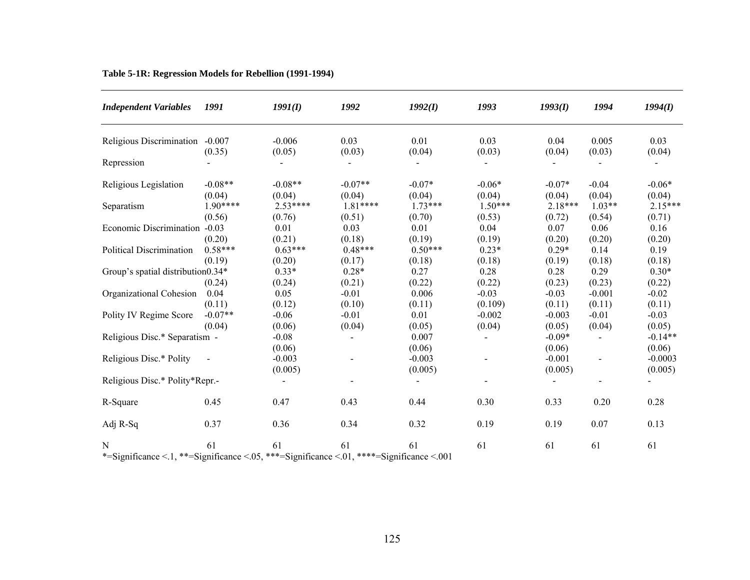|  | Table 5-1R: Regression Models for Rebellion (1991-1994) |  |  |  |
|--|---------------------------------------------------------|--|--|--|
|  |                                                         |  |  |  |

| <b>Independent Variables</b>                                                                  | 1991                          | 1991(I)                       | 1992                          | 1992(I)                       | 1993                          | 1993(I)                     | 1994                         | 1994(I)                       |
|-----------------------------------------------------------------------------------------------|-------------------------------|-------------------------------|-------------------------------|-------------------------------|-------------------------------|-----------------------------|------------------------------|-------------------------------|
| Religious Discrimination -0.007                                                               |                               | $-0.006$                      | 0.03                          | 0.01                          | 0.03                          | 0.04                        | 0.005                        | 0.03                          |
| Repression                                                                                    | (0.35)                        | (0.05)                        | (0.03)                        | (0.04)                        | (0.03)                        | (0.04)                      | (0.03)                       | (0.04)                        |
| Religious Legislation                                                                         | $-0.08**$                     | $-0.08**$                     | $-0.07**$                     | $-0.07*$                      | $-0.06*$                      | $-0.07*$                    | $-0.04$                      | $-0.06*$                      |
| Separatism                                                                                    | (0.04)<br>$1.90***$<br>(0.56) | (0.04)<br>$2.53***$<br>(0.76) | (0.04)<br>$1.81***$<br>(0.51) | (0.04)<br>$1.73***$<br>(0.70) | (0.04)<br>$1.50***$<br>(0.53) | (0.04)<br>2.18***<br>(0.72) | (0.04)<br>$1.03**$<br>(0.54) | (0.04)<br>$2.15***$<br>(0.71) |
| Economic Discrimination -0.03                                                                 | (0.20)                        | 0.01<br>(0.21)                | 0.03<br>(0.18)                | 0.01<br>(0.19)                | 0.04<br>(0.19)                | 0.07<br>(0.20)              | 0.06<br>(0.20)               | 0.16<br>(0.20)                |
| Political Discrimination                                                                      | $0.58***$<br>(0.19)           | $0.63***$<br>(0.20)           | $0.48***$<br>(0.17)           | $0.50***$<br>(0.18)           | $0.23*$<br>(0.18)             | $0.29*$<br>(0.19)           | 0.14<br>(0.18)               | 0.19<br>(0.18)                |
| Group's spatial distribution0.34*                                                             | (0.24)                        | $0.33*$<br>(0.24)             | $0.28*$<br>(0.21)             | 0.27<br>(0.22)                | 0.28<br>(0.22)                | 0.28<br>(0.23)              | 0.29<br>(0.23)               | $0.30*$<br>(0.22)             |
| Organizational Cohesion                                                                       | 0.04<br>(0.11)                | 0.05<br>(0.12)                | $-0.01$<br>(0.10)             | 0.006<br>(0.11)               | $-0.03$<br>(0.109)            | $-0.03$<br>(0.11)           | $-0.001$<br>(0.11)           | $-0.02$<br>(0.11)             |
| Polity IV Regime Score                                                                        | $-0.07**$<br>(0.04)           | $-0.06$<br>(0.06)             | $-0.01$<br>(0.04)             | 0.01<br>(0.05)                | $-0.002$<br>(0.04)            | $-0.003$<br>(0.05)          | $-0.01$<br>(0.04)            | $-0.03$<br>(0.05)             |
| Religious Disc.* Separatism -                                                                 |                               | $-0.08$<br>(0.06)             | $\blacksquare$                | 0.007<br>(0.06)               |                               | $-0.09*$<br>(0.06)          | $\overline{\phantom{a}}$     | $-0.14**$<br>(0.06)           |
| Religious Disc.* Polity                                                                       |                               | $-0.003$<br>(0.005)           |                               | $-0.003$<br>(0.005)           |                               | $-0.001$<br>(0.005)         |                              | $-0.0003$<br>(0.005)          |
| Religious Disc.* Polity*Repr.-                                                                |                               |                               |                               |                               |                               |                             |                              |                               |
| R-Square                                                                                      | 0.45                          | 0.47                          | 0.43                          | 0.44                          | 0.30                          | 0.33                        | 0.20                         | 0.28                          |
| Adj R-Sq                                                                                      | 0.37                          | 0.36                          | 0.34                          | 0.32                          | 0.19                          | 0.19                        | 0.07                         | 0.13                          |
| N<br>*=Significance <.1, **=Significance <.05, ***=Significance <.01, ****=Significance <.001 | 61                            | 61                            | 61                            | 61                            | 61                            | 61                          | 61                           | 61                            |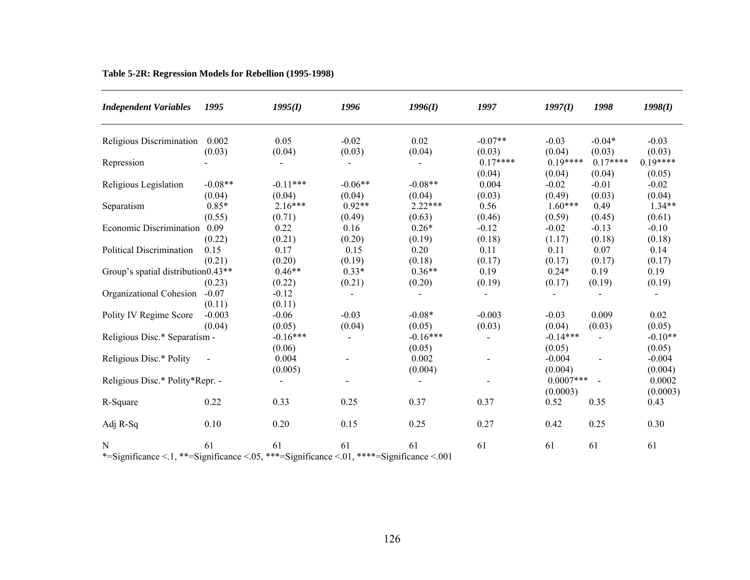| Table 5-2R: Regression Models for Rebellion (1995-1998) |  |  |
|---------------------------------------------------------|--|--|
|                                                         |  |  |

| <b>Independent Variables</b>                                                             | 1995      | 1995(I)    | 1996           | 1996(I)    | 1997           | 1997(I)      | 1998                         | 1998(I)   |
|------------------------------------------------------------------------------------------|-----------|------------|----------------|------------|----------------|--------------|------------------------------|-----------|
| Religious Discrimination 0.002                                                           |           | 0.05       | $-0.02$        | 0.02       | $-0.07**$      | $-0.03$      | $-0.04*$                     | $-0.03$   |
|                                                                                          | (0.03)    | (0.04)     | (0.03)         | (0.04)     | (0.03)         | (0.04)       | (0.03)                       | (0.03)    |
| Repression                                                                               |           |            |                |            | $0.17***$      | $0.19***$    | $0.17***$                    | $0.19***$ |
|                                                                                          |           |            |                |            | (0.04)         | (0.04)       | (0.04)                       | (0.05)    |
| Religious Legislation                                                                    | $-0.08**$ | $-0.11***$ | $-0.06**$      | $-0.08**$  | 0.004          | $-0.02$      | $-0.01$                      | $-0.02$   |
|                                                                                          | (0.04)    | (0.04)     | (0.04)         | (0.04)     | (0.03)         | (0.49)       | (0.03)                       | (0.04)    |
| Separatism                                                                               | $0.85*$   | $2.16***$  | $0.92**$       | $2.22***$  | 0.56           | $1.60***$    | 0.49                         | $1.34**$  |
|                                                                                          | (0.55)    | (0.71)     | (0.49)         | (0.63)     | (0.46)         | (0.59)       | (0.45)                       | (0.61)    |
| Economic Discrimination                                                                  | 0.09      | 0.22       | 0.16           | $0.26*$    | $-0.12$        | $-0.02$      | $-0.13$                      | $-0.10$   |
|                                                                                          | (0.22)    | (0.21)     | (0.20)         | (0.19)     | (0.18)         | (1.17)       | (0.18)                       | (0.18)    |
| Political Discrimination                                                                 | 0.15      | 0.17       | 0.15           | 0.20       | 0.11           | 0.11         | 0.07                         | 0.14      |
|                                                                                          | (0.21)    | (0.20)     | (0.19)         | (0.18)     | (0.17)         | (0.17)       | (0.17)                       | (0.17)    |
| Group's spatial distribution0.43**                                                       |           | $0.46**$   | $0.33*$        | $0.36**$   | 0.19           | $0.24*$      | 0.19                         | 0.19      |
|                                                                                          | (0.23)    | (0.22)     | (0.21)         | (0.20)     | (0.19)         | (0.17)       | (0.19)                       | (0.19)    |
| Organizational Cohesion                                                                  | $-0.07$   | $-0.12$    | $\blacksquare$ |            |                |              |                              |           |
|                                                                                          | (0.11)    | (0.11)     |                |            |                |              |                              |           |
| Polity IV Regime Score                                                                   | $-0.003$  | $-0.06$    | $-0.03$        | $-0.08*$   | $-0.003$       | $-0.03$      | 0.009                        | 0.02      |
|                                                                                          | (0.04)    | (0.05)     | (0.04)         | (0.05)     | (0.03)         | (0.04)       | (0.03)                       | (0.05)    |
| Religious Disc.* Separatism -                                                            |           | $-0.16***$ |                | $-0.16***$ | $\blacksquare$ | $-0.14***$   | $\qquad \qquad \blacksquare$ | $-0.10**$ |
|                                                                                          |           | (0.06)     |                | (0.05)     |                | (0.05)       |                              | (0.05)    |
| Religious Disc.* Polity                                                                  |           | 0.004      |                | 0.002      |                | $-0.004$     | $\blacksquare$               | $-0.004$  |
|                                                                                          |           | (0.005)    |                | (0.004)    |                | (0.004)      |                              | (0.004)   |
| Religious Disc.* Polity*Repr. -                                                          |           |            |                |            |                | $0.0007$ *** | $\overline{a}$               | 0.0002    |
|                                                                                          |           |            |                |            |                | (0.0003)     |                              | (0.0003)  |
| R-Square                                                                                 | 0.22      | 0.33       | 0.25           | 0.37       | 0.37           | 0.52         | 0.35                         | 0.43      |
| Adj R-Sq                                                                                 | 0.10      | 0.20       | 0.15           | 0.25       | 0.27           | 0.42         | 0.25                         | 0.30      |
| $\mathbf N$                                                                              | 61        | 61         | 61             | 61         | 61             | 61           | 61                           | 61        |
| *=Significance <.1, **=Significance <.05, ***=Significance <.01, ****=Significance <.001 |           |            |                |            |                |              |                              |           |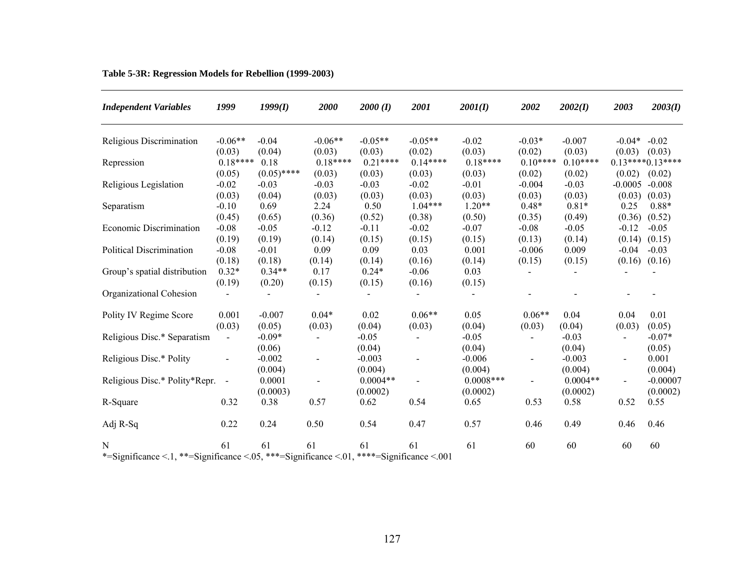| <b>Independent Variables</b>                                                             | 1999           | 1999(I)       | 2000      | 2000(I)    | 2001      | 200I(I)     | 2002           | 2002(I)    | 2003      | 2003(I)            |
|------------------------------------------------------------------------------------------|----------------|---------------|-----------|------------|-----------|-------------|----------------|------------|-----------|--------------------|
| Religious Discrimination                                                                 | $-0.06**$      | $-0.04$       | $-0.06**$ | $-0.05**$  | $-0.05**$ | $-0.02$     | $-0.03*$       | $-0.007$   | $-0.04*$  | $-0.02$            |
|                                                                                          | (0.03)         | (0.04)        | (0.03)    | (0.03)     | (0.02)    | (0.03)      | (0.02)         | (0.03)     | (0.03)    | (0.03)             |
| Repression                                                                               | $0.18***$      | 0.18          | $0.18***$ | $0.21***$  | $0.14***$ | $0.18***$   | $0.10***$      | $0.10***$  |           | $0.13****0.13****$ |
|                                                                                          | (0.05)         | $(0.05)$ **** | (0.03)    | (0.03)     | (0.03)    | (0.03)      | (0.02)         | (0.02)     | (0.02)    | (0.02)             |
| Religious Legislation                                                                    | $-0.02$        | $-0.03$       | $-0.03$   | $-0.03$    | $-0.02$   | $-0.01$     | $-0.004$       | $-0.03$    | $-0.0005$ | $-0.008$           |
|                                                                                          | (0.03)         | (0.04)        | (0.03)    | (0.03)     | (0.03)    | (0.03)      | (0.03)         | (0.03)     | (0.03)    | (0.03)             |
| Separatism                                                                               | $-0.10$        | 0.69          | 2.24      | 0.50       | $1.04***$ | $1.20**$    | $0.48*$        | $0.81*$    | 0.25      | $0.88*$            |
|                                                                                          | (0.45)         | (0.65)        | (0.36)    | (0.52)     | (0.38)    | (0.50)      | (0.35)         | (0.49)     | (0.36)    | (0.52)             |
| Economic Discrimination                                                                  | $-0.08$        | $-0.05$       | $-0.12$   | $-0.11$    | $-0.02$   | $-0.07$     | $-0.08$        | $-0.05$    | $-0.12$   | $-0.05$            |
|                                                                                          | (0.19)         | (0.19)        | (0.14)    | (0.15)     | (0.15)    | (0.15)      | (0.13)         | (0.14)     | (0.14)    | (0.15)             |
| <b>Political Discrimination</b>                                                          | $-0.08$        | $-0.01$       | 0.09      | 0.09       | 0.03      | 0.001       | $-0.006$       | 0.009      | $-0.04$   | $-0.03$            |
|                                                                                          | (0.18)         | (0.18)        | (0.14)    | (0.14)     | (0.16)    | (0.14)      | (0.15)         | (0.15)     | (0.16)    | (0.16)             |
| Group's spatial distribution                                                             | $0.32*$        | $0.34**$      | 0.17      | $0.24*$    | $-0.06$   | 0.03        |                |            |           |                    |
|                                                                                          | (0.19)         | (0.20)        | (0.15)    | (0.15)     | (0.16)    | (0.15)      |                |            |           |                    |
| Organizational Cohesion                                                                  |                |               |           |            |           |             |                |            |           |                    |
| Polity IV Regime Score                                                                   | 0.001          | $-0.007$      | $0.04*$   | 0.02       | $0.06**$  | 0.05        | $0.06**$       | 0.04       | 0.04      | 0.01               |
|                                                                                          | (0.03)         | (0.05)        | (0.03)    | (0.04)     | (0.03)    | (0.04)      | (0.03)         | (0.04)     | (0.03)    | (0.05)             |
| Religious Disc.* Separatism                                                              |                | $-0.09*$      |           | $-0.05$    |           | $-0.05$     | $\blacksquare$ | $-0.03$    |           | $-0.07*$           |
|                                                                                          |                | (0.06)        |           | (0.04)     |           | (0.04)      |                | (0.04)     |           | (0.05)             |
| Religious Disc.* Polity                                                                  |                | $-0.002$      |           | $-0.003$   |           | $-0.006$    | $\overline{a}$ | $-0.003$   |           | 0.001              |
|                                                                                          |                | (0.004)       |           | (0.004)    |           | (0.004)     |                | (0.004)    |           | (0.004)            |
| Religious Disc.* Polity*Repr.                                                            | $\blacksquare$ | 0.0001        |           | $0.0004**$ |           | $0.0008***$ |                | $0.0004**$ |           | $-0.00007$         |
|                                                                                          |                | (0.0003)      |           | (0.0002)   |           | (0.0002)    |                | (0.0002)   |           | (0.0002)           |
| R-Square                                                                                 | 0.32           | 0.38          | 0.57      | 0.62       | 0.54      | 0.65        | 0.53           | 0.58       | 0.52      | 0.55               |
| Adj R-Sq                                                                                 | 0.22           | 0.24          | 0.50      | 0.54       | 0.47      | 0.57        | 0.46           | 0.49       | 0.46      | 0.46               |
| N                                                                                        | 61             | 61            | 61        | 61         | 61        | 61          | 60             | 60         | 60        | 60                 |
| *=Significance <.1, **=Significance <.05, ***=Significance <.01, ****=Significance <.001 |                |               |           |            |           |             |                |            |           |                    |

### **Table 5-3R: Regression Models for Rebellion (1999-2003)**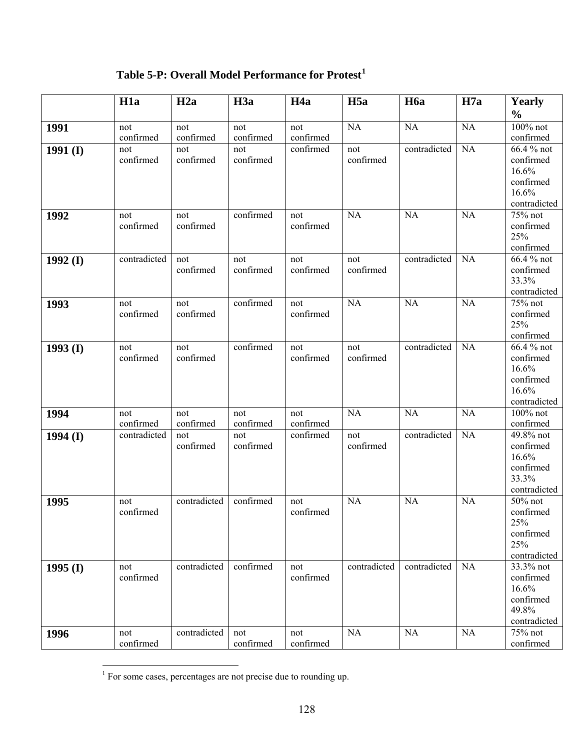| Table 5-P: Overall Model Performance for Protest <sup>1</sup> |
|---------------------------------------------------------------|
|---------------------------------------------------------------|

<span id="page-138-0"></span>

|            | H <sub>1</sub> a | H2a          | H <sub>3a</sub> | H <sub>4a</sub> | H <sub>5a</sub> | H <sub>6a</sub> | H7a             | Yearly             |
|------------|------------------|--------------|-----------------|-----------------|-----------------|-----------------|-----------------|--------------------|
|            |                  |              |                 |                 |                 |                 |                 | $\frac{0}{0}$      |
| 1991       | not              | not          | not             | not             | <b>NA</b>       | NA              | NA              | 100% not           |
|            | confirmed        | confirmed    | confirmed       | confirmed       |                 |                 |                 | confirmed          |
| 1991 $(I)$ | not              | not          | not             | confirmed       | not             | contradicted    | <b>NA</b>       | 66.4 % not         |
|            | confirmed        | confirmed    | confirmed       |                 | confirmed       |                 |                 | confirmed          |
|            |                  |              |                 |                 |                 |                 |                 | 16.6%              |
|            |                  |              |                 |                 |                 |                 |                 | confirmed          |
|            |                  |              |                 |                 |                 |                 |                 | 16.6%              |
|            |                  |              |                 |                 |                 |                 |                 | contradicted       |
| 1992       | not              | not          | confirmed       | not             | <b>NA</b>       | NA              | <b>NA</b>       | 75% not            |
|            | confirmed        | confirmed    |                 | confirmed       |                 |                 |                 | confirmed          |
|            |                  |              |                 |                 |                 |                 |                 | 25%                |
|            |                  |              |                 |                 |                 |                 |                 | confirmed          |
| 1992 $(I)$ | contradicted     | not          | not             | not             | not             | contradicted    | <b>NA</b>       | 66.4 % not         |
|            |                  | confirmed    | confirmed       | confirmed       | confirmed       |                 |                 | confirmed          |
|            |                  |              |                 |                 |                 |                 |                 | 33.3%              |
|            |                  |              |                 |                 |                 |                 |                 | contradicted       |
| 1993       | not              | not          | confirmed       | not             | $\overline{NA}$ | <b>NA</b>       | $\overline{NA}$ | 75% not            |
|            | confirmed        | confirmed    |                 | confirmed       |                 |                 |                 | confirmed          |
|            |                  |              |                 |                 |                 |                 |                 | 25%                |
|            |                  |              |                 |                 |                 |                 |                 | confirmed          |
| 1993 $(I)$ | not              | not          | confirmed       | not             | not             | contradicted    | <b>NA</b>       | 66.4 % not         |
|            | confirmed        | confirmed    |                 | confirmed       | confirmed       |                 |                 | confirmed          |
|            |                  |              |                 |                 |                 |                 |                 | 16.6%              |
|            |                  |              |                 |                 |                 |                 |                 | confirmed          |
|            |                  |              |                 |                 |                 |                 |                 | 16.6%              |
|            |                  |              |                 |                 |                 |                 |                 | contradicted       |
| 1994       | not              | not          | not             | not             | <b>NA</b>       | <b>NA</b>       | <b>NA</b>       | 100% not           |
|            | confirmed        | confirmed    | confirmed       | confirmed       |                 |                 |                 | confirmed          |
| 1994 $(I)$ | contradicted     | not          | not             | confirmed       | not             | contradicted    | <b>NA</b>       | 49.8% not          |
|            |                  | confirmed    | confirmed       |                 | confirmed       |                 |                 | confirmed          |
|            |                  |              |                 |                 |                 |                 |                 | 16.6%<br>confirmed |
|            |                  |              |                 |                 |                 |                 |                 | 33.3%              |
|            |                  |              |                 |                 |                 |                 |                 | contradicted       |
|            | not              | contradicted | confirmed       | not             | <b>NA</b>       | <b>NA</b>       | <b>NA</b>       | 50% not            |
| 1995       | confirmed        |              |                 | confirmed       |                 |                 |                 | confirmed          |
|            |                  |              |                 |                 |                 |                 |                 | 25%                |
|            |                  |              |                 |                 |                 |                 |                 | confirmed          |
|            |                  |              |                 |                 |                 |                 |                 | 25%                |
|            |                  |              |                 |                 |                 |                 |                 | contradicted       |
| 1995 $(I)$ | not              | contradicted | confirmed       | not             | contradicted    | contradicted    | <b>NA</b>       | 33.3% not          |
|            | confirmed        |              |                 | confirmed       |                 |                 |                 | confirmed          |
|            |                  |              |                 |                 |                 |                 |                 | 16.6%              |
|            |                  |              |                 |                 |                 |                 |                 | confirmed          |
|            |                  |              |                 |                 |                 |                 |                 | 49.8%              |
|            |                  |              |                 |                 |                 |                 |                 | contradicted       |
| 1996       | not              | contradicted | not             | not             | NA              | <b>NA</b>       | <b>NA</b>       | 75% not            |
|            | confirmed        |              | confirmed       | confirmed       |                 |                 |                 | confirmed          |

 1 For some cases, percentages are not precise due to rounding up.

 $\overline{\phantom{a}}$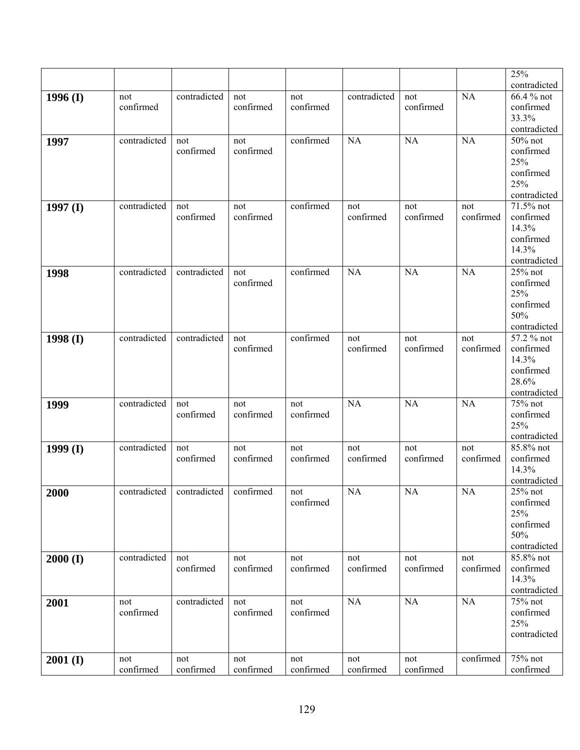|            |                  |                                     |                  |                  |                  |                  |                  | 25%                       |
|------------|------------------|-------------------------------------|------------------|------------------|------------------|------------------|------------------|---------------------------|
|            |                  |                                     |                  |                  |                  |                  |                  | contradicted              |
| 1996 $(I)$ | not<br>confirmed | contradicted                        | not<br>confirmed | not<br>confirmed | contradicted     | not<br>confirmed | <b>NA</b>        | 66.4 % not<br>confirmed   |
|            |                  |                                     |                  |                  |                  |                  |                  | 33.3%                     |
|            |                  |                                     |                  |                  |                  |                  |                  | contradicted              |
| 1997       | contradicted     | not                                 | not              | confirmed        | <b>NA</b>        | <b>NA</b>        | <b>NA</b>        | 50% not                   |
|            |                  | confirmed                           | confirmed        |                  |                  |                  |                  | confirmed                 |
|            |                  |                                     |                  |                  |                  |                  |                  | 25%                       |
|            |                  |                                     |                  |                  |                  |                  |                  | confirmed                 |
|            |                  |                                     |                  |                  |                  |                  |                  | 25%                       |
| 1997 $(I)$ | contradicted     | not                                 | not              | confirmed        | not              | not              | not              | contradicted<br>71.5% not |
|            |                  | confirmed                           | confirmed        |                  | confirmed        | confirmed        | confirmed        | confirmed                 |
|            |                  |                                     |                  |                  |                  |                  |                  | 14.3%                     |
|            |                  |                                     |                  |                  |                  |                  |                  | confirmed                 |
|            |                  |                                     |                  |                  |                  |                  |                  | 14.3%                     |
|            |                  |                                     |                  |                  |                  |                  |                  | contradicted              |
| 1998       | contradicted     | contradicted                        | not              | confirmed        | <b>NA</b>        | <b>NA</b>        | <b>NA</b>        | $25%$ not                 |
|            |                  |                                     | confirmed        |                  |                  |                  |                  | confirmed<br>25%          |
|            |                  |                                     |                  |                  |                  |                  |                  | confirmed                 |
|            |                  |                                     |                  |                  |                  |                  |                  | 50%                       |
|            |                  |                                     |                  |                  |                  |                  |                  | contradicted              |
| 1998 (I)   | contradicted     | contradicted                        | not              | confirmed        | not              | not              | not              | 57.2 % not                |
|            |                  |                                     | confirmed        |                  | confirmed        | confirmed        | confirmed        | confirmed                 |
|            |                  |                                     |                  |                  |                  |                  |                  | 14.3%                     |
|            |                  |                                     |                  |                  |                  |                  |                  | confirmed<br>28.6%        |
|            |                  |                                     |                  |                  |                  |                  |                  | contradicted              |
| 1999       | contradicted     | not                                 | not              | not              | <b>NA</b>        | <b>NA</b>        | <b>NA</b>        | 75% not                   |
|            |                  | confirmed                           | confirmed        | confirmed        |                  |                  |                  | confirmed                 |
|            |                  |                                     |                  |                  |                  |                  |                  | 25%                       |
|            |                  |                                     |                  |                  |                  |                  |                  | contradicted<br>85.8% not |
| 1999 $(I)$ | contradicted     | not<br>confirmed                    | not<br>confirmed | not<br>confirmed | not<br>confirmed | not<br>confirmed | not<br>confirmed | confirmed                 |
|            |                  |                                     |                  |                  |                  |                  |                  | 14.3%                     |
|            |                  |                                     |                  |                  |                  |                  |                  | contradicted              |
| 2000       |                  | contradicted contradicted confirmed |                  | not              | <b>NA</b>        | <b>NA</b>        | <b>NA</b>        | $25%$ not                 |
|            |                  |                                     |                  | confirmed        |                  |                  |                  | confirmed                 |
|            |                  |                                     |                  |                  |                  |                  |                  | 25%                       |
|            |                  |                                     |                  |                  |                  |                  |                  | confirmed<br>50%          |
|            |                  |                                     |                  |                  |                  |                  |                  | contradicted              |
| $2000$ (I) | contradicted     | not                                 | not              | not              | not              | not              | not              | 85.8% not                 |
|            |                  | confirmed                           | confirmed        | confirmed        | confirmed        | confirmed        | confirmed        | confirmed                 |
|            |                  |                                     |                  |                  |                  |                  |                  | 14.3%                     |
|            |                  |                                     |                  |                  |                  |                  |                  | contradicted              |
| 2001       | not              | contradicted                        | not              | not              | $\rm NA$         | <b>NA</b>        | <b>NA</b>        | 75% not                   |
|            | confirmed        |                                     | confirmed        | confirmed        |                  |                  |                  | confirmed<br>25%          |
|            |                  |                                     |                  |                  |                  |                  |                  | contradicted              |
|            |                  |                                     |                  |                  |                  |                  |                  |                           |
| $2001$ (I) | not              | not                                 | not              | not              | not              | not              | confirmed        | 75% not                   |
|            | confirmed        | confirmed                           | confirmed        | confirmed        | confirmed        | confirmed        |                  | confirmed                 |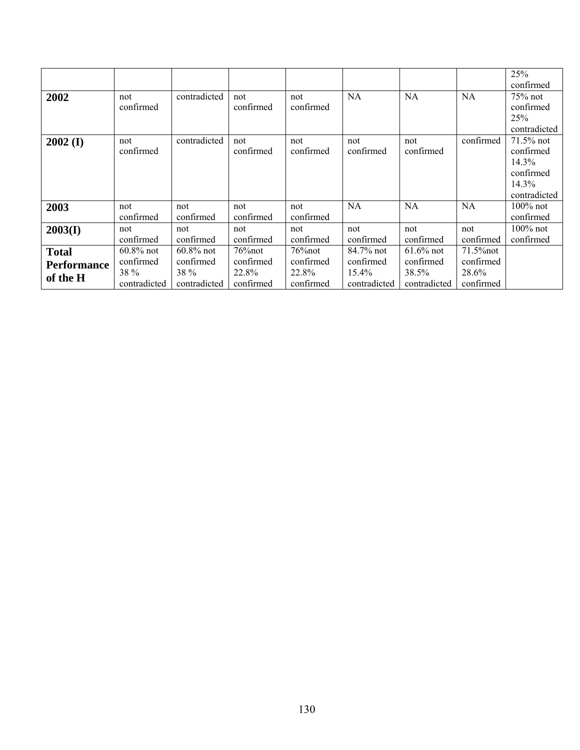| 2002                                           | not<br>confirmed                                         | contradicted                                             | not<br>confirmed                              | not<br>confirmed                              | <b>NA</b>                                       | <b>NA</b>                                          | <b>NA</b>                                       | 25%<br>confirmed<br>$75%$ not<br>confirmed<br>25%<br>contradicted        |
|------------------------------------------------|----------------------------------------------------------|----------------------------------------------------------|-----------------------------------------------|-----------------------------------------------|-------------------------------------------------|----------------------------------------------------|-------------------------------------------------|--------------------------------------------------------------------------|
| $2002$ (I)                                     | not<br>confirmed                                         | contradicted                                             | not<br>confirmed                              | not<br>confirmed                              | not<br>confirmed                                | not<br>confirmed                                   | confirmed                                       | $71.5\%$ not<br>confirmed<br>14.3%<br>confirmed<br>14.3%<br>contradicted |
| 2003                                           | not<br>confirmed                                         | not<br>confirmed                                         | not<br>confirmed                              | not<br>confirmed                              | NA                                              | <b>NA</b>                                          | <b>NA</b>                                       | $100\%$ not<br>confirmed                                                 |
| 2003(I)                                        | not<br>confirmed                                         | not<br>confirmed                                         | not<br>confirmed                              | not<br>confirmed                              | not<br>confirmed                                | not<br>confirmed                                   | not<br>confirmed                                | $100\%$ not<br>confirmed                                                 |
| <b>Total</b><br><b>Performance</b><br>of the H | $60.8\%$ not<br>confirmed<br><b>38</b> %<br>contradicted | $60.8\%$ not<br>confirmed<br><b>38</b> %<br>contradicted | $76\%$ not<br>confirmed<br>22.8%<br>confirmed | $76\%$ not<br>confirmed<br>22.8%<br>confirmed | 84.7% not<br>confirmed<br>15.4%<br>contradicted | $61.6\%$ not<br>confirmed<br>38.5%<br>contradicted | $71.5\%$ not<br>confirmed<br>28.6%<br>confirmed |                                                                          |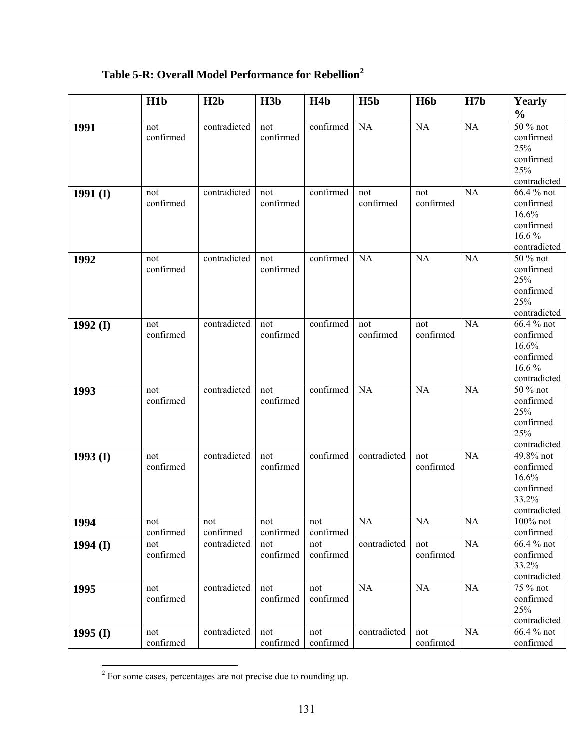| Table 5-R: Overall Model Performance for Rebellion <sup>2</sup> |
|-----------------------------------------------------------------|
|-----------------------------------------------------------------|

<span id="page-141-0"></span>

|            | H <sub>1</sub> b | H2b              | H <sub>3</sub> b | H <sub>4</sub> b | H5b              | H <sub>6</sub> b | H7b             | Yearly                                                                 |
|------------|------------------|------------------|------------------|------------------|------------------|------------------|-----------------|------------------------------------------------------------------------|
|            |                  | contradicted     |                  | confirmed        | <b>NA</b>        | <b>NA</b>        | $\overline{NA}$ | $\frac{0}{0}$<br>50 % not                                              |
| 1991       | not<br>confirmed |                  | not<br>confirmed |                  |                  |                  |                 | confirmed<br>25%<br>confirmed<br>25%<br>contradicted                   |
| 1991 $(I)$ | not<br>confirmed | contradicted     | not<br>confirmed | confirmed        | not<br>confirmed | not<br>confirmed | <b>NA</b>       | 66.4 % not<br>confirmed<br>16.6%<br>confirmed<br>16.6%<br>contradicted |
| 1992       | not<br>confirmed | contradicted     | not<br>confirmed | confirmed        | <b>NA</b>        | <b>NA</b>        | <b>NA</b>       | 50 % not<br>confirmed<br>25%<br>confirmed<br>25%<br>contradicted       |
| 1992 $(I)$ | not<br>confirmed | contradicted     | not<br>confirmed | confirmed        | not<br>confirmed | not<br>confirmed | <b>NA</b>       | 66.4 % not<br>confirmed<br>16.6%<br>confirmed<br>16.6%<br>contradicted |
| 1993       | not<br>confirmed | contradicted     | not<br>confirmed | confirmed        | <b>NA</b>        | <b>NA</b>        | <b>NA</b>       | 50 % not<br>confirmed<br>25%<br>confirmed<br>25%<br>contradicted       |
| 1993 $(I)$ | not<br>confirmed | contradicted     | not<br>confirmed | confirmed        | contradicted     | not<br>confirmed | <b>NA</b>       | 49.8% not<br>confirmed<br>16.6%<br>confirmed<br>33.2%<br>contradicted  |
| 1994       | not<br>confirmed | not<br>confirmed | not<br>confirmed | not<br>confirmed | <b>NA</b>        | NA               | <b>NA</b>       | $100\%$ not<br>confirmed                                               |
| 1994 $(I)$ | not<br>confirmed | contradicted     | not<br>confirmed | not<br>confirmed | contradicted     | not<br>confirmed | <b>NA</b>       | 66.4 % not<br>confirmed<br>33.2%<br>contradicted                       |
| 1995       | not<br>confirmed | contradicted     | not<br>confirmed | not<br>confirmed | <b>NA</b>        | <b>NA</b>        | <b>NA</b>       | 75 % not<br>confirmed<br>25%<br>contradicted                           |
| 1995 $(I)$ | not<br>confirmed | contradicted     | not<br>confirmed | not<br>confirmed | contradicted     | not<br>confirmed | <b>NA</b>       | 66.4 % not<br>confirmed                                                |

 2 For some cases, percentages are not precise due to rounding up.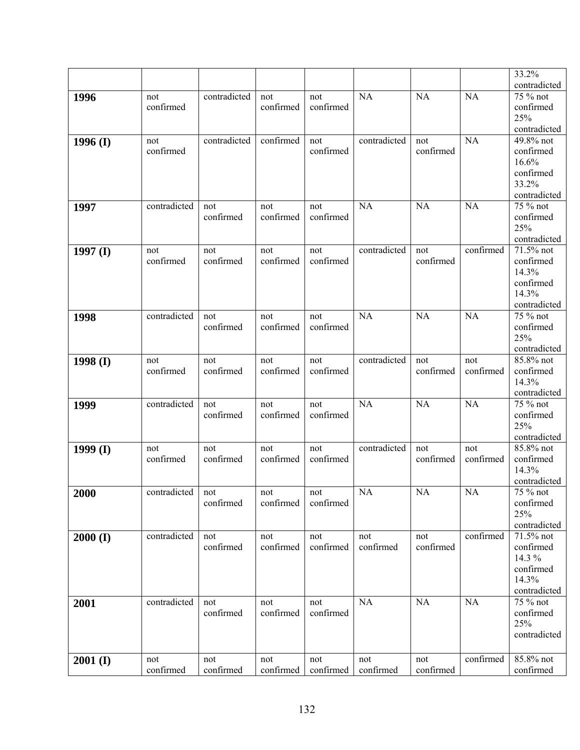|            |                    |                  |                  |                  |              |                  |                 | 33.2%                    |
|------------|--------------------|------------------|------------------|------------------|--------------|------------------|-----------------|--------------------------|
|            |                    | contradicted     |                  |                  | <b>NA</b>    | <b>NA</b>        | $\overline{NA}$ | contradicted<br>75 % not |
| 1996       | not<br>confirmed   |                  | not<br>confirmed | not<br>confirmed |              |                  |                 | confirmed                |
|            |                    |                  |                  |                  |              |                  |                 | 25%                      |
|            |                    |                  |                  |                  |              |                  |                 | contradicted             |
| 1996 $(I)$ | not                | contradicted     | confirmed        | not              | contradicted | not              | <b>NA</b>       | 49.8% not                |
|            | confirmed          |                  |                  | confirmed        |              | confirmed        |                 | confirmed                |
|            |                    |                  |                  |                  |              |                  |                 | 16.6%                    |
|            |                    |                  |                  |                  |              |                  |                 | confirmed                |
|            |                    |                  |                  |                  |              |                  |                 | 33.2%                    |
|            |                    |                  |                  |                  |              |                  |                 | contradicted             |
| 1997       | contradicted       | not              | not              | not              | <b>NA</b>    | <b>NA</b>        | NA              | 75 % not                 |
|            |                    | confirmed        | confirmed        | confirmed        |              |                  |                 | confirmed                |
|            |                    |                  |                  |                  |              |                  |                 | 25%                      |
|            |                    |                  |                  |                  |              |                  |                 | contradicted             |
| 1997 $(I)$ | not<br>confirmed   | not<br>confirmed | not<br>confirmed | not<br>confirmed | contradicted | not<br>confirmed | confirmed       | 71.5% not<br>confirmed   |
|            |                    |                  |                  |                  |              |                  |                 | 14.3%                    |
|            |                    |                  |                  |                  |              |                  |                 | confirmed                |
|            |                    |                  |                  |                  |              |                  |                 | 14.3%                    |
|            |                    |                  |                  |                  |              |                  |                 | contradicted             |
| 1998       | contradicted       | not              | not              | not              | <b>NA</b>    | <b>NA</b>        | NA              | 75 % not                 |
|            |                    | confirmed        | confirmed        | confirmed        |              |                  |                 | confirmed                |
|            |                    |                  |                  |                  |              |                  |                 | 25%                      |
|            |                    |                  |                  |                  |              |                  |                 | contradicted             |
| 1998 $(I)$ | not                | not              | not              | not              | contradicted | not              | not             | 85.8% not                |
|            | confirmed          | confirmed        | confirmed        | confirmed        |              | confirmed        | confirmed       | confirmed<br>14.3%       |
|            |                    |                  |                  |                  |              |                  |                 | contradicted             |
| 1999       | contradicted       | not              | not              | not              | <b>NA</b>    | <b>NA</b>        | NA              | 75 % not                 |
|            |                    | confirmed        | confirmed        | confirmed        |              |                  |                 | confirmed                |
|            |                    |                  |                  |                  |              |                  |                 | 25%                      |
|            |                    |                  |                  |                  |              |                  |                 | contradicted             |
| 1999 $(I)$ | not                | not              | not              | not              | contradicted | not              | not             | 85.8% not                |
|            | confirmed          | confirmed        | confirmed        | confirmed        |              | confirmed        | confirmed       | confirmed                |
|            |                    |                  |                  |                  |              |                  |                 | 14.3%                    |
|            |                    |                  |                  |                  |              |                  |                 | contradicted             |
| 2000       | contradicted   not | confirmed        | not<br>confirmed | not<br>confirmed | <b>NA</b>    | <b>NA</b>        | NA              | 75 % not                 |
|            |                    |                  |                  |                  |              |                  |                 | confirmed<br>25%         |
|            |                    |                  |                  |                  |              |                  |                 | contradicted             |
| $2000$ (I) | contradicted       | not              | not              | not              | not          | not              | confirmed       | 71.5% not                |
|            |                    | confirmed        | confirmed        | confirmed        | confirmed    | confirmed        |                 | confirmed                |
|            |                    |                  |                  |                  |              |                  |                 | 14.3 %                   |
|            |                    |                  |                  |                  |              |                  |                 | confirmed                |
|            |                    |                  |                  |                  |              |                  |                 | 14.3%                    |
|            |                    |                  |                  |                  |              |                  |                 | contradicted             |
| 2001       | contradicted       | not              | not              | not              | <b>NA</b>    | <b>NA</b>        | NA              | 75 % not                 |
|            |                    | confirmed        | confirmed        | confirmed        |              |                  |                 | confirmed                |
|            |                    |                  |                  |                  |              |                  |                 | 25%<br>contradicted      |
|            |                    |                  |                  |                  |              |                  |                 |                          |
|            | not                | not              | not              | not              | not          | not              | confirmed       | 85.8% not                |
| $2001$ (I) | confirmed          | confirmed        | confirmed        | confirmed        | confirmed    | confirmed        |                 | confirmed                |
|            |                    |                  |                  |                  |              |                  |                 |                          |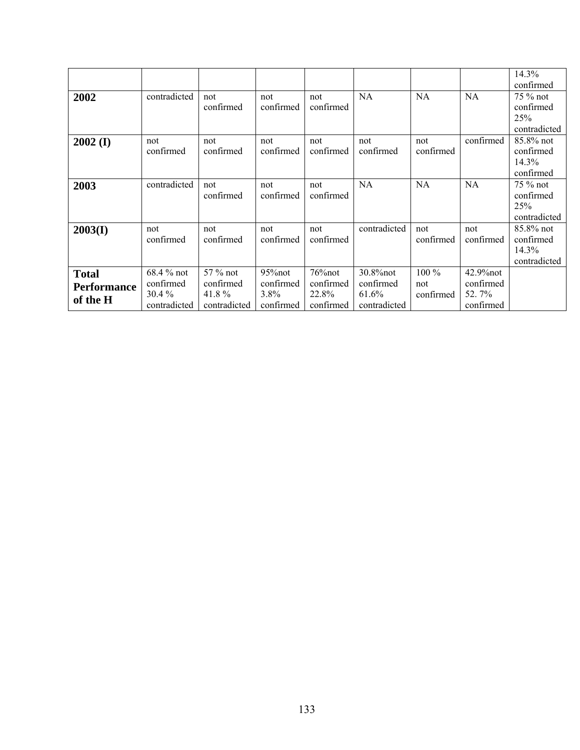|                                                |                                                     |                                                  |                                              |                                               |                                                    |                             |                                                 | 14.3%<br>confirmed                                           |
|------------------------------------------------|-----------------------------------------------------|--------------------------------------------------|----------------------------------------------|-----------------------------------------------|----------------------------------------------------|-----------------------------|-------------------------------------------------|--------------------------------------------------------------|
| 2002                                           | contradicted                                        | not<br>confirmed                                 | not<br>confirmed                             | not<br>confirmed                              | <b>NA</b>                                          | <b>NA</b>                   | <b>NA</b>                                       | 75 % not<br>confirmed<br>25%                                 |
| $2002$ (I)                                     | not<br>confirmed                                    | not<br>confirmed                                 | not<br>confirmed                             | not<br>confirmed                              | not<br>confirmed                                   | not<br>confirmed            | confirmed                                       | contradicted<br>85.8% not<br>confirmed<br>14.3%<br>confirmed |
| 2003                                           | contradicted                                        | not<br>confirmed                                 | not<br>confirmed                             | not<br>confirmed                              | <b>NA</b>                                          | <b>NA</b>                   | <b>NA</b>                                       | 75 % not<br>confirmed<br>25%<br>contradicted                 |
| 2003(I)                                        | not<br>confirmed                                    | not<br>confirmed                                 | not<br>confirmed                             | not<br>confirmed                              | contradicted                                       | not<br>confirmed            | not<br>confirmed                                | 85.8% not<br>confirmed<br>14.3%<br>contradicted              |
| <b>Total</b><br><b>Performance</b><br>of the H | 68.4 % not<br>confirmed<br>$30.4\%$<br>contradicted | $57\%$ not<br>confirmed<br>41.8%<br>contradicted | 95% not<br>confirmed<br>$3.8\%$<br>confirmed | $76\%$ not<br>confirmed<br>22.8%<br>confirmed | $30.8\%$ not<br>confirmed<br>61.6%<br>contradicted | $100\%$<br>not<br>confirmed | $42.9\%$ not<br>confirmed<br>52.7%<br>confirmed |                                                              |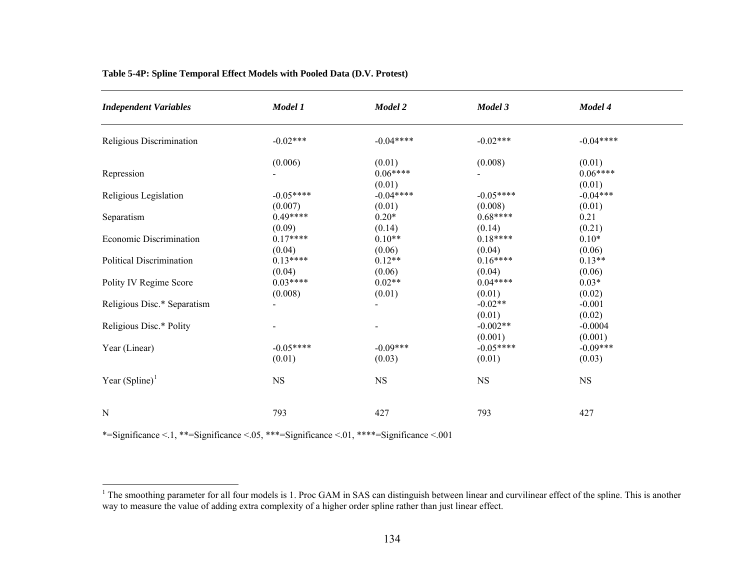| <b>Independent Variables</b> | Model 1               | Model 2                  | Model 3               | Model 4               |  |
|------------------------------|-----------------------|--------------------------|-----------------------|-----------------------|--|
| Religious Discrimination     | $-0.02***$            | $-0.04***$               | $-0.02***$            | $-0.04***$            |  |
|                              | (0.006)               | (0.01)                   | (0.008)               | (0.01)                |  |
| Repression                   |                       | $0.06***$<br>(0.01)      |                       | $0.06***$<br>(0.01)   |  |
| Religious Legislation        | $-0.05***$<br>(0.007) | $-0.04***$<br>(0.01)     | $-0.05***$<br>(0.008) | $-0.04***$<br>(0.01)  |  |
| Separatism                   | $0.49***$             | $0.20*$                  | $0.68***$             | 0.21                  |  |
| Economic Discrimination      | (0.09)<br>$0.17***$   | (0.14)<br>$0.10**$       | (0.14)<br>$0.18***$   | (0.21)<br>$0.10*$     |  |
| Political Discrimination     | (0.04)<br>$0.13***$   | (0.06)<br>$0.12**$       | (0.04)<br>$0.16***$   | (0.06)<br>$0.13**$    |  |
| Polity IV Regime Score       | (0.04)<br>$0.03***$   | (0.06)<br>$0.02**$       | (0.04)<br>$0.04***$   | (0.06)<br>$0.03*$     |  |
| Religious Disc.* Separatism  | (0.008)               | (0.01)                   | (0.01)<br>$-0.02**$   | (0.02)<br>$-0.001$    |  |
| Religious Disc.* Polity      |                       | $\overline{\phantom{0}}$ | (0.01)<br>$-0.002**$  | (0.02)<br>$-0.0004$   |  |
| Year (Linear)                | $-0.05***$            | $-0.09***$               | (0.001)<br>$-0.05***$ | (0.001)<br>$-0.09***$ |  |
|                              | (0.01)                | (0.03)                   | (0.01)                | (0.03)                |  |
| Year $(Spline)^1$            | $_{\rm NS}$           | $_{\rm NS}$              | $_{\rm NS}$           | $_{\rm NS}$           |  |
| N                            | 793                   | 427                      | 793                   | 427                   |  |
|                              |                       |                          |                       |                       |  |

#### **Table 5-4P: Spline Temporal Effect Models with Pooled Data (D.V. Protest)**

<span id="page-144-0"></span><sup>&</sup>lt;sup>1</sup> The smoothing parameter for all four models is 1. Proc GAM in SAS can distinguish between linear and curvilinear effect of the spline. This is another way to measure the value of adding extra complexity of a higher order spline rather than just linear effect.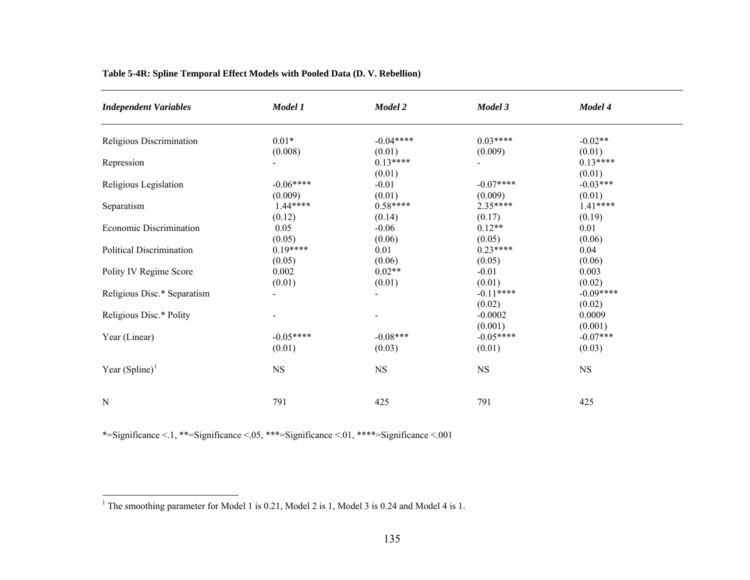| <b>Independent Variables</b> | Model 1     | Model 2     | Model 3        | Model 4    |  |
|------------------------------|-------------|-------------|----------------|------------|--|
| Religious Discrimination     | $0.01*$     | $-0.04***$  | $0.03***$      | $-0.02**$  |  |
|                              | (0.008)     | (0.01)      | (0.009)        | (0.01)     |  |
| Repression                   |             | $0.13***$   | $\overline{a}$ | $0.13***$  |  |
|                              |             | (0.01)      |                | (0.01)     |  |
| Religious Legislation        | $-0.06***$  | $-0.01$     | $-0.07***$     | $-0.03***$ |  |
|                              | (0.009)     | (0.01)      | (0.009)        | (0.01)     |  |
| Separatism                   | $1.44***$   | $0.58***$   | $2.35***$      | $1.41***$  |  |
|                              | (0.12)      | (0.14)      | (0.17)         | (0.19)     |  |
| Economic Discrimination      | 0.05        | $-0.06$     | $0.12**$       | 0.01       |  |
|                              | (0.05)      | (0.06)      | (0.05)         | (0.06)     |  |
| Political Discrimination     | $0.19***$   | 0.01        | $0.23***$      | 0.04       |  |
|                              | (0.05)      | (0.06)      | (0.05)         | (0.06)     |  |
| Polity IV Regime Score       | 0.002       | $0.02**$    | $-0.01$        | 0.003      |  |
|                              | (0.01)      | (0.01)      | (0.01)         | (0.02)     |  |
| Religious Disc.* Separatism  |             |             | $-0.11***$     | $-0.09***$ |  |
|                              |             |             | (0.02)         | (0.02)     |  |
| Religious Disc.* Polity      |             |             | $-0.0002$      | 0.0009     |  |
|                              |             |             | (0.001)        | (0.001)    |  |
| Year (Linear)                | $-0.05***$  | $-0.08***$  | $-0.05***$     | $-0.07***$ |  |
|                              | (0.01)      | (0.03)      | (0.01)         | (0.03)     |  |
| Year $(Spline)^1$            | $_{\rm NS}$ | $_{\rm NS}$ | $_{\rm NS}$    | <b>NS</b>  |  |
| $\mathbf N$                  | 791         | 425         | 791            | 425        |  |

**Table 5-4R: Spline Temporal Effect Models with Pooled Data (D. V. Rebellion)** 

<span id="page-145-0"></span><sup>&</sup>lt;sup>1</sup> The smoothing parameter for Model 1 is 0.21, Model 2 is 1, Model 3 is 0.24 and Model 4 is 1.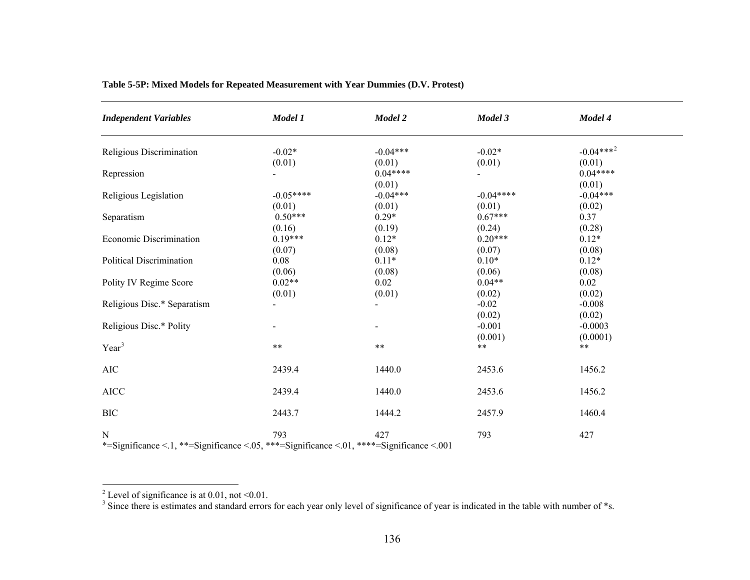| <b>Independent Variables</b>                                                             | Model 1    | Model 2    | Model 3    | Model 4      |  |
|------------------------------------------------------------------------------------------|------------|------------|------------|--------------|--|
| Religious Discrimination                                                                 | $-0.02*$   | $-0.04***$ | $-0.02*$   | $-0.04***^2$ |  |
|                                                                                          | (0.01)     | (0.01)     | (0.01)     | (0.01)       |  |
| Repression                                                                               |            | $0.04***$  |            | $0.04***$    |  |
|                                                                                          |            | (0.01)     |            | (0.01)       |  |
| Religious Legislation                                                                    | $-0.05***$ | $-0.04***$ | $-0.04***$ | $-0.04***$   |  |
|                                                                                          | (0.01)     | (0.01)     | (0.01)     | (0.02)       |  |
| Separatism                                                                               | $0.50***$  | $0.29*$    | $0.67***$  | 0.37         |  |
|                                                                                          | (0.16)     | (0.19)     | (0.24)     | (0.28)       |  |
| Economic Discrimination                                                                  | $0.19***$  | $0.12*$    | $0.20***$  | $0.12*$      |  |
|                                                                                          | (0.07)     | (0.08)     | (0.07)     | (0.08)       |  |
| <b>Political Discrimination</b>                                                          | 0.08       | $0.11*$    | $0.10*$    | $0.12*$      |  |
|                                                                                          | (0.06)     | (0.08)     | (0.06)     | (0.08)       |  |
| Polity IV Regime Score                                                                   | $0.02**$   | 0.02       | $0.04**$   | 0.02         |  |
|                                                                                          | (0.01)     | (0.01)     | (0.02)     | (0.02)       |  |
| Religious Disc.* Separatism                                                              |            |            | $-0.02$    | $-0.008$     |  |
|                                                                                          |            |            | (0.02)     | (0.02)       |  |
| Religious Disc.* Polity                                                                  |            |            | $-0.001$   | $-0.0003$    |  |
|                                                                                          |            |            | (0.001)    | (0.0001)     |  |
| $Year^3$                                                                                 | $***$      | $***$      | $***$      | $***$        |  |
| <b>AIC</b>                                                                               | 2439.4     | 1440.0     | 2453.6     | 1456.2       |  |
| <b>AICC</b>                                                                              | 2439.4     | 1440.0     | 2453.6     | 1456.2       |  |
| <b>BIC</b>                                                                               | 2443.7     | 1444.2     | 2457.9     | 1460.4       |  |
| N                                                                                        | 793        | 427        | 793        | 427          |  |
| *=Significance <.1, **=Significance <.05, ***=Significance <.01, ****=Significance <.001 |            |            |            |              |  |

#### **Table 5-5P: Mixed Models for Repeated Measurement with Year Dummies (D.V. Protest)**

<span id="page-146-1"></span><span id="page-146-0"></span><sup>&</sup>lt;sup>2</sup> Level of significance is at 0.01, not <0.01.

 $3$  Since there is estimates and standard errors for each year only level of significance of year is indicated in the table with number of  $*_s$ .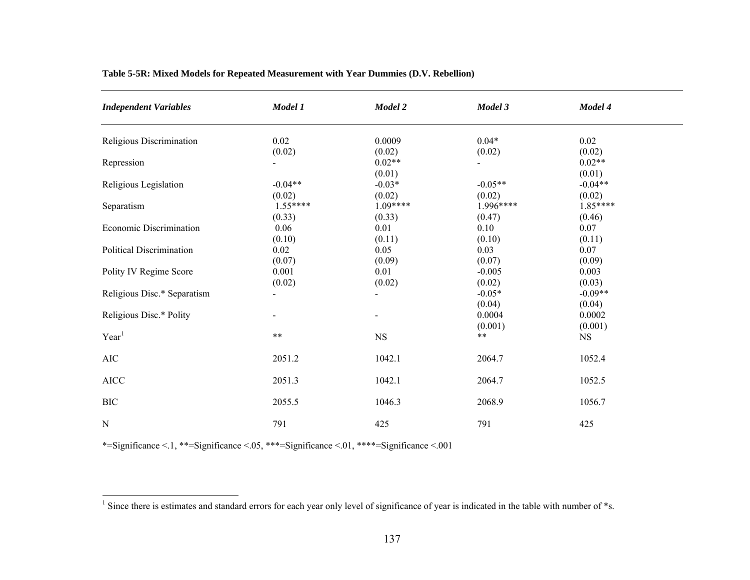| <b>Independent Variables</b>    | Model 1        | Model 2     | Model 3   | Model 4   |  |
|---------------------------------|----------------|-------------|-----------|-----------|--|
| Religious Discrimination        | 0.02           | 0.0009      | $0.04*$   | 0.02      |  |
|                                 | (0.02)         | (0.02)      | (0.02)    | (0.02)    |  |
| Repression                      |                | $0.02**$    |           | $0.02**$  |  |
|                                 |                | (0.01)      |           | (0.01)    |  |
| Religious Legislation           | $-0.04**$      | $-0.03*$    | $-0.05**$ | $-0.04**$ |  |
|                                 | (0.02)         | (0.02)      | (0.02)    | (0.02)    |  |
| Separatism                      | $1.55***$      | $1.09***$   | 1.996**** | $1.85***$ |  |
|                                 | (0.33)         | (0.33)      | (0.47)    | (0.46)    |  |
| Economic Discrimination         | 0.06           | 0.01        | 0.10      | 0.07      |  |
|                                 | (0.10)         | (0.11)      | (0.10)    | (0.11)    |  |
| <b>Political Discrimination</b> | 0.02           | 0.05        | 0.03      | 0.07      |  |
|                                 | (0.07)         | (0.09)      | (0.07)    | (0.09)    |  |
| Polity IV Regime Score          | 0.001          | 0.01        | $-0.005$  | 0.003     |  |
|                                 | (0.02)         | (0.02)      | (0.02)    | (0.03)    |  |
| Religious Disc.* Separatism     | $\blacksquare$ |             | $-0.05*$  | $-0.09**$ |  |
|                                 |                |             | (0.04)    | (0.04)    |  |
| Religious Disc.* Polity         |                |             | 0.0004    | 0.0002    |  |
|                                 |                |             | (0.001)   | (0.001)   |  |
| Year <sup>1</sup>               | $\ast\ast$     | $_{\rm NS}$ | **        | <b>NS</b> |  |
| <b>AIC</b>                      | 2051.2         | 1042.1      | 2064.7    | 1052.4    |  |
| <b>AICC</b>                     | 2051.3         | 1042.1      | 2064.7    | 1052.5    |  |
| <b>BIC</b>                      | 2055.5         | 1046.3      | 2068.9    | 1056.7    |  |
| N                               | 791            | 425         | 791       | 425       |  |

**Table 5-5R: Mixed Models for Repeated Measurement with Year Dummies (D.V. Rebellion)** 

<span id="page-147-0"></span><sup>&</sup>lt;sup>1</sup> Since there is estimates and standard errors for each year only level of significance of year is indicated in the table with number of \*s.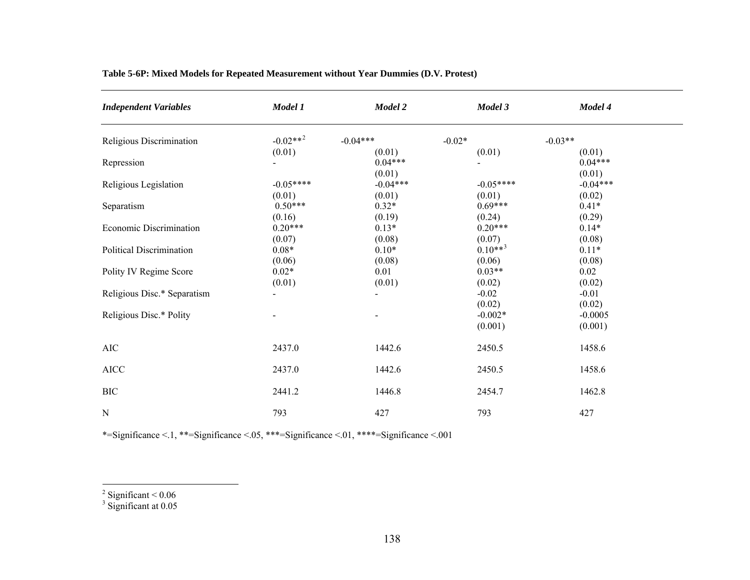| <b>Independent Variables</b>    | Model 1     | Model 2    | Model 3    | Model 4    |  |
|---------------------------------|-------------|------------|------------|------------|--|
| Religious Discrimination        | $-0.02**^2$ | $-0.04***$ | $-0.02*$   | $-0.03**$  |  |
|                                 | (0.01)      | (0.01)     | (0.01)     | (0.01)     |  |
| Repression                      |             | $0.04***$  |            | $0.04***$  |  |
|                                 |             | (0.01)     |            | (0.01)     |  |
| Religious Legislation           | $-0.05***$  | $-0.04***$ | $-0.05***$ | $-0.04***$ |  |
|                                 | (0.01)      | (0.01)     | (0.01)     | (0.02)     |  |
| Separatism                      | $0.50***$   | $0.32*$    | $0.69***$  | $0.41*$    |  |
|                                 | (0.16)      | (0.19)     | (0.24)     | (0.29)     |  |
| Economic Discrimination         | $0.20***$   | $0.13*$    | $0.20***$  | $0.14*$    |  |
|                                 | (0.07)      | (0.08)     | (0.07)     | (0.08)     |  |
| <b>Political Discrimination</b> | $0.08*$     | $0.10*$    | $0.10**^3$ | $0.11*$    |  |
|                                 | (0.06)      | (0.08)     | (0.06)     | (0.08)     |  |
| Polity IV Regime Score          | $0.02*$     | 0.01       | $0.03**$   | 0.02       |  |
|                                 | (0.01)      | (0.01)     | (0.02)     | (0.02)     |  |
| Religious Disc.* Separatism     |             |            | $-0.02$    | $-0.01$    |  |
|                                 |             |            | (0.02)     | (0.02)     |  |
| Religious Disc.* Polity         |             |            | $-0.002*$  | $-0.0005$  |  |
|                                 |             |            | (0.001)    | (0.001)    |  |
| AIC                             | 2437.0      | 1442.6     | 2450.5     | 1458.6     |  |
| <b>AICC</b>                     | 2437.0      | 1442.6     | 2450.5     | 1458.6     |  |
| <b>BIC</b>                      | 2441.2      | 1446.8     | 2454.7     | 1462.8     |  |
| N                               | 793         | 427        | 793        | 427        |  |

**Table 5-6P: Mixed Models for Repeated Measurement without Year Dummies (D.V. Protest)** 

<span id="page-148-1"></span><span id="page-148-0"></span> $2$  Significant  $\leq 0.06$ 

 $3$  Significant at 0.05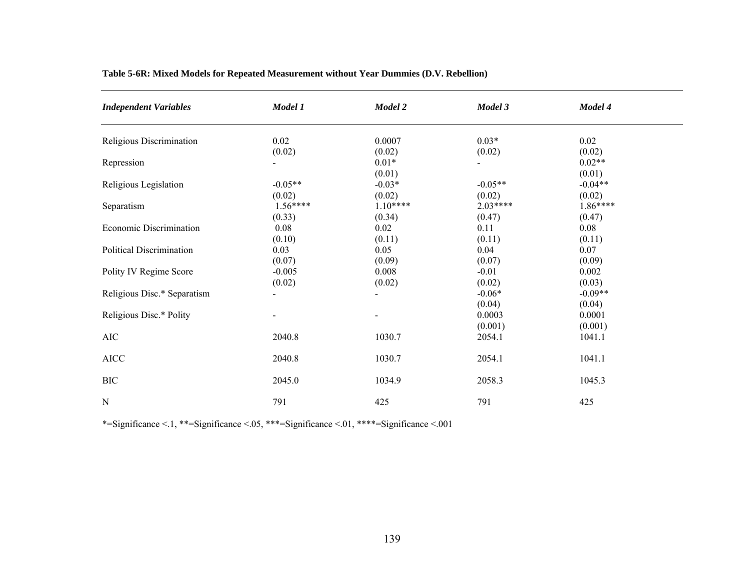| <b>Independent Variables</b> | Model 1                  | Model 2   | Model 3        | Model 4   |  |
|------------------------------|--------------------------|-----------|----------------|-----------|--|
| Religious Discrimination     | 0.02                     | 0.0007    | $0.03*$        | 0.02      |  |
|                              | (0.02)                   | (0.02)    | (0.02)         | (0.02)    |  |
| Repression                   | $\overline{\phantom{0}}$ | $0.01*$   | $\blacksquare$ | $0.02**$  |  |
|                              |                          | (0.01)    |                | (0.01)    |  |
| Religious Legislation        | $-0.05**$                | $-0.03*$  | $-0.05**$      | $-0.04**$ |  |
|                              | (0.02)                   | (0.02)    | (0.02)         | (0.02)    |  |
| Separatism                   | $1.56***$                | $1.10***$ | $2.03****$     | $1.86***$ |  |
|                              | (0.33)                   | (0.34)    | (0.47)         | (0.47)    |  |
| Economic Discrimination      | 0.08                     | 0.02      | 0.11           | 0.08      |  |
|                              | (0.10)                   | (0.11)    | (0.11)         | (0.11)    |  |
| Political Discrimination     | 0.03                     | 0.05      | 0.04           | 0.07      |  |
|                              | (0.07)                   | (0.09)    | (0.07)         | (0.09)    |  |
| Polity IV Regime Score       | $-0.005$                 | 0.008     | $-0.01$        | 0.002     |  |
|                              | (0.02)                   | (0.02)    | (0.02)         | (0.03)    |  |
| Religious Disc.* Separatism  |                          |           | $-0.06*$       | $-0.09**$ |  |
|                              |                          |           | (0.04)         | (0.04)    |  |
| Religious Disc.* Polity      |                          |           | 0.0003         | 0.0001    |  |
|                              |                          |           | (0.001)        | (0.001)   |  |
| AIC                          | 2040.8                   | 1030.7    | 2054.1         | 1041.1    |  |
| <b>AICC</b>                  | 2040.8                   | 1030.7    | 2054.1         | 1041.1    |  |
| <b>BIC</b>                   | 2045.0                   | 1034.9    | 2058.3         | 1045.3    |  |
|                              |                          |           |                |           |  |
| N                            | 791                      | 425       | 791            | 425       |  |

**Table 5-6R: Mixed Models for Repeated Measurement without Year Dummies (D.V. Rebellion)**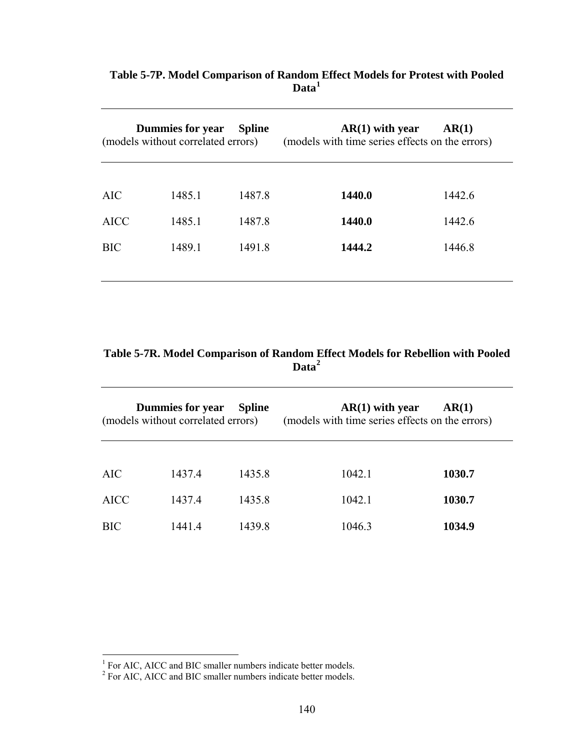|             | Dummies for year<br>(models without correlated errors) | <b>Spline</b> | $AR(1)$ with year<br>(models with time series effects on the errors) | AR(1)  |
|-------------|--------------------------------------------------------|---------------|----------------------------------------------------------------------|--------|
| <b>AIC</b>  | 1485.1                                                 | 1487.8        | 1440.0                                                               | 1442.6 |
| <b>AICC</b> | 1485.1                                                 | 1487.8        | 1440.0                                                               | 1442.6 |
| <b>BIC</b>  | 1489.1                                                 | 1491.8        | 1444.2                                                               | 1446.8 |

### <span id="page-150-0"></span>**Table 5-7P. Model Comparison of Random Effect Models for Protest with Pooled Data[1](#page-150-0)**

### **Table 5-7R. Model Comparison of Random Effect Models for Rebellion with Pooled Data[2](#page-150-0)**

|             | <b>Dummies for year</b><br>(models without correlated errors) | <b>Spline</b> | $AR(1)$ with year<br>(models with time series effects on the errors) | AR(1)  |
|-------------|---------------------------------------------------------------|---------------|----------------------------------------------------------------------|--------|
| <b>AIC</b>  | 1437.4                                                        | 1435.8        | 1042.1                                                               | 1030.7 |
| <b>AICC</b> | 1437.4                                                        | 1435.8        | 1042.1                                                               | 1030.7 |
| <b>BIC</b>  | 1441.4                                                        | 1439.8        | 1046.3                                                               | 1034.9 |

<sup>&</sup>lt;sup>1</sup> For AIC, AICC and BIC smaller numbers indicate better models.<br><sup>2</sup> For AIC, AICC and BIC smaller numbers indicate better models.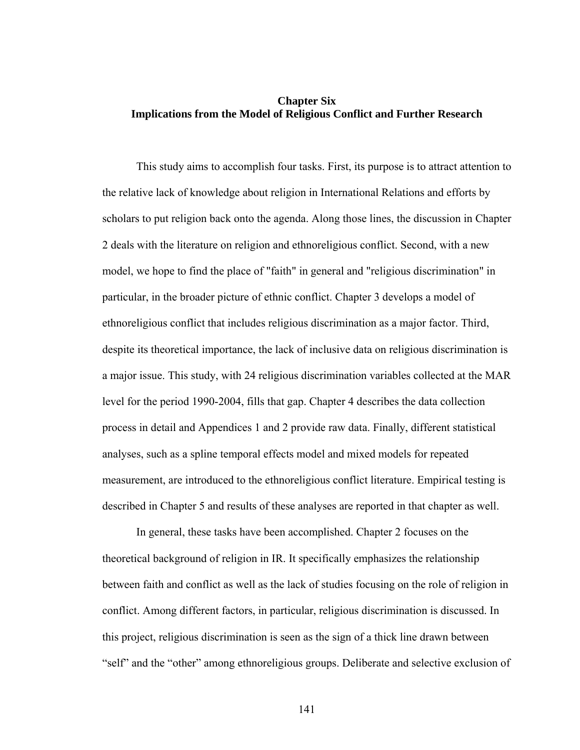#### **Chapter Six Implications from the Model of Religious Conflict and Further Research**

 This study aims to accomplish four tasks. First, its purpose is to attract attention to the relative lack of knowledge about religion in International Relations and efforts by scholars to put religion back onto the agenda. Along those lines, the discussion in Chapter 2 deals with the literature on religion and ethnoreligious conflict. Second, with a new model, we hope to find the place of "faith" in general and "religious discrimination" in particular, in the broader picture of ethnic conflict. Chapter 3 develops a model of ethnoreligious conflict that includes religious discrimination as a major factor. Third, despite its theoretical importance, the lack of inclusive data on religious discrimination is a major issue. This study, with 24 religious discrimination variables collected at the MAR level for the period 1990-2004, fills that gap. Chapter 4 describes the data collection process in detail and Appendices 1 and 2 provide raw data. Finally, different statistical analyses, such as a spline temporal effects model and mixed models for repeated measurement, are introduced to the ethnoreligious conflict literature. Empirical testing is described in Chapter 5 and results of these analyses are reported in that chapter as well.

 In general, these tasks have been accomplished. Chapter 2 focuses on the theoretical background of religion in IR. It specifically emphasizes the relationship between faith and conflict as well as the lack of studies focusing on the role of religion in conflict. Among different factors, in particular, religious discrimination is discussed. In this project, religious discrimination is seen as the sign of a thick line drawn between "self" and the "other" among ethnoreligious groups. Deliberate and selective exclusion of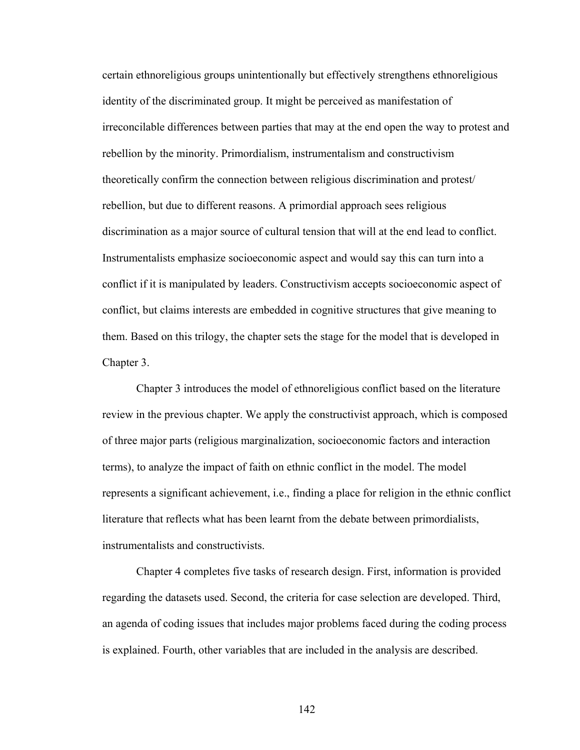certain ethnoreligious groups unintentionally but effectively strengthens ethnoreligious identity of the discriminated group. It might be perceived as manifestation of irreconcilable differences between parties that may at the end open the way to protest and rebellion by the minority. Primordialism, instrumentalism and constructivism theoretically confirm the connection between religious discrimination and protest/ rebellion, but due to different reasons. A primordial approach sees religious discrimination as a major source of cultural tension that will at the end lead to conflict. Instrumentalists emphasize socioeconomic aspect and would say this can turn into a conflict if it is manipulated by leaders. Constructivism accepts socioeconomic aspect of conflict, but claims interests are embedded in cognitive structures that give meaning to them. Based on this trilogy, the chapter sets the stage for the model that is developed in Chapter 3.

 Chapter 3 introduces the model of ethnoreligious conflict based on the literature review in the previous chapter. We apply the constructivist approach, which is composed of three major parts (religious marginalization, socioeconomic factors and interaction terms), to analyze the impact of faith on ethnic conflict in the model. The model represents a significant achievement, i.e., finding a place for religion in the ethnic conflict literature that reflects what has been learnt from the debate between primordialists, instrumentalists and constructivists.

 Chapter 4 completes five tasks of research design. First, information is provided regarding the datasets used. Second, the criteria for case selection are developed. Third, an agenda of coding issues that includes major problems faced during the coding process is explained. Fourth, other variables that are included in the analysis are described.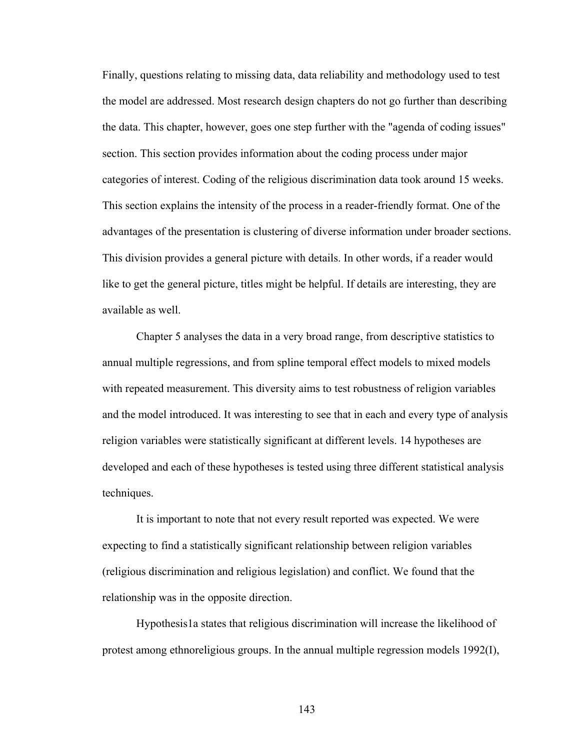Finally, questions relating to missing data, data reliability and methodology used to test the model are addressed. Most research design chapters do not go further than describing the data. This chapter, however, goes one step further with the "agenda of coding issues" section. This section provides information about the coding process under major categories of interest. Coding of the religious discrimination data took around 15 weeks. This section explains the intensity of the process in a reader-friendly format. One of the advantages of the presentation is clustering of diverse information under broader sections. This division provides a general picture with details. In other words, if a reader would like to get the general picture, titles might be helpful. If details are interesting, they are available as well.

 Chapter 5 analyses the data in a very broad range, from descriptive statistics to annual multiple regressions, and from spline temporal effect models to mixed models with repeated measurement. This diversity aims to test robustness of religion variables and the model introduced. It was interesting to see that in each and every type of analysis religion variables were statistically significant at different levels. 14 hypotheses are developed and each of these hypotheses is tested using three different statistical analysis techniques.

 It is important to note that not every result reported was expected. We were expecting to find a statistically significant relationship between religion variables (religious discrimination and religious legislation) and conflict. We found that the relationship was in the opposite direction.

 Hypothesis1a states that religious discrimination will increase the likelihood of protest among ethnoreligious groups. In the annual multiple regression models 1992(I),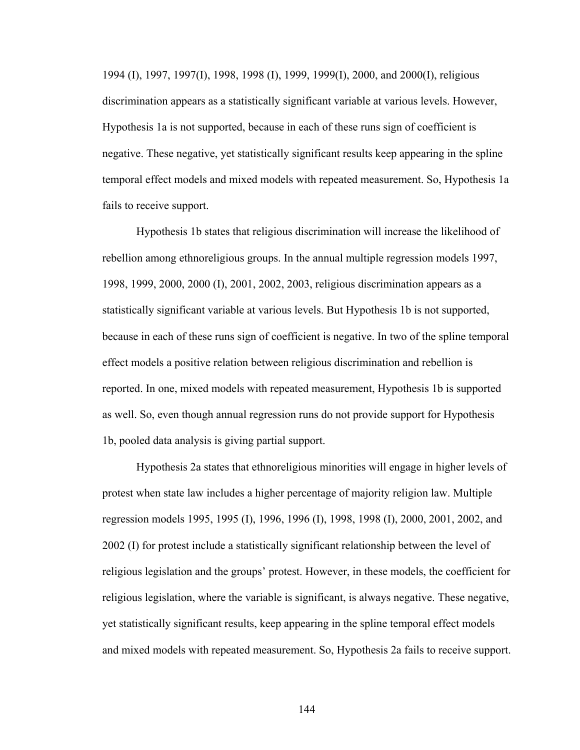1994 (I), 1997, 1997(I), 1998, 1998 (I), 1999, 1999(I), 2000, and 2000(I), religious discrimination appears as a statistically significant variable at various levels. However, Hypothesis 1a is not supported, because in each of these runs sign of coefficient is negative. These negative, yet statistically significant results keep appearing in the spline temporal effect models and mixed models with repeated measurement. So, Hypothesis 1a fails to receive support.

 Hypothesis 1b states that religious discrimination will increase the likelihood of rebellion among ethnoreligious groups. In the annual multiple regression models 1997, 1998, 1999, 2000, 2000 (I), 2001, 2002, 2003, religious discrimination appears as a statistically significant variable at various levels. But Hypothesis 1b is not supported, because in each of these runs sign of coefficient is negative. In two of the spline temporal effect models a positive relation between religious discrimination and rebellion is reported. In one, mixed models with repeated measurement, Hypothesis 1b is supported as well. So, even though annual regression runs do not provide support for Hypothesis 1b, pooled data analysis is giving partial support.

 Hypothesis 2a states that ethnoreligious minorities will engage in higher levels of protest when state law includes a higher percentage of majority religion law. Multiple regression models 1995, 1995 (I), 1996, 1996 (I), 1998, 1998 (I), 2000, 2001, 2002, and 2002 (I) for protest include a statistically significant relationship between the level of religious legislation and the groups' protest. However, in these models, the coefficient for religious legislation, where the variable is significant, is always negative. These negative, yet statistically significant results, keep appearing in the spline temporal effect models and mixed models with repeated measurement. So, Hypothesis 2a fails to receive support.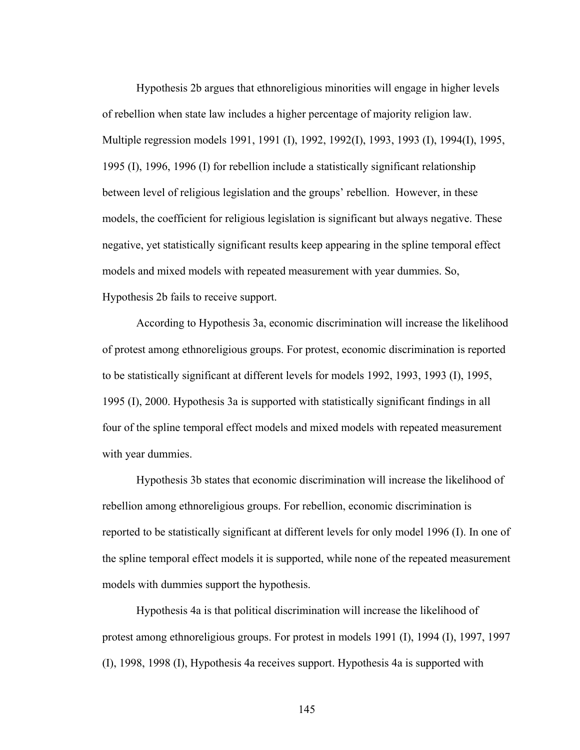Hypothesis 2b argues that ethnoreligious minorities will engage in higher levels of rebellion when state law includes a higher percentage of majority religion law. Multiple regression models 1991, 1991 (I), 1992, 1992(I), 1993, 1993 (I), 1994(I), 1995, 1995 (I), 1996, 1996 (I) for rebellion include a statistically significant relationship between level of religious legislation and the groups' rebellion. However, in these models, the coefficient for religious legislation is significant but always negative. These negative, yet statistically significant results keep appearing in the spline temporal effect models and mixed models with repeated measurement with year dummies. So, Hypothesis 2b fails to receive support.

 According to Hypothesis 3a, economic discrimination will increase the likelihood of protest among ethnoreligious groups. For protest, economic discrimination is reported to be statistically significant at different levels for models 1992, 1993, 1993 (I), 1995, 1995 (I), 2000. Hypothesis 3a is supported with statistically significant findings in all four of the spline temporal effect models and mixed models with repeated measurement with year dummies.

 Hypothesis 3b states that economic discrimination will increase the likelihood of rebellion among ethnoreligious groups. For rebellion, economic discrimination is reported to be statistically significant at different levels for only model 1996 (I). In one of the spline temporal effect models it is supported, while none of the repeated measurement models with dummies support the hypothesis.

 Hypothesis 4a is that political discrimination will increase the likelihood of protest among ethnoreligious groups. For protest in models 1991 (I), 1994 (I), 1997, 1997 (I), 1998, 1998 (I), Hypothesis 4a receives support. Hypothesis 4a is supported with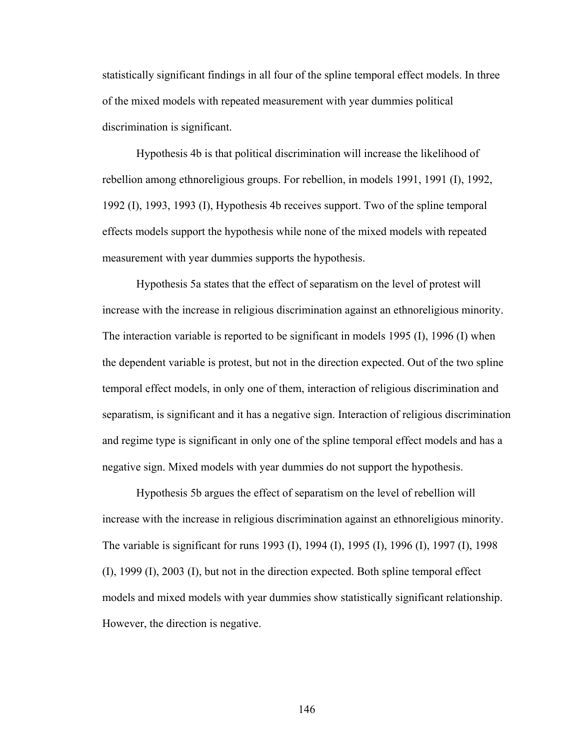statistically significant findings in all four of the spline temporal effect models. In three of the mixed models with repeated measurement with year dummies political discrimination is significant.

 Hypothesis 4b is that political discrimination will increase the likelihood of rebellion among ethnoreligious groups. For rebellion, in models 1991, 1991 (I), 1992, 1992 (I), 1993, 1993 (I), Hypothesis 4b receives support. Two of the spline temporal effects models support the hypothesis while none of the mixed models with repeated measurement with year dummies supports the hypothesis.

 Hypothesis 5a states that the effect of separatism on the level of protest will increase with the increase in religious discrimination against an ethnoreligious minority. The interaction variable is reported to be significant in models 1995 (I), 1996 (I) when the dependent variable is protest, but not in the direction expected. Out of the two spline temporal effect models, in only one of them, interaction of religious discrimination and separatism, is significant and it has a negative sign. Interaction of religious discrimination and regime type is significant in only one of the spline temporal effect models and has a negative sign. Mixed models with year dummies do not support the hypothesis.

Hypothesis 5b argues the effect of separatism on the level of rebellion will increase with the increase in religious discrimination against an ethnoreligious minority. The variable is significant for runs 1993 (I), 1994 (I), 1995 (I), 1996 (I), 1997 (I), 1998 (I), 1999 (I), 2003 (I), but not in the direction expected. Both spline temporal effect models and mixed models with year dummies show statistically significant relationship. However, the direction is negative.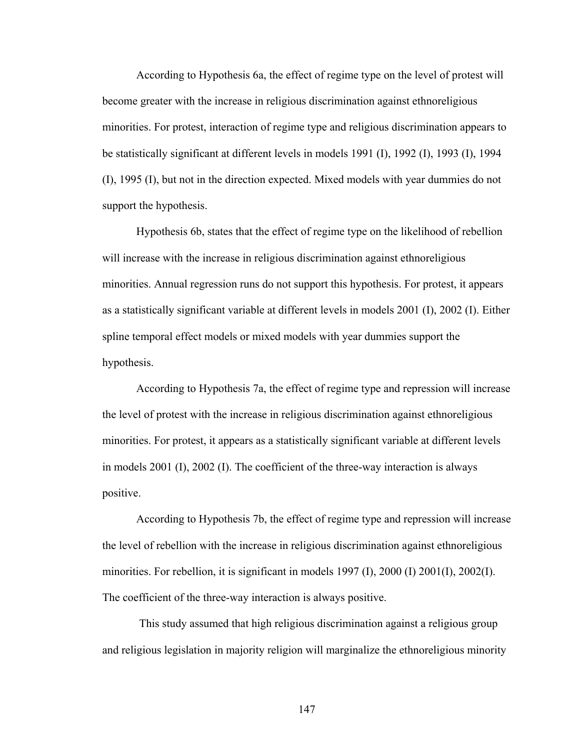According to Hypothesis 6a, the effect of regime type on the level of protest will become greater with the increase in religious discrimination against ethnoreligious minorities. For protest, interaction of regime type and religious discrimination appears to be statistically significant at different levels in models 1991 (I), 1992 (I), 1993 (I), 1994 (I), 1995 (I), but not in the direction expected. Mixed models with year dummies do not support the hypothesis.

 Hypothesis 6b, states that the effect of regime type on the likelihood of rebellion will increase with the increase in religious discrimination against ethnoreligious minorities. Annual regression runs do not support this hypothesis. For protest, it appears as a statistically significant variable at different levels in models 2001 (I), 2002 (I). Either spline temporal effect models or mixed models with year dummies support the hypothesis.

 According to Hypothesis 7a, the effect of regime type and repression will increase the level of protest with the increase in religious discrimination against ethnoreligious minorities. For protest, it appears as a statistically significant variable at different levels in models 2001 (I), 2002 (I). The coefficient of the three-way interaction is always positive.

 According to Hypothesis 7b, the effect of regime type and repression will increase the level of rebellion with the increase in religious discrimination against ethnoreligious minorities. For rebellion, it is significant in models 1997 (I), 2000 (I) 2001(I), 2002(I). The coefficient of the three-way interaction is always positive.

 This study assumed that high religious discrimination against a religious group and religious legislation in majority religion will marginalize the ethnoreligious minority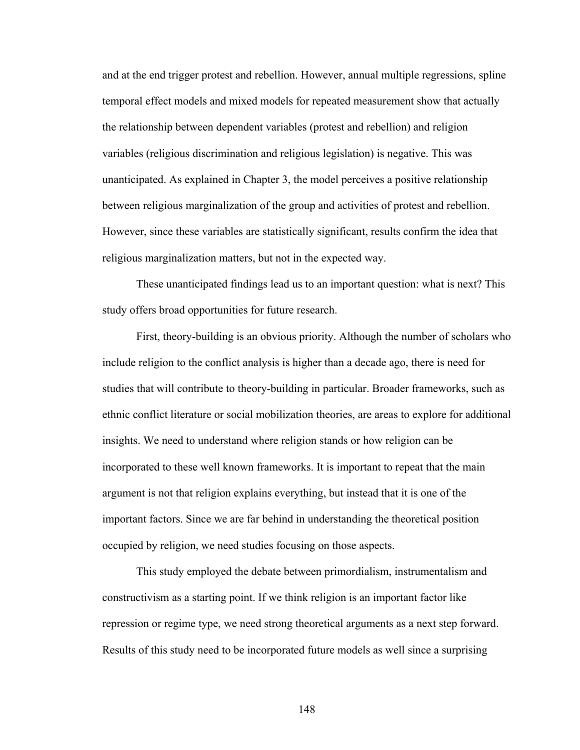and at the end trigger protest and rebellion. However, annual multiple regressions, spline temporal effect models and mixed models for repeated measurement show that actually the relationship between dependent variables (protest and rebellion) and religion variables (religious discrimination and religious legislation) is negative. This was unanticipated. As explained in Chapter 3, the model perceives a positive relationship between religious marginalization of the group and activities of protest and rebellion. However, since these variables are statistically significant, results confirm the idea that religious marginalization matters, but not in the expected way.

 These unanticipated findings lead us to an important question: what is next? This study offers broad opportunities for future research.

First, theory-building is an obvious priority. Although the number of scholars who include religion to the conflict analysis is higher than a decade ago, there is need for studies that will contribute to theory-building in particular. Broader frameworks, such as ethnic conflict literature or social mobilization theories, are areas to explore for additional insights. We need to understand where religion stands or how religion can be incorporated to these well known frameworks. It is important to repeat that the main argument is not that religion explains everything, but instead that it is one of the important factors. Since we are far behind in understanding the theoretical position occupied by religion, we need studies focusing on those aspects.

This study employed the debate between primordialism, instrumentalism and constructivism as a starting point. If we think religion is an important factor like repression or regime type, we need strong theoretical arguments as a next step forward. Results of this study need to be incorporated future models as well since a surprising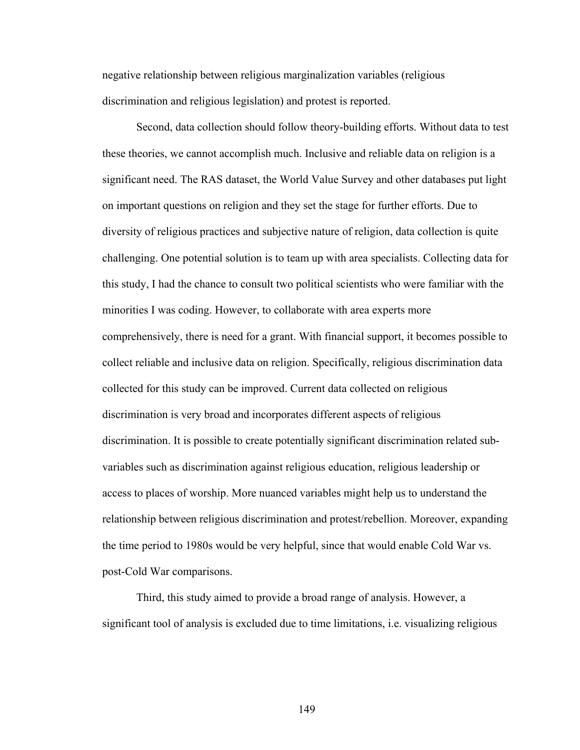negative relationship between religious marginalization variables (religious discrimination and religious legislation) and protest is reported.

 Second, data collection should follow theory-building efforts. Without data to test these theories, we cannot accomplish much. Inclusive and reliable data on religion is a significant need. The RAS dataset, the World Value Survey and other databases put light on important questions on religion and they set the stage for further efforts. Due to diversity of religious practices and subjective nature of religion, data collection is quite challenging. One potential solution is to team up with area specialists. Collecting data for this study, I had the chance to consult two political scientists who were familiar with the minorities I was coding. However, to collaborate with area experts more comprehensively, there is need for a grant. With financial support, it becomes possible to collect reliable and inclusive data on religion. Specifically, religious discrimination data collected for this study can be improved. Current data collected on religious discrimination is very broad and incorporates different aspects of religious discrimination. It is possible to create potentially significant discrimination related subvariables such as discrimination against religious education, religious leadership or access to places of worship. More nuanced variables might help us to understand the relationship between religious discrimination and protest/rebellion. Moreover, expanding the time period to 1980s would be very helpful, since that would enable Cold War vs. post-Cold War comparisons.

 Third, this study aimed to provide a broad range of analysis. However, a significant tool of analysis is excluded due to time limitations, i.e. visualizing religious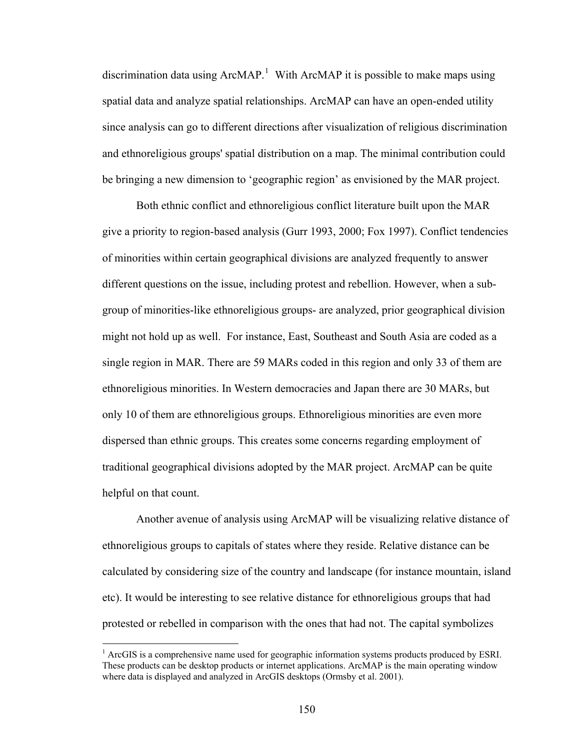<span id="page-160-0"></span>discrimination data using  $ArcMAP$ <sup>[1](#page-160-0)</sup> With  $ArcMAP$  it is possible to make maps using spatial data and analyze spatial relationships. ArcMAP can have an open-ended utility since analysis can go to different directions after visualization of religious discrimination and ethnoreligious groups' spatial distribution on a map. The minimal contribution could be bringing a new dimension to 'geographic region' as envisioned by the MAR project.

Both ethnic conflict and ethnoreligious conflict literature built upon the MAR give a priority to region-based analysis (Gurr 1993, 2000; Fox 1997). Conflict tendencies of minorities within certain geographical divisions are analyzed frequently to answer different questions on the issue, including protest and rebellion. However, when a subgroup of minorities-like ethnoreligious groups- are analyzed, prior geographical division might not hold up as well. For instance, East, Southeast and South Asia are coded as a single region in MAR. There are 59 MARs coded in this region and only 33 of them are ethnoreligious minorities. In Western democracies and Japan there are 30 MARs, but only 10 of them are ethnoreligious groups. Ethnoreligious minorities are even more dispersed than ethnic groups. This creates some concerns regarding employment of traditional geographical divisions adopted by the MAR project. ArcMAP can be quite helpful on that count.

Another avenue of analysis using ArcMAP will be visualizing relative distance of ethnoreligious groups to capitals of states where they reside. Relative distance can be calculated by considering size of the country and landscape (for instance mountain, island etc). It would be interesting to see relative distance for ethnoreligious groups that had protested or rebelled in comparison with the ones that had not. The capital symbolizes

 $\overline{a}$ 

 $<sup>1</sup>$  ArcGIS is a comprehensive name used for geographic information systems products produced by ESRI.</sup> These products can be desktop products or internet applications. ArcMAP is the main operating window where data is displayed and analyzed in ArcGIS desktops (Ormsby et al. 2001).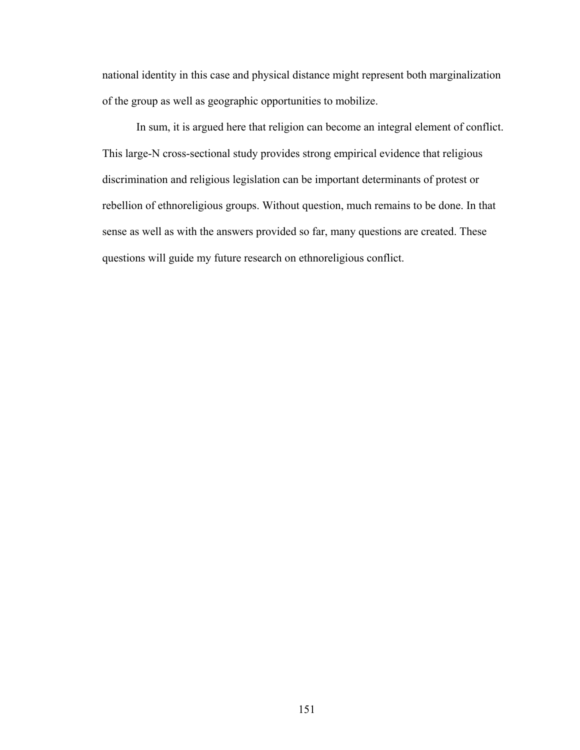national identity in this case and physical distance might represent both marginalization of the group as well as geographic opportunities to mobilize.

 In sum, it is argued here that religion can become an integral element of conflict. This large-N cross-sectional study provides strong empirical evidence that religious discrimination and religious legislation can be important determinants of protest or rebellion of ethnoreligious groups. Without question, much remains to be done. In that sense as well as with the answers provided so far, many questions are created. These questions will guide my future research on ethnoreligious conflict.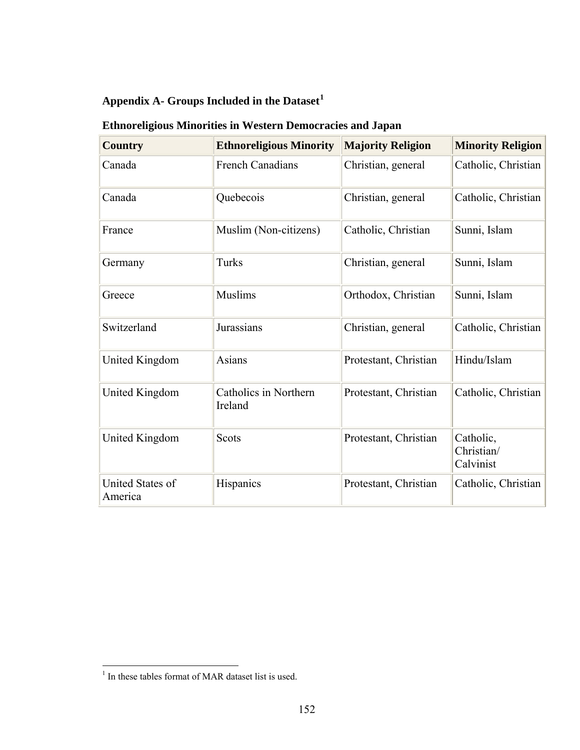# <span id="page-162-0"></span>**[1](#page-162-0) Appendix A- Groups Included in the Dataset**

## **Ethnoreligious Minorities in Western Democracies and Japan**

| <b>Country</b>              | <b>Ethnoreligious Minority</b>   | <b>Majority Religion</b> | <b>Minority Religion</b>             |
|-----------------------------|----------------------------------|--------------------------|--------------------------------------|
| Canada                      | <b>French Canadians</b>          | Christian, general       | Catholic, Christian                  |
| Canada                      | Quebecois                        | Christian, general       | Catholic, Christian                  |
| France                      | Muslim (Non-citizens)            | Catholic, Christian      | Sunni, Islam                         |
| Germany                     | Turks                            | Christian, general       | Sunni, Islam                         |
| Greece                      | <b>Muslims</b>                   | Orthodox, Christian      | Sunni, Islam                         |
| Switzerland                 | Jurassians                       | Christian, general       | Catholic, Christian                  |
| United Kingdom              | Asians                           | Protestant, Christian    | Hindu/Islam                          |
| United Kingdom              | Catholics in Northern<br>Ireland | Protestant, Christian    | Catholic, Christian                  |
| United Kingdom              | Scots                            | Protestant, Christian    | Catholic,<br>Christian/<br>Calvinist |
| United States of<br>America | Hispanics                        | Protestant, Christian    | Catholic, Christian                  |

<sup>&</sup>lt;sup>1</sup> In these tables format of MAR dataset list is used.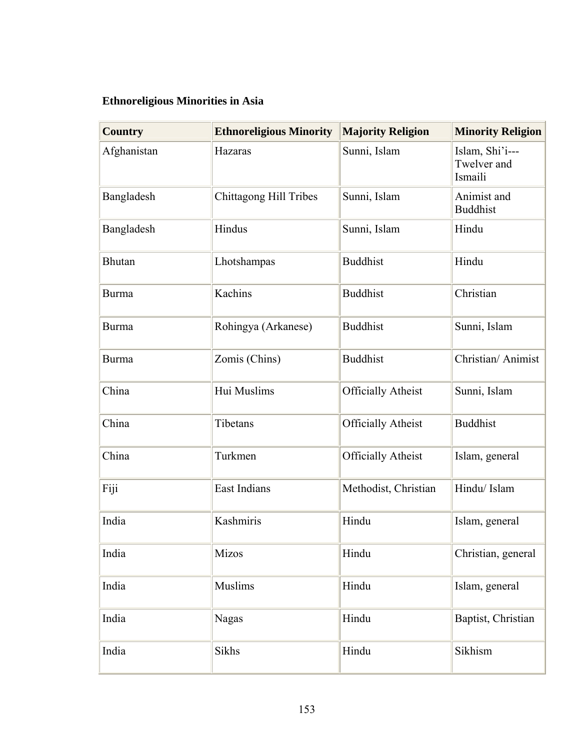# **Ethnoreligious Minorities in Asia**

| <b>Country</b> | <b>Ethnoreligious Minority</b> | <b>Majority Religion</b>  | <b>Minority Religion</b>                  |
|----------------|--------------------------------|---------------------------|-------------------------------------------|
| Afghanistan    | Hazaras                        | Sunni, Islam              | Islam, Shi'i---<br>Twelver and<br>Ismaili |
| Bangladesh     | Chittagong Hill Tribes         | Sunni, Islam              | Animist and<br><b>Buddhist</b>            |
| Bangladesh     | Hindus                         | Sunni, Islam              | Hindu                                     |
| <b>Bhutan</b>  | Lhotshampas                    | <b>Buddhist</b>           | Hindu                                     |
| <b>Burma</b>   | Kachins                        | <b>Buddhist</b>           | Christian                                 |
| <b>Burma</b>   | Rohingya (Arkanese)            | <b>Buddhist</b>           | Sunni, Islam                              |
| <b>Burma</b>   | Zomis (Chins)                  | <b>Buddhist</b>           | Christian/Animist                         |
| China          | Hui Muslims                    | <b>Officially Atheist</b> | Sunni, Islam                              |
| China          | Tibetans                       | <b>Officially Atheist</b> | <b>Buddhist</b>                           |
| China          | Turkmen                        | <b>Officially Atheist</b> | Islam, general                            |
| Fiji           | East Indians                   | Methodist, Christian      | Hindu/ Islam                              |
| India          | Kashmiris                      | Hindu                     | Islam, general                            |
| India          | Mizos                          | Hindu                     | Christian, general                        |
| India          | Muslims                        | Hindu                     | Islam, general                            |
| India          | <b>Nagas</b>                   | Hindu                     | Baptist, Christian                        |
| India          | Sikhs                          | Hindu                     | Sikhism                                   |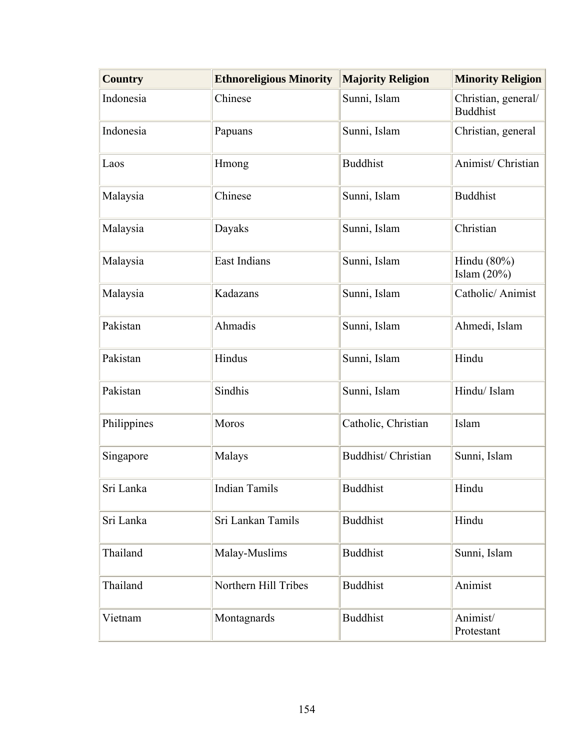| <b>Country</b> | <b>Ethnoreligious Minority</b> | <b>Majority Religion</b> | <b>Minority Religion</b>               |
|----------------|--------------------------------|--------------------------|----------------------------------------|
| Indonesia      | Chinese                        | Sunni, Islam             | Christian, general/<br><b>Buddhist</b> |
| Indonesia      | Papuans                        | Sunni, Islam             | Christian, general                     |
| Laos           | Hmong                          | <b>Buddhist</b>          | Animist/ Christian                     |
| Malaysia       | Chinese                        | Sunni, Islam             | <b>Buddhist</b>                        |
| Malaysia       | Dayaks                         | Sunni, Islam             | Christian                              |
| Malaysia       | East Indians                   | Sunni, Islam             | Hindu (80%)<br>Islam $(20\%)$          |
| Malaysia       | Kadazans                       | Sunni, Islam             | Catholic/ Animist                      |
| Pakistan       | Ahmadis                        | Sunni, Islam             | Ahmedi, Islam                          |
| Pakistan       | Hindus                         | Sunni, Islam             | Hindu                                  |
| Pakistan       | Sindhis                        | Sunni, Islam             | Hindu/ Islam                           |
| Philippines    | Moros                          | Catholic, Christian      | Islam                                  |
| Singapore      | Malays                         | Buddhist/Christian       | Sunni, Islam                           |
| Sri Lanka      | <b>Indian Tamils</b>           | <b>Buddhist</b>          | Hindu                                  |
| Sri Lanka      | Sri Lankan Tamils              | <b>Buddhist</b>          | Hindu                                  |
| Thailand       | Malay-Muslims                  | <b>Buddhist</b>          | Sunni, Islam                           |
| Thailand       | Northern Hill Tribes           | <b>Buddhist</b>          | Animist                                |
| Vietnam        | Montagnards                    | <b>Buddhist</b>          | Animist/<br>Protestant                 |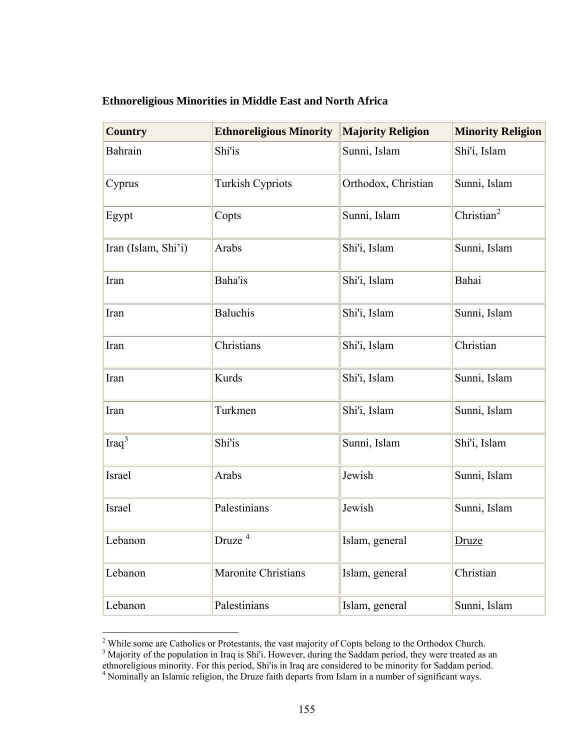### <span id="page-165-0"></span>**Ethnoreligious Minorities in Middle East and North Africa**

| <b>Country</b>      | <b>Ethnoreligious Minority</b> | <b>Majority Religion</b> | <b>Minority Religion</b> |
|---------------------|--------------------------------|--------------------------|--------------------------|
| Bahrain             | Shi'is                         | Sunni, Islam             | Shi'i, Islam             |
| Cyprus              | <b>Turkish Cypriots</b>        | Orthodox, Christian      | Sunni, Islam             |
| Egypt               | Copts                          | Sunni, Islam             | Christian <sup>2</sup>   |
| Iran (Islam, Shi'i) | Arabs                          | Shi'i, Islam             | Sunni, Islam             |
| Iran                | Baha'is                        | Shi'i, Islam             | Bahai                    |
| Iran                | <b>Baluchis</b>                | Shi'i, Islam             | Sunni, Islam             |
| Iran                | Christians                     | Shi'i, Islam             | Christian                |
| Iran                | Kurds                          | Shi'i, Islam             | Sunni, Islam             |
| Iran                | Turkmen                        | Shi'i, Islam             | Sunni, Islam             |
| $\text{Iraq}^3$     | Shi'is                         | Sunni, Islam             | Shi'i, Islam             |
| Israel              | Arabs                          | Jewish                   | Sunni, Islam             |
| Israel              | Palestinians                   | Jewish                   | Sunni, Islam             |
| Lebanon             | Druze <sup>4</sup>             | Islam, general           | Druze                    |
| Lebanon             | <b>Maronite Christians</b>     | Islam, general           | Christian                |
| Lebanon             | Palestinians                   | Islam, general           | Sunni, Islam             |

<sup>&</sup>lt;sup>2</sup> While some are Catholics or Protestants, the vast majority of Copts belong to the Orthodox Church.<br><sup>3</sup> Majority of the population in Iraq is Shi'i. However, during the Saddam period, they were treated as an

ethnoreligious minority. For this period, Shi'is in Iraq are considered to be minority for Saddam period.<br><sup>4</sup> Nominally an Islamic religion, the Druze faith departs from Islam in a number of significant ways.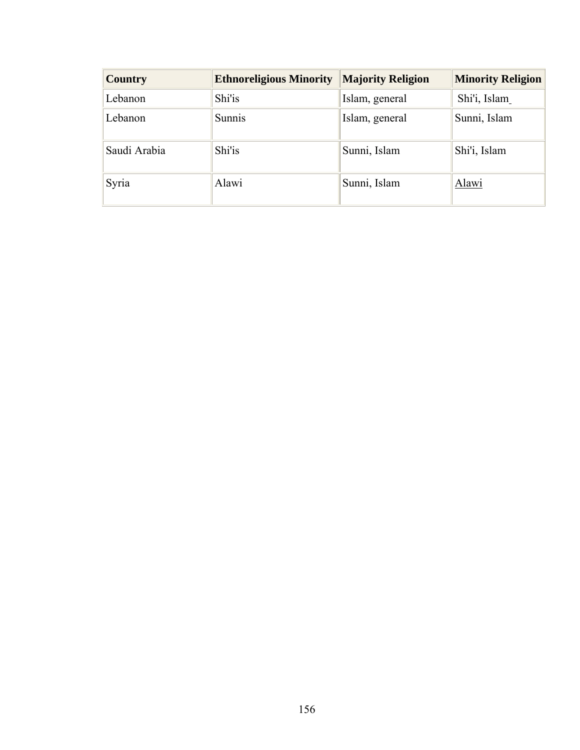| Country      | <b>Ethnoreligious Minority</b> | <b>Majority Religion</b> | <b>Minority Religion</b> |
|--------------|--------------------------------|--------------------------|--------------------------|
| Lebanon      | Shi'is                         | Islam, general           | Shi'i, Islam             |
| Lebanon      | <b>Sunnis</b>                  | Islam, general           | Sunni, Islam             |
| Saudi Arabia | Shi'is                         | Sunni, Islam             | Shi'i, Islam             |
| Syria        | Alawi                          | Sunni, Islam             | Alawi                    |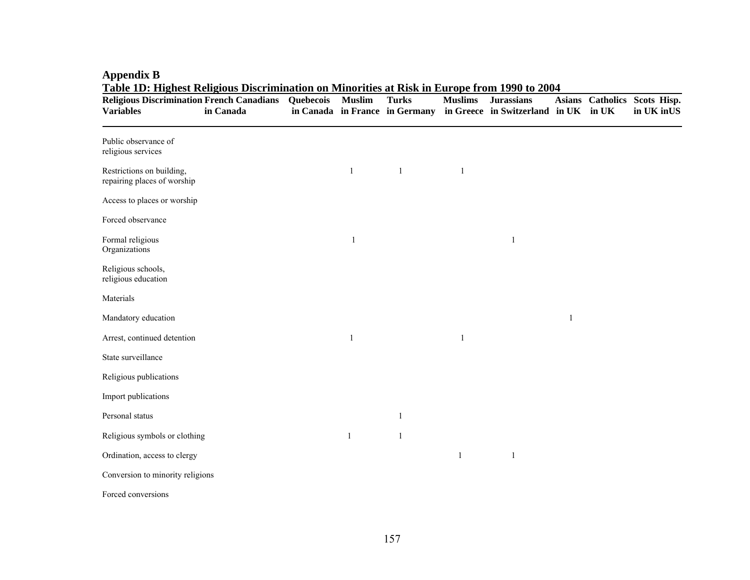**Appendix B** 

| Table 1D: Highest Religious Discrimination on Minorities at Risk in Europe from 1990 to 2004 |  |
|----------------------------------------------------------------------------------------------|--|
|----------------------------------------------------------------------------------------------|--|

| <b>Religious Discrimination French Canadians</b><br><b>Variables</b> | in Canada | Quebecois | <b>Muslim</b> | <b>Turks</b><br>in Canada in France in Germany | <b>Muslims</b> | <b>Jurassians</b><br>in Greece in Switzerland in UK in UK |   | Asians Catholics Scots Hisp.<br>in UK in US |
|----------------------------------------------------------------------|-----------|-----------|---------------|------------------------------------------------|----------------|-----------------------------------------------------------|---|---------------------------------------------|
| Public observance of<br>religious services                           |           |           |               |                                                |                |                                                           |   |                                             |
| Restrictions on building,<br>repairing places of worship             |           |           | $\mathbf{1}$  | $\mathbf{1}$                                   | $\mathbf{1}$   |                                                           |   |                                             |
| Access to places or worship                                          |           |           |               |                                                |                |                                                           |   |                                             |
| Forced observance                                                    |           |           |               |                                                |                |                                                           |   |                                             |
| Formal religious<br>Organizations                                    |           |           | 1             |                                                |                | $\mathbf{1}$                                              |   |                                             |
| Religious schools,<br>religious education                            |           |           |               |                                                |                |                                                           |   |                                             |
| Materials                                                            |           |           |               |                                                |                |                                                           |   |                                             |
| Mandatory education                                                  |           |           |               |                                                |                |                                                           | 1 |                                             |
| Arrest, continued detention                                          |           |           | $\mathbf{1}$  |                                                | $\mathbf{1}$   |                                                           |   |                                             |
| State surveillance                                                   |           |           |               |                                                |                |                                                           |   |                                             |
| Religious publications                                               |           |           |               |                                                |                |                                                           |   |                                             |
| Import publications                                                  |           |           |               |                                                |                |                                                           |   |                                             |
| Personal status                                                      |           |           |               | $\mathbf{1}$                                   |                |                                                           |   |                                             |
| Religious symbols or clothing                                        |           |           | $\mathbf{1}$  | $\mathbf{1}$                                   |                |                                                           |   |                                             |
| Ordination, access to clergy                                         |           |           |               |                                                | $\mathbf{1}$   | 1                                                         |   |                                             |
| Conversion to minority religions                                     |           |           |               |                                                |                |                                                           |   |                                             |
| Forced conversions                                                   |           |           |               |                                                |                |                                                           |   |                                             |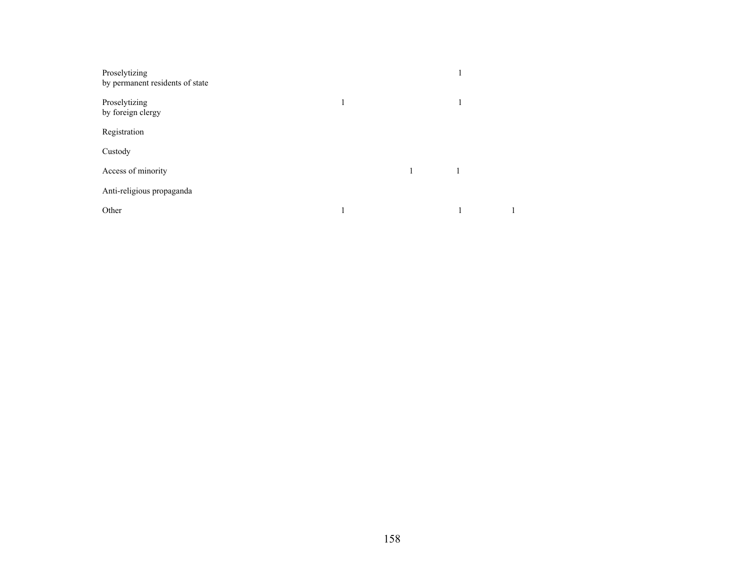| Proselytizing<br>by permanent residents of state |   |   |  |
|--------------------------------------------------|---|---|--|
| Proselytizing<br>by foreign clergy               |   | ш |  |
| Registration                                     |   |   |  |
| Custody                                          |   |   |  |
| Access of minority                               | 1 | 1 |  |
| Anti-religious propaganda                        |   |   |  |
| Other                                            |   |   |  |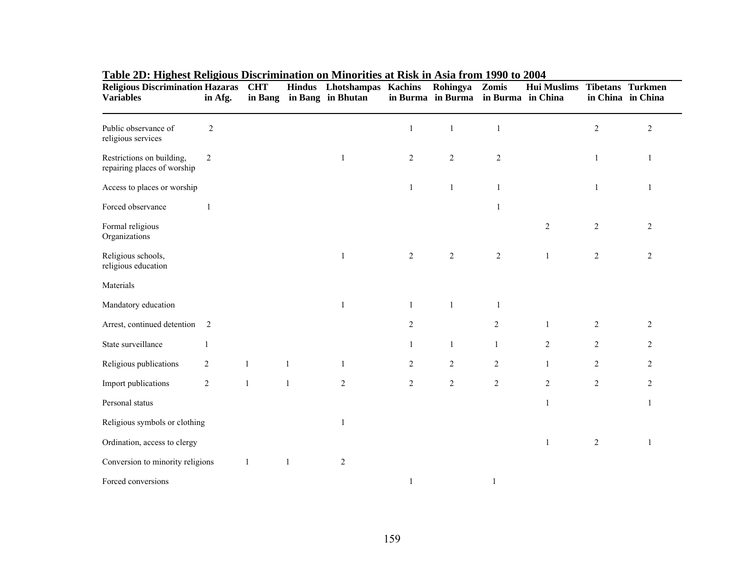| Table 2D. Highest R<br><b>Religious Discrimination Hazaras</b><br><b>Variables</b> | chgiuus Dis<br>in Afg. | <b>CHT</b>   | <b>Hindus</b> | <b>Lhotshampas Kachins</b><br>in Bang in Bang in Bhutan |                | <u>noi nies at Kisk III Asia II om</u><br>Rohingya<br>in Burma in Burma | 220 W 200<br>Zomis<br>in Burma in China | Hui Muslims Tibetans Turkmen |                | in China in China |
|------------------------------------------------------------------------------------|------------------------|--------------|---------------|---------------------------------------------------------|----------------|-------------------------------------------------------------------------|-----------------------------------------|------------------------------|----------------|-------------------|
| Public observance of<br>religious services                                         | $\overline{c}$         |              |               |                                                         | 1              |                                                                         |                                         |                              | $\overline{c}$ | $\overline{c}$    |
| Restrictions on building,<br>repairing places of worship                           | 2                      |              |               | 1                                                       | $\overline{2}$ | $\overline{2}$                                                          | $\overline{c}$                          |                              | 1              | 1                 |
| Access to places or worship                                                        |                        |              |               |                                                         | 1              | $\mathbf{1}$                                                            | 1                                       |                              | $\mathbf{1}$   | 1                 |
| Forced observance                                                                  |                        |              |               |                                                         |                |                                                                         | 1                                       |                              |                |                   |
| Formal religious<br>Organizations                                                  |                        |              |               |                                                         |                |                                                                         |                                         | $\overline{c}$               | $\overline{2}$ | $\overline{2}$    |
| Religious schools,<br>religious education                                          |                        |              |               | 1                                                       | $\overline{2}$ | $\overline{c}$                                                          | $\overline{c}$                          | $\mathbf{1}$                 | $\overline{2}$ | 2                 |
| Materials                                                                          |                        |              |               |                                                         |                |                                                                         |                                         |                              |                |                   |
| Mandatory education                                                                |                        |              |               | $\mathbf{1}$                                            | $\mathbf{1}$   | $\mathbf{1}$                                                            | $\mathbf{1}$                            |                              |                |                   |
| Arrest, continued detention                                                        | $\overline{2}$         |              |               |                                                         | $\overline{c}$ |                                                                         | 2                                       | $\mathbf{1}$                 | 2              | 2                 |
| State surveillance                                                                 | 1                      |              |               |                                                         | $\mathbf{1}$   | $\mathbf{1}$                                                            | $\mathbf{1}$                            | $\overline{2}$               | $\overline{2}$ | $\overline{2}$    |
| Religious publications                                                             | $\overline{c}$         | $\mathbf{1}$ | $\mathbf{1}$  | $\mathbf{1}$                                            | $\overline{2}$ | $\overline{2}$                                                          | $\overline{2}$                          | $\mathbf{1}$                 | $\overline{2}$ | $\overline{c}$    |
| Import publications                                                                | $\boldsymbol{2}$       | $\mathbf{1}$ | $\mathbf{1}$  | $\overline{c}$                                          | $\overline{c}$ | $\boldsymbol{2}$                                                        | $\sqrt{2}$                              | $\sqrt{2}$                   | $\overline{c}$ | $\overline{c}$    |
| Personal status                                                                    |                        |              |               |                                                         |                |                                                                         |                                         | 1                            |                | 1                 |
| Religious symbols or clothing                                                      |                        |              |               | 1                                                       |                |                                                                         |                                         |                              |                |                   |
| Ordination, access to clergy                                                       |                        |              |               |                                                         |                |                                                                         |                                         | $\mathbf{1}$                 | $\overline{2}$ | 1                 |
| Conversion to minority religions                                                   |                        | $\mathbf{1}$ | $\mathbf{1}$  | 2                                                       |                |                                                                         |                                         |                              |                |                   |
| Forced conversions                                                                 |                        |              |               |                                                         | $\mathbf{1}$   |                                                                         | $\mathbf{1}$                            |                              |                |                   |

### **Table 2D: Highest Religious Discrimination on Minorities at Risk in Asia from 1990 to 2004**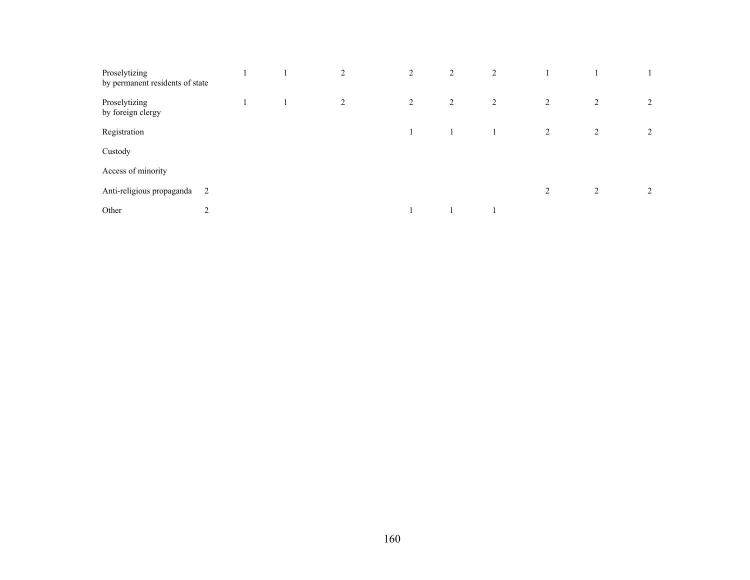| Proselytizing<br>by permanent residents of state |   | $\overline{2}$ | 2 | $\overline{2}$ | 2 |   |                |                |
|--------------------------------------------------|---|----------------|---|----------------|---|---|----------------|----------------|
| Proselytizing<br>by foreign clergy               |   | $\overline{2}$ | 2 | $\overline{2}$ | 2 | 2 | 2              | 2              |
| Registration                                     |   |                |   |                |   | 2 | $\overline{2}$ | $\mathfrak{D}$ |
| Custody                                          |   |                |   |                |   |   |                |                |
| Access of minority                               |   |                |   |                |   |   |                |                |
| Anti-religious propaganda                        | 2 |                |   |                |   | 2 | 2              | 2              |
| Other                                            |   |                |   |                |   |   |                |                |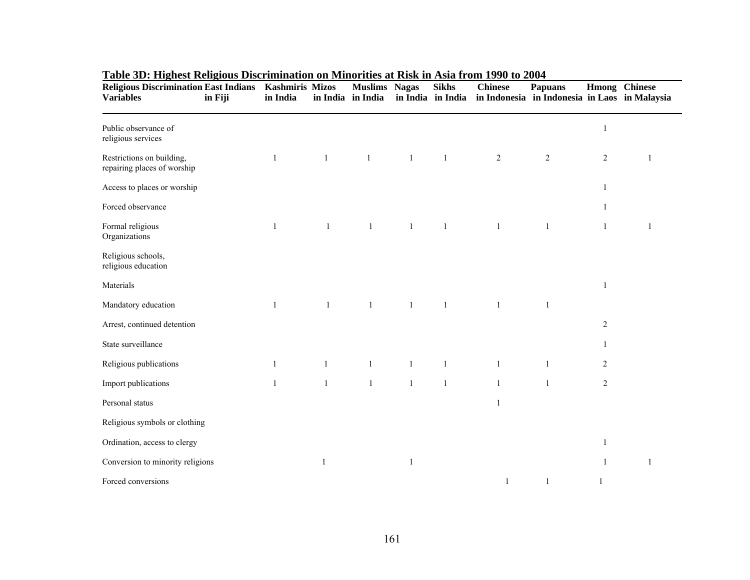| <b>Religious Discrimination East Indians</b><br><b>Variables</b> | in Fiji | <b>Kashmiris Mizos</b><br>in India |              | <b>Muslims Nagas</b><br>in India in India |              | <b>Sikhs</b> | <b>Chinese</b><br>in India in India in Indonesia in Indonesia in Laos in Malaysia | <b>Papuans</b> |                | <b>Hmong</b> Chinese |
|------------------------------------------------------------------|---------|------------------------------------|--------------|-------------------------------------------|--------------|--------------|-----------------------------------------------------------------------------------|----------------|----------------|----------------------|
| Public observance of<br>religious services                       |         |                                    |              |                                           |              |              |                                                                                   |                | 1              |                      |
| Restrictions on building,<br>repairing places of worship         |         | $\mathbf{1}$                       | $\mathbf{1}$ | $\mathbf{1}$                              | 1            | $\mathbf{1}$ | $\overline{2}$                                                                    | $\sqrt{2}$     | $\overline{c}$ | $\mathbf{1}$         |
| Access to places or worship                                      |         |                                    |              |                                           |              |              |                                                                                   |                | 1              |                      |
| Forced observance                                                |         |                                    |              |                                           |              |              |                                                                                   |                | 1              |                      |
| Formal religious<br>Organizations                                |         | 1                                  | $\mathbf{1}$ | 1                                         | 1            | $\mathbf{1}$ | $\mathbf{1}$                                                                      | 1              | 1              | $\mathbf{1}$         |
| Religious schools,<br>religious education                        |         |                                    |              |                                           |              |              |                                                                                   |                |                |                      |
| Materials                                                        |         |                                    |              |                                           |              |              |                                                                                   |                | 1              |                      |
| Mandatory education                                              |         | 1                                  | $\mathbf{1}$ | $\mathbf{1}$                              | 1            | $\mathbf{1}$ | $\mathbf{1}$                                                                      | -1             |                |                      |
| Arrest, continued detention                                      |         |                                    |              |                                           |              |              |                                                                                   |                | $\overline{2}$ |                      |
| State surveillance                                               |         |                                    |              |                                           |              |              |                                                                                   |                | 1              |                      |
| Religious publications                                           |         | $\mathbf{1}$                       | $\mathbf{1}$ | $\mathbf{1}$                              | 1            | $\,1\,$      | $\mathbf{1}$                                                                      | $\mathbf{1}$   | $\overline{2}$ |                      |
| Import publications                                              |         | $\mathbf{1}$                       | 1            | $\mathbf{1}$                              | -1           | $\mathbf{1}$ | 1                                                                                 | 1              | $\sqrt{2}$     |                      |
| Personal status                                                  |         |                                    |              |                                           |              |              | 1                                                                                 |                |                |                      |
| Religious symbols or clothing                                    |         |                                    |              |                                           |              |              |                                                                                   |                |                |                      |
| Ordination, access to clergy                                     |         |                                    |              |                                           |              |              |                                                                                   |                | 1              |                      |
| Conversion to minority religions                                 |         |                                    | $\mathbf{1}$ |                                           | $\mathbf{1}$ |              |                                                                                   |                | 1              | $\mathbf{1}$         |
| Forced conversions                                               |         |                                    |              |                                           |              |              | $\mathbf{1}$                                                                      | $\mathbf{1}$   | $\mathbf{1}$   |                      |

# **Table 3D: Highest Religious Discrimination on Minorities at Risk in Asia from 1990 to 2004**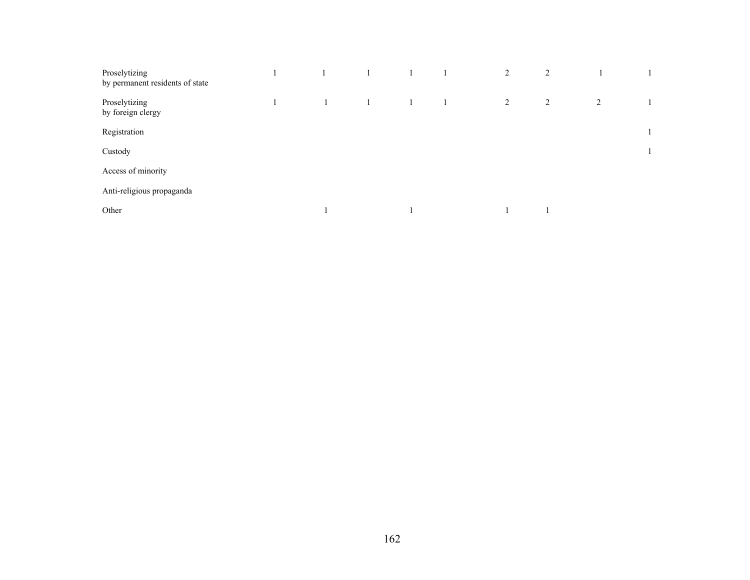| Proselytizing<br>by permanent residents of state |  |   |  | $\overline{c}$ | 2 |   |  |
|--------------------------------------------------|--|---|--|----------------|---|---|--|
| Proselytizing<br>by foreign clergy               |  | 1 |  | $\overline{c}$ | 2 | 2 |  |
| Registration                                     |  |   |  |                |   |   |  |
| Custody                                          |  |   |  |                |   |   |  |
| Access of minority                               |  |   |  |                |   |   |  |
| Anti-religious propaganda                        |  |   |  |                |   |   |  |
| Other                                            |  |   |  |                |   |   |  |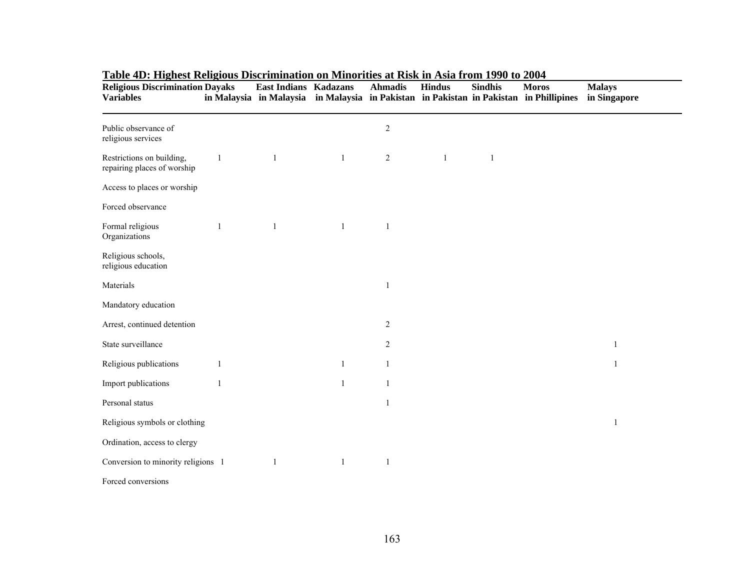| <b>Religious Discrimination Dayaks</b><br><b>Variables</b> |              | <b>East Indians Kadazans</b> |              | <b>Ahmadis</b> | <b>Hindus</b> | <b>Sindhis</b> | <b>Moros</b><br>in Malaysia in Malaysia in Malaysia in Pakistan in Pakistan in Pakistan in Phillipines | <b>Malays</b><br>in Singapore |  |
|------------------------------------------------------------|--------------|------------------------------|--------------|----------------|---------------|----------------|--------------------------------------------------------------------------------------------------------|-------------------------------|--|
| Public observance of<br>religious services                 |              |                              |              | $\overline{c}$ |               |                |                                                                                                        |                               |  |
| Restrictions on building,<br>repairing places of worship   | $\mathbf{1}$ | $\mathbf{1}$                 | $\mathbf{1}$ | $\overline{c}$ | $\mathbf{1}$  | $\mathbf{1}$   |                                                                                                        |                               |  |
| Access to places or worship                                |              |                              |              |                |               |                |                                                                                                        |                               |  |
| Forced observance                                          |              |                              |              |                |               |                |                                                                                                        |                               |  |
| Formal religious<br>Organizations                          | $\mathbf{1}$ | $\mathbf{1}$                 | $\mathbf{1}$ | 1              |               |                |                                                                                                        |                               |  |
| Religious schools,<br>religious education                  |              |                              |              |                |               |                |                                                                                                        |                               |  |
| Materials                                                  |              |                              |              | $\mathbf{1}$   |               |                |                                                                                                        |                               |  |
| Mandatory education                                        |              |                              |              |                |               |                |                                                                                                        |                               |  |
| Arrest, continued detention                                |              |                              |              | 2              |               |                |                                                                                                        |                               |  |
| State surveillance                                         |              |                              |              | $\overline{2}$ |               |                |                                                                                                        | 1                             |  |
| Religious publications                                     | 1            |                              | 1            | 1              |               |                |                                                                                                        | -1                            |  |
| Import publications                                        | $\mathbf{1}$ |                              | $\mathbf{1}$ | 1              |               |                |                                                                                                        |                               |  |
| Personal status                                            |              |                              |              |                |               |                |                                                                                                        |                               |  |
| Religious symbols or clothing                              |              |                              |              |                |               |                |                                                                                                        | 1                             |  |
| Ordination, access to clergy                               |              |                              |              |                |               |                |                                                                                                        |                               |  |
| Conversion to minority religions 1                         |              | 1                            | $\mathbf{1}$ | 1              |               |                |                                                                                                        |                               |  |
| Forced conversions                                         |              |                              |              |                |               |                |                                                                                                        |                               |  |

## **Table 4D: Highest Religious Discrimination on Minorities at Risk in Asia from 1990 to 2004**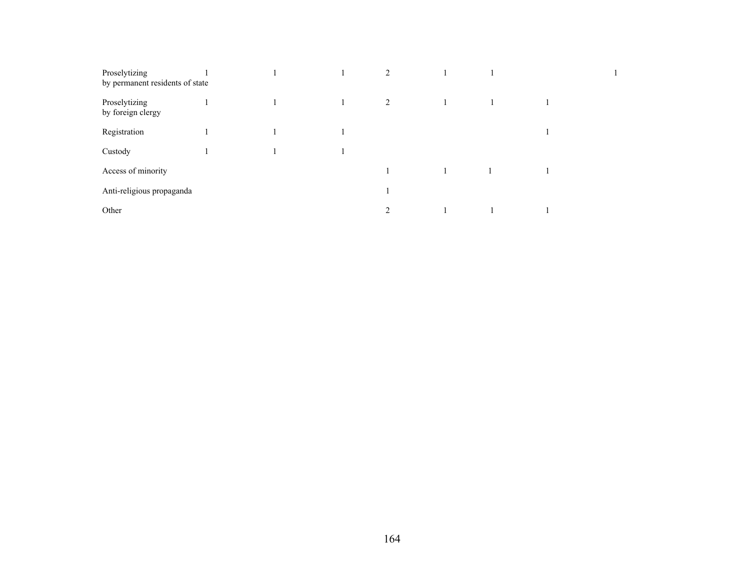| Proselytizing<br>by permanent residents of state |  | C |  |  |
|--------------------------------------------------|--|---|--|--|
| Proselytizing<br>by foreign clergy               |  | 2 |  |  |
| Registration                                     |  |   |  |  |
| Custody                                          |  |   |  |  |
| Access of minority                               |  |   |  |  |
| Anti-religious propaganda                        |  |   |  |  |
| Other                                            |  |   |  |  |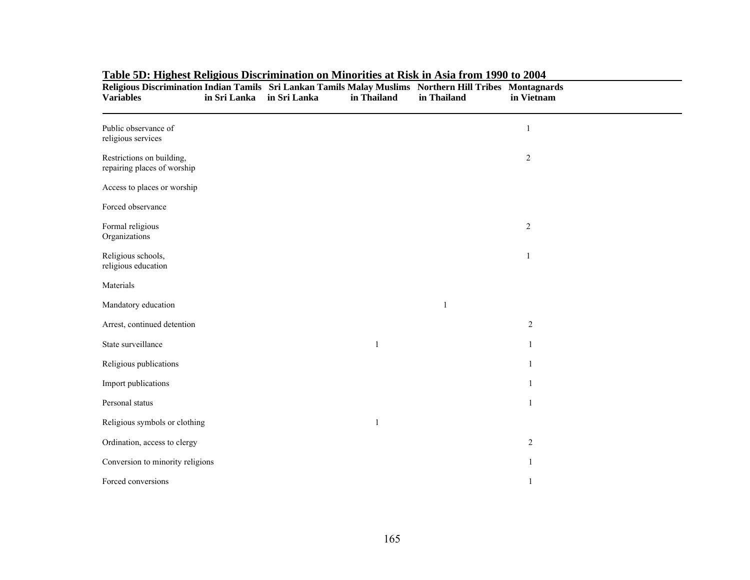| Religious Discrimination Indian Tamils Sri Lankan Tamils Malay Muslims Northern Hill Tribes Montagnards<br><b>Variables</b> | in Sri Lanka | in Sri Lanka | in Thailand  | in Thailand  | in Vietnam     |
|-----------------------------------------------------------------------------------------------------------------------------|--------------|--------------|--------------|--------------|----------------|
| Public observance of<br>religious services                                                                                  |              |              |              |              | 1              |
| Restrictions on building,<br>repairing places of worship                                                                    |              |              |              |              | $\overline{c}$ |
| Access to places or worship                                                                                                 |              |              |              |              |                |
| Forced observance                                                                                                           |              |              |              |              |                |
| Formal religious<br>Organizations                                                                                           |              |              |              |              | $\overline{c}$ |
| Religious schools,<br>religious education                                                                                   |              |              |              |              | 1              |
| Materials                                                                                                                   |              |              |              |              |                |
| Mandatory education                                                                                                         |              |              |              | $\mathbf{1}$ |                |
| Arrest, continued detention                                                                                                 |              |              |              |              | $\overline{c}$ |
| State surveillance                                                                                                          |              |              | $\mathbf{1}$ |              | $\mathbf{1}$   |
| Religious publications                                                                                                      |              |              |              |              | 1              |
| Import publications                                                                                                         |              |              |              |              | $\mathbf{1}$   |
| Personal status                                                                                                             |              |              |              |              | $\mathbf{1}$   |
| Religious symbols or clothing                                                                                               |              |              | $\mathbf{1}$ |              |                |
| Ordination, access to clergy                                                                                                |              |              |              |              | $\overline{c}$ |
| Conversion to minority religions                                                                                            |              |              |              |              | 1              |
| Forced conversions                                                                                                          |              |              |              |              |                |

## **Table 5D: Highest Religious Discrimination on Minorities at Risk in Asia from 1990 to 2004**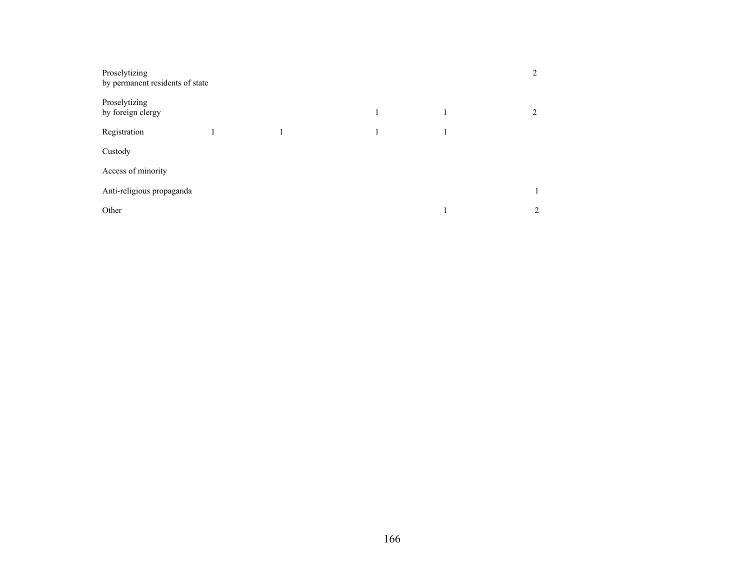| Proselytizing<br>by permanent residents of state |  |                          |   |
|--------------------------------------------------|--|--------------------------|---|
| Proselytizing<br>by foreign clergy               |  | $\mathbf{1}$<br>$\bf{1}$ | ∍ |
| Registration                                     |  |                          |   |
| Custody                                          |  |                          |   |
| Access of minority                               |  |                          |   |
| Anti-religious propaganda                        |  |                          |   |
| Other                                            |  |                          |   |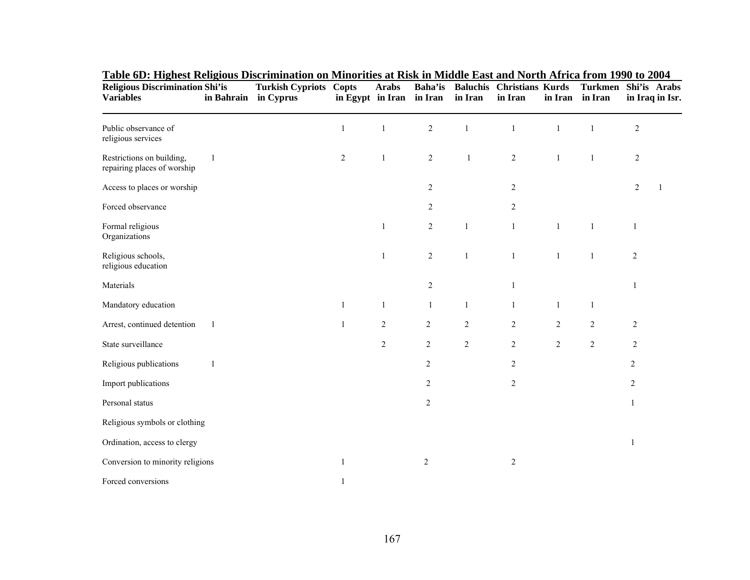| <b>Religious Discrimination Shi'is</b><br><b>Variables</b> | in Bahrain   | <b>Turkish Cypriots</b><br>in Cyprus | <b>Copts</b><br>in Egypt in Iran | <b>Arabs</b>   | Baha'is<br>in Iran | <b>Baluchis</b><br>in Iran | <b>Christians Kurds</b><br>in Iran | in Iran        | Turkmen Shi'is Arabs<br>in Iran |                | in Iraq in Isr. |
|------------------------------------------------------------|--------------|--------------------------------------|----------------------------------|----------------|--------------------|----------------------------|------------------------------------|----------------|---------------------------------|----------------|-----------------|
| Public observance of<br>religious services                 |              |                                      | $\mathbf{1}$                     | $\mathbf{1}$   | $\sqrt{2}$         | $\mathbf{1}$               | $\mathbf{1}$                       | $\mathbf{1}$   | $\mathbf{1}$                    | $\overline{2}$ |                 |
| Restrictions on building,<br>repairing places of worship   | $\mathbf{1}$ |                                      | $\overline{c}$                   | $\mathbf{1}$   | $\overline{c}$     | $\mathbf{1}$               | $\overline{c}$                     | $\mathbf{1}$   | $\mathbf{1}$                    | $\overline{c}$ |                 |
| Access to places or worship                                |              |                                      |                                  |                | 2                  |                            | $\overline{c}$                     |                |                                 | 2              | 1               |
| Forced observance                                          |              |                                      |                                  |                | 2                  |                            | 2                                  |                |                                 |                |                 |
| Formal religious<br>Organizations                          |              |                                      |                                  | 1              | $\boldsymbol{2}$   | $\mathbf{1}$               | $\mathbf{1}$                       | $\mathbf{1}$   | $\mathbf{1}$                    | 1              |                 |
| Religious schools,<br>religious education                  |              |                                      |                                  | 1              | $\overline{c}$     | $\mathbf{1}$               | $\mathbf{1}$                       | $\mathbf{1}$   | $\mathbf{1}$                    | $\overline{c}$ |                 |
| Materials                                                  |              |                                      |                                  |                | 2                  |                            | $\mathbf{1}$                       |                |                                 | 1              |                 |
| Mandatory education                                        |              |                                      | 1                                | $\mathbf{1}$   | 1                  | $\mathbf{1}$               | 1                                  | $\mathbf{1}$   | $\mathbf{1}$                    |                |                 |
| Arrest, continued detention                                | $\mathbf{1}$ |                                      | 1                                | $\overline{c}$ | $\overline{c}$     | $\boldsymbol{2}$           | $\overline{c}$                     | $\overline{c}$ | $\boldsymbol{2}$                | $\overline{c}$ |                 |
| State surveillance                                         |              |                                      |                                  | $\overline{c}$ | $\boldsymbol{2}$   | $\sqrt{2}$                 | $\overline{c}$                     | $\overline{c}$ | $\sqrt{2}$                      | $\overline{c}$ |                 |
| Religious publications                                     | 1            |                                      |                                  |                | $\sqrt{2}$         |                            | 2                                  |                |                                 | $\overline{c}$ |                 |
| Import publications                                        |              |                                      |                                  |                | $\overline{c}$     |                            | $\sqrt{2}$                         |                |                                 | $\overline{2}$ |                 |
| Personal status                                            |              |                                      |                                  |                | $\sqrt{2}$         |                            |                                    |                |                                 | 1              |                 |
| Religious symbols or clothing                              |              |                                      |                                  |                |                    |                            |                                    |                |                                 |                |                 |
| Ordination, access to clergy                               |              |                                      |                                  |                |                    |                            |                                    |                |                                 | 1              |                 |
| Conversion to minority religions                           |              |                                      | 1                                |                | $\sqrt{2}$         |                            | $\overline{c}$                     |                |                                 |                |                 |
| Forced conversions                                         |              |                                      | 1                                |                |                    |                            |                                    |                |                                 |                |                 |

**Table 6D: Highest Religious Discrimination on Minorities at Risk in Middle East and North Africa from 1990 to 2004**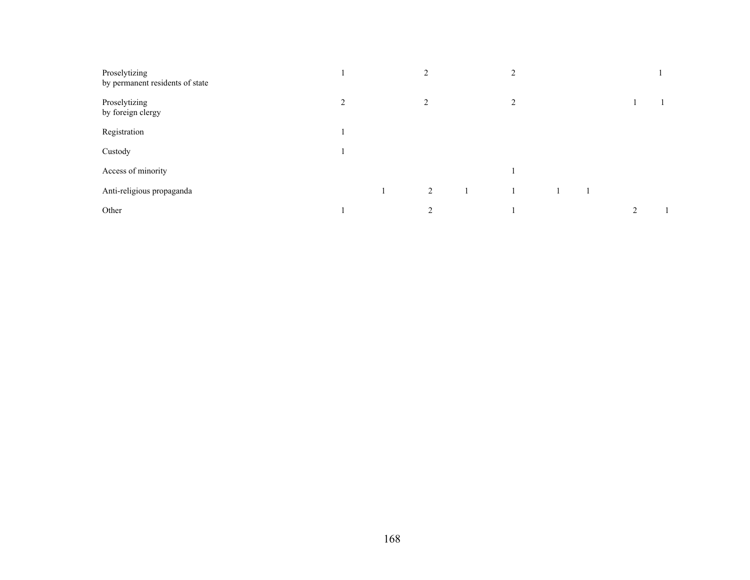| Proselytizing<br>by permanent residents of state |                | $\bigcirc$     |                                      |              |  |  |
|--------------------------------------------------|----------------|----------------|--------------------------------------|--------------|--|--|
| Proselytizing<br>by foreign clergy               | $\overline{2}$ | $\overline{2}$ |                                      | 2            |  |  |
| Registration                                     |                |                |                                      |              |  |  |
| Custody                                          |                |                |                                      |              |  |  |
| Access of minority                               |                |                |                                      |              |  |  |
| Anti-religious propaganda                        |                | 2              | $\begin{array}{ccc} & 1 \end{array}$ | $\mathbf{1}$ |  |  |
| Other                                            |                | $\bigcap$      |                                      |              |  |  |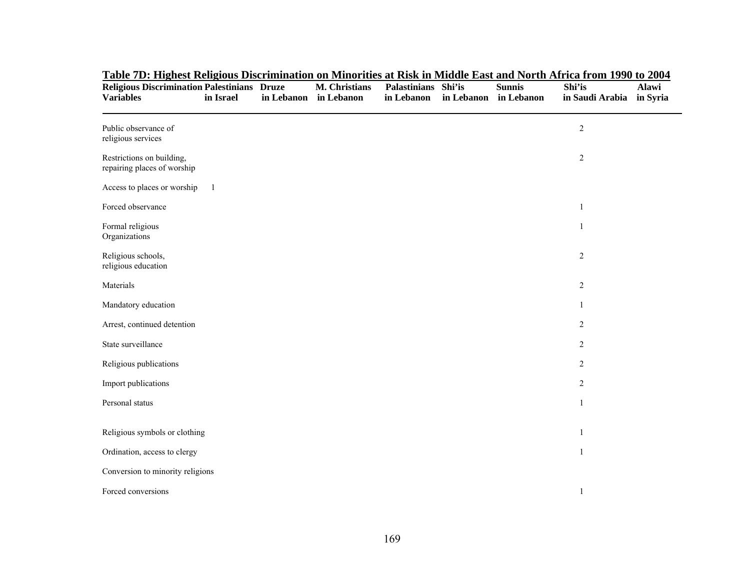| Religious Discrimination Palestinians Druze<br><b>Variables</b> | in Israel    | in Lebanon | M. Christians<br>in Lebanon | Palastinians Shi'is<br>in Lebanon | in Lebanon | <b>Sunnis</b><br>in Lebanon | Shi'is<br>in Saudi Arabia | Alawi<br>in Syria |
|-----------------------------------------------------------------|--------------|------------|-----------------------------|-----------------------------------|------------|-----------------------------|---------------------------|-------------------|
| Public observance of<br>religious services                      |              |            |                             |                                   |            |                             | $\overline{2}$            |                   |
| Restrictions on building,<br>repairing places of worship        |              |            |                             |                                   |            |                             | $\boldsymbol{2}$          |                   |
| Access to places or worship                                     | $\mathbf{1}$ |            |                             |                                   |            |                             |                           |                   |
| Forced observance                                               |              |            |                             |                                   |            |                             | $\mathbf{1}$              |                   |
| Formal religious<br>Organizations                               |              |            |                             |                                   |            |                             | $\mathbf{1}$              |                   |
| Religious schools,<br>religious education                       |              |            |                             |                                   |            |                             | $\overline{2}$            |                   |
| Materials                                                       |              |            |                             |                                   |            |                             | $\overline{2}$            |                   |
| Mandatory education                                             |              |            |                             |                                   |            |                             | $\mathbf{1}$              |                   |
| Arrest, continued detention                                     |              |            |                             |                                   |            |                             | 2                         |                   |
| State surveillance                                              |              |            |                             |                                   |            |                             | 2                         |                   |
| Religious publications                                          |              |            |                             |                                   |            |                             | $\boldsymbol{2}$          |                   |
| Import publications                                             |              |            |                             |                                   |            |                             | $\overline{c}$            |                   |
| Personal status                                                 |              |            |                             |                                   |            |                             | $\mathbf{1}$              |                   |
| Religious symbols or clothing                                   |              |            |                             |                                   |            |                             | 1                         |                   |
| Ordination, access to clergy                                    |              |            |                             |                                   |            |                             | $\mathbf{1}$              |                   |
| Conversion to minority religions                                |              |            |                             |                                   |            |                             |                           |                   |
| Forced conversions                                              |              |            |                             |                                   |            |                             | $\mathbf{1}$              |                   |

| Table 7D: Highest Religious Discrimination on Minorities at Risk in Middle East and North Africa from 1990 to 2004 |
|--------------------------------------------------------------------------------------------------------------------|
|--------------------------------------------------------------------------------------------------------------------|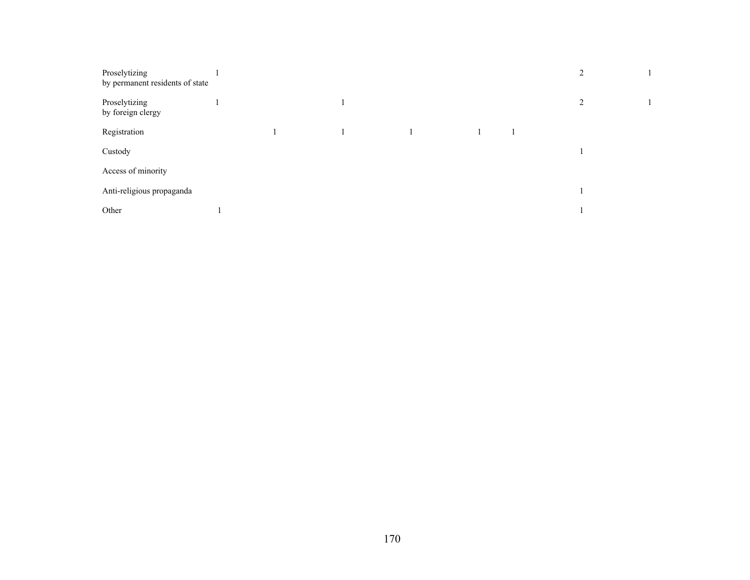| Proselytizing<br>by permanent residents of state |  |  |  |                |  |
|--------------------------------------------------|--|--|--|----------------|--|
| Proselytizing<br>by foreign clergy               |  |  |  | $\overline{c}$ |  |
| Registration                                     |  |  |  |                |  |
| Custody                                          |  |  |  |                |  |
| Access of minority                               |  |  |  |                |  |
| Anti-religious propaganda                        |  |  |  |                |  |
| Other                                            |  |  |  |                |  |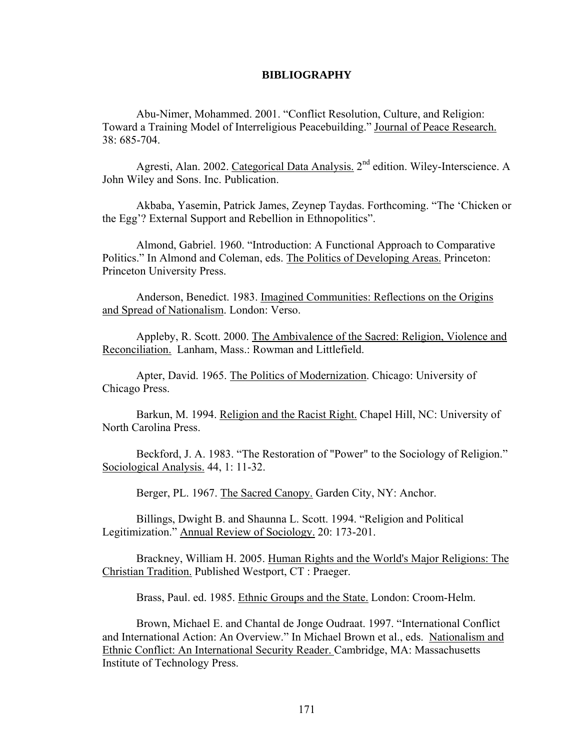## **BIBLIOGRAPHY**

Abu-Nimer, Mohammed. 2001. "Conflict Resolution, Culture, and Religion: Toward a Training Model of Interreligious Peacebuilding." Journal of Peace Research. 38: 685-704.

Agresti, Alan. 2002. Categorical Data Analysis. 2<sup>nd</sup> edition. Wiley-Interscience. A John Wiley and Sons. Inc. Publication.

Akbaba, Yasemin, Patrick James, Zeynep Taydas. Forthcoming. "The 'Chicken or the Egg'? External Support and Rebellion in Ethnopolitics".

Almond, Gabriel. 1960. "Introduction: A Functional Approach to Comparative Politics." In Almond and Coleman, eds. The Politics of Developing Areas. Princeton: Princeton University Press.

Anderson, Benedict. 1983. Imagined Communities: Reflections on the Origins and Spread of Nationalism. London: Verso.

Appleby, R. Scott. 2000. The Ambivalence of the Sacred: Religion, Violence and Reconciliation. Lanham, Mass.: Rowman and Littlefield.

Apter, David. 1965. The Politics of Modernization. Chicago: University of Chicago Press.

Barkun, M. 1994. Religion and the Racist Right. Chapel Hill, NC: University of North Carolina Press.

Beckford, J. A. 1983. "The Restoration of "Power" to the Sociology of Religion." Sociological Analysis. 44, 1: 11-32.

Berger, PL. 1967. The Sacred Canopy. Garden City, NY: Anchor.

Billings, Dwight B. and Shaunna L. Scott. 1994. "Religion and Political Legitimization." Annual Review of Sociology. 20: 173-201.

Brackney, William H. 2005. Human Rights and the World's Major Religions: The Christian Tradition. Published Westport, CT : Praeger.

Brass, Paul. ed. 1985. Ethnic Groups and the State. London: Croom-Helm.

Brown, Michael E. and Chantal de Jonge Oudraat. 1997. "International Conflict and International Action: An Overview." In Michael Brown et al., eds. Nationalism and Ethnic Conflict: An International Security Reader. Cambridge, MA: Massachusetts Institute of Technology Press.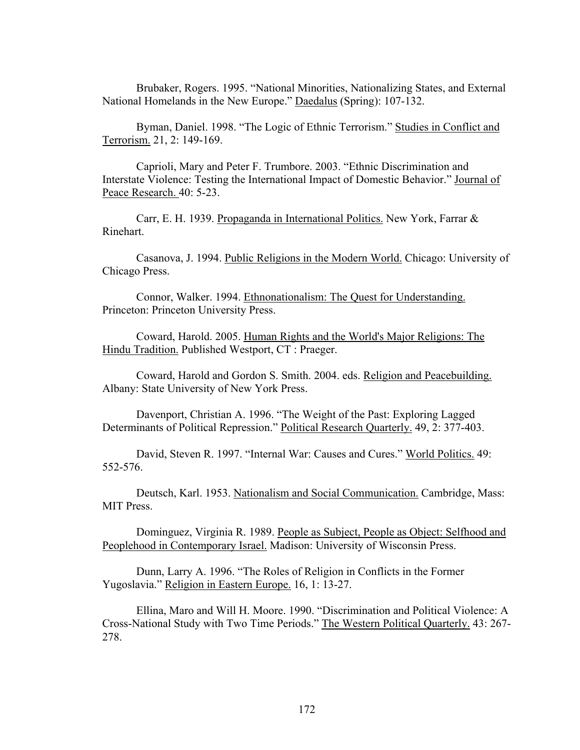Brubaker, Rogers. 1995. "National Minorities, Nationalizing States, and External National Homelands in the New Europe." Daedalus (Spring): 107-132.

Byman, Daniel. 1998. "The Logic of Ethnic Terrorism." Studies in Conflict and Terrorism. 21, 2: 149-169.

Caprioli, Mary and Peter F. Trumbore. 2003. "Ethnic Discrimination and Interstate Violence: Testing the International Impact of Domestic Behavior." Journal of Peace Research. 40: 5-23.

[Carr, E. H.](http://laurel.lso.missouri.edu/search/aCarr%2C+Edward+Hallett%2C+1892-/acarr+edward+hallett+1892/-2,-1,0,B/browse) 1939. Propaganda in International Politics. New York, Farrar & Rinehart.

Casanova, J. 1994. Public Religions in the Modern World. Chicago: University of Chicago Press.

Connor, Walker. 1994. Ethnonationalism: The Quest for Understanding. Princeton: Princeton University Press.

Coward, Harold. 2005. Human Rights and the World's Major Religions: The Hindu Tradition. Published Westport, CT : Praeger.

Coward, Harold and Gordon S. Smith. 2004. eds. Religion and Peacebuilding. Albany: State University of New York Press.

Davenport, Christian A. 1996. "The Weight of the Past: Exploring Lagged Determinants of Political Repression." Political Research Quarterly. 49, 2: 377-403.

David, Steven R. 1997. "Internal War: Causes and Cures." World Politics. 49: 552-576.

Deutsch, Karl. 1953. Nationalism and Social Communication. Cambridge, Mass: **MIT Press.** 

Dominguez, Virginia R. 1989. People as Subject, People as Object: Selfhood and Peoplehood in Contemporary Israel. Madison: University of Wisconsin Press.

Dunn, Larry A. 1996. "The Roles of Religion in Conflicts in the Former Yugoslavia." Religion in Eastern Europe. 16, 1: 13-27.

Ellina, Maro and Will H. Moore. 1990. "Discrimination and Political Violence: A Cross-National Study with Two Time Periods." The Western Political Quarterly. 43: 267- 278.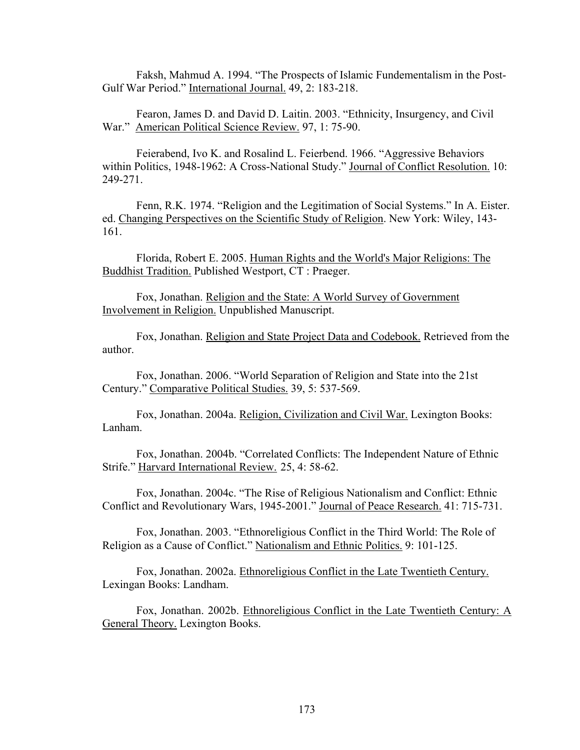Faksh, Mahmud A. 1994. "The Prospects of Islamic Fundementalism in the Post-Gulf War Period." International Journal. 49, 2: 183-218.

Fearon, James D. and David D. Laitin. 2003. "Ethnicity, Insurgency, and Civil War." American Political Science Review. 97, 1: 75-90.

Feierabend, Ivo K. and Rosalind L. Feierbend. 1966. "Aggressive Behaviors within Politics, 1948-1962: A Cross-National Study." Journal of Conflict Resolution. 10: 249-271.

Fenn, R.K. 1974. "Religion and the Legitimation of Social Systems." In A. Eister. ed. Changing Perspectives on the Scientific Study of Religion. New York: Wiley, 143- 161.

Florida, Robert E. 2005. Human Rights and the World's Major Religions: The Buddhist Tradition. Published Westport, CT : Praeger.

Fox, Jonathan. Religion and the State: A World Survey of Government Involvement in Religion. Unpublished Manuscript.

Fox, Jonathan. Religion and State Project Data and Codebook. Retrieved from the author.

Fox, Jonathan. 2006. "World Separation of Religion and State into the 21st Century." Comparative Political Studies. 39, 5: 537-569.

Fox, Jonathan. 2004a. Religion, Civilization and Civil War. Lexington Books: Lanham.

Fox, Jonathan. 2004b. "Correlated Conflicts: The Independent Nature of Ethnic Strife." Harvard International Review. 25, 4: 58-62.

Fox, Jonathan. 2004c. "The Rise of Religious Nationalism and Conflict: Ethnic Conflict and Revolutionary Wars, 1945-2001." Journal of Peace Research. 41: 715-731.

Fox, Jonathan. 2003. "Ethnoreligious Conflict in the Third World: The Role of Religion as a Cause of Conflict." Nationalism and Ethnic Politics. 9: 101-125.

Fox, Jonathan. 2002a. Ethnoreligious Conflict in the Late Twentieth Century. Lexingan Books: Landham.

Fox, Jonathan. 2002b. Ethnoreligious Conflict in the Late Twentieth Century: A General Theory. Lexington Books.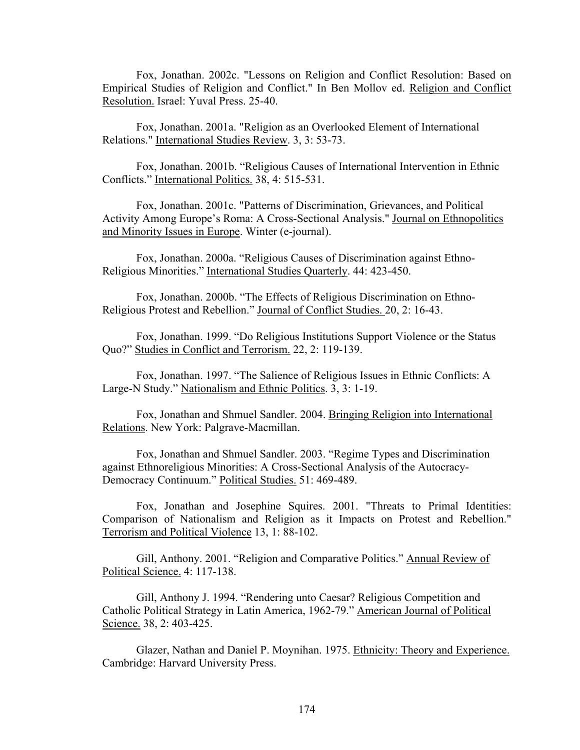Fox, Jonathan. 2002c. "Lessons on Religion and Conflict Resolution: Based on Empirical Studies of Religion and Conflict." In Ben Mollov ed. Religion and Conflict Resolution. Israel: Yuval Press. 25-40.

Fox, Jonathan. 2001a. "Religion as an Overlooked Element of International Relations." [International Studies Review.](http://www.blackwellpublishing.com/abstract.asp?ref=1521-9488&vid=3&iid=3&aid=244&s=) 3, 3: 53-73.

Fox, Jonathan. 2001b. "Religious Causes of International Intervention in Ethnic Conflicts." International Politics. 38, 4: 515-531.

Fox, Jonathan. 2001c. "Patterns of Discrimination, Grievances, and Political Activity Among Europe's Roma: A Cross-Sectional Analysis." [Journal on Ethnopolitics](http://www.ecmi.de/jemie/special_1_2001.html)  [and Minority Issues in Europe](http://www.ecmi.de/jemie/special_1_2001.html). Winter (e-journal).

Fox, Jonathan. 2000a. "Religious Causes of Discrimination against Ethno-Religious Minorities." International Studies Quarterly. 44: 423-450.

Fox, Jonathan. 2000b. "The Effects of Religious Discrimination on Ethno-Religious Protest and Rebellion." Journal of Conflict Studies. 20, 2: 16-43.

Fox, Jonathan. 1999. "Do Religious Institutions Support Violence or the Status Quo?" Studies in Conflict and Terrorism. 22, 2: 119-139.

Fox, Jonathan. 1997. "The Salience of Religious Issues in Ethnic Conflicts: A Large-N Study." Nationalism and Ethnic Politics. 3, 3: 1-19.

Fox, Jonathan and Shmuel Sandler. 2004. [Bringing Religion into International](http://www.palgrave-usa.com/catalog/product.aspx?isbn=140396551X)  [Relations](http://www.palgrave-usa.com/catalog/product.aspx?isbn=140396551X). New York: Palgrave-Macmillan.

Fox, Jonathan and Shmuel Sandler. 2003. "Regime Types and Discrimination against Ethnoreligious Minorities: A Cross-Sectional Analysis of the Autocracy-Democracy Continuum." Political Studies. 51: 469-489.

Fox, Jonathan and Josephine Squires. 2001. "Threats to Primal Identities: Comparison of Nationalism and Religion as it Impacts on Protest and Rebellion." Terrorism and Political Violence 13, 1: 88-102.

Gill, Anthony. 2001. "Religion and Comparative Politics." Annual Review of Political Science. 4: 117-138.

Gill, Anthony J. 1994. "Rendering unto Caesar? Religious Competition and Catholic Political Strategy in Latin America, 1962-79." American Journal of Political Science. 38, 2: 403-425.

Glazer, Nathan and Daniel P. Moynihan. 1975. Ethnicity: Theory and Experience. Cambridge: Harvard University Press.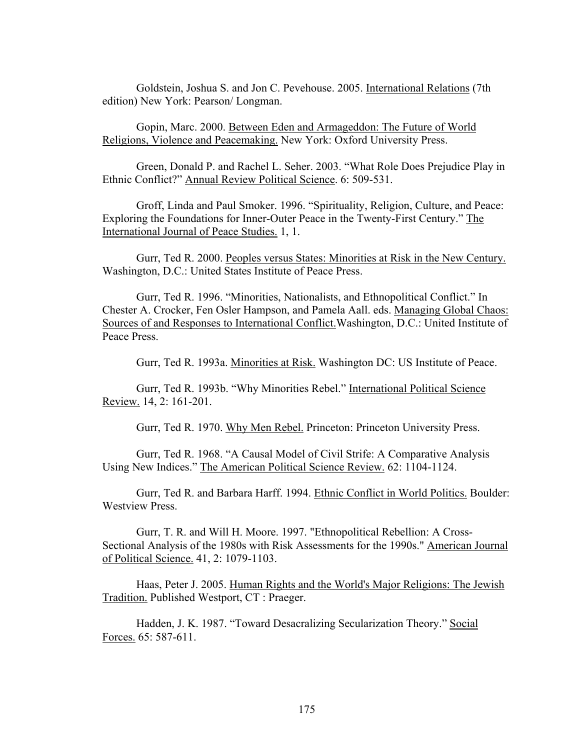Goldstein, Joshua S. and Jon C. Pevehouse. 2005. International Relations (7th edition) New York: Pearson/ Longman.

Gopin, Marc. 2000. Between Eden and Armageddon: The Future of World Religions, Violence and Peacemaking. New York: Oxford University Press.

Green, Donald P. and Rachel L. Seher. 2003. "What Role Does Prejudice Play in Ethnic Conflict?" Annual Review Political Science. 6: 509-531.

Groff, Linda and Paul Smoker. 1996. "Spirituality, Religion, Culture, and Peace: Exploring the Foundations for Inner-Outer Peace in the Twenty-First Century." The International Journal of Peace Studies. 1, 1.

Gurr, Ted R. 2000. Peoples versus States: Minorities at Risk in the New Century. Washington, D.C.: United States Institute of Peace Press.

Gurr, Ted R. 1996. "Minorities, Nationalists, and Ethnopolitical Conflict." In Chester A. Crocker, Fen Osler Hampson, and Pamela Aall. eds. Managing Global Chaos: Sources of and Responses to International Conflict.Washington, D.C.: United Institute of Peace Press.

Gurr, Ted R. 1993a. Minorities at Risk. Washington DC: US Institute of Peace.

Gurr, Ted R. 1993b. "Why Minorities Rebel." International Political Science Review. 14, 2: 161-201.

Gurr, Ted R. 1970. Why Men Rebel. Princeton: Princeton University Press.

Gurr, Ted R. 1968. "A Causal Model of Civil Strife: A Comparative Analysis Using New Indices." The American Political Science Review. 62: 1104-1124.

Gurr, Ted R. and Barbara Harff. 1994. Ethnic Conflict in World Politics. Boulder: Westview Press.

Gurr, T. R. and Will H. Moore. 1997. "Ethnopolitical Rebellion: A Cross-Sectional Analysis of the 1980s with Risk Assessments for the 1990s." American Journal of Political Science. 41, 2: 1079-1103.

Haas, Peter J. 2005. Human Rights and the World's Major Religions: The Jewish Tradition. Published Westport, CT : Praeger.

Hadden, J. K. 1987. "Toward Desacralizing Secularization Theory." Social Forces. 65: 587-611.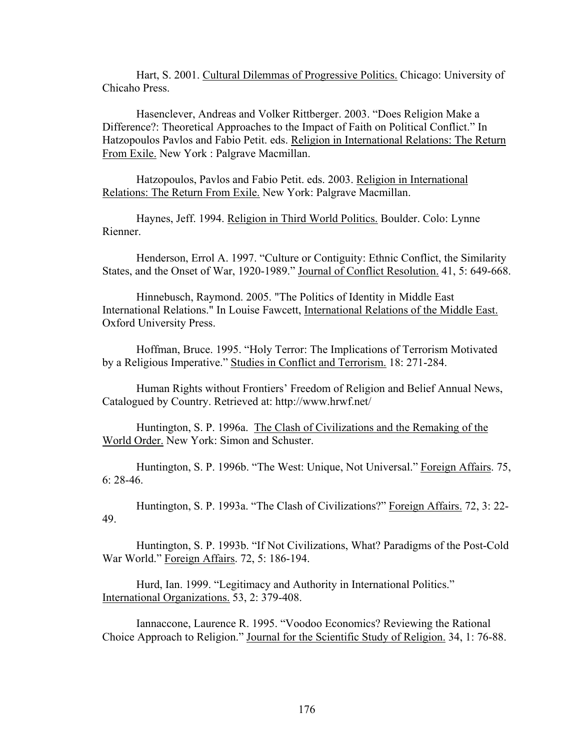Hart, S. 2001. Cultural Dilemmas of Progressive Politics. Chicago: University of Chicaho Press.

Hasenclever, Andreas and Volker Rittberger. 2003. "Does Religion Make a Difference?: Theoretical Approaches to the Impact of Faith on Political Conflict." In Hatzopoulos Pavlos and Fabio Petit. eds. Religion in International Relations: The Return From Exile. New York : Palgrave Macmillan.

Hatzopoulos, Pavlos and Fabio Petit. eds. 2003. Religion in International Relations: The Return From Exile. New York: Palgrave Macmillan.

Haynes, Jeff. 1994. Religion in Third World Politics. Boulder. Colo: Lynne Rienner.

Henderson, Errol A. 1997. "Culture or Contiguity: Ethnic Conflict, the Similarity States, and the Onset of War, 1920-1989." Journal of Conflict Resolution. 41, 5: 649-668.

 Hinnebusch, Raymond. 2005. "The Politics of Identity in Middle East International Relations." In Louise Fawcett, International Relations of the Middle East. Oxford University Press.

Hoffman, Bruce. 1995. "Holy Terror: The Implications of Terrorism Motivated by a Religious Imperative." Studies in Conflict and Terrorism. 18: 271-284.

 Human Rights without Frontiers' Freedom of Religion and Belief Annual News, Catalogued by Country. Retrieved at: http://www.hrwf.net/

Huntington, S. P. 1996a. The Clash of Civilizations and the Remaking of the World Order. New York: Simon and Schuster.

Huntington, S. P. 1996b. "The West: Unique, Not Universal." Foreign Affairs. 75, 6: 28-46.

Huntington, S. P. 1993a. "The Clash of Civilizations?" Foreign Affairs. 72, 3: 22- 49.

Huntington, S. P. 1993b. "If Not Civilizations, What? Paradigms of the Post-Cold War World." Foreign Affairs. 72, 5: 186-194.

Hurd, Ian. 1999. "Legitimacy and Authority in International Politics." International Organizations. 53, 2: 379-408.

Iannaccone, Laurence R. 1995. "Voodoo Economics? Reviewing the Rational Choice Approach to Religion." Journal for the Scientific Study of Religion. 34, 1: 76-88.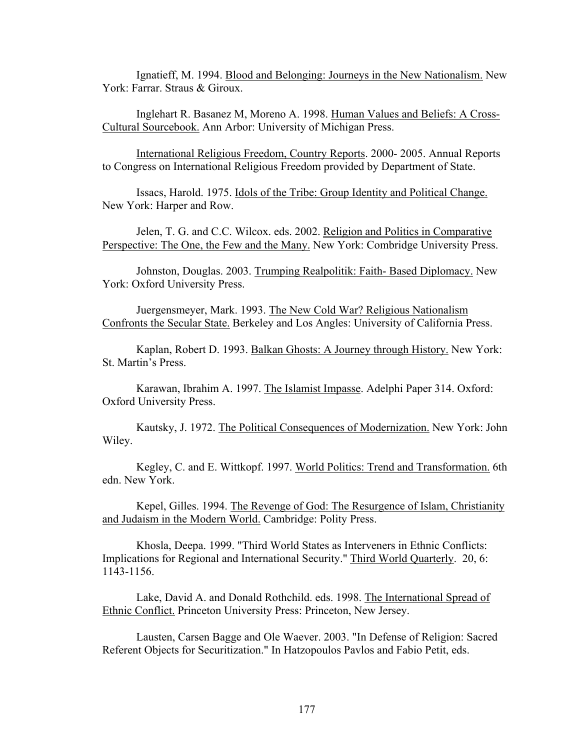Ignatieff, M. 1994. Blood and Belonging: Journeys in the New Nationalism. New York: Farrar. Straus & Giroux.

Inglehart R. Basanez M, Moreno A. 1998. Human Values and Beliefs: A Cross-Cultural Sourcebook. Ann Arbor: University of Michigan Press.

International Religious Freedom, Country Reports. 2000- 2005. Annual Reports to Congress on International Religious Freedom provided by Department of State.

Issacs, Harold. 1975. Idols of the Tribe: Group Identity and Political Change. New York: Harper and Row.

Jelen, T. G. and C.C. Wilcox. eds. 2002. Religion and Politics in Comparative Perspective: The One, the Few and the Many. New York: Combridge University Press.

Johnston, Douglas. 2003. Trumping Realpolitik: Faith- Based Diplomacy. New York: Oxford University Press.

Juergensmeyer, Mark. 1993. The New Cold War? Religious Nationalism Confronts the Secular State. Berkeley and Los Angles: University of California Press.

Kaplan, Robert D. 1993. Balkan Ghosts: A Journey through History. New York: St. Martin's Press.

Karawan, Ibrahim A. 1997. The Islamist Impasse. Adelphi Paper 314. Oxford: Oxford University Press.

Kautsky, J. 1972. The Political Consequences of Modernization. New York: John Wiley.

Kegley, C. and E. Wittkopf. 1997. World Politics: Trend and Transformation. 6th edn. New York.

Kepel, Gilles. 1994. The Revenge of God: The Resurgence of Islam, Christianity and Judaism in the Modern World. Cambridge: Polity Press.

Khosla, Deepa. 1999. "Third World States as Interveners in Ethnic Conflicts: Implications for Regional and International Security." Third World Quarterly. 20, 6: 1143-1156.

Lake, David A. and Donald Rothchild. eds. 1998. The International Spread of Ethnic Conflict. Princeton University Press: Princeton, New Jersey.

Lausten, Carsen Bagge and Ole Waever. 2003. "In Defense of Religion: Sacred Referent Objects for Securitization." In Hatzopoulos Pavlos and Fabio Petit, eds.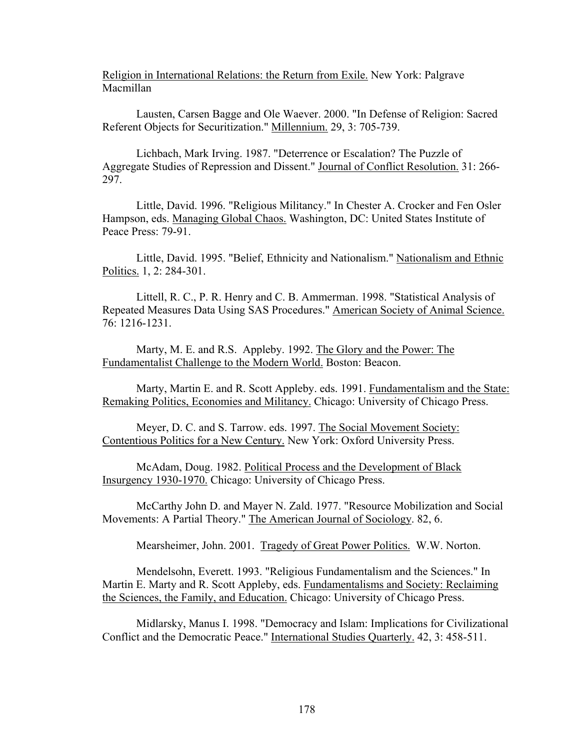Religion in International Relations: the Return from Exile. New York: Palgrave Macmillan

Lausten, Carsen Bagge and Ole Waever. 2000. "In Defense of Religion: Sacred Referent Objects for Securitization." Millennium. 29, 3: 705-739.

Lichbach, Mark Irving. 1987. "Deterrence or Escalation? The Puzzle of Aggregate Studies of Repression and Dissent." Journal of Conflict Resolution. 31: 266- 297.

Little, David. 1996. "Religious Militancy." In Chester A. Crocker and Fen Osler Hampson, eds. Managing Global Chaos. Washington, DC: United States Institute of Peace Press: 79-91.

Little, David. 1995. "Belief, Ethnicity and Nationalism." Nationalism and Ethnic Politics. 1, 2: 284-301.

Littell, R. C., P. R. Henry and C. B. Ammerman. 1998. "Statistical Analysis of Repeated Measures Data Using SAS Procedures." American Society of Animal Science. 76: 1216-1231.

Marty, M. E. and R.S. Appleby. 1992. The Glory and the Power: The Fundamentalist Challenge to the Modern World. Boston: Beacon.

Marty, Martin E. and R. Scott Appleby. eds. 1991. Fundamentalism and the State: Remaking Politics, Economies and Militancy. Chicago: University of Chicago Press.

Meyer, D. C. and S. Tarrow. eds. 1997. The Social Movement Society: Contentious Politics for a New Century. New York: Oxford University Press.

McAdam, Doug. 1982. Political Process and the Development of Black Insurgency 1930-1970. Chicago: University of Chicago Press.

McCarthy John D. and Mayer N. Zald. 1977. ["Resource Mobilization and Social](http://www.jstor.org/view/00029602/dm992636/99p0042u/0?frame=noframe&userID=80ce6131@missouri.edu/01cc99333c00501d51c85&dpi=3&config=jstor)  [Movements: A Partial Theory.](http://www.jstor.org/view/00029602/dm992636/99p0042u/0?frame=noframe&userID=80ce6131@missouri.edu/01cc99333c00501d51c85&dpi=3&config=jstor)" The American Journal of Sociology. 82, 6.

Mearsheimer, John. 2001. Tragedy of Great Power Politics. W.W. Norton.

Mendelsohn, Everett. 1993. "Religious Fundamentalism and the Sciences." In Martin E. Marty and R. Scott Appleby, eds. Fundamentalisms and Society: Reclaiming the Sciences, the Family, and Education. Chicago: University of Chicago Press.

Midlarsky, Manus I. 1998. "Democracy and Islam: Implications for Civilizational Conflict and the Democratic Peace." International Studies Quarterly. 42, 3: 458-511.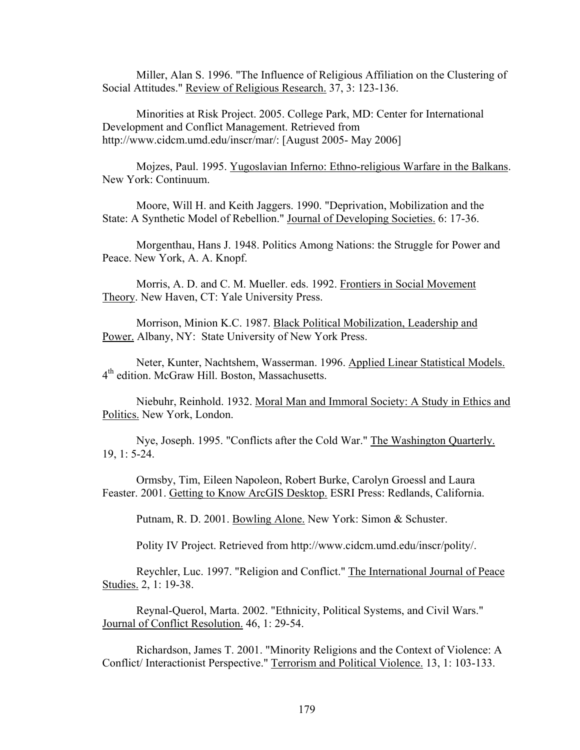Miller, Alan S. 1996. "The Influence of Religious Affiliation on the Clustering of Social Attitudes." Review of Religious Research. 37, 3: 123-136.

 Minorities at Risk Project. 2005. College Park, MD: Center for International Development and Conflict Management. Retrieved from http://www.cidcm.umd.edu/inscr/mar/: [August 2005- May 2006]

Mojzes, Paul. 1995. Yugoslavian Inferno: Ethno-religious Warfare in the Balkans. New York: Continuum.

Moore, Will H. and Keith Jaggers. 1990. "Deprivation, Mobilization and the State: A Synthetic Model of Rebellion." Journal of Developing Societies. 6: 17-36.

[Morgenthau, Hans J.](http://laurel.lso.missouri.edu/search/aMorgenthau%2C+Hans+Joachim%2C+1904-/amorgenthau+hans+joachim+1904/-2,-1,0,B/browse) 1948. Politics Among Nations: the Struggle for Power and Peace. New York, A. A. Knopf.

Morris, A. D. and C. M. Mueller. eds. 1992. Frontiers in Social Movement Theory. New Haven, CT: Yale University Press.

Morrison, Minion K.C. 1987. Black Political Mobilization, Leadership and Power. Albany, NY: State University of New York Press.

 Neter, Kunter, Nachtshem, Wasserman. 1996. Applied Linear Statistical Models. 4th edition. McGraw Hill. Boston, Massachusetts.

[Niebuhr, Reinhold.](http://laurel.lso.missouri.edu/search/aNiebuhr%2C+Reinhold%2C+1892-1971./aniebuhr+reinhold+1892+1971/-2,-1,0,B/browse) 1932. Moral Man and Immoral Society: A Study in Ethics and Politics. New York, London.

Nye, Joseph. 1995. "Conflicts after the Cold War." The Washington Quarterly. 19, 1: 5-24.

Ormsby, Tim, Eileen Napoleon, Robert Burke, Carolyn Groessl and Laura Feaster. 2001. Getting to Know ArcGIS Desktop. ESRI Press: Redlands, California.

Putnam, R. D. 2001. Bowling Alone. New York: Simon & Schuster.

Polity IV Project. Retrieved from http://www.cidcm.umd.edu/inscr/polity/.

Reychler, Luc. 1997. "Religion and Conflict." The International Journal of Peace Studies. 2, 1: 19-38.

Reynal-Querol, Marta. 2002. "Ethnicity, Political Systems, and Civil Wars." Journal of Conflict Resolution. 46, 1: 29-54.

Richardson, James T. 2001. "Minority Religions and the Context of Violence: A Conflict/ Interactionist Perspective." Terrorism and Political Violence. 13, 1: 103-133.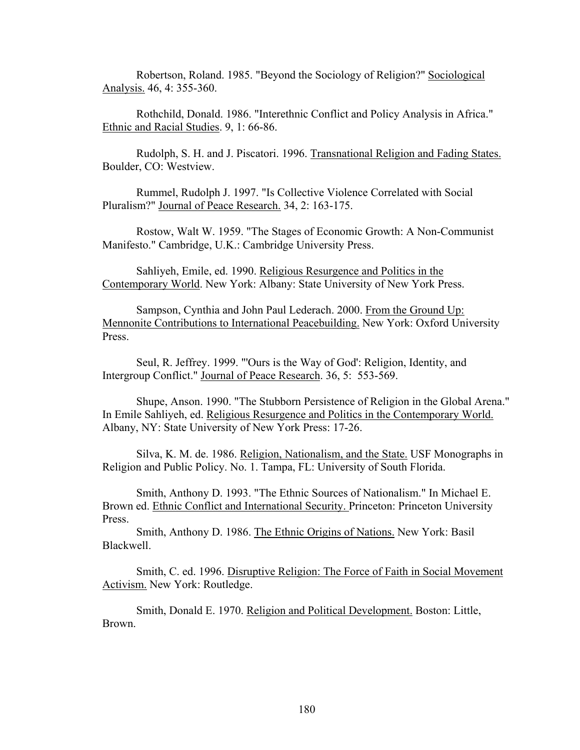Robertson, Roland. 1985. "Beyond the Sociology of Religion?" Sociological Analysis. 46, 4: 355-360.

Rothchild, Donald. 1986. "Interethnic Conflict and Policy Analysis in Africa." Ethnic and Racial Studies. 9, 1: 66-86.

Rudolph, S. H. and J. Piscatori. 1996. Transnational Religion and Fading States. Boulder, CO: Westview.

Rummel, Rudolph J. 1997. "Is Collective Violence Correlated with Social Pluralism?" Journal of Peace Research. 34, 2: 163-175.

Rostow, Walt W. 1959. "The Stages of Economic Growth: A Non-Communist Manifesto." Cambridge, U.K.: Cambridge University Press.

Sahliyeh, Emile, ed. 1990. Religious Resurgence and Politics in the Contemporary World. New York: Albany: State University of New York Press.

Sampson, Cynthia and John Paul Lederach. 2000. From the Ground Up: Mennonite Contributions to International Peacebuilding. New York: Oxford University Press.

Seul, R. Jeffrey. 1999. "'Ours is the Way of God': Religion, Identity, and Intergroup Conflict." Journal of Peace Research. 36, 5: 553-569.

Shupe, Anson. 1990. "The Stubborn Persistence of Religion in the Global Arena." In Emile Sahliyeh, ed. Religious Resurgence and Politics in the Contemporary World. Albany, NY: State University of New York Press: 17-26.

Silva, K. M. de. 1986. Religion, Nationalism, and the State. USF Monographs in Religion and Public Policy. No. 1. Tampa, FL: University of South Florida.

Smith, Anthony D. 1993. "The Ethnic Sources of Nationalism." In Michael E. Brown ed. Ethnic Conflict and International Security. Princeton: Princeton University Press.

Smith, Anthony D. 1986. The Ethnic Origins of Nations. New York: Basil Blackwell.

Smith, C. ed. 1996. Disruptive Religion: The Force of Faith in Social Movement Activism. New York: Routledge.

Smith, Donald E. 1970. Religion and Political Development. Boston: Little, Brown.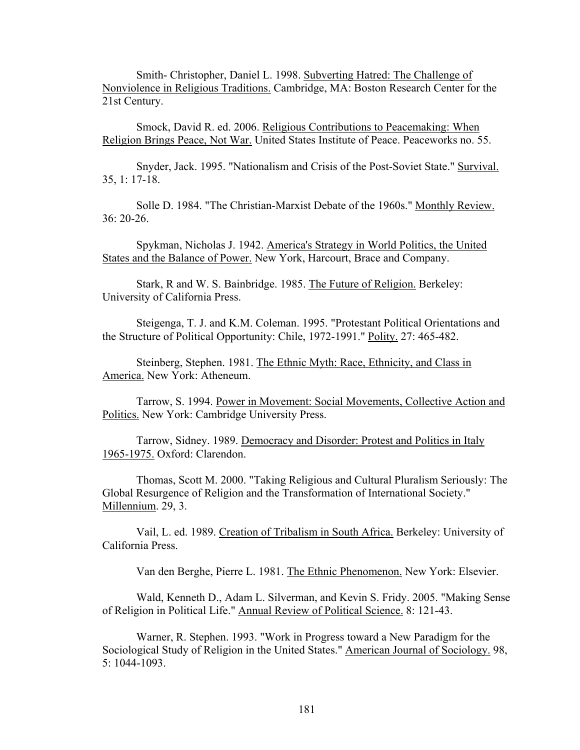Smith- Christopher, Daniel L. 1998. Subverting Hatred: The Challenge of Nonviolence in Religious Traditions. Cambridge, MA: Boston Research Center for the 21st Century.

Smock, David R. ed. 2006. Religious Contributions to Peacemaking: When Religion Brings Peace, Not War. United States Institute of Peace. Peaceworks no. 55.

Snyder, Jack. 1995. "Nationalism and Crisis of the Post-Soviet State." Survival. 35, 1: 17-18.

Solle D. 1984. "The Christian-Marxist Debate of the 1960s." Monthly Review. 36: 20-26.

[Spykman, Nicholas J. 1](http://laurel.lso.missouri.edu/search/aSpykman%2C+Nicholas+J.+%28Nicholas+John%29%2C+1893-1943./aspykman+nicholas+j+nicholas+john+1893+1943/-2,-1,0,B/browse)942. America's Strategy in World Politics, the United States and the Balance of Power. New York, Harcourt, Brace and Company.

Stark, R and W. S. Bainbridge. 1985. The Future of Religion. Berkeley: University of California Press.

Steigenga, T. J. and K.M. Coleman. 1995. "Protestant Political Orientations and the Structure of Political Opportunity: Chile, 1972-1991." Polity. 27: 465-482.

Steinberg, Stephen. 1981. The Ethnic Myth: Race, Ethnicity, and Class in America. New York: Atheneum.

Tarrow, S. 1994. Power in Movement: Social Movements, Collective Action and Politics. New York: Cambridge University Press.

Tarrow, Sidney. 1989. Democracy and Disorder: Protest and Politics in Italy 1965-1975. Oxford: Clarendon.

Thomas, Scott M. 2000. "Taking Religious and Cultural Pluralism Seriously: The Global Resurgence of Religion and the Transformation of International Society." Millennium. 29, 3.

Vail, L. ed. 1989. Creation of Tribalism in South Africa. Berkeley: University of California Press.

Van den Berghe, Pierre L. 1981. The Ethnic Phenomenon. New York: Elsevier.

Wald, Kenneth D., Adam L. Silverman, and Kevin S. Fridy. 2005. "Making Sense of Religion in Political Life." Annual Review of Political Science. 8: 121-43.

Warner, R. Stephen. 1993. "Work in Progress toward a New Paradigm for the Sociological Study of Religion in the United States." American Journal of Sociology. 98, 5: 1044-1093.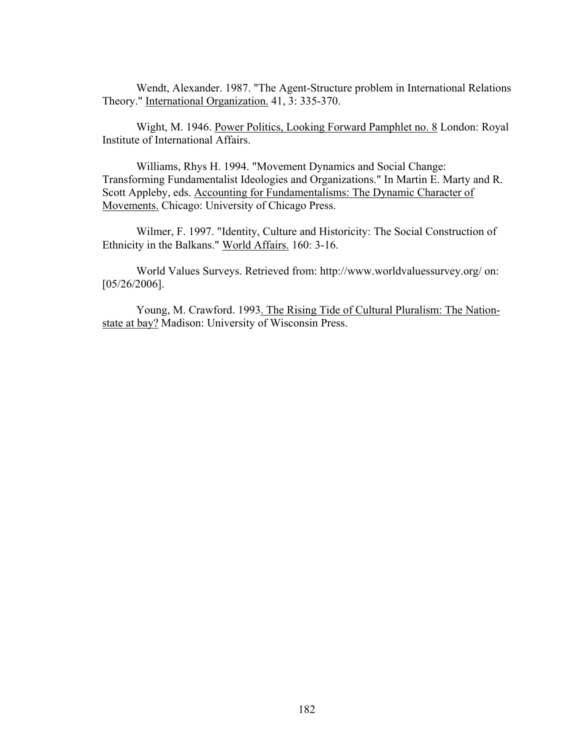Wendt, Alexander. 1987. "The Agent-Structure problem in International Relations Theory." International Organization. 41, 3: 335-370.

Wight, M. 1946. Power Politics, Looking Forward Pamphlet no. 8 London: Royal Institute of International Affairs.

Williams, Rhys H. 1994. "Movement Dynamics and Social Change: Transforming Fundamentalist Ideologies and Organizations." In Martin E. Marty and R. Scott Appleby, eds. Accounting for Fundamentalisms: The Dynamic Character of Movements. Chicago: University of Chicago Press.

Wilmer, F. 1997. "Identity, Culture and Historicity: The Social Construction of Ethnicity in the Balkans." World Affairs. 160: 3-16.

World Values Surveys. Retrieved from: http://www.worldvaluessurvey.org/ on: [05/26/2006].

Young, M. Crawford. 1993. The Rising Tide of Cultural Pluralism: The Nationstate at bay? Madison: University of Wisconsin Press.